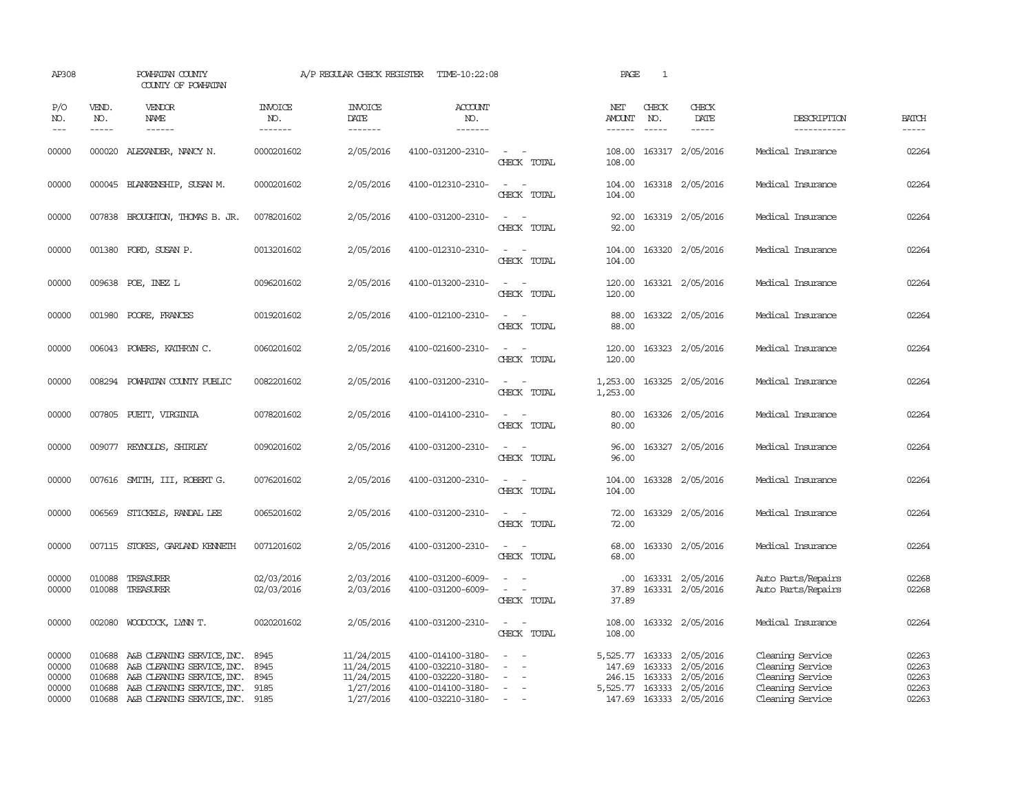| AP308                                     |                             | POWHATAN COUNTY<br>COUNTY OF POWHATAN                                                                                                                                   |                                      | A/P REGULAR CHECK REGISTER                                       | TIME-10:22:08                                                                                         |                                                                                                                                          | PAGE                           | 1                             |                                                                                                           |                                                                                                  |                                           |
|-------------------------------------------|-----------------------------|-------------------------------------------------------------------------------------------------------------------------------------------------------------------------|--------------------------------------|------------------------------------------------------------------|-------------------------------------------------------------------------------------------------------|------------------------------------------------------------------------------------------------------------------------------------------|--------------------------------|-------------------------------|-----------------------------------------------------------------------------------------------------------|--------------------------------------------------------------------------------------------------|-------------------------------------------|
| P/O<br>NO.<br>$---$                       | VEND.<br>NO.<br>$- - - - -$ | <b>VENDOR</b><br>NAME<br>$- - - - - -$                                                                                                                                  | <b>INVOICE</b><br>NO.<br>-------     | <b>INVOICE</b><br>DATE<br>-------                                | ACCOUNT<br>NO.<br>-------                                                                             |                                                                                                                                          | NET<br>AMOUNT<br>------        | CHECK<br>NO.<br>$\frac{1}{2}$ | CHECK<br>DATE<br>$- - - - -$                                                                              | DESCRIPTION<br>-----------                                                                       | <b>BATCH</b><br>$- - - - -$               |
| 00000                                     |                             | 000020 ALEXANDER, NANCY N.                                                                                                                                              | 0000201602                           | 2/05/2016                                                        | 4100-031200-2310-                                                                                     | $\sim$ $\sim$<br>CHECK TOTAL                                                                                                             | 108.00<br>108.00               |                               | 163317 2/05/2016                                                                                          | Medical Insurance                                                                                | 02264                                     |
| 00000                                     |                             | 000045 BLANKENSHIP, SUSAN M.                                                                                                                                            | 0000201602                           | 2/05/2016                                                        | 4100-012310-2310-                                                                                     | $\omega_{\rm{max}}$ and $\omega_{\rm{max}}$<br>CHECK TOTAL                                                                               | 104.00<br>104.00               |                               | 163318 2/05/2016                                                                                          | Medical Insurance                                                                                | 02264                                     |
| 00000                                     |                             | 007838 BROUGHTON, THOMAS B. JR.                                                                                                                                         | 0078201602                           | 2/05/2016                                                        | 4100-031200-2310-                                                                                     | $\sim$ 100 $\sim$<br>CHECK TOTAL                                                                                                         | 92.00<br>92.00                 |                               | 163319 2/05/2016                                                                                          | Medical Insurance                                                                                | 02264                                     |
| 00000                                     |                             | 001380 FORD, SUSAN P.                                                                                                                                                   | 0013201602                           | 2/05/2016                                                        | 4100-012310-2310-                                                                                     | $\sim$ 10 $\sim$ 10 $\sim$<br>CHECK TOTAL                                                                                                | 104.00<br>104.00               |                               | 163320 2/05/2016                                                                                          | Medical Insurance                                                                                | 02264                                     |
| 00000                                     |                             | 009638 POE, INEZ L                                                                                                                                                      | 0096201602                           | 2/05/2016                                                        | 4100-013200-2310-                                                                                     | $\sim$ 100 $\sim$<br>CHECK TOTAL                                                                                                         | 120.00<br>120.00               |                               | 163321 2/05/2016                                                                                          | Medical Insurance                                                                                | 02264                                     |
| 00000                                     |                             | 001980 POORE, FRANCES                                                                                                                                                   | 0019201602                           | 2/05/2016                                                        | 4100-012100-2310-                                                                                     | $\sim$<br>CHECK TOTAL                                                                                                                    | 88.00<br>88.00                 |                               | 163322 2/05/2016                                                                                          | Medical Insurance                                                                                | 02264                                     |
| 00000                                     |                             | 006043 POWERS, KATHRYN C.                                                                                                                                               | 0060201602                           | 2/05/2016                                                        | 4100-021600-2310-                                                                                     | $\sim$<br>$\sim$<br>CHECK TOTAL                                                                                                          | 120.00<br>120.00               |                               | 163323 2/05/2016                                                                                          | Medical Insurance                                                                                | 02264                                     |
| 00000                                     | 008294                      | POWHATAN COUNTY PUBLIC                                                                                                                                                  | 0082201602                           | 2/05/2016                                                        | 4100-031200-2310-                                                                                     | $\sim$<br>CHECK TOTAL                                                                                                                    | 1,253.00<br>1,253.00           |                               | 163325 2/05/2016                                                                                          | Medical Insurance                                                                                | 02264                                     |
| 00000                                     |                             | 007805 PUETT, VIRGINIA                                                                                                                                                  | 0078201602                           | 2/05/2016                                                        | 4100-014100-2310-                                                                                     | $\frac{1}{2} \left( \frac{1}{2} \right) \left( \frac{1}{2} \right) = \frac{1}{2} \left( \frac{1}{2} \right)$<br>CHECK TOTAL              | 80.00<br>80.00                 |                               | 163326 2/05/2016                                                                                          | Medical Insurance                                                                                | 02264                                     |
| 00000                                     |                             | 009077 REYNOLDS, SHIRLEY                                                                                                                                                | 0090201602                           | 2/05/2016                                                        | 4100-031200-2310-                                                                                     | CHECK TOTAL                                                                                                                              | 96.00<br>96.00                 |                               | 163327 2/05/2016                                                                                          | Medical Insurance                                                                                | 02264                                     |
| 00000                                     |                             | 007616 SMITH, III, ROBERT G.                                                                                                                                            | 0076201602                           | 2/05/2016                                                        | 4100-031200-2310-                                                                                     | $\frac{1}{2} \left( \frac{1}{2} \right) \left( \frac{1}{2} \right) \left( \frac{1}{2} \right) \left( \frac{1}{2} \right)$<br>CHECK TOTAL | 104.00<br>104.00               |                               | 163328 2/05/2016                                                                                          | Medical Insurance                                                                                | 02264                                     |
| 00000                                     |                             | 006569 STICKELS, RANDAL LEE                                                                                                                                             | 0065201602                           | 2/05/2016                                                        | 4100-031200-2310-                                                                                     | CHECK TOTAL                                                                                                                              | 72.00<br>72.00                 |                               | 163329 2/05/2016                                                                                          | Medical Insurance                                                                                | 02264                                     |
| 00000                                     |                             | 007115 STOKES, GARLAND KENNETH                                                                                                                                          | 0071201602                           | 2/05/2016                                                        | 4100-031200-2310-                                                                                     | CHECK TOTAL                                                                                                                              | 68.00<br>68.00                 |                               | 163330 2/05/2016                                                                                          | Medical Insurance                                                                                | 02264                                     |
| 00000<br>00000                            | 010088<br>010088            | TREASURER<br>TREASURER                                                                                                                                                  | 02/03/2016<br>02/03/2016             | 2/03/2016<br>2/03/2016                                           | 4100-031200-6009-<br>4100-031200-6009-                                                                | $\frac{1}{2} \left( \frac{1}{2} \right) \left( \frac{1}{2} \right) = \frac{1}{2} \left( \frac{1}{2} \right)$<br>CHECK TOTAL              | $.00 \times$<br>37.89<br>37.89 |                               | 163331 2/05/2016<br>163331 2/05/2016                                                                      | Auto Parts/Repairs<br>Auto Parts/Repairs                                                         | 02268<br>02268                            |
| 00000                                     |                             | 002080 WOODCOCK, LYNN T.                                                                                                                                                | 0020201602                           | 2/05/2016                                                        | 4100-031200-2310-                                                                                     | $\sim$ 100 $\sim$<br>CHECK TOTAL                                                                                                         | 108.00<br>108.00               |                               | 163332 2/05/2016                                                                                          | Medical Insurance                                                                                | 02264                                     |
| 00000<br>00000<br>00000<br>00000<br>00000 | 010688<br>010688            | 010688 A&B CLEANING SERVICE, INC.<br>A&B CLEANING SERVICE, INC.<br>A&B CLEANING SERVICE, INC.<br>010688 A&B CLEANING SERVICE, INC.<br>010688 A&B CLEANING SERVICE, INC. | 8945<br>8945<br>8945<br>9185<br>9185 | 11/24/2015<br>11/24/2015<br>11/24/2015<br>1/27/2016<br>1/27/2016 | 4100-014100-3180-<br>4100-032210-3180-<br>4100-032220-3180-<br>4100-014100-3180-<br>4100-032210-3180- | $\sim$<br>$\sim$<br>$\sim$ $-$                                                                                                           | 5,525.77<br>147.69<br>246.15   | 163333                        | 163333 2/05/2016<br>2/05/2016<br>163333 2/05/2016<br>5,525.77 163333 2/05/2016<br>147.69 163333 2/05/2016 | Cleaning Service<br>Cleaning Service<br>Cleaning Service<br>Cleaning Service<br>Cleaning Service | 02263<br>02263<br>02263<br>02263<br>02263 |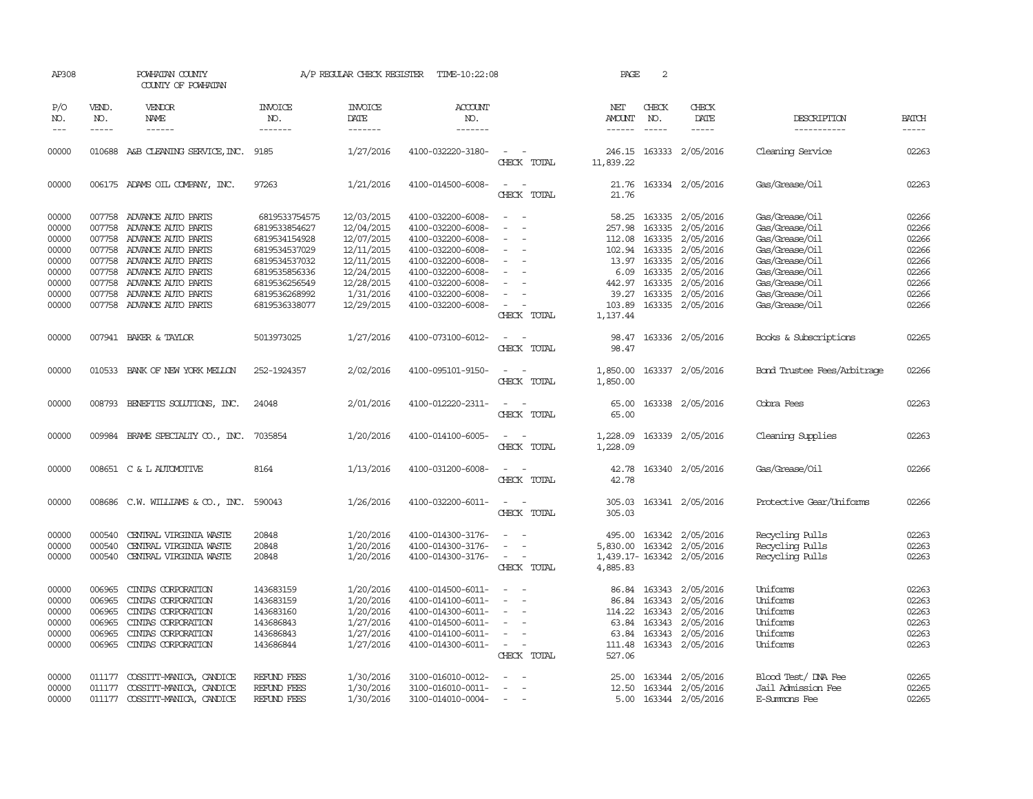| AP308                                                                         |                                                                    | POWHATAN COUNTY<br>COUNTY OF POWHATAN                                                                                                                                                                            |                                                                                                                                                       | A/P REGULAR CHECK REGISTER                                                                                                | TIME-10:22:08                                                                                                                                                                             |                                                                                            | PAGE                                                                              | $\mathbf{2}$                |                                                                                                                                                                    |                                                                                                                                                                |                                                                               |
|-------------------------------------------------------------------------------|--------------------------------------------------------------------|------------------------------------------------------------------------------------------------------------------------------------------------------------------------------------------------------------------|-------------------------------------------------------------------------------------------------------------------------------------------------------|---------------------------------------------------------------------------------------------------------------------------|-------------------------------------------------------------------------------------------------------------------------------------------------------------------------------------------|--------------------------------------------------------------------------------------------|-----------------------------------------------------------------------------------|-----------------------------|--------------------------------------------------------------------------------------------------------------------------------------------------------------------|----------------------------------------------------------------------------------------------------------------------------------------------------------------|-------------------------------------------------------------------------------|
| P/O<br>NO.<br>$---$                                                           | VEND.<br>NO.<br>$- - - - -$                                        | <b>VENDOR</b><br><b>NAME</b>                                                                                                                                                                                     | <b>INVOICE</b><br>NO.<br>-------                                                                                                                      | <b>INVOICE</b><br><b>DATE</b><br>-------                                                                                  | <b>ACCOUNT</b><br>NO.<br>-------                                                                                                                                                          |                                                                                            | NET<br>AMOUNT                                                                     | CHECK<br>NO.<br>$- - - - -$ | CHECK<br><b>DATE</b><br>-----                                                                                                                                      | DESCRIPTION<br>-----------                                                                                                                                     | <b>BATCH</b><br>$- - - - -$                                                   |
| 00000                                                                         |                                                                    | 010688 A&B CLEANING SERVICE, INC.                                                                                                                                                                                | 9185                                                                                                                                                  | 1/27/2016                                                                                                                 | 4100-032220-3180-                                                                                                                                                                         | $\sim$<br>CHECK TOTAL                                                                      | 246.15<br>11,839.22                                                               |                             | 163333 2/05/2016                                                                                                                                                   | Cleaning Service                                                                                                                                               | 02263                                                                         |
| 00000                                                                         |                                                                    | 006175 ADAMS OIL COMPANY, INC.                                                                                                                                                                                   | 97263                                                                                                                                                 | 1/21/2016                                                                                                                 | 4100-014500-6008-                                                                                                                                                                         | $\overline{\phantom{a}}$<br>CHECK TOTAL                                                    | 21.76<br>21.76                                                                    |                             | 163334 2/05/2016                                                                                                                                                   | Gas/Grease/Oil                                                                                                                                                 | 02263                                                                         |
| 00000<br>00000<br>00000<br>00000<br>00000<br>00000<br>00000<br>00000<br>00000 | 007758<br>007758<br>007758<br>007758<br>007758<br>007758<br>007758 | ADVANCE AUTO PARTS<br>ADVANCE AUTO PARTS<br>ADVANCE AUTO PARTS<br>ADVANCE AUTO PARTS<br>007758 ADVANCE AUTO PARTS<br>ADVANCE AUTO PARTS<br>ADVANCE AUTO PARTS<br>ADVANCE AUTO PARTS<br>007758 ADVANCE AUTO PARTS | 6819533754575<br>6819533854627<br>6819534154928<br>6819534537029<br>6819534537032<br>6819535856336<br>6819536256549<br>6819536268992<br>6819536338077 | 12/03/2015<br>12/04/2015<br>12/07/2015<br>12/11/2015<br>12/11/2015<br>12/24/2015<br>12/28/2015<br>1/31/2016<br>12/29/2015 | 4100-032200-6008-<br>4100-032200-6008-<br>4100-032200-6008-<br>4100-032200-6008-<br>4100-032200-6008-<br>4100-032200-6008-<br>4100-032200-6008-<br>4100-032200-6008-<br>4100-032200-6008- | $\overline{\phantom{a}}$<br>$\overline{\phantom{a}}$<br>$\overline{\phantom{a}}$<br>$\sim$ | 58.25<br>257.98<br>112.08<br>102.94<br>13.97<br>6.09<br>442.97<br>39.27<br>103.89 | 163335<br>163335            | 163335 2/05/2016<br>2/05/2016<br>163335 2/05/2016<br>163335 2/05/2016<br>163335 2/05/2016<br>2/05/2016<br>163335 2/05/2016<br>163335 2/05/2016<br>163335 2/05/2016 | Gas/Grease/0il<br>Gas/Grease/Oil<br>Gas/Grease/Oil<br>Gas/Grease/Oil<br>Gas/Grease/Oil<br>Gas/Grease/Oil<br>Gas/Grease/Oil<br>Gas/Grease/Oil<br>Gas/Grease/Oil | 02266<br>02266<br>02266<br>02266<br>02266<br>02266<br>02266<br>02266<br>02266 |
| 00000                                                                         |                                                                    | 007941 BAKER & TAYLOR                                                                                                                                                                                            | 5013973025                                                                                                                                            | 1/27/2016                                                                                                                 | 4100-073100-6012-                                                                                                                                                                         | CHECK TOTAL                                                                                | 1,137.44<br>98.47                                                                 |                             | 163336 2/05/2016                                                                                                                                                   | Books & Subscriptions                                                                                                                                          | 02265                                                                         |
| 00000                                                                         |                                                                    | 010533 BANK OF NEW YORK MELLON                                                                                                                                                                                   | 252-1924357                                                                                                                                           | 2/02/2016                                                                                                                 | 4100-095101-9150-                                                                                                                                                                         | CHECK TOTAL<br>CHECK TOTAL                                                                 | 98.47<br>1,850.00<br>1,850.00                                                     |                             | 163337 2/05/2016                                                                                                                                                   | Bond Trustee Fees/Arbitrage                                                                                                                                    | 02266                                                                         |
| 00000                                                                         |                                                                    | 008793 BENEFITS SOLUTIONS, INC.                                                                                                                                                                                  | 24048                                                                                                                                                 | 2/01/2016                                                                                                                 | 4100-012220-2311-                                                                                                                                                                         | CHECK TOTAL                                                                                | 65.00<br>65.00                                                                    |                             | 163338 2/05/2016                                                                                                                                                   | Cobra Fees                                                                                                                                                     | 02263                                                                         |
| 00000                                                                         |                                                                    | 009984 BRAME SPECIALITY CO., INC.                                                                                                                                                                                | 7035854                                                                                                                                               | 1/20/2016                                                                                                                 | 4100-014100-6005-                                                                                                                                                                         | CHECK TOTAL                                                                                | 1,228.09<br>1,228.09                                                              |                             | 163339 2/05/2016                                                                                                                                                   | Cleaning Supplies                                                                                                                                              | 02263                                                                         |
| 00000                                                                         |                                                                    | 008651 C & L AUTOMOTIVE                                                                                                                                                                                          | 8164                                                                                                                                                  | 1/13/2016                                                                                                                 | 4100-031200-6008-                                                                                                                                                                         | $\overline{\phantom{a}}$<br>CHECK TOTAL                                                    | 42.78<br>42.78                                                                    |                             | 163340 2/05/2016                                                                                                                                                   | Gas/Grease/0il                                                                                                                                                 | 02266                                                                         |
| 00000                                                                         |                                                                    | 008686 C.W. WILLIAMS & CO., INC. 590043                                                                                                                                                                          |                                                                                                                                                       | 1/26/2016                                                                                                                 | 4100-032200-6011-                                                                                                                                                                         | $\sim$<br>CHECK TOTAL                                                                      | 305.03<br>305.03                                                                  |                             | 163341 2/05/2016                                                                                                                                                   | Protective Gear/Uniforms                                                                                                                                       | 02266                                                                         |
| 00000<br>00000<br>00000                                                       | 000540<br>000540<br>000540                                         | CENTRAL VIRGINIA WASTE<br>CENTRAL VIRGINIA WASTE<br>CENTRAL VIRGINIA WASTE                                                                                                                                       | 20848<br>20848<br>20848                                                                                                                               | 1/20/2016<br>1/20/2016<br>1/20/2016                                                                                       | 4100-014300-3176-<br>4100-014300-3176-<br>4100-014300-3176-                                                                                                                               | $\equiv$<br>CHECK TOTAL                                                                    | 495.00<br>5,830.00<br>4,885.83                                                    | 163342<br>163342            | 2/05/2016<br>2/05/2016<br>1,439.17-163342 2/05/2016                                                                                                                | Recycling Pulls<br>Recycling Pulls<br>Recycling Pulls                                                                                                          | 02263<br>02263<br>02263                                                       |
| 00000<br>00000<br>00000<br>00000<br>00000<br>00000                            | 006965<br>006965<br>006965<br>006965<br>006965<br>006965           | CINIAS CORPORATION<br>CINIAS CORPORATION<br>CINIAS CORPORATION<br>CINIAS CORPORATION<br>CINIAS CORPORATION<br>CINIAS CORPORATION                                                                                 | 143683159<br>143683159<br>143683160<br>143686843<br>143686843<br>143686844                                                                            | 1/20/2016<br>1/20/2016<br>1/20/2016<br>1/27/2016<br>1/27/2016<br>1/27/2016                                                | 4100-014500-6011-<br>4100-014100-6011-<br>4100-014300-6011-<br>4100-014500-6011-<br>4100-014100-6011-<br>4100-014300-6011-                                                                | $\overline{\phantom{a}}$<br>$\sim$<br>$\overline{\phantom{a}}$<br>$\sim$<br>CHECK TOTAL    | 86.84<br>86.84<br>114.22<br>63.84<br>63.84<br>111.48<br>527.06                    | 163343<br>163343<br>163343  | 163343 2/05/2016<br>2/05/2016<br>2/05/2016<br>2/05/2016<br>163343 2/05/2016<br>163343 2/05/2016                                                                    | Uniforms<br>Uniforms<br>Uniforms<br>Uniforms<br>Uniforms<br>Uniforms                                                                                           | 02263<br>02263<br>02263<br>02263<br>02263<br>02263                            |
| 00000<br>00000<br>00000                                                       | 011177<br>011177<br>011177                                         | COSSITT-MANICA, CANDICE<br>COSSITT-MANICA, CANDICE<br>COSSITT-MANICA, CANDICE                                                                                                                                    | REFUND FEES<br><b>REFUND FEES</b><br>REFUND FEES                                                                                                      | 1/30/2016<br>1/30/2016<br>1/30/2016                                                                                       | 3100-016010-0012-<br>3100-016010-0011-<br>3100-014010-0004-                                                                                                                               | $\sim$                                                                                     | 25.00<br>12.50<br>5.00                                                            |                             | 163344 2/05/2016<br>163344 2/05/2016<br>163344 2/05/2016                                                                                                           | Blood Test/DNA Fee<br>Jail Admission Fee<br>E-Summons Fee                                                                                                      | 02265<br>02265<br>02265                                                       |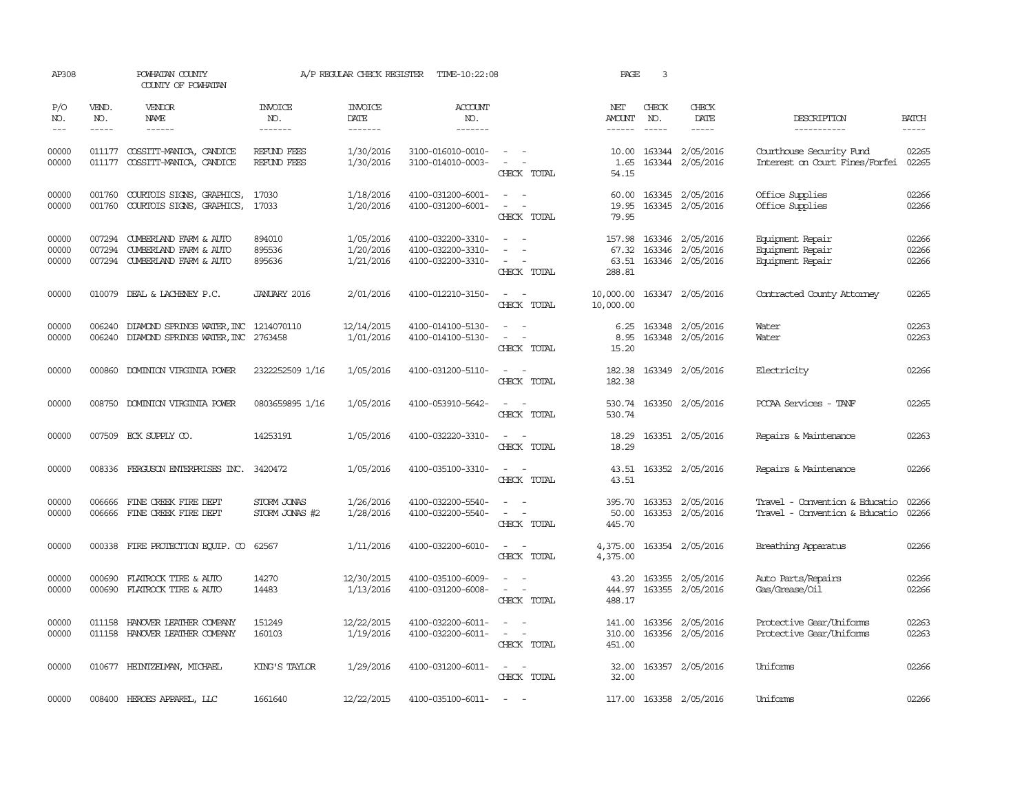| AP308                   |                             | POWHATAN COUNTY<br>COUNTY OF POWHATAN                                             |                                   | A/P REGULAR CHECK REGISTER                | TIME-10:22:08                                               |                                                                             | PAGE                               | 3                             |                                                          |                                                                  |                             |
|-------------------------|-----------------------------|-----------------------------------------------------------------------------------|-----------------------------------|-------------------------------------------|-------------------------------------------------------------|-----------------------------------------------------------------------------|------------------------------------|-------------------------------|----------------------------------------------------------|------------------------------------------------------------------|-----------------------------|
| P/O<br>NO.<br>$---$     | VEND.<br>NO.<br>$- - - - -$ | <b>VENDOR</b><br>NAME<br>$- - - - - -$                                            | <b>INVOICE</b><br>NO.<br>-------- | <b>INVOICE</b><br>DATE<br>$- - - - - - -$ | ACCOUNT<br>NO.<br>--------                                  |                                                                             | NET<br>AMOUNT<br>$- - - - - -$     | CHECK<br>NO.<br>$\frac{1}{2}$ | CHECK<br>DATE<br>$- - - - -$                             | DESCRIPTION<br>-----------                                       | <b>BATCH</b><br>$- - - - -$ |
| 00000<br>00000          | 011177<br>011177            | COSSITT-MANICA, CANDICE<br>COSSITT-MANICA, CANDICE                                | <b>REFUND FEES</b><br>REFUND FEES | 1/30/2016<br>1/30/2016                    | 3100-016010-0010-<br>3100-014010-0003-                      | $\sim$ $ \sim$<br>$\overline{\phantom{a}}$<br>CHECK TOTAL                   | 10.00<br>1.65<br>54.15             |                               | 163344 2/05/2016<br>163344 2/05/2016                     | Courthouse Security Fund<br>Interest on Court Fines/Forfei       | 02265<br>02265              |
| 00000<br>00000          | 001760<br>001760            | COURTOIS SIGNS, GRAPHICS,<br>COURTOIS SIGNS, GRAPHICS,                            | 17030<br>17033                    | 1/18/2016<br>1/20/2016                    | 4100-031200-6001-<br>4100-031200-6001-                      | $\overline{\phantom{a}}$<br>CHECK TOTAL                                     | 60.00<br>19.95<br>79.95            |                               | 163345 2/05/2016<br>163345 2/05/2016                     | Office Supplies<br>Office Supplies                               | 02266<br>02266              |
| 00000<br>00000<br>00000 | 007294<br>007294            | CUMBERLAND FARM & AUTO<br>CUMBERLAND FARM & AUTO<br>007294 CUMBERLAND FARM & AUTO | 894010<br>895536<br>895636        | 1/05/2016<br>1/20/2016<br>1/21/2016       | 4100-032200-3310-<br>4100-032200-3310-<br>4100-032200-3310- | $\overline{\phantom{a}}$<br>CHECK TOTAL                                     | 157.98<br>67.32<br>63.51<br>288.81 |                               | 163346 2/05/2016<br>163346 2/05/2016<br>163346 2/05/2016 | Equipment Repair<br>Equipment Repair<br>Equipment Repair         | 02266<br>02266<br>02266     |
| 00000                   |                             | 010079 DEAL & LACHENEY P.C.                                                       | <b>JANUARY 2016</b>               | 2/01/2016                                 | 4100-012210-3150-                                           | CHECK TOTAL                                                                 | 10,000.00<br>10,000.00             |                               | 163347 2/05/2016                                         | Contracted County Attomey                                        | 02265                       |
| 00000<br>00000          | 006240                      | DIAMOND SPRINGS WATER, INC<br>006240 DIAMOND SPRINGS WATER, INC 2763458           | 1214070110                        | 12/14/2015<br>1/01/2016                   | 4100-014100-5130-<br>4100-014100-5130-                      | - 11<br>$\overline{\phantom{a}}$<br>$\overline{\phantom{a}}$<br>CHECK TOTAL | 6.25<br>8.95<br>15.20              |                               | 163348 2/05/2016<br>163348 2/05/2016                     | Water<br>Water                                                   | 02263<br>02263              |
| 00000                   |                             | 000860 DOMINION VIRGINIA POWER                                                    | 2322252509 1/16                   | 1/05/2016                                 | 4100-031200-5110-                                           | $\sim$<br>$\sim$<br>CHECK TOTAL                                             | 182.38<br>182.38                   |                               | 163349 2/05/2016                                         | Electricity                                                      | 02266                       |
| 00000                   |                             | 008750 DOMINION VIRGINIA POWER                                                    | 0803659895 1/16                   | 1/05/2016                                 | 4100-053910-5642-                                           | $\sim$<br>$\sim$<br>CHECK TOTAL                                             | 530.74<br>530.74                   |                               | 163350 2/05/2016                                         | PCCAA Services - TANF                                            | 02265                       |
| 00000                   |                             | 007509 ECK SUPPLY CO.                                                             | 14253191                          | 1/05/2016                                 | 4100-032220-3310-                                           | $\sim$ $ \sim$<br>CHECK TOTAL                                               | 18.29<br>18.29                     |                               | 163351 2/05/2016                                         | Repairs & Maintenance                                            | 02263                       |
| 00000                   |                             | 008336 FERGUSON ENTERPRISES INC. 3420472                                          |                                   | 1/05/2016                                 | 4100-035100-3310-                                           | $\sim$ $ -$<br>CHECK TOTAL                                                  | 43.51                              |                               | 43.51 163352 2/05/2016                                   | Repairs & Maintenance                                            | 02266                       |
| 00000<br>00000          |                             | 006666 FINE CREEK FIRE DEPT<br>006666 FINE CREEK FIRE DEPT                        | STORM JONAS<br>STORM JONAS #2     | 1/26/2016<br>1/28/2016                    | 4100-032200-5540-<br>4100-032200-5540-                      | CHECK TOTAL                                                                 | 50.00<br>445.70                    |                               | 395.70 163353 2/05/2016<br>163353 2/05/2016              | Travel - Convention & Educatio<br>Travel - Convention & Educatio | 02266<br>02266              |
| 00000                   |                             | 000338 FIRE PROTECTION EQUIP. CO                                                  | 62567                             | 1/11/2016                                 | 4100-032200-6010-                                           | CHECK TOTAL                                                                 | 4,375.00<br>4,375.00               |                               | 163354 2/05/2016                                         | Breathing Apparatus                                              | 02266                       |
| 00000<br>00000          | 000690                      | FLATROCK TIRE & AUTO<br>000690 FLATROCK TIRE & AUTO                               | 14270<br>14483                    | 12/30/2015<br>1/13/2016                   | 4100-035100-6009-<br>4100-031200-6008-                      | $\sim$ $ \sim$<br>CHECK TOTAL                                               | 43.20<br>444.97<br>488.17          |                               | 163355 2/05/2016<br>163355 2/05/2016                     | Auto Parts/Repairs<br>Gas/Grease/Oil                             | 02266<br>02266              |
| 00000<br>00000          | 011158                      | HANOVER LEATHER COMPANY<br>011158 HANOVER LEATHER COMPANY                         | 151249<br>160103                  | 12/22/2015<br>1/19/2016                   | 4100-032200-6011-<br>4100-032200-6011-                      | $\sim$<br>$\overline{\phantom{a}}$<br>CHECK TOTAL                           | 141.00<br>310.00<br>451.00         |                               | 163356 2/05/2016<br>163356 2/05/2016                     | Protective Gear/Uniforms<br>Protective Gear/Uniforms             | 02263<br>02263              |
| 00000                   |                             | 010677 HEINTZELMAN, MICHAEL                                                       | KING'S TAYLOR                     | 1/29/2016                                 | 4100-031200-6011-                                           | $\overline{\phantom{a}}$<br>CHECK TOTAL                                     | 32.00<br>32.00                     |                               | 163357 2/05/2016                                         | Uniforms                                                         | 02266                       |
| 00000                   |                             | 008400 HEROES APPAREL, LLC                                                        | 1661640                           | 12/22/2015                                | 4100-035100-6011-                                           | $\sim$ $-$                                                                  |                                    |                               | 117.00 163358 2/05/2016                                  | Uniforms                                                         | 02266                       |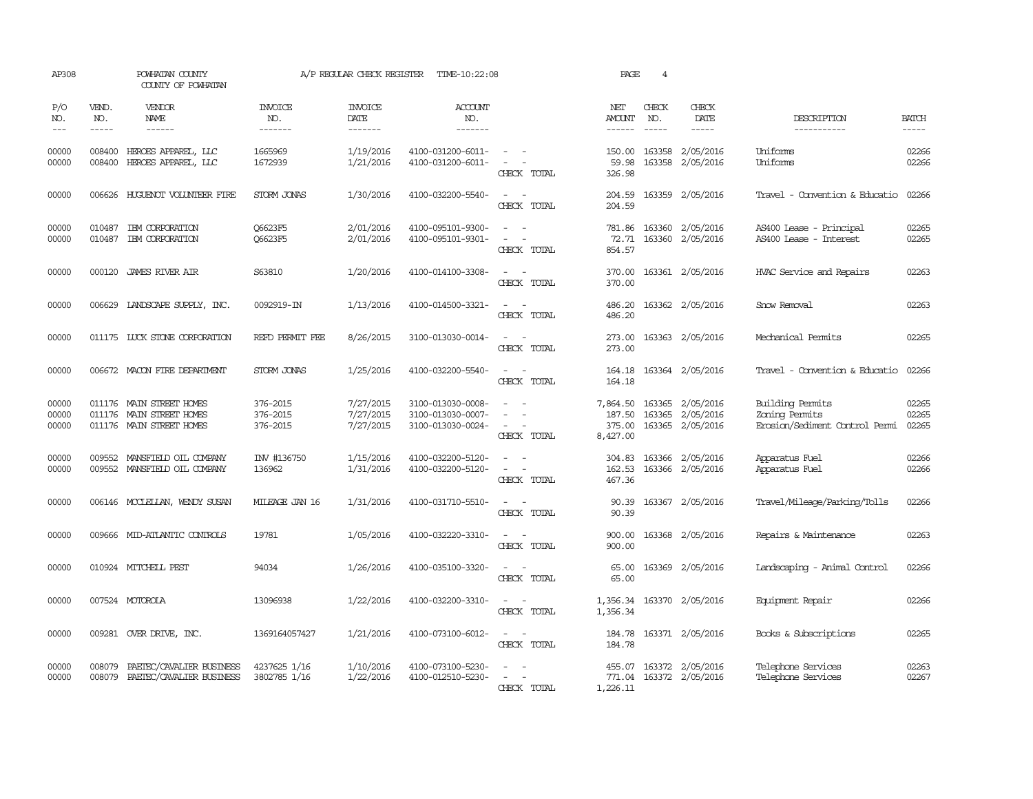| AP308                   |                             | POWHATAN COUNTY<br>COUNTY OF POWHATAN                                            |                                  | A/P REGULAR CHECK REGISTER               | TIME-10:22:08                                               |                                                                                                                             | PAGE                                     | $\overline{4}$ |                                                   |                                                                      |                         |
|-------------------------|-----------------------------|----------------------------------------------------------------------------------|----------------------------------|------------------------------------------|-------------------------------------------------------------|-----------------------------------------------------------------------------------------------------------------------------|------------------------------------------|----------------|---------------------------------------------------|----------------------------------------------------------------------|-------------------------|
| P/O<br>NO.<br>$---$     | VEND.<br>NO.<br>$- - - - -$ | VENDOR<br><b>NAME</b><br>------                                                  | <b>INVOICE</b><br>NO.<br>------- | <b>INVOICE</b><br><b>DATE</b><br>------- | <b>ACCOUNT</b><br>NO.<br>-------                            |                                                                                                                             | NET<br>AMOUNT<br>------                  | CHECK<br>NO.   | CHECK<br>DATE<br>$- - - - -$                      | DESCRIPTION<br>-----------                                           | <b>BATCH</b><br>-----   |
| 00000<br>00000          | 008400<br>008400            | HEROES APPAREL, LLC<br>HEROES APPAREL, LLC                                       | 1665969<br>1672939               | 1/19/2016<br>1/21/2016                   | 4100-031200-6011-<br>4100-031200-6011-                      | $\sim$ $-$<br>$\sim$<br>CHECK TOTAL                                                                                         | 150.00<br>59.98<br>326.98                |                | 163358 2/05/2016<br>163358 2/05/2016              | Uniforms<br>Uniforms                                                 | 02266<br>02266          |
| 00000                   |                             | 006626 HUGUENOT VOLUNTEER FIRE                                                   | STORM JONAS                      | 1/30/2016                                | 4100-032200-5540-                                           | $\sim$<br>$\overline{\phantom{a}}$<br>CHECK TOTAL                                                                           | 204.59<br>204.59                         |                | 163359 2/05/2016                                  | Travel - Convention & Educatio                                       | 02266                   |
| 00000<br>00000          | 010487<br>010487            | IBM CORPORATION<br>IBM CORPORATION                                               | <b>06623F5</b><br><b>06623F5</b> | 2/01/2016<br>2/01/2016                   | 4100-095101-9300-<br>4100-095101-9301-                      | CHECK TOTAL                                                                                                                 | 781.86<br>72.71<br>854.57                |                | 163360 2/05/2016<br>163360 2/05/2016              | AS400 Lease - Principal<br>AS400 Lease - Interest                    | 02265<br>02265          |
| 00000                   | 000120                      | JAMES RIVER AIR                                                                  | S63810                           | 1/20/2016                                | 4100-014100-3308-                                           | $\frac{1}{2} \left( \frac{1}{2} \right) \left( \frac{1}{2} \right) = \frac{1}{2} \left( \frac{1}{2} \right)$<br>CHECK TOTAL | 370.00<br>370.00                         |                | 163361 2/05/2016                                  | HVAC Service and Repairs                                             | 02263                   |
| 00000                   |                             | 006629 LANDSCAPE SUPPLY, INC.                                                    | 0092919-IN                       | 1/13/2016                                | 4100-014500-3321-                                           | CHECK TOTAL                                                                                                                 | 486.20<br>486.20                         |                | 163362 2/05/2016                                  | Snow Removal                                                         | 02263                   |
| 00000                   |                             | 011175 LUCK STONE CORPORATION                                                    | REFD PERMIT FEE                  | 8/26/2015                                | 3100-013030-0014-                                           | CHECK TOTAL                                                                                                                 | 273.00<br>273.00                         |                | 163363 2/05/2016                                  | Mechanical Permits                                                   | 02265                   |
| 00000                   |                             | 006672 MACON FIRE DEPARTMENT                                                     | STORM JONAS                      | 1/25/2016                                | 4100-032200-5540-                                           | $\overline{\phantom{a}}$<br>CHECK TOTAL                                                                                     | 164.18<br>164.18                         |                | 163364 2/05/2016                                  | Travel - Convention & Educatio                                       | 02266                   |
| 00000<br>00000<br>00000 |                             | 011176 MAIN STREET HOMES<br>011176 MAIN STREET HOMES<br>011176 MAIN STREET HOMES | 376-2015<br>376-2015<br>376-2015 | 7/27/2015<br>7/27/2015<br>7/27/2015      | 3100-013030-0008-<br>3100-013030-0007-<br>3100-013030-0024- | $\equiv$<br>$\equiv$<br>$\overline{\phantom{a}}$<br>CHECK TOTAL                                                             | 7,864.50<br>187.50<br>375.00<br>8,427.00 | 163365         | 163365 2/05/2016<br>2/05/2016<br>163365 2/05/2016 | Building Permits<br>Zoning Permits<br>Erosion/Sediment Control Permi | 02265<br>02265<br>02265 |
| 00000<br>00000          | 009552                      | MANSFIELD OIL COMPANY<br>009552 MANSFIELD OIL COMPANY                            | IW #136750<br>136962             | 1/15/2016<br>1/31/2016                   | 4100-032200-5120-<br>4100-032200-5120-                      | $\sim$<br>CHECK TOTAL                                                                                                       | 304.83<br>162.53<br>467.36               | 163366         | 2/05/2016<br>163366 2/05/2016                     | Apparatus Fuel<br>Apparatus Fuel                                     | 02266<br>02266          |
| 00000                   |                             | 006146 MCCLELLAN, WENDY SUSAN                                                    | MILEAGE JAN 16                   | 1/31/2016                                | 4100-031710-5510-                                           | $\sim$<br>$\sim$<br>CHECK TOTAL                                                                                             | 90.39<br>90.39                           |                | 163367 2/05/2016                                  | Travel/Mileage/Parking/Tolls                                         | 02266                   |
| 00000                   |                             | 009666 MID-ATLANTIC CONTROLS                                                     | 19781                            | 1/05/2016                                | 4100-032220-3310-                                           | $\sim$ $\sim$<br>CHECK TOTAL                                                                                                | 900.00<br>900.00                         |                | 163368 2/05/2016                                  | Repairs & Maintenance                                                | 02263                   |
| 00000                   |                             | 010924 MITCHELL PEST                                                             | 94034                            | 1/26/2016                                | 4100-035100-3320-                                           | $\sim$<br>CHECK TOTAL                                                                                                       | 65.00<br>65.00                           |                | 163369 2/05/2016                                  | Landscaping - Animal Control                                         | 02266                   |
| 00000                   |                             | 007524 MOTOROLA                                                                  | 13096938                         | 1/22/2016                                | 4100-032200-3310-                                           | $\sim$ $\sim$<br>CHECK TOTAL                                                                                                | 1,356.34                                 |                | 1,356.34 163370 2/05/2016                         | Equipment Repair                                                     | 02266                   |
| 00000                   |                             | 009281 OVER DRIVE, INC.                                                          | 1369164057427                    | 1/21/2016                                | 4100-073100-6012-                                           | $\sim$<br>CHECK TOTAL                                                                                                       | 184.78<br>184.78                         |                | 163371 2/05/2016                                  | Books & Subscriptions                                                | 02265                   |
| 00000<br>00000          | 008079<br>008079            | PAETEC/CAVALIER BUSINESS<br>PAETEC/CAVALIER BUSINESS                             | 4237625 1/16<br>3802785 1/16     | 1/10/2016<br>1/22/2016                   | 4100-073100-5230-<br>4100-012510-5230-                      | CHECK TOTAL                                                                                                                 | 455.07<br>1,226.11                       |                | 163372 2/05/2016<br>771.04 163372 2/05/2016       | Telephone Services<br>Telephone Services                             | 02263<br>02267          |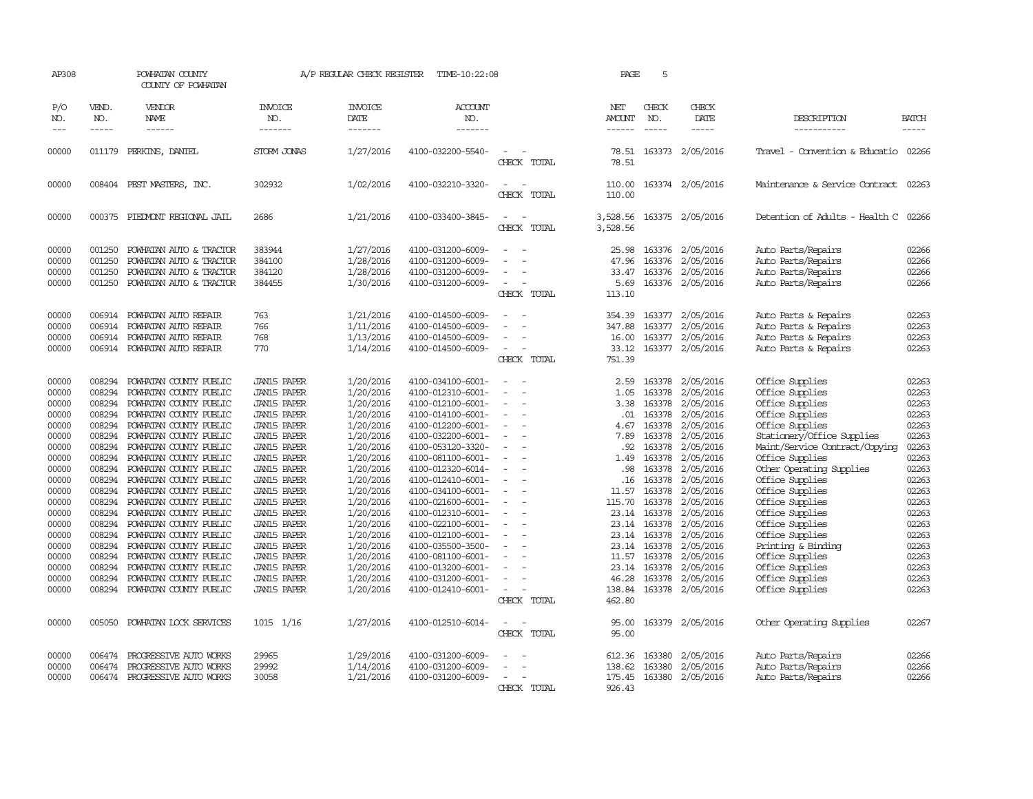| AP308                                                                                                                                                                            |                                                                                                                                                                                                      | POWHATAN COUNTY<br>COUNTY OF POWHATAN                                                                                                                                                                                                                                                                                                                                                                                                                                                                                                |                                                                                                                                                                                                                                                                                                                                                                                                                                                      | A/P REGULAR CHECK REGISTER                                                                                                                                                                                                                                       | TIME-10:22:08                                                                                                                                                                                                                                                                                                                                                                                                                    |                                                                                                                                                                                                                                           | PAGE                                                                                                                                                | 5                                                                                                                                                                                                            |                                                                                                                                                                                                                                                                         |                                                                                                                                                                                                                                                                                                                                                                                                                                |                                                                                                                                                                                  |
|----------------------------------------------------------------------------------------------------------------------------------------------------------------------------------|------------------------------------------------------------------------------------------------------------------------------------------------------------------------------------------------------|--------------------------------------------------------------------------------------------------------------------------------------------------------------------------------------------------------------------------------------------------------------------------------------------------------------------------------------------------------------------------------------------------------------------------------------------------------------------------------------------------------------------------------------|------------------------------------------------------------------------------------------------------------------------------------------------------------------------------------------------------------------------------------------------------------------------------------------------------------------------------------------------------------------------------------------------------------------------------------------------------|------------------------------------------------------------------------------------------------------------------------------------------------------------------------------------------------------------------------------------------------------------------|----------------------------------------------------------------------------------------------------------------------------------------------------------------------------------------------------------------------------------------------------------------------------------------------------------------------------------------------------------------------------------------------------------------------------------|-------------------------------------------------------------------------------------------------------------------------------------------------------------------------------------------------------------------------------------------|-----------------------------------------------------------------------------------------------------------------------------------------------------|--------------------------------------------------------------------------------------------------------------------------------------------------------------------------------------------------------------|-------------------------------------------------------------------------------------------------------------------------------------------------------------------------------------------------------------------------------------------------------------------------|--------------------------------------------------------------------------------------------------------------------------------------------------------------------------------------------------------------------------------------------------------------------------------------------------------------------------------------------------------------------------------------------------------------------------------|----------------------------------------------------------------------------------------------------------------------------------------------------------------------------------|
| P/O<br>NO.<br>$---$                                                                                                                                                              | VEND.<br>NO.<br>$- - - - -$                                                                                                                                                                          | VENDOR<br>NAME<br>$- - - - - -$                                                                                                                                                                                                                                                                                                                                                                                                                                                                                                      | <b>INVOICE</b><br>NO.<br>-------                                                                                                                                                                                                                                                                                                                                                                                                                     | <b>INVOICE</b><br>DATE<br>-------                                                                                                                                                                                                                                | <b>ACCOUNT</b><br>NO.<br>-------                                                                                                                                                                                                                                                                                                                                                                                                 |                                                                                                                                                                                                                                           | NET<br>AMOUNT<br>------                                                                                                                             | CHECK<br>NO.<br>$- - - - -$                                                                                                                                                                                  | CHECK<br>DATE<br>$- - - - -$                                                                                                                                                                                                                                            | DESCRIPTION<br>-----------                                                                                                                                                                                                                                                                                                                                                                                                     | <b>BATCH</b><br>-----                                                                                                                                                            |
| 00000                                                                                                                                                                            | 011179                                                                                                                                                                                               | PERKINS, DANIEL                                                                                                                                                                                                                                                                                                                                                                                                                                                                                                                      | STORM JONAS                                                                                                                                                                                                                                                                                                                                                                                                                                          | 1/27/2016                                                                                                                                                                                                                                                        | 4100-032200-5540-                                                                                                                                                                                                                                                                                                                                                                                                                | CHECK TOTAL                                                                                                                                                                                                                               | 78.51<br>78.51                                                                                                                                      |                                                                                                                                                                                                              | 163373 2/05/2016                                                                                                                                                                                                                                                        | Travel - Convention & Educatio 02266                                                                                                                                                                                                                                                                                                                                                                                           |                                                                                                                                                                                  |
| 00000                                                                                                                                                                            |                                                                                                                                                                                                      | 008404 PEST MASTERS, INC.                                                                                                                                                                                                                                                                                                                                                                                                                                                                                                            | 302932                                                                                                                                                                                                                                                                                                                                                                                                                                               | 1/02/2016                                                                                                                                                                                                                                                        | 4100-032210-3320-                                                                                                                                                                                                                                                                                                                                                                                                                | $\overline{\phantom{a}}$<br>CHECK TOTAL                                                                                                                                                                                                   | 110.00<br>110.00                                                                                                                                    |                                                                                                                                                                                                              | 163374 2/05/2016                                                                                                                                                                                                                                                        | Maintenance & Service Contract                                                                                                                                                                                                                                                                                                                                                                                                 | 02263                                                                                                                                                                            |
| 00000                                                                                                                                                                            |                                                                                                                                                                                                      | 000375 PIEDMONT REGIONAL JAIL                                                                                                                                                                                                                                                                                                                                                                                                                                                                                                        | 2686                                                                                                                                                                                                                                                                                                                                                                                                                                                 | 1/21/2016                                                                                                                                                                                                                                                        | 4100-033400-3845-                                                                                                                                                                                                                                                                                                                                                                                                                | $\equiv$<br>CHECK TOTAL                                                                                                                                                                                                                   | 3,528.56<br>3,528.56                                                                                                                                |                                                                                                                                                                                                              | 163375 2/05/2016                                                                                                                                                                                                                                                        | Detention of Adults - Health C 02266                                                                                                                                                                                                                                                                                                                                                                                           |                                                                                                                                                                                  |
| 00000<br>00000<br>00000<br>00000                                                                                                                                                 | 001250<br>001250<br>001250<br>001250                                                                                                                                                                 | POWHATAN AUTO & TRACTOR<br>POWHATAN AUTO & TRACTOR<br>POWHATAN AUTO & TRACTOR<br>POWHATAN AUTO & TRACTOR                                                                                                                                                                                                                                                                                                                                                                                                                             | 383944<br>384100<br>384120<br>384455                                                                                                                                                                                                                                                                                                                                                                                                                 | 1/27/2016<br>1/28/2016<br>1/28/2016<br>1/30/2016                                                                                                                                                                                                                 | 4100-031200-6009-<br>4100-031200-6009-<br>4100-031200-6009-<br>4100-031200-6009-                                                                                                                                                                                                                                                                                                                                                 | $\equiv$<br>$\sim$<br>CHECK TOTAL                                                                                                                                                                                                         | 25.98<br>47.96<br>33.47<br>5.69<br>113.10                                                                                                           | 163376                                                                                                                                                                                                       | 163376 2/05/2016<br>2/05/2016<br>163376 2/05/2016<br>163376 2/05/2016                                                                                                                                                                                                   | Auto Parts/Repairs<br>Auto Parts/Repairs<br>Auto Parts/Repairs<br>Auto Parts/Repairs                                                                                                                                                                                                                                                                                                                                           | 02266<br>02266<br>02266<br>02266                                                                                                                                                 |
| 00000<br>00000<br>00000<br>00000                                                                                                                                                 | 006914<br>006914                                                                                                                                                                                     | POWHATAN AUTO REPAIR<br>POWHATAN AUTO REPAIR<br>006914 POWHATAN AUTO REPAIR<br>006914 POWHATAN AUTO REPAIR                                                                                                                                                                                                                                                                                                                                                                                                                           | 763<br>766<br>768<br>770                                                                                                                                                                                                                                                                                                                                                                                                                             | 1/21/2016<br>1/11/2016<br>1/13/2016<br>1/14/2016                                                                                                                                                                                                                 | 4100-014500-6009-<br>4100-014500-6009-<br>4100-014500-6009-<br>4100-014500-6009-                                                                                                                                                                                                                                                                                                                                                 | $\overline{\phantom{a}}$<br>CHECK TOTAL                                                                                                                                                                                                   | 354.39<br>347.88<br>16.00<br>33.12<br>751.39                                                                                                        | 163377                                                                                                                                                                                                       | 163377 2/05/2016<br>2/05/2016<br>163377 2/05/2016<br>163377 2/05/2016                                                                                                                                                                                                   | Auto Parts & Repairs<br>Auto Parts & Repairs<br>Auto Parts & Repairs<br>Auto Parts & Repairs                                                                                                                                                                                                                                                                                                                                   | 02263<br>02263<br>02263<br>02263                                                                                                                                                 |
| 00000<br>00000<br>00000<br>00000<br>00000<br>00000<br>00000<br>00000<br>00000<br>00000<br>00000<br>00000<br>00000<br>00000<br>00000<br>00000<br>00000<br>00000<br>00000<br>00000 | 008294<br>008294<br>008294<br>008294<br>008294<br>008294<br>008294<br>008294<br>008294<br>008294<br>008294<br>008294<br>008294<br>008294<br>008294<br>008294<br>008294<br>008294<br>008294<br>008294 | POWHATAN COUNTY PUBLIC<br>POWHATAN COUNTY PUBLIC<br>POWHATAN COUNTY PUBLIC<br>POWHATAN COUNTY PUBLIC<br>POWHATAN COUNTY PUBLIC<br>POWHATAN COUNTY PUBLIC<br>POWHATAN COUNTY PUBLIC<br>POWHATAN COUNTY PUBLIC<br>POWHATAN COUNTY PUBLIC<br>POWHATAN COUNTY PUBLIC<br>POWHATAN COUNTY PUBLIC<br>POWHATAN COUNTY PUBLIC<br>POWHATAN COUNTY PUBLIC<br>POWHATAN COUNTY PUBLIC<br>POWHATAN COUNTY PUBLIC<br>POWHATAN COUNTY PUBLIC<br>POWHATAN COUNTY PUBLIC<br>POWHATAN COUNTY PUBLIC<br>POWHATAN COUNTY PUBLIC<br>POWHATAN COUNTY PUBLIC | <b>JAN15 PAPER</b><br><b>JAN15 PAPER</b><br><b>JAN15 PAPER</b><br><b>JAN15 PAPER</b><br><b>JAN15 PAPER</b><br><b>JAN15 PAPER</b><br><b>JAN15 PAPER</b><br><b>JAN15 PAPER</b><br><b>JAN15 PAPER</b><br><b>JAN15 PAPER</b><br><b>JAN15 PAPER</b><br><b>JAN15 PAPER</b><br><b>JAN15 PAPER</b><br><b>JAN15 PAPER</b><br><b>JAN15 PAPER</b><br><b>JAN15 PAPER</b><br><b>JAN15 PAPER</b><br><b>JAN15 PAPER</b><br><b>JAN15 PAPER</b><br><b>JAN15 PAPER</b> | 1/20/2016<br>1/20/2016<br>1/20/2016<br>1/20/2016<br>1/20/2016<br>1/20/2016<br>1/20/2016<br>1/20/2016<br>1/20/2016<br>1/20/2016<br>1/20/2016<br>1/20/2016<br>1/20/2016<br>1/20/2016<br>1/20/2016<br>1/20/2016<br>1/20/2016<br>1/20/2016<br>1/20/2016<br>1/20/2016 | 4100-034100-6001-<br>4100-012310-6001-<br>4100-012100-6001-<br>4100-014100-6001-<br>4100-012200-6001-<br>4100-032200-6001-<br>4100-053120-3320-<br>4100-081100-6001-<br>4100-012320-6014-<br>4100-012410-6001-<br>4100-034100-6001-<br>4100-021600-6001-<br>4100-012310-6001-<br>4100-022100-6001-<br>4100-012100-6001-<br>4100-035500-3500-<br>4100-081100-6001-<br>4100-013200-6001-<br>4100-031200-6001-<br>4100-012410-6001- | $\equiv$<br>$\equiv$<br>$\sim$<br>$\overline{\phantom{a}}$<br>$\sim$<br>$\overline{\phantom{a}}$<br>$\overline{\phantom{a}}$<br>$\overline{\phantom{a}}$<br>$\overline{\phantom{a}}$<br>$\overline{\phantom{a}}$<br>$\sim$<br>CHECK TOTAL | 2.59<br>1.05<br>3.38<br>.01<br>4.67<br>7.89<br>.92<br>1.49<br>.98<br>.16<br>11.57<br>115.70<br>23.14<br>23.14<br>11.57<br>46.28<br>138.84<br>462.80 | 163378<br>163378<br>163378<br>163378<br>163378<br>163378<br>163378<br>163378<br>163378<br>163378<br>163378<br>163378<br>23.14 163378<br>163378<br>163378<br>23.14 163378<br>163378<br>23.14 163378<br>163378 | 2/05/2016<br>2/05/2016<br>2/05/2016<br>2/05/2016<br>2/05/2016<br>2/05/2016<br>2/05/2016<br>2/05/2016<br>2/05/2016<br>2/05/2016<br>2/05/2016<br>2/05/2016<br>2/05/2016<br>2/05/2016<br>2/05/2016<br>2/05/2016<br>2/05/2016<br>2/05/2016<br>2/05/2016<br>163378 2/05/2016 | Office Supplies<br>Office Supplies<br>Office Supplies<br>Office Supplies<br>Office Supplies<br>Stationery/Office Supplies<br>Maint/Service Contract/Copying<br>Office Supplies<br>Other Operating Supplies<br>Office Supplies<br>Office Supplies<br>Office Supplies<br>Office Supplies<br>Office Supplies<br>Office Supplies<br>Printing & Binding<br>Office Supplies<br>Office Supplies<br>Office Supplies<br>Office Supplies | 02263<br>02263<br>02263<br>02263<br>02263<br>02263<br>02263<br>02263<br>02263<br>02263<br>02263<br>02263<br>02263<br>02263<br>02263<br>02263<br>02263<br>02263<br>02263<br>02263 |
| 00000<br>00000<br>00000<br>00000                                                                                                                                                 | 005050<br>006474<br>006474                                                                                                                                                                           | POWHATAN LOCK SERVICES<br>PROGRESSIVE AUTO WORKS<br>PROGRESSIVE AUTO WORKS<br>006474 PROGRESSIVE AUTO WORKS                                                                                                                                                                                                                                                                                                                                                                                                                          | 1015 1/16<br>29965<br>29992<br>30058                                                                                                                                                                                                                                                                                                                                                                                                                 | 1/27/2016<br>1/29/2016<br>1/14/2016<br>1/21/2016                                                                                                                                                                                                                 | 4100-012510-6014-<br>4100-031200-6009-<br>4100-031200-6009-<br>4100-031200-6009-                                                                                                                                                                                                                                                                                                                                                 | CHECK TOTAL<br>$\overline{\phantom{a}}$                                                                                                                                                                                                   | 95.00<br>95.00<br>612.36<br>138.62<br>175.45                                                                                                        | 163380<br>163380<br>163380                                                                                                                                                                                   | 163379 2/05/2016<br>2/05/2016<br>2/05/2016<br>2/05/2016                                                                                                                                                                                                                 | Other Operating Supplies<br>Auto Parts/Repairs<br>Auto Parts/Repairs<br>Auto Parts/Repairs                                                                                                                                                                                                                                                                                                                                     | 02267<br>02266<br>02266<br>02266                                                                                                                                                 |
|                                                                                                                                                                                  |                                                                                                                                                                                                      |                                                                                                                                                                                                                                                                                                                                                                                                                                                                                                                                      |                                                                                                                                                                                                                                                                                                                                                                                                                                                      |                                                                                                                                                                                                                                                                  |                                                                                                                                                                                                                                                                                                                                                                                                                                  | CHECK TOTAL                                                                                                                                                                                                                               | 926.43                                                                                                                                              |                                                                                                                                                                                                              |                                                                                                                                                                                                                                                                         |                                                                                                                                                                                                                                                                                                                                                                                                                                |                                                                                                                                                                                  |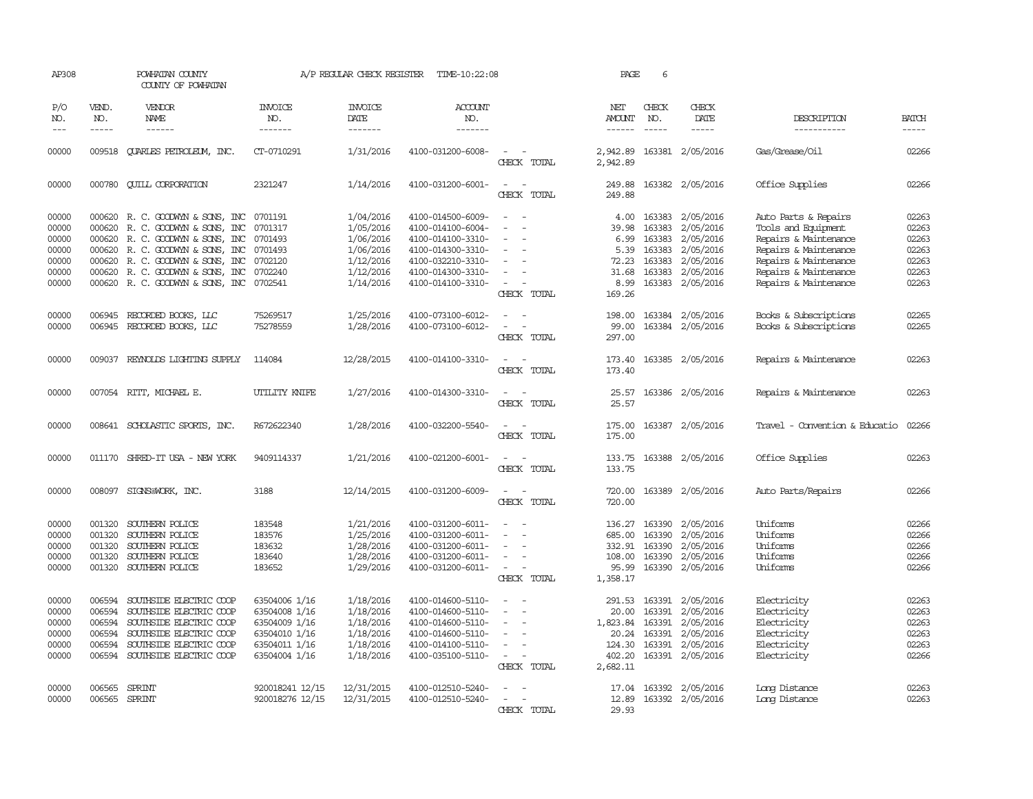| AP308                       |                             | POWHATAN COUNTY<br>COUNTY OF POWHATAN |                                  | A/P REGULAR CHECK REGISTER               | TIME-10:22:08                    |                                                                     | PAGE                           | 6                           |                               |                                |                             |
|-----------------------------|-----------------------------|---------------------------------------|----------------------------------|------------------------------------------|----------------------------------|---------------------------------------------------------------------|--------------------------------|-----------------------------|-------------------------------|--------------------------------|-----------------------------|
| P/O<br>NO.<br>$\frac{1}{2}$ | VEND.<br>NO.<br>$- - - - -$ | VENDOR<br><b>NAME</b><br>------       | <b>INVOICE</b><br>NO.<br>------- | <b>INVOICE</b><br><b>DATE</b><br>------- | <b>ACCOUNT</b><br>NO.<br>------- |                                                                     | NET<br>AMOUNT<br>$- - - - - -$ | CHECK<br>NO.<br>$- - - - -$ | CHECK<br><b>DATE</b><br>----- | DESCRIPTION<br>-----------     | <b>BATCH</b><br>$- - - - -$ |
|                             |                             |                                       |                                  |                                          |                                  |                                                                     |                                |                             |                               |                                |                             |
| 00000                       |                             | 009518 CUARLES PETROLEUM, INC.        | CT-0710291                       | 1/31/2016                                | 4100-031200-6008-                | CHECK TOTAL                                                         | 2,942.89<br>2,942.89           |                             | 163381 2/05/2016              | Gas/Grease/Oil                 | 02266                       |
| 00000                       |                             | 000780 CUILL CORPORATION              | 2321247                          | 1/14/2016                                | 4100-031200-6001-                | $\sim$<br>$\sim$<br>CHECK TOTAL                                     | 249.88<br>249.88               |                             | 163382 2/05/2016              | Office Supplies                | 02266                       |
| 00000                       |                             | 000620 R. C. GOODWYN & SONS, INC      | 0701191                          | 1/04/2016                                | 4100-014500-6009-                |                                                                     | 4.00                           |                             | 163383 2/05/2016              | Auto Parts & Repairs           | 02263                       |
| 00000                       | 000620                      | R. C. GOODWYN & SONS, INC             | 0701317                          | 1/05/2016                                | 4100-014100-6004-                |                                                                     | 39.98                          | 163383                      | 2/05/2016                     | Tools and Equipment            | 02263                       |
| 00000                       | 000620                      | R. C. GOODWYN & SONS, INC             | 0701493                          | 1/06/2016                                | 4100-014100-3310-                | $\sim$                                                              | 6.99                           | 163383                      | 2/05/2016                     | Repairs & Maintenance          | 02263                       |
| 00000                       |                             | 000620 R.C. GOODWYN & SONS, INC       | 0701493                          | 1/06/2016                                | 4100-014300-3310-                |                                                                     | 5.39                           | 163383                      | 2/05/2016                     | Repairs & Maintenance          | 02263                       |
| 00000                       | 000620                      | R. C. GOODWYN & SONS, INC             | 0702120                          | 1/12/2016                                | 4100-032210-3310-                |                                                                     | 72.23                          | 163383                      | 2/05/2016                     | Repairs & Maintenance          | 02263                       |
| 00000                       |                             | 000620 R. C. GOODWYN & SONS, INC      | 0702240                          | 1/12/2016                                | 4100-014300-3310-                | $\sim$                                                              | 31.68                          | 163383                      | 2/05/2016                     | Repairs & Maintenance          | 02263                       |
| 00000                       |                             | 000620 R. C. GOODWYN & SONS, INC      | 0702541                          | 1/14/2016                                | 4100-014100-3310-                | $\sim$<br>CHECK TOTAL                                               | 8.99<br>169.26                 |                             | 163383 2/05/2016              | Repairs & Maintenance          | 02263                       |
| 00000                       | 006945                      | RECORDED BOOKS, LLC                   | 75269517                         | 1/25/2016                                | 4100-073100-6012-                |                                                                     | 198.00                         |                             | 163384 2/05/2016              | Books & Subscriptions          | 02265                       |
| 00000                       | 006945                      | RECORDED BOOKS, LLC                   | 75278559                         | 1/28/2016                                | 4100-073100-6012-                | $\sim$<br>$\overline{a}$                                            | 99.00                          |                             | 163384 2/05/2016              | Books & Subscriptions          | 02265                       |
|                             |                             |                                       |                                  |                                          |                                  | CHECK TOTAL                                                         | 297.00                         |                             |                               |                                |                             |
| 00000                       |                             | 009037 REYNOLDS LIGHTING SUPPLY       | 114084                           | 12/28/2015                               | 4100-014100-3310-                | $\overline{\phantom{a}}$<br>$\overline{\phantom{a}}$<br>CHECK TOTAL | 173.40<br>173.40               |                             | 163385 2/05/2016              | Repairs & Maintenance          | 02263                       |
|                             |                             |                                       |                                  |                                          |                                  |                                                                     |                                |                             |                               |                                |                             |
| 00000                       |                             | 007054 RITT, MICHAEL E.               | UTILITY KNIFE                    | 1/27/2016                                | 4100-014300-3310-                | $\sim$<br>CHECK TOTAL                                               | 25.57<br>25.57                 |                             | 163386 2/05/2016              | Repairs & Maintenance          | 02263                       |
|                             |                             |                                       |                                  |                                          |                                  |                                                                     |                                |                             |                               |                                |                             |
| 00000                       |                             | 008641 SCHOLASTIC SPORTS, INC.        | R672622340                       | 1/28/2016                                | 4100-032200-5540-                | $\sim$<br>CHECK TOTAL                                               | 175.00<br>175.00               |                             | 163387 2/05/2016              | Travel - Convention & Educatio | 02266                       |
| 00000                       | 011170                      | SHRED-IT USA - NEW YORK               | 9409114337                       | 1/21/2016                                | 4100-021200-6001-                | $\sim$                                                              | 133.75                         |                             | 163388 2/05/2016              | Office Supplies                | 02263                       |
|                             |                             |                                       |                                  |                                          |                                  | CHECK TOTAL                                                         | 133.75                         |                             |                               |                                |                             |
| 00000                       |                             | 008097 SIGNS@WORK, INC.               | 3188                             | 12/14/2015                               | 4100-031200-6009-                |                                                                     | 720.00                         |                             | 163389 2/05/2016              | Auto Parts/Repairs             | 02266                       |
|                             |                             |                                       |                                  |                                          |                                  | CHECK TOTAL                                                         | 720.00                         |                             |                               |                                |                             |
| 00000                       | 001320                      | SOUTHERN POLICE                       | 183548                           | 1/21/2016                                | 4100-031200-6011-                |                                                                     | 136.27                         | 163390                      | 2/05/2016                     | Uniforms                       | 02266                       |
| 00000                       | 001320                      | SOUTHERN POLICE                       | 183576                           | 1/25/2016                                | 4100-031200-6011-                | $\sim$<br>$\overline{\phantom{a}}$                                  | 685.00                         | 163390                      | 2/05/2016                     | Uniforms                       | 02266                       |
| 00000                       | 001320                      | SOUTHERN POLICE                       | 183632                           | 1/28/2016                                | 4100-031200-6011-                |                                                                     | 332.91                         | 163390                      | 2/05/2016                     | Uniforms                       | 02266                       |
| 00000                       | 001320                      | SOUTHERN POLICE                       | 183640                           | 1/28/2016                                | 4100-031200-6011-                | $\overline{\phantom{a}}$                                            | 108.00                         | 163390                      | 2/05/2016                     | Uniforms                       | 02266                       |
| 00000                       |                             | 001320 SOUTHERN POLICE                | 183652                           | 1/29/2016                                | 4100-031200-6011-                | $\sim$                                                              | 95.99                          |                             | 163390 2/05/2016              | Uniforms                       | 02266                       |
|                             |                             |                                       |                                  |                                          |                                  | CHECK TOTAL                                                         | 1,358.17                       |                             |                               |                                |                             |
| 00000                       | 006594                      | SOUTHSIDE ELECTRIC COOP               | 63504006 1/16                    | 1/18/2016                                | 4100-014600-5110-                |                                                                     | 291.53                         |                             | 163391 2/05/2016              | Electricity                    | 02263                       |
| 00000                       | 006594                      | SOUTHSIDE ELECTRIC COOP               | 63504008 1/16                    | 1/18/2016                                | 4100-014600-5110-                | $\sim$                                                              | 20.00                          | 163391                      | 2/05/2016                     | Electricity                    | 02263                       |
| 00000                       | 006594                      | SOUTHSIDE ELECTRIC COOP               | 63504009 1/16                    | 1/18/2016                                | 4100-014600-5110-                |                                                                     | 1,823.84                       | 163391                      | 2/05/2016                     | Electricity                    | 02263                       |
| 00000                       | 006594                      | SOUTHSIDE ELECTRIC COOP               | 63504010 1/16                    | 1/18/2016                                | 4100-014600-5110-                |                                                                     | 20.24                          | 163391                      | 2/05/2016                     | Electricity                    | 02263                       |
| 00000                       | 006594                      | SOUTHSIDE ELECTRIC COOP               | 63504011 1/16                    | 1/18/2016                                | 4100-014100-5110-                | $\overline{\phantom{a}}$                                            | 124.30                         | 163391                      | 2/05/2016                     | Electricity                    | 02263                       |
| 00000                       |                             | 006594 SOUTHSIDE ELECTRIC COOP        | 63504004 1/16                    | 1/18/2016                                | 4100-035100-5110-                | $\sim$                                                              | 402.20                         |                             | 163391 2/05/2016              | Electricity                    | 02266                       |
|                             |                             |                                       |                                  |                                          |                                  | CHECK TOTAL                                                         | 2,682.11                       |                             |                               |                                |                             |
| 00000                       | 006565                      | SPRINT                                | 920018241 12/15                  | 12/31/2015                               | 4100-012510-5240-                |                                                                     | 17.04                          |                             | 163392 2/05/2016              | Long Distance                  | 02263                       |
| 00000                       | 006565 SPRINT               |                                       | 920018276 12/15                  | 12/31/2015                               | 4100-012510-5240-                | $\overline{\phantom{a}}$                                            | 12.89                          |                             | 163392 2/05/2016              | Long Distance                  | 02263                       |
|                             |                             |                                       |                                  |                                          |                                  | CHECK TOTAL                                                         | 29.93                          |                             |                               |                                |                             |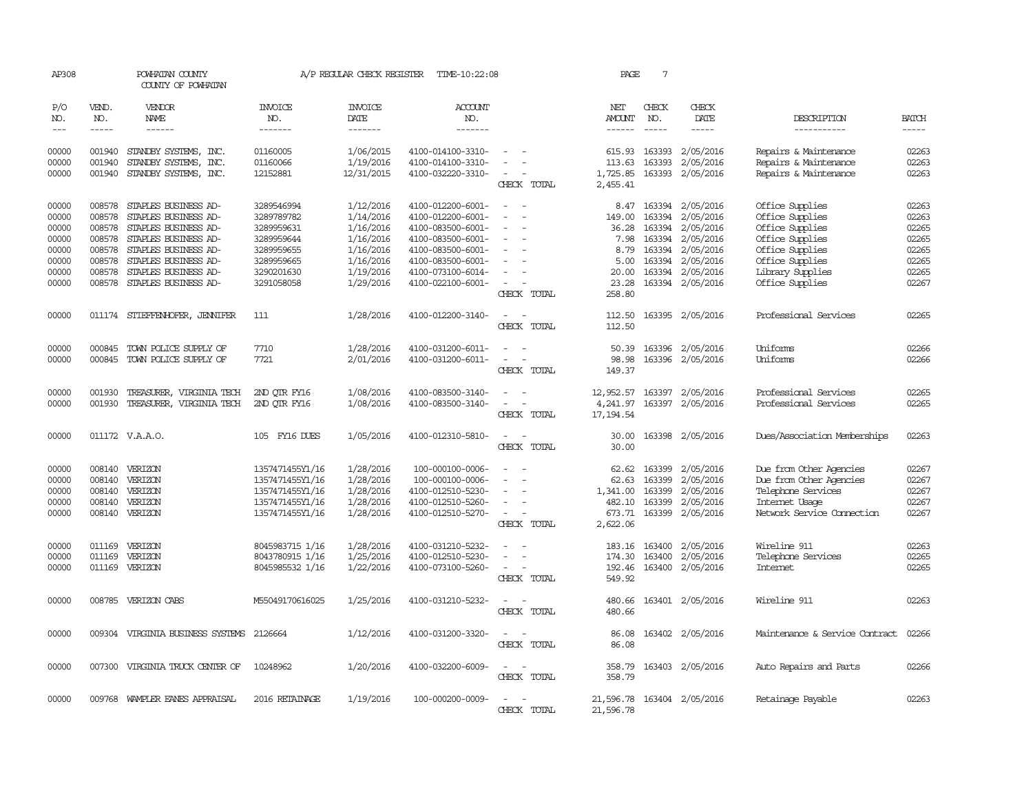| AP308          |              | POWHATAN COUNTY<br>COUNTY OF POWHATAN                                                                                                                                                                                                                                                                                                                                                                                   |                       | A/P REGULAR CHECK REGISTER | TIME-10:22:08                          |                                                      | PAGE             | 7                       |                                                                                                                                                                                                                                                                                                                                                                                                                                                                                     |                                                |                |
|----------------|--------------|-------------------------------------------------------------------------------------------------------------------------------------------------------------------------------------------------------------------------------------------------------------------------------------------------------------------------------------------------------------------------------------------------------------------------|-----------------------|----------------------------|----------------------------------------|------------------------------------------------------|------------------|-------------------------|-------------------------------------------------------------------------------------------------------------------------------------------------------------------------------------------------------------------------------------------------------------------------------------------------------------------------------------------------------------------------------------------------------------------------------------------------------------------------------------|------------------------------------------------|----------------|
| P/O<br>NO.     | VEND.<br>NO. | <b>VENDOR</b><br>NAME                                                                                                                                                                                                                                                                                                                                                                                                   | <b>INVOICE</b><br>NO. | <b>INVOICE</b><br>DATE     | <b>ACCOUNT</b><br>NO.                  |                                                      | NET<br>AMOUNT    | CHECK<br>NO.            | CHECK<br>DATE                                                                                                                                                                                                                                                                                                                                                                                                                                                                       | DESCRIPTION                                    | <b>BATCH</b>   |
| $---$          | $- - - - -$  | $\begin{tabular}{ccccc} \multicolumn{2}{c }{\multicolumn{2}{c }{\multicolumn{2}{c }{\multicolumn{2}{c}}}{\multicolumn{2}{c }{\multicolumn{2}{c}}}\end{tabular} \end{tabular} \begin{tabular}{c c }{\multicolumn{2}{c }{\multicolumn{2}{c }{\multicolumn{2}{c}}}{\multicolumn{2}{c }{\multicolumn{2}{c}}}{\multicolumn{2}{c }{\multicolumn{2}{c}}}{\multicolumn{2}{c }{\multicolumn{2}{c}}}{\end{tabular} \end{tabular}$ | -------               | -------                    | -------                                |                                                      |                  | $- - - - -$             | $\begin{tabular}{ccccc} \multicolumn{2}{c}{} & \multicolumn{2}{c}{} & \multicolumn{2}{c}{} & \multicolumn{2}{c}{} & \multicolumn{2}{c}{} & \multicolumn{2}{c}{} & \multicolumn{2}{c}{} & \multicolumn{2}{c}{} & \multicolumn{2}{c}{} & \multicolumn{2}{c}{} & \multicolumn{2}{c}{} & \multicolumn{2}{c}{} & \multicolumn{2}{c}{} & \multicolumn{2}{c}{} & \multicolumn{2}{c}{} & \multicolumn{2}{c}{} & \multicolumn{2}{c}{} & \multicolumn{2}{c}{} & \multicolumn{2}{c}{} & \mult$ | -----------                                    | $- - - - -$    |
| 00000<br>00000 | 001940       | 001940 STANDBY SYSTEMS, INC.<br>STANDBY SYSTEMS, INC.                                                                                                                                                                                                                                                                                                                                                                   | 01160005<br>01160066  | 1/06/2015<br>1/19/2016     | 4100-014100-3310-<br>4100-014100-3310- | $\overline{\phantom{a}}$                             | 113.63           | 615.93 163393<br>163393 | 2/05/2016<br>2/05/2016                                                                                                                                                                                                                                                                                                                                                                                                                                                              | Repairs & Maintenance<br>Repairs & Maintenance | 02263<br>02263 |
| 00000          |              | 001940 STANDBY SYSTEMS, INC.                                                                                                                                                                                                                                                                                                                                                                                            | 12152881              | 12/31/2015                 | 4100-032220-3310-                      | $\sim$                                               | 1,725.85         |                         | 163393 2/05/2016                                                                                                                                                                                                                                                                                                                                                                                                                                                                    | Repairs & Maintenance                          | 02263          |
|                |              |                                                                                                                                                                                                                                                                                                                                                                                                                         |                       |                            |                                        | CHECK TOTAL                                          | 2,455.41         |                         |                                                                                                                                                                                                                                                                                                                                                                                                                                                                                     |                                                |                |
| 00000          |              | 008578 STAPLES BUSINESS AD-                                                                                                                                                                                                                                                                                                                                                                                             | 3289546994            | 1/12/2016                  | 4100-012200-6001-                      | $\overline{\phantom{a}}$                             |                  |                         | 8.47 163394 2/05/2016                                                                                                                                                                                                                                                                                                                                                                                                                                                               | Office Supplies                                | 02263          |
| 00000          | 008578       | STAPLES BUSINESS AD-                                                                                                                                                                                                                                                                                                                                                                                                    | 3289789782            | 1/14/2016                  | 4100-012200-6001-                      |                                                      | 149.00           | 163394                  | 2/05/2016                                                                                                                                                                                                                                                                                                                                                                                                                                                                           | Office Supplies                                | 02263          |
| 00000          | 008578       | STAPLES BUSINESS AD-                                                                                                                                                                                                                                                                                                                                                                                                    | 3289959631            | 1/16/2016                  | 4100-083500-6001-                      | $\overline{\phantom{a}}$                             | 36.28            | 163394                  | 2/05/2016                                                                                                                                                                                                                                                                                                                                                                                                                                                                           | Office Supplies                                | 02265          |
| 00000          | 008578       | STAPLES BUSINESS AD-                                                                                                                                                                                                                                                                                                                                                                                                    | 3289959644            | 1/16/2016                  | 4100-083500-6001-                      | $\overline{\phantom{a}}$                             | 7.98             | 163394                  | 2/05/2016                                                                                                                                                                                                                                                                                                                                                                                                                                                                           | Office Supplies                                | 02265          |
| 00000          | 008578       | STAPLES BUSINESS AD-                                                                                                                                                                                                                                                                                                                                                                                                    | 3289959655            | 1/16/2016                  | 4100-083500-6001-                      | $\overline{\phantom{a}}$                             | 8.79             | 163394                  | 2/05/2016                                                                                                                                                                                                                                                                                                                                                                                                                                                                           | Office Supplies                                | 02265          |
| 00000          | 008578       | STAPLES BUSINESS AD-                                                                                                                                                                                                                                                                                                                                                                                                    | 3289959665            | 1/16/2016                  | 4100-083500-6001-                      |                                                      | 5.00             |                         | 163394 2/05/2016                                                                                                                                                                                                                                                                                                                                                                                                                                                                    | Office Supplies                                | 02265          |
| 00000          | 008578       | STAPLES BUSINESS AD-                                                                                                                                                                                                                                                                                                                                                                                                    | 3290201630            | 1/19/2016                  | 4100-073100-6014-                      | $\equiv$                                             | 20.00            |                         | 163394 2/05/2016                                                                                                                                                                                                                                                                                                                                                                                                                                                                    | Library Supplies                               | 02265          |
| 00000          | 008578       | STAPLES BUSINESS AD-                                                                                                                                                                                                                                                                                                                                                                                                    | 3291058058            | 1/29/2016                  | 4100-022100-6001-                      | $\sim$                                               | 23.28            |                         | 163394 2/05/2016                                                                                                                                                                                                                                                                                                                                                                                                                                                                    | Office Supplies                                | 02267          |
|                |              |                                                                                                                                                                                                                                                                                                                                                                                                                         |                       |                            |                                        | CHECK TOTAL                                          | 258.80           |                         |                                                                                                                                                                                                                                                                                                                                                                                                                                                                                     |                                                |                |
| 00000          |              | 011174 STIEFFENHOFER, JENNIFER                                                                                                                                                                                                                                                                                                                                                                                          | 111                   | 1/28/2016                  | 4100-012200-3140-                      | $\sim$<br>$\overline{\phantom{a}}$<br>CHECK TOTAL    | 112.50<br>112.50 |                         | 163395 2/05/2016                                                                                                                                                                                                                                                                                                                                                                                                                                                                    | Professional Services                          | 02265          |
| 00000          | 000845       | TOWN POLICE SUPPLY OF                                                                                                                                                                                                                                                                                                                                                                                                   | 7710                  | 1/28/2016                  | 4100-031200-6011-                      | $\overline{\phantom{a}}$<br>$\overline{\phantom{a}}$ | 50.39            |                         | 163396 2/05/2016                                                                                                                                                                                                                                                                                                                                                                                                                                                                    | Uniforms                                       | 02266          |
| 00000          | 000845       | TOWN POLICE SUPPLY OF                                                                                                                                                                                                                                                                                                                                                                                                   | 7721                  | 2/01/2016                  | 4100-031200-6011-                      | $\sim$<br>$\sim$                                     | 98.98            |                         | 163396 2/05/2016                                                                                                                                                                                                                                                                                                                                                                                                                                                                    | Uniforms                                       | 02266          |
|                |              |                                                                                                                                                                                                                                                                                                                                                                                                                         |                       |                            |                                        | CHECK TOTAL                                          | 149.37           |                         |                                                                                                                                                                                                                                                                                                                                                                                                                                                                                     |                                                |                |
| 00000          | 001930       | TREASURER, VIRGINIA TECH                                                                                                                                                                                                                                                                                                                                                                                                | 2ND OTR FY16          | 1/08/2016                  | 4100-083500-3140-                      | $\sim$<br>$\sim$                                     | 12,952.57        |                         | 163397 2/05/2016                                                                                                                                                                                                                                                                                                                                                                                                                                                                    | Professional Services                          | 02265          |
| 00000          | 001930       | TREASURER, VIRGINIA TECH                                                                                                                                                                                                                                                                                                                                                                                                | 2ND QTR FY16          | 1/08/2016                  | 4100-083500-3140-                      | $\sim$<br>$\overline{\phantom{a}}$                   | 4,241.97         |                         | 163397 2/05/2016                                                                                                                                                                                                                                                                                                                                                                                                                                                                    | Professional Services                          | 02265          |
|                |              |                                                                                                                                                                                                                                                                                                                                                                                                                         |                       |                            |                                        | CHECK TOTAL                                          | 17, 194.54       |                         |                                                                                                                                                                                                                                                                                                                                                                                                                                                                                     |                                                |                |
| 00000          |              | 011172 V.A.A.O.                                                                                                                                                                                                                                                                                                                                                                                                         | 105 FY16 DUES         | 1/05/2016                  | 4100-012310-5810-                      | $\sim$                                               | 30.00            |                         | 163398 2/05/2016                                                                                                                                                                                                                                                                                                                                                                                                                                                                    | Dues/Association Memberships                   | 02263          |
|                |              |                                                                                                                                                                                                                                                                                                                                                                                                                         |                       |                            |                                        | CHECK TOTAL                                          | 30.00            |                         |                                                                                                                                                                                                                                                                                                                                                                                                                                                                                     |                                                |                |
| 00000          | 008140       | VERIZON                                                                                                                                                                                                                                                                                                                                                                                                                 | 1357471455Y1/16       | 1/28/2016                  | 100-000100-0006-                       |                                                      | 62.62            | 163399                  | 2/05/2016                                                                                                                                                                                                                                                                                                                                                                                                                                                                           | Due from Other Agencies                        | 02267          |
| 00000          | 008140       | VERIZON                                                                                                                                                                                                                                                                                                                                                                                                                 | 1357471455Y1/16       | 1/28/2016                  | 100-000100-0006-                       | $\equiv$                                             | 62.63            | 163399                  | 2/05/2016                                                                                                                                                                                                                                                                                                                                                                                                                                                                           | Due from Other Agencies                        | 02267          |
| 00000          | 008140       | VERIZON                                                                                                                                                                                                                                                                                                                                                                                                                 | 1357471455Y1/16       | 1/28/2016                  | 4100-012510-5230-                      |                                                      | 1,341.00         | 163399                  | 2/05/2016                                                                                                                                                                                                                                                                                                                                                                                                                                                                           | Telephone Services                             | 02267          |
| 00000          |              | 008140 VERIZON                                                                                                                                                                                                                                                                                                                                                                                                          | 1357471455Y1/16       | 1/28/2016                  | 4100-012510-5260-                      |                                                      | 482.10           | 163399                  | 2/05/2016                                                                                                                                                                                                                                                                                                                                                                                                                                                                           | Internet Usage                                 | 02267          |
| 00000          |              | 008140 VERIZON                                                                                                                                                                                                                                                                                                                                                                                                          | 1357471455Y1/16       | 1/28/2016                  | 4100-012510-5270-                      | $\sim$                                               |                  | 673.71 163399           | 2/05/2016                                                                                                                                                                                                                                                                                                                                                                                                                                                                           | Network Service Connection                     | 02267          |
|                |              |                                                                                                                                                                                                                                                                                                                                                                                                                         |                       |                            |                                        | CHECK TOTAL                                          | 2,622.06         |                         |                                                                                                                                                                                                                                                                                                                                                                                                                                                                                     |                                                |                |
| 00000          |              | 011169 VERIZON                                                                                                                                                                                                                                                                                                                                                                                                          | 8045983715 1/16       | 1/28/2016                  | 4100-031210-5232-                      |                                                      |                  | 183.16 163400           | 2/05/2016                                                                                                                                                                                                                                                                                                                                                                                                                                                                           | Wireline 911                                   | 02263          |
| 00000          | 011169       | VERIZON                                                                                                                                                                                                                                                                                                                                                                                                                 | 8043780915 1/16       | 1/25/2016                  | 4100-012510-5230-                      | $\sim$<br>$\overline{\phantom{a}}$                   | 174.30           | 163400                  | 2/05/2016                                                                                                                                                                                                                                                                                                                                                                                                                                                                           | Telephone Services                             | 02265          |
| 00000          | 011169       | VERIZON                                                                                                                                                                                                                                                                                                                                                                                                                 | 8045985532 1/16       | 1/22/2016                  | 4100-073100-5260-                      | $\sim$                                               | 192.46           | 163400                  | 2/05/2016                                                                                                                                                                                                                                                                                                                                                                                                                                                                           | <b>Internet</b>                                | 02265          |
|                |              |                                                                                                                                                                                                                                                                                                                                                                                                                         |                       |                            |                                        | CHECK TOTAL                                          | 549.92           |                         |                                                                                                                                                                                                                                                                                                                                                                                                                                                                                     |                                                |                |
| 00000          |              | 008785 VERIZON CABS                                                                                                                                                                                                                                                                                                                                                                                                     | M55049170616025       | 1/25/2016                  | 4100-031210-5232-                      |                                                      | 480.66           |                         | 163401 2/05/2016                                                                                                                                                                                                                                                                                                                                                                                                                                                                    | Wireline 911                                   | 02263          |
|                |              |                                                                                                                                                                                                                                                                                                                                                                                                                         |                       |                            |                                        | CHECK TOTAL                                          | 480.66           |                         |                                                                                                                                                                                                                                                                                                                                                                                                                                                                                     |                                                |                |
| 00000          |              | 009304 VIRGINIA BUSINESS SYSTEMS 2126664                                                                                                                                                                                                                                                                                                                                                                                |                       | 1/12/2016                  | 4100-031200-3320-                      | $\sim$<br>$\overline{\phantom{a}}$                   | 86.08            |                         | 163402 2/05/2016                                                                                                                                                                                                                                                                                                                                                                                                                                                                    | Maintenance & Service Contract                 | 02266          |
|                |              |                                                                                                                                                                                                                                                                                                                                                                                                                         |                       |                            |                                        | CHECK TOTAL                                          | 86.08            |                         |                                                                                                                                                                                                                                                                                                                                                                                                                                                                                     |                                                |                |
| 00000          |              | 007300 VIRGINIA TRUCK CENTER OF                                                                                                                                                                                                                                                                                                                                                                                         | 10248962              | 1/20/2016                  | 4100-032200-6009-                      | $\overline{\phantom{a}}$                             | 358.79           |                         | 163403 2/05/2016                                                                                                                                                                                                                                                                                                                                                                                                                                                                    | Auto Repairs and Parts                         | 02266          |
|                |              |                                                                                                                                                                                                                                                                                                                                                                                                                         |                       |                            |                                        | CHECK TOTAL                                          | 358.79           |                         |                                                                                                                                                                                                                                                                                                                                                                                                                                                                                     |                                                |                |
| 00000          |              | 009768 WAMPLER EANES APPRAISAL                                                                                                                                                                                                                                                                                                                                                                                          | 2016 RETAINAGE        | 1/19/2016                  | 100-000200-0009-                       | $\sim$<br>$\overline{\phantom{a}}$                   |                  |                         | 21,596.78 163404 2/05/2016                                                                                                                                                                                                                                                                                                                                                                                                                                                          | Retainage Payable                              | 02263          |
|                |              |                                                                                                                                                                                                                                                                                                                                                                                                                         |                       |                            |                                        | CHECK TOTAL                                          | 21,596.78        |                         |                                                                                                                                                                                                                                                                                                                                                                                                                                                                                     |                                                |                |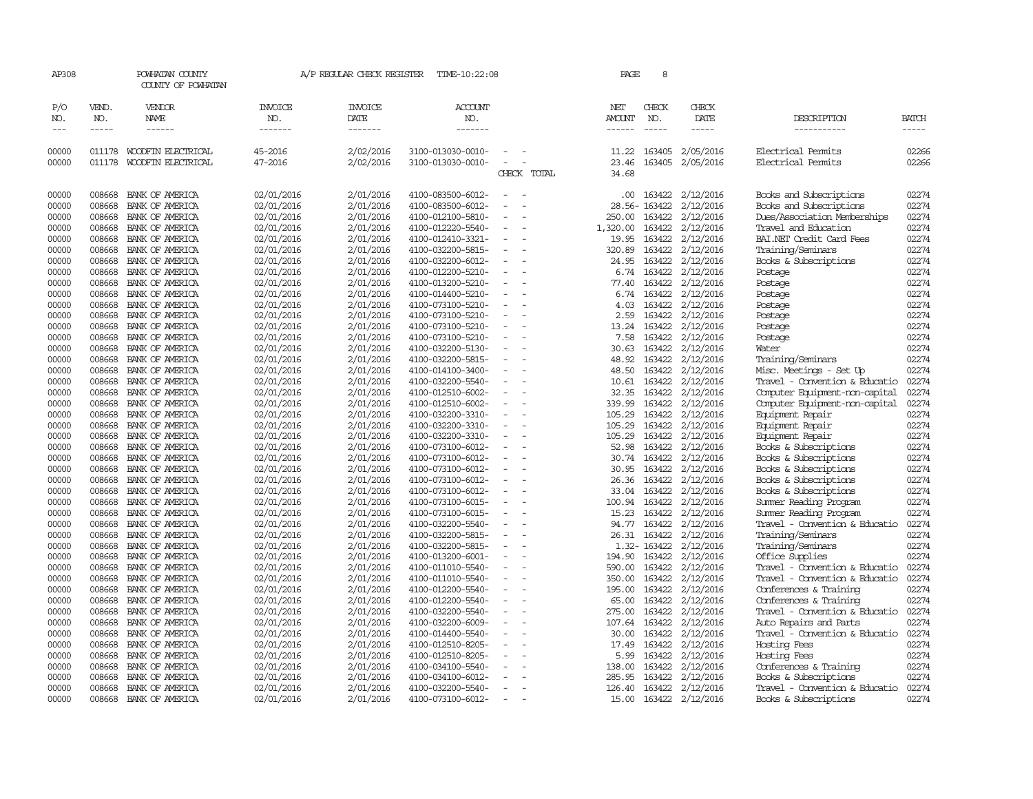| AP308               |                       | POWHATAN COUNTY<br>COUNTY OF POWHATAN |                                  |                                   | A/P REGULAR CHECK REGISTER TIME-10:22:08 |                                    | PAGE                           | 8            |                        |                                |                |
|---------------------|-----------------------|---------------------------------------|----------------------------------|-----------------------------------|------------------------------------------|------------------------------------|--------------------------------|--------------|------------------------|--------------------------------|----------------|
| P/O<br>NO.<br>$---$ | VEND.<br>NO.<br>----- | VENDOR<br>NAME<br>------              | <b>INVOICE</b><br>NO.<br>------- | <b>INVOICE</b><br>DATE<br>------- | <b>ACCOUNT</b><br>NO.<br>-------         |                                    | NET<br><b>AMOUNT</b><br>------ | CHECK<br>NO. | CHECK<br>DATE<br>----- | DESCRIPTION<br>-----------     | BATCH<br>----- |
| 00000               | 011178                | WOODFIN ELECTRICAL                    | 45-2016                          | 2/02/2016                         | 3100-013030-0010-                        | $\equiv$                           | 11.22                          | 163405       | 2/05/2016              | Electrical Permits             | 02266          |
| 00000               | 011178                | WOODFIN ELECTRICAL                    | 47-2016                          | 2/02/2016                         | 3100-013030-0010-                        | $\equiv$<br>CHECK TOTAL            | 23.46<br>34.68                 | 163405       | 2/05/2016              | Electrical Permits             | 02266          |
| 00000               | 008668                | BANK OF AMERICA                       | 02/01/2016                       | 2/01/2016                         | 4100-083500-6012-                        | $\equiv$<br>$\sim$                 |                                |              | .00 163422 2/12/2016   | Books and Subscriptions        | 02274          |
| 00000               | 008668                | BANK OF AMERICA                       | 02/01/2016                       | 2/01/2016                         | 4100-083500-6012-                        |                                    |                                | 28.56-163422 | 2/12/2016              | Books and Subscriptions        | 02274          |
| 00000               | 008668                | BANK OF AMERICA                       | 02/01/2016                       | 2/01/2016                         | 4100-012100-5810-                        |                                    | 250.00                         | 163422       | 2/12/2016              | Dues/Association Memberships   | 02274          |
| 00000               | 008668                | BANK OF AMERICA                       | 02/01/2016                       | 2/01/2016                         | 4100-012220-5540-                        | $\overline{\phantom{a}}$           | 1,320.00                       | 163422       | 2/12/2016              | Travel and Education           | 02274          |
| 00000               | 008668                | BANK OF AMERICA                       | 02/01/2016                       | 2/01/2016                         | 4100-012410-3321-                        |                                    | 19.95                          | 163422       | 2/12/2016              | BAI.NET Credit Card Fees       | 02274          |
| 00000               | 008668                | BANK OF AMERICA                       | 02/01/2016                       | 2/01/2016                         | 4100-032200-5815-                        | $\overline{\phantom{a}}$           | 320.89                         | 163422       | 2/12/2016              | Training/Seminars              | 02274          |
| 00000               | 008668                | BANK OF AMERICA                       | 02/01/2016                       | 2/01/2016                         | 4100-032200-6012-                        |                                    | 24.95                          | 163422       | 2/12/2016              | Books & Subscriptions          | 02274          |
| 00000               | 008668                | BANK OF AMERICA                       | 02/01/2016                       | 2/01/2016                         | 4100-012200-5210-                        | $\sim$<br>$\overline{\phantom{0}}$ | 6.74                           | 163422       | 2/12/2016              | Postage                        | 02274          |
| 00000               | 008668                | BANK OF AMERICA                       | 02/01/2016                       | 2/01/2016                         | 4100-013200-5210-                        |                                    | 77.40                          | 163422       | 2/12/2016              | Postage                        | 02274          |
| 00000               | 008668                | BANK OF AMERICA                       | 02/01/2016                       | 2/01/2016                         | 4100-014400-5210-                        |                                    | 6.74                           | 163422       | 2/12/2016              | Postage                        | 02274          |
| 00000               | 008668                | BANK OF AMERICA                       | 02/01/2016                       | 2/01/2016                         | 4100-073100-5210-                        |                                    | 4.03                           | 163422       | 2/12/2016              | Postage                        | 02274          |
| 00000               | 008668                | BANK OF AMERICA                       | 02/01/2016                       | 2/01/2016                         | 4100-073100-5210-                        | $\overline{\phantom{a}}$           | 2.59                           | 163422       | 2/12/2016              | Postage                        | 02274          |
| 00000               | 008668                | BANK OF AMERICA                       | 02/01/2016                       | 2/01/2016                         | 4100-073100-5210-                        |                                    | 13.24                          | 163422       | 2/12/2016              | Postage                        | 02274          |
| 00000               | 008668                | BANK OF AMERICA                       | 02/01/2016                       | 2/01/2016                         | 4100-073100-5210-                        |                                    | 7.58                           |              | 163422 2/12/2016       | Postage                        | 02274          |
| 00000               | 008668                | BANK OF AMERICA                       | 02/01/2016                       | 2/01/2016                         | 4100-032200-5130-                        | $\sim$                             | 30.63                          | 163422       | 2/12/2016              | Water                          | 02274          |
| 00000               | 008668                | BANK OF AMERICA                       | 02/01/2016                       | 2/01/2016                         | 4100-032200-5815-                        |                                    | 48.92                          | 163422       | 2/12/2016              | Training/Seminars              | 02274          |
| 00000               | 008668                | BANK OF AMERICA                       | 02/01/2016                       | 2/01/2016                         | 4100-014100-3400-                        |                                    | 48.50                          | 163422       | 2/12/2016              | Misc. Meetings - Set Up        | 02274          |
| 00000               | 008668                | BANK OF AMERICA                       | 02/01/2016                       | 2/01/2016                         | 4100-032200-5540-                        |                                    | 10.61                          | 163422       | 2/12/2016              | Travel - Convention & Educatio | 02274          |
| 00000               | 008668                | BANK OF AMERICA                       | 02/01/2016                       | 2/01/2016                         | 4100-012510-6002-                        | $\overline{\phantom{a}}$           | 32.35                          | 163422       | 2/12/2016              | Computer Equipment-non-capital | 02274          |
| 00000               | 008668                | BANK OF AMERICA                       | 02/01/2016                       | 2/01/2016                         | 4100-012510-6002-                        |                                    | 339.99                         | 163422       | 2/12/2016              | Computer Equipment-non-capital | 02274          |
| 00000               | 008668                | BANK OF AMERICA                       | 02/01/2016                       | 2/01/2016                         | 4100-032200-3310-                        |                                    | 105.29                         |              | 163422 2/12/2016       | Equipment Repair               | 02274          |
| 00000               | 008668                | BANK OF AMERICA                       | 02/01/2016                       | 2/01/2016                         | 4100-032200-3310-                        | $\overline{\phantom{a}}$           | 105.29                         | 163422       | 2/12/2016              | Equipment Repair               | 02274          |
| 00000               | 008668                | BANK OF AMERICA                       |                                  | 2/01/2016                         | 4100-032200-3310-                        | $\overline{\phantom{a}}$           | 105.29                         | 163422       |                        |                                | 02274          |
|                     | 008668                | BANK OF AMERICA                       | 02/01/2016                       | 2/01/2016                         |                                          |                                    |                                | 163422       | 2/12/2016              | Equipment Repair               | 02274          |
| 00000<br>00000      | 008668                |                                       | 02/01/2016                       |                                   | 4100-073100-6012-                        |                                    | 52.98                          |              | 2/12/2016              | Books & Subscriptions          |                |
|                     |                       | BANK OF AMERICA                       | 02/01/2016                       | 2/01/2016                         | 4100-073100-6012-                        |                                    | 30.74                          |              | 163422 2/12/2016       | Books & Subscriptions          | 02274          |
| 00000               |                       | 008668 BANK OF AMERICA                | 02/01/2016                       | 2/01/2016                         | 4100-073100-6012-                        | $\equiv$                           | 30.95                          | 163422       | 2/12/2016              | Books & Subscriptions          | 02274          |
| 00000               | 008668                | BANK OF AMERICA                       | 02/01/2016                       | 2/01/2016                         | 4100-073100-6012-                        |                                    | 26.36                          | 163422       | 2/12/2016              | Books & Subscriptions          | 02274          |
| 00000               | 008668                | BANK OF AMERICA                       | 02/01/2016                       | 2/01/2016                         | 4100-073100-6012-                        | $\equiv$                           | 33.04                          | 163422       | 2/12/2016              | Books & Subscriptions          | 02274          |
| 00000               | 008668                | BANK OF AMERICA                       | 02/01/2016                       | 2/01/2016                         | 4100-073100-6015-                        |                                    | 100.94                         | 163422       | 2/12/2016              | Summer Reading Program         | 02274          |
| 00000               | 008668                | BANK OF AMERICA                       | 02/01/2016                       | 2/01/2016                         | 4100-073100-6015-                        | $\overline{\phantom{a}}$           | 15.23                          | 163422       | 2/12/2016              | Summer Reading Program         | 02274          |
| 00000               | 008668                | BANK OF AMERICA                       | 02/01/2016                       | 2/01/2016                         | 4100-032200-5540-                        |                                    | 94.77                          | 163422       | 2/12/2016              | Travel - Convention & Educatio | 02274          |
| 00000               | 008668                | BANK OF AMERICA                       | 02/01/2016                       | 2/01/2016                         | 4100-032200-5815-                        |                                    | 26.31                          | 163422       | 2/12/2016              | Training/Seminars              | 02274          |
| 00000               | 008668                | BANK OF AMERICA                       | 02/01/2016                       | 2/01/2016                         | 4100-032200-5815-                        | $\overline{\phantom{a}}$           |                                | 1.32-163422  | 2/12/2016              | Training/Seminars              | 02274          |
| 00000               | 008668                | BANK OF AMERICA                       | 02/01/2016                       | 2/01/2016                         | 4100-013200-6001-                        |                                    | 194.90                         | 163422       | 2/12/2016              | Office Supplies                | 02274          |
| 00000               | 008668                | BANK OF AMERICA                       | 02/01/2016                       | 2/01/2016                         | 4100-011010-5540-                        |                                    | 590.00                         | 163422       | 2/12/2016              | Travel - Convention & Educatio | 02274          |
| 00000               | 008668                | BANK OF AMERICA                       | 02/01/2016                       | 2/01/2016                         | 4100-011010-5540-                        |                                    | 350.00                         |              | 163422 2/12/2016       | Travel - Convention & Educatio | 02274          |
| 00000               | 008668                | BANK OF AMERICA                       | 02/01/2016                       | 2/01/2016                         | 4100-012200-5540-                        | $\sim$                             | 195.00                         | 163422       | 2/12/2016              | Conferences & Training         | 02274          |
| 00000               | 008668                | BANK OF AMERICA                       | 02/01/2016                       | 2/01/2016                         | 4100-012200-5540-                        |                                    | 65.00                          | 163422       | 2/12/2016              | Conferences & Training         | 02274          |
| 00000               | 008668                | BANK OF AMERICA                       | 02/01/2016                       | 2/01/2016                         | 4100-032200-5540-                        |                                    | 275.00                         | 163422       | 2/12/2016              | Travel - Convention & Educatio | 02274          |
| 00000               | 008668                | BANK OF AMERICA                       | 02/01/2016                       | 2/01/2016                         | 4100-032200-6009-                        | $\equiv$                           | 107.64                         | 163422       | 2/12/2016              | Auto Repairs and Parts         | 02274          |
| 00000               | 008668                | BANK OF AMERICA                       | 02/01/2016                       | 2/01/2016                         | 4100-014400-5540-                        | $\overline{\phantom{a}}$           | 30.00                          | 163422       | 2/12/2016              | Travel - Convention & Educatio | 02274          |
| 00000               | 008668                | BANK OF AMERICA                       | 02/01/2016                       | 2/01/2016                         | 4100-012510-8205-                        |                                    | 17.49                          | 163422       | 2/12/2016              | Hosting Fees                   | 02274          |
| 00000               | 008668                | BANK OF AMERICA                       | 02/01/2016                       | 2/01/2016                         | 4100-012510-8205-                        |                                    | 5.99                           | 163422       | 2/12/2016              | Hosting Fees                   | 02274          |
| 00000               | 008668                | BANK OF AMERICA                       | 02/01/2016                       | 2/01/2016                         | 4100-034100-5540-                        | $\equiv$                           | 138.00                         | 163422       | 2/12/2016              | Conferences & Training         | 02274          |
| 00000               | 008668                | BANK OF AMERICA                       | 02/01/2016                       | 2/01/2016                         | 4100-034100-6012-                        |                                    | 285.95                         | 163422       | 2/12/2016              | Books & Subscriptions          | 02274          |
| 00000               | 008668                | BANK OF AMERICA                       | 02/01/2016                       | 2/01/2016                         | 4100-032200-5540-                        | $\equiv$                           | 126.40                         | 163422       | 2/12/2016              | Travel - Convention & Educatio | 02274          |
| 00000               | 008668                | BANK OF AMERICA                       | 02/01/2016                       | 2/01/2016                         | 4100-073100-6012-                        | $\sim$                             | 15.00                          |              | 163422 2/12/2016       | Books & Subscriptions          | 02274          |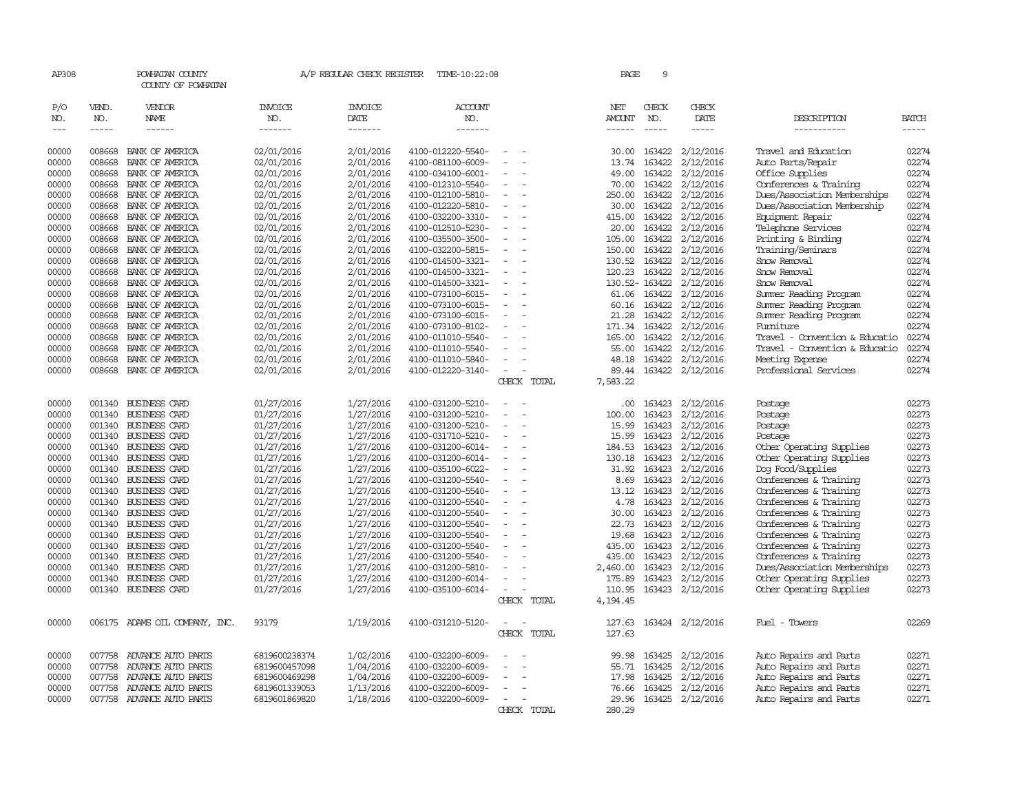| AP308         |             | POWHATAN COUNTY<br>COUNTY OF POWHATAN |               | A/P REGULAR CHECK REGISTER | TIME-10:22:08     |                                      | PAGE          | 9             |                  |                                |              |
|---------------|-------------|---------------------------------------|---------------|----------------------------|-------------------|--------------------------------------|---------------|---------------|------------------|--------------------------------|--------------|
| P/O           | VEND.       | VENDOR                                | INVOICE       | <b>INVOICE</b>             | <b>ACCOUNT</b>    |                                      | NET           | CHECK         | CHECK            |                                |              |
| NO.           | NO.         | NAME                                  | NO.           | DATE                       | NO.               |                                      | <b>AMOUNT</b> | NO.           | DATE             | DESCRIPTION                    | <b>BATCH</b> |
| $\frac{1}{2}$ | $- - - - -$ | ------                                | -------       | -------                    | -------           |                                      | $- - - - - -$ | $- - - - -$   | -----            | -----------                    | $- - - - -$  |
| 00000         | 008668      | BANK OF AMERICA                       | 02/01/2016    | 2/01/2016                  | 4100-012220-5540- |                                      | 30.00         | 163422        | 2/12/2016        | Travel and Education           | 02274        |
| 00000         | 008668      | BANK OF AMERICA                       | 02/01/2016    | 2/01/2016                  | 4100-081100-6009- | $\equiv$<br>$\overline{\phantom{a}}$ | 13.74         | 163422        | 2/12/2016        | Auto Parts/Repair              | 02274        |
| 00000         | 008668      | BANK OF AMERICA                       | 02/01/2016    | 2/01/2016                  | 4100-034100-6001- |                                      | 49.00         | 163422        | 2/12/2016        | Office Supplies                | 02274        |
| 00000         | 008668      | BANK OF AMERICA                       | 02/01/2016    | 2/01/2016                  | 4100-012310-5540- |                                      | 70.00         | 163422        | 2/12/2016        | Conferences & Training         | 02274        |
| 00000         | 008668      | BANK OF AMERICA                       | 02/01/2016    | 2/01/2016                  | 4100-012100-5810- | $\equiv$                             | 250.00        | 163422        | 2/12/2016        | Dues/Association Memberships   | 02274        |
| 00000         | 008668      | BANK OF AMERICA                       | 02/01/2016    | 2/01/2016                  | 4100-012220-5810- |                                      | 30.00         | 163422        | 2/12/2016        | Dues/Association Membership    | 02274        |
| 00000         | 008668      | BANK OF AMERICA                       | 02/01/2016    | 2/01/2016                  | 4100-032200-3310- |                                      | 415.00        | 163422        | 2/12/2016        | Equipment Repair               | 02274        |
| 00000         | 008668      | BANK OF AMERICA                       | 02/01/2016    | 2/01/2016                  | 4100-012510-5230- |                                      | 20.00         | 163422        | 2/12/2016        | Telephone Services             | 02274        |
| 00000         | 008668      | BANK OF AMERICA                       | 02/01/2016    | 2/01/2016                  | 4100-035500-3500- | $\overline{\phantom{a}}$             | 105.00        | 163422        | 2/12/2016        | Printing & Binding             | 02274        |
| 00000         | 008668      | BANK OF AMERICA                       | 02/01/2016    | 2/01/2016                  | 4100-032200-5815- |                                      | 150.00        | 163422        | 2/12/2016        | Training/Seminars              | 02274        |
| 00000         | 008668      | BANK OF AMERICA                       | 02/01/2016    | 2/01/2016                  | 4100-014500-3321- |                                      | 130.52        | 163422        | 2/12/2016        | Snow Removal                   | 02274        |
| 00000         | 008668      | BANK OF AMERICA                       | 02/01/2016    | 2/01/2016                  | 4100-014500-3321- | $\overline{\phantom{a}}$             | 120.23        | 163422        | 2/12/2016        | Snow Removal                   | 02274        |
| 00000         | 008668      | BANK OF AMERICA                       | 02/01/2016    | 2/01/2016                  | 4100-014500-3321- | $\equiv$                             |               | 130.52-163422 | 2/12/2016        | Snow Removal                   | 02274        |
| 00000         | 008668      | BANK OF AMERICA                       | 02/01/2016    | 2/01/2016                  | 4100-073100-6015- |                                      | 61.06         | 163422        | 2/12/2016        | Summer Reading Program         | 02274        |
| 00000         | 008668      | BANK OF AMERICA                       | 02/01/2016    | 2/01/2016                  | 4100-073100-6015- |                                      | 60.16         | 163422        | 2/12/2016        | Summer Reading Program         | 02274        |
| 00000         | 008668      | BANK OF AMERICA                       | 02/01/2016    | 2/01/2016                  | 4100-073100-6015- | $\equiv$<br>$\sim$                   | 21.28         | 163422        | 2/12/2016        | Summer Reading Program         | 02274        |
| 00000         | 008668      | BANK OF AMERICA                       | 02/01/2016    | 2/01/2016                  | 4100-073100-8102- |                                      | 171.34        | 163422        | 2/12/2016        | Fumiture                       | 02274        |
| 00000         | 008668      | BANK OF AMERICA                       | 02/01/2016    | 2/01/2016                  | 4100-011010-5540- |                                      | 165.00        | 163422        | 2/12/2016        | Travel - Convention & Educatio | 02274        |
| 00000         | 008668      | BANK OF AMERICA                       | 02/01/2016    | 2/01/2016                  | 4100-011010-5540- |                                      | 55.00         | 163422        | 2/12/2016        | Travel - Convention & Educatio | 02274        |
| 00000         | 008668      | BANK OF AMERICA                       | 02/01/2016    | 2/01/2016                  | 4100-011010-5840- | $\sim$                               | 48.18         | 163422        | 2/12/2016        | Meeting Expense                | 02274        |
| 00000         | 008668      | BANK OF AMERICA                       | 02/01/2016    | 2/01/2016                  | 4100-012220-3140- | $\overline{\phantom{a}}$             | 89.44         | 163422        | 2/12/2016        | Professional Services          | 02274        |
|               |             |                                       |               |                            |                   | CHECK TOTAL                          | 7,583.22      |               |                  |                                |              |
|               |             |                                       |               |                            |                   |                                      |               |               |                  |                                |              |
| 00000         | 001340      | BUSINESS CARD                         | 01/27/2016    | 1/27/2016                  | 4100-031200-5210- |                                      | .00.          | 163423        | 2/12/2016        | Postage                        | 02273        |
| 00000         | 001340      | <b>BUSINESS CARD</b>                  | 01/27/2016    | 1/27/2016                  | 4100-031200-5210- |                                      | 100.00        | 163423        | 2/12/2016        | Postage                        | 02273        |
| 00000         | 001340      | BUSINESS CARD                         | 01/27/2016    | 1/27/2016                  | 4100-031200-5210- |                                      | 15.99         | 163423        | 2/12/2016        | Postage                        | 02273        |
| 00000         |             | 001340 BUSINESS CARD                  | 01/27/2016    | 1/27/2016                  | 4100-031710-5210- | $\equiv$<br>$\equiv$                 | 15.99         | 163423        | 2/12/2016        | Postage                        | 02273        |
| 00000         | 001340      | <b>BUSINESS CARD</b>                  | 01/27/2016    | 1/27/2016                  | 4100-031200-6014- | $\overline{\phantom{a}}$             | 184.53        | 163423        | 2/12/2016        | Other Operating Supplies       | 02273        |
| 00000         | 001340      | <b>BUSINESS CARD</b>                  | 01/27/2016    | 1/27/2016                  | 4100-031200-6014- |                                      | 130.18        | 163423        | 2/12/2016        | Other Operating Supplies       | 02273        |
| 00000         | 001340      | <b>BUSINESS CARD</b>                  | 01/27/2016    | 1/27/2016                  | 4100-035100-6022- |                                      | 31.92         | 163423        | 2/12/2016        | Dog Food/Supplies              | 02273        |
| 00000         |             | 001340 BUSINESS CARD                  | 01/27/2016    | 1/27/2016                  | 4100-031200-5540- | $\overline{\phantom{a}}$             | 8.69          | 163423        | 2/12/2016        | Conferences & Training         | 02273        |
| 00000         | 001340      | <b>BUSINESS CARD</b>                  | 01/27/2016    | 1/27/2016                  | 4100-031200-5540- | $\overline{\phantom{a}}$             | 13.12         | 163423        | 2/12/2016        | Conferences & Training         | 02273        |
| 00000         | 001340      | <b>BUSINESS CARD</b>                  | 01/27/2016    | 1/27/2016                  | 4100-031200-5540- |                                      | 4.78          | 163423        | 2/12/2016        | Conferences & Training         | 02273        |
| 00000         | 001340      | <b>BUSINESS CARD</b>                  | 01/27/2016    | 1/27/2016                  | 4100-031200-5540- | $\overline{\phantom{a}}$             | 30.00         | 163423        | 2/12/2016        | Conferences & Training         | 02273        |
| 00000         |             | 001340 BUSINESS CARD                  | 01/27/2016    | 1/27/2016                  | 4100-031200-5540- |                                      | 22.73         | 163423        | 2/12/2016        | Conferences & Training         | 02273        |
| 00000         | 001340      | BUSINESS CARD                         | 01/27/2016    | 1/27/2016                  | 4100-031200-5540- |                                      | 19.68         | 163423        | 2/12/2016        | Conferences & Training         | 02273        |
| 00000         | 001340      | <b>BUSINESS CARD</b>                  | 01/27/2016    | 1/27/2016                  | 4100-031200-5540- |                                      | 435.00        | 163423        | 2/12/2016        | Conferences & Training         | 02273        |
| 00000         |             | 001340 BUSINESS CARD                  | 01/27/2016    | 1/27/2016                  | 4100-031200-5540- | $\equiv$                             | 435.00        | 163423        | 2/12/2016        | Conferences & Training         | 02273        |
| 00000         | 001340      | <b>BUSINESS CARD</b>                  | 01/27/2016    | 1/27/2016                  | 4100-031200-5810- |                                      | 2,460.00      | 163423        | 2/12/2016        | Dues/Association Memberships   | 02273        |
| 00000         | 001340      | <b>BUSINESS CARD</b>                  | 01/27/2016    | 1/27/2016                  | 4100-031200-6014- |                                      | 175.89        | 163423        | 2/12/2016        | Other Operating Supplies       | 02273        |
| 00000         |             | 001340 BUSINESS CARD                  | 01/27/2016    | 1/27/2016                  | 4100-035100-6014- | $\overline{\phantom{a}}$             | 110.95        |               | 163423 2/12/2016 | Other Operating Supplies       | 02273        |
|               |             |                                       |               |                            |                   | CHECK TOTAL                          | 4,194.45      |               |                  |                                |              |
|               |             |                                       |               |                            |                   |                                      |               |               |                  |                                |              |
| 00000         |             | 006175 ADAMS OIL COMPANY, INC.        | 93179         | 1/19/2016                  | 4100-031210-5120- |                                      | 127.63        |               | 163424 2/12/2016 | Fuel - Towers                  | 02269        |
|               |             |                                       |               |                            |                   | CHECK TOTAL                          | 127.63        |               |                  |                                |              |
|               |             |                                       |               |                            |                   |                                      |               |               |                  |                                |              |
| 00000         | 007758      | ADVANCE AUTO PARTS                    | 6819600238374 | 1/02/2016                  | 4100-032200-6009- |                                      | 99.98         | 163425        | 2/12/2016        | Auto Repairs and Parts         | 02271        |
| 00000         | 007758      | ADVANCE AUTO PARTS                    | 6819600457098 | 1/04/2016                  | 4100-032200-6009- |                                      | 55.71         | 163425        | 2/12/2016        | Auto Repairs and Parts         | 02271        |
| 00000         | 007758      | ADVANCE AUTO PARTS                    | 6819600469298 | 1/04/2016                  | 4100-032200-6009- |                                      | 17.98         | 163425        | 2/12/2016        | Auto Repairs and Parts         | 02271        |
| 00000         | 007758      | ADVANCE AUTO PARTS                    | 6819601339053 | 1/13/2016                  | 4100-032200-6009- |                                      | 76.66         | 163425        | 2/12/2016        | Auto Repairs and Parts         | 02271        |
| 00000         |             | 007758 ADVANCE AUTO PARTS             | 6819601869820 | 1/18/2016                  | 4100-032200-6009- | $\sim$                               | 29.96         |               | 163425 2/12/2016 | Auto Repairs and Parts         | 02271        |
|               |             |                                       |               |                            |                   | CHECK TOTAL                          | 280.29        |               |                  |                                |              |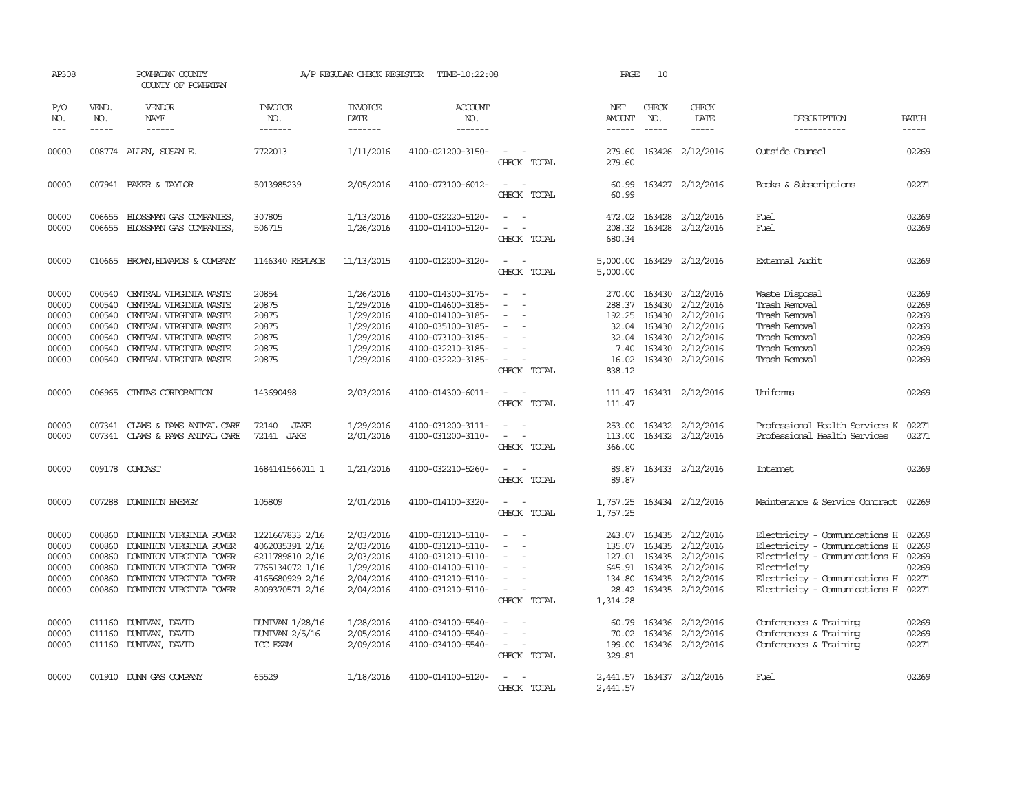| AP308                                                       |                                                                    | POWHATAN COUNTY<br>COUNTY OF POWHATAN                                                                                                                                              |                                                                                                                | A/P REGULAR CHECK REGISTER                                                              | TIME-10:22:08                                                                                                                                   |                                                                                                                                             | PAGE                              | 10                            |                                                                                                                                                        |                                                                                                                                                                                                     |                                                             |
|-------------------------------------------------------------|--------------------------------------------------------------------|------------------------------------------------------------------------------------------------------------------------------------------------------------------------------------|----------------------------------------------------------------------------------------------------------------|-----------------------------------------------------------------------------------------|-------------------------------------------------------------------------------------------------------------------------------------------------|---------------------------------------------------------------------------------------------------------------------------------------------|-----------------------------------|-------------------------------|--------------------------------------------------------------------------------------------------------------------------------------------------------|-----------------------------------------------------------------------------------------------------------------------------------------------------------------------------------------------------|-------------------------------------------------------------|
| P/O<br>NO.<br>$---$                                         | VEND.<br>NO.<br>$- - - - -$                                        | VENDOR<br>NAME<br>$- - - - - -$                                                                                                                                                    | INVOICE<br>NO.<br>-------                                                                                      | <b>INVOICE</b><br>DATE<br>$- - - - - - -$                                               | ACCOUNT<br>NO.<br>$- - - - - - -$                                                                                                               |                                                                                                                                             | NET<br>AMOUNT<br>-------          | CHECK<br>NO.<br>$\frac{1}{2}$ | CHECK<br>DATE<br>$- - - - -$                                                                                                                           | DESCRIPTION<br>-----------                                                                                                                                                                          | <b>BATCH</b><br>-----                                       |
| 00000                                                       |                                                                    | 008774 ALLEN, SUSAN E.                                                                                                                                                             | 7722013                                                                                                        | 1/11/2016                                                                               | 4100-021200-3150-                                                                                                                               | CHECK TOTAL                                                                                                                                 | 279.60<br>279.60                  |                               | 163426 2/12/2016                                                                                                                                       | Outside Counsel                                                                                                                                                                                     | 02269                                                       |
| 00000                                                       |                                                                    | 007941 BAKER & TAYLOR                                                                                                                                                              | 5013985239                                                                                                     | 2/05/2016                                                                               | 4100-073100-6012-                                                                                                                               | $\sim$<br>$\sim$<br>CHECK TOTAL                                                                                                             | 60.99<br>60.99                    |                               | 163427 2/12/2016                                                                                                                                       | Books & Subscriptions                                                                                                                                                                               | 02271                                                       |
| 00000<br>00000                                              |                                                                    | 006655 BLOSSMAN GAS COMPANIES,<br>006655 BLOSSMAN GAS COMPANIES,                                                                                                                   | 307805<br>506715                                                                                               | 1/13/2016<br>1/26/2016                                                                  | 4100-032220-5120-<br>4100-014100-5120-                                                                                                          | $\omega_{\rm{max}}$ and $\omega_{\rm{max}}$<br>$\omega_{\rm{max}}$ and $\omega_{\rm{max}}$<br>CHECK TOTAL                                   | 680.34                            |                               | 472.02 163428 2/12/2016<br>208.32 163428 2/12/2016                                                                                                     | Fuel<br>Fuel                                                                                                                                                                                        | 02269<br>02269                                              |
| 00000                                                       |                                                                    | 010665 BROWN, EDWARDS & COMPANY                                                                                                                                                    | 1146340 REPLACE                                                                                                | 11/13/2015                                                                              | 4100-012200-3120-                                                                                                                               | $\sim$<br>$\sim$<br>CHECK TOTAL                                                                                                             | 5,000.00<br>5,000.00              |                               | 163429 2/12/2016                                                                                                                                       | External Audit                                                                                                                                                                                      | 02269                                                       |
| 00000<br>00000<br>00000<br>00000<br>00000<br>00000<br>00000 | 000540<br>000540<br>000540<br>000540<br>000540<br>000540<br>000540 | CENTRAL VIRGINIA WASTE<br>CENTRAL VIRGINIA WASTE<br>CENTRAL VIRGINIA WASTE<br>CENTRAL VIRGINIA WASTE<br>CENTRAL VIRGINIA WASTE<br>CENTRAL VIRGINIA WASTE<br>CENTRAL VIRGINIA WASTE | 20854<br>20875<br>20875<br>20875<br>20875<br>20875<br>20875                                                    | 1/26/2016<br>1/29/2016<br>1/29/2016<br>1/29/2016<br>1/29/2016<br>1/29/2016<br>1/29/2016 | 4100-014300-3175-<br>4100-014600-3185-<br>4100-014100-3185-<br>4100-035100-3185-<br>4100-073100-3185-<br>4100-032210-3185-<br>4100-032220-3185- | $\sim$<br>$\overline{\phantom{a}}$<br>$\sim$<br>$\overline{\phantom{a}}$<br>$\sim$<br>$\sim$<br>CHECK TOTAL                                 | 270.00<br>7.40<br>16.02<br>838.12 | 32.04 163430                  | 163430 2/12/2016<br>288.37 163430 2/12/2016<br>192.25 163430 2/12/2016<br>2/12/2016<br>32.04 163430 2/12/2016<br>163430 2/12/2016<br>163430 2/12/2016  | Waste Disposal<br>Trash Removal<br>Trash Removal<br>Trash Removal<br>Trash Removal<br>Trash Removal<br>Trash Removal                                                                                | 02269<br>02269<br>02269<br>02269<br>02269<br>02269<br>02269 |
| 00000                                                       | 006965                                                             | CINIAS CORPORATION                                                                                                                                                                 | 143690498                                                                                                      | 2/03/2016                                                                               | 4100-014300-6011-                                                                                                                               | $\sim$ $\sim$<br>CHECK TOTAL                                                                                                                | 111.47                            |                               | 111.47 163431 2/12/2016                                                                                                                                | Uniforms                                                                                                                                                                                            | 02269                                                       |
| 00000<br>00000                                              | 007341                                                             | CLAWS & PAWS ANIMAL CARE<br>007341 CLAWS & PAWS ANIMAL CARE                                                                                                                        | 72140<br>JAKE<br>72141 JAKE                                                                                    | 1/29/2016<br>2/01/2016                                                                  | 4100-031200-3111-<br>4100-031200-3110-                                                                                                          | $\overline{\phantom{a}}$<br>$\sim$<br>$\overline{\phantom{a}}$<br>CHECK TOTAL                                                               | 253.00<br>113.00<br>366.00        |                               | 163432 2/12/2016<br>163432 2/12/2016                                                                                                                   | Professional Health Services K<br>Professional Health Services                                                                                                                                      | 02271<br>02271                                              |
| 00000                                                       |                                                                    | 009178 COMCAST                                                                                                                                                                     | 1684141566011 1                                                                                                | 1/21/2016                                                                               | 4100-032210-5260-                                                                                                                               | $\sim$<br>CHECK TOTAL                                                                                                                       | 89.87<br>89.87                    |                               | 163433 2/12/2016                                                                                                                                       | <b>Internet</b>                                                                                                                                                                                     | 02269                                                       |
| 00000                                                       |                                                                    | 007288 DOMINION ENERGY                                                                                                                                                             | 105809                                                                                                         | 2/01/2016                                                                               | 4100-014100-3320-                                                                                                                               | $\frac{1}{2} \left( \frac{1}{2} \right) \left( \frac{1}{2} \right) = \frac{1}{2} \left( \frac{1}{2} \right)$<br>CHECK TOTAL                 | 1,757.25                          |                               | 1,757.25 163434 2/12/2016                                                                                                                              | Maintenance & Service Contract 02269                                                                                                                                                                |                                                             |
| 00000<br>00000<br>00000<br>00000<br>00000<br>00000          | 000860<br>000860<br>000860<br>000860                               | 000860 DOMINION VIRGINIA POWER<br>DOMINION VIRGINIA POWER<br>DOMINION VIRGINIA POWER<br>DOMINION VIRGINIA POWER<br>DOMINION VIRGINIA POWER<br>000860 DOMINION VIRGINIA POWER       | 1221667833 2/16<br>4062035391 2/16<br>6211789810 2/16<br>7765134072 1/16<br>4165680929 2/16<br>8009370571 2/16 | 2/03/2016<br>2/03/2016<br>2/03/2016<br>1/29/2016<br>2/04/2016<br>2/04/2016              | 4100-031210-5110-<br>4100-031210-5110-<br>4100-031210-5110-<br>4100-014100-5110-<br>4100-031210-5110-<br>4100-031210-5110-                      | $\sim$ $-$<br>$\sim$<br>$\overline{\phantom{a}}$<br>$\overline{\phantom{a}}$<br>$\overline{\phantom{a}}$<br>$\sim$ 100 $\mu$<br>CHECK TOTAL | 135.07<br>1,314.28                |                               | 243.07 163435 2/12/2016<br>163435 2/12/2016<br>127.01 163435 2/12/2016<br>645.91 163435 2/12/2016<br>134.80 163435 2/12/2016<br>28.42 163435 2/12/2016 | Electricity - Comunications H 02269<br>Electricity - Comunications H<br>Electricity - Communications H 02269<br>Electricity<br>Electricity - Comunications H 02271<br>Electricity - Comunications H | 02269<br>02269<br>02271                                     |
| 00000<br>00000<br>00000                                     | 011160                                                             | 011160 DUNIVAN, DAVID<br>DUNIVAN, DAVID<br>011160 DUNIVAN, DAVID                                                                                                                   | DUNIVAN 1/28/16<br>DUNIVAN 2/5/16<br>ICC EXAM                                                                  | 1/28/2016<br>2/05/2016<br>2/09/2016                                                     | 4100-034100-5540-<br>4100-034100-5540-<br>4100-034100-5540-                                                                                     | $\sim$<br>CHECK TOTAL                                                                                                                       | 60.79<br>70.02<br>329.81          |                               | 163436 2/12/2016<br>163436 2/12/2016<br>199.00 163436 2/12/2016                                                                                        | Conferences & Training<br>Conferences & Training<br>Conferences & Training                                                                                                                          | 02269<br>02269<br>02271                                     |
| 00000                                                       |                                                                    | 001910 DUNN GAS COMPANY                                                                                                                                                            | 65529                                                                                                          | 1/18/2016                                                                               | 4100-014100-5120-                                                                                                                               | CHECK TOTAL                                                                                                                                 | 2,441.57                          |                               | 2,441.57 163437 2/12/2016                                                                                                                              | Fuel                                                                                                                                                                                                | 02269                                                       |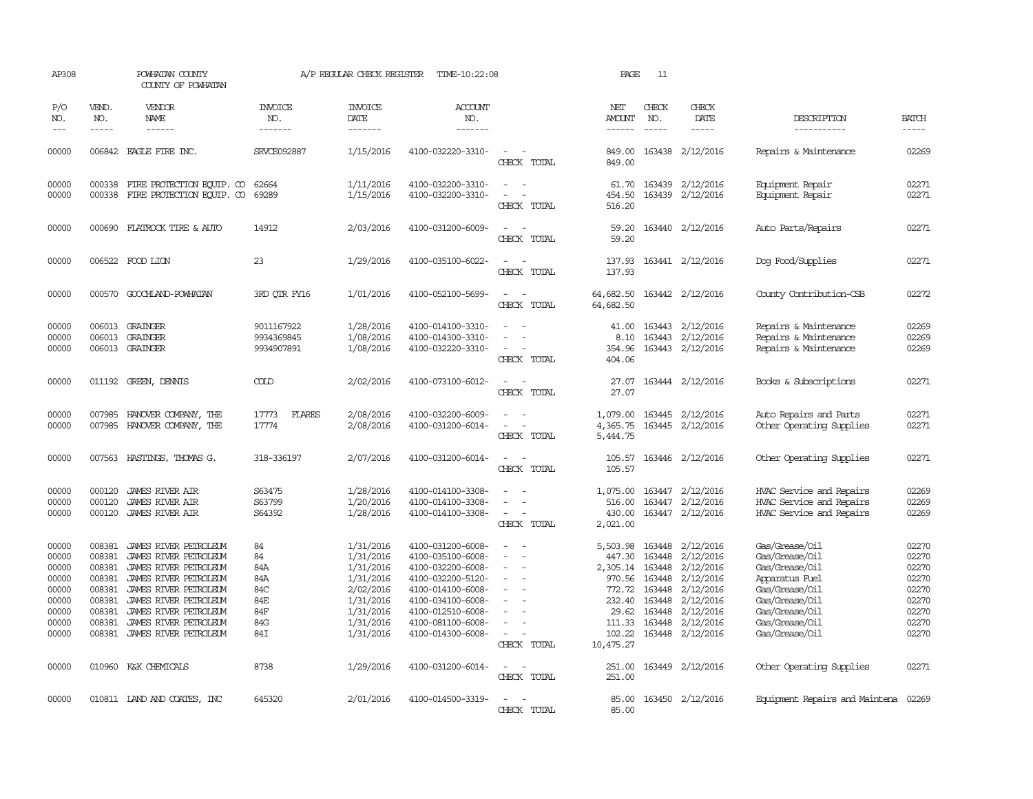| AP308                                                                         |                                                                              | POWHATAN COUNTY<br>COUNTY OF POWHATAN                                                                                                                                                                                                |                                                           | A/P REGULAR CHECK REGISTER                                                                                        | TIME-10:22:08                                                                                                                                                                             |                                         | PAGE                                                                                         | 11                                                                                  |                                                                                                                          |                                                                                                                                                                |                                                                               |
|-------------------------------------------------------------------------------|------------------------------------------------------------------------------|--------------------------------------------------------------------------------------------------------------------------------------------------------------------------------------------------------------------------------------|-----------------------------------------------------------|-------------------------------------------------------------------------------------------------------------------|-------------------------------------------------------------------------------------------------------------------------------------------------------------------------------------------|-----------------------------------------|----------------------------------------------------------------------------------------------|-------------------------------------------------------------------------------------|--------------------------------------------------------------------------------------------------------------------------|----------------------------------------------------------------------------------------------------------------------------------------------------------------|-------------------------------------------------------------------------------|
| P/O<br>NO.<br>$- - -$                                                         | VEND.<br>NO.<br>$- - - - -$                                                  | <b>VENDOR</b><br><b>NAME</b><br>------                                                                                                                                                                                               | <b>INVOICE</b><br>NO.<br>-------                          | <b>INVOICE</b><br>DATE<br>-------                                                                                 | ACCOUNT<br>NO.<br>-------                                                                                                                                                                 |                                         | NET<br>AMOUNT<br>------                                                                      | CHECK<br>NO.<br>$- - - - -$                                                         | CHECK<br>DATE<br>$- - - - -$                                                                                             | DESCRIPTION<br>-----------                                                                                                                                     | <b>BATCH</b><br>-----                                                         |
| 00000                                                                         |                                                                              | 006842 EAGLE FIRE INC.                                                                                                                                                                                                               | <b>SRVCE092887</b>                                        | 1/15/2016                                                                                                         | 4100-032220-3310-                                                                                                                                                                         | $\sim$<br>CHECK TOTAL                   | 849.00<br>849.00                                                                             |                                                                                     | 163438 2/12/2016                                                                                                         | Repairs & Maintenance                                                                                                                                          | 02269                                                                         |
| 00000<br>00000                                                                | 000338<br>000338                                                             | FIRE PROTECTION EQUIP. CO<br>FIRE PROTECTION EQUIP. CO                                                                                                                                                                               | 62664<br>69289                                            | 1/11/2016<br>1/15/2016                                                                                            | 4100-032200-3310-<br>4100-032200-3310-                                                                                                                                                    | $\sim$<br>CHECK TOTAL                   | 61.70<br>454.50<br>516.20                                                                    |                                                                                     | 163439 2/12/2016<br>163439 2/12/2016                                                                                     | Equipment Repair<br>Equipment Repair                                                                                                                           | 02271<br>02271                                                                |
| 00000                                                                         |                                                                              | 000690 FLATROCK TIRE & AUTO                                                                                                                                                                                                          | 14912                                                     | 2/03/2016                                                                                                         | 4100-031200-6009-                                                                                                                                                                         | CHECK TOTAL                             | 59.20<br>59.20                                                                               |                                                                                     | 163440 2/12/2016                                                                                                         | Auto Parts/Repairs                                                                                                                                             | 02271                                                                         |
| 00000                                                                         |                                                                              | 006522 FOOD LION                                                                                                                                                                                                                     | 23                                                        | 1/29/2016                                                                                                         | 4100-035100-6022-                                                                                                                                                                         | CHECK TOTAL                             | 137.93<br>137.93                                                                             |                                                                                     | 163441 2/12/2016                                                                                                         | Dog Food/Supplies                                                                                                                                              | 02271                                                                         |
| 00000                                                                         | 000570                                                                       | GOOCHLAND-POWHATAN                                                                                                                                                                                                                   | 3RD OTR FY16                                              | 1/01/2016                                                                                                         | 4100-052100-5699-                                                                                                                                                                         | CHECK TOTAL                             | 64,682.50<br>64,682.50                                                                       |                                                                                     | 163442 2/12/2016                                                                                                         | County Contribution-CSB                                                                                                                                        | 02272                                                                         |
| 00000<br>00000<br>00000                                                       | 006013                                                                       | 006013 GRAINGER<br><b>GRAINGER</b><br>006013 GRAINGER                                                                                                                                                                                | 9011167922<br>9934369845<br>9934907891                    | 1/28/2016<br>1/08/2016<br>1/08/2016                                                                               | 4100-014100-3310-<br>4100-014300-3310-<br>4100-032220-3310-                                                                                                                               | $\sim$<br>CHECK TOTAL                   | 41.00<br>8.10<br>354.96<br>404.06                                                            |                                                                                     | 163443 2/12/2016<br>163443 2/12/2016<br>163443 2/12/2016                                                                 | Repairs & Maintenance<br>Repairs & Maintenance<br>Repairs & Maintenance                                                                                        | 02269<br>02269<br>02269                                                       |
| 00000                                                                         |                                                                              | 011192 GREEN, DENNIS                                                                                                                                                                                                                 | COLD                                                      | 2/02/2016                                                                                                         | 4100-073100-6012-                                                                                                                                                                         | CHECK TOTAL                             | 27.07<br>27.07                                                                               |                                                                                     | 163444 2/12/2016                                                                                                         | Books & Subscriptions                                                                                                                                          | 02271                                                                         |
| 00000<br>00000                                                                | 007985                                                                       | HANOVER COMPANY, THE<br>007985 HANOVER COMPANY, THE                                                                                                                                                                                  | 17773<br>FLARES<br>17774                                  | 2/08/2016<br>2/08/2016                                                                                            | 4100-032200-6009-<br>4100-031200-6014-                                                                                                                                                    | $\overline{\phantom{a}}$<br>CHECK TOTAL | 1,079.00<br>4,365.75<br>5,444.75                                                             |                                                                                     | 163445 2/12/2016<br>163445 2/12/2016                                                                                     | Auto Repairs and Parts<br>Other Operating Supplies                                                                                                             | 02271<br>02271                                                                |
| 00000                                                                         |                                                                              | 007563 HASTINGS, THOMAS G.                                                                                                                                                                                                           | 318-336197                                                | 2/07/2016                                                                                                         | 4100-031200-6014-                                                                                                                                                                         | CHECK TOTAL                             | 105.57<br>105.57                                                                             |                                                                                     | 163446 2/12/2016                                                                                                         | Other Operating Supplies                                                                                                                                       | 02271                                                                         |
| 00000<br>00000<br>00000                                                       | 000120<br>000120                                                             | <b>JAMES RIVER AIR</b><br><b>JAMES RIVER AIR</b><br>000120 JAMES RIVER AIR                                                                                                                                                           | S63475<br>S63799<br>S64392                                | 1/28/2016<br>1/20/2016<br>1/28/2016                                                                               | 4100-014100-3308-<br>4100-014100-3308-<br>4100-014100-3308-                                                                                                                               | $\equiv$<br>CHECK TOTAL                 | 1,075.00<br>516.00<br>430.00<br>2,021.00                                                     |                                                                                     | 163447 2/12/2016<br>163447 2/12/2016<br>163447 2/12/2016                                                                 | HVAC Service and Repairs<br>HVAC Service and Repairs<br>HVAC Service and Repairs                                                                               | 02269<br>02269<br>02269                                                       |
| 00000<br>00000<br>00000<br>00000<br>00000<br>00000<br>00000<br>00000<br>00000 | 008381<br>008381<br>008381<br>008381<br>008381<br>008381<br>008381<br>008381 | JAMES RIVER PETROLEUM<br>JAMES RIVER PETROLEUM<br>JAMES RIVER PETROLEUM<br>JAMES RIVER PETROLEUM<br>JAMES RIVER PETROLEUM<br>JAMES RIVER PETROLEUM<br>JAMES RIVER PETROLEUM<br>JAMES RIVER PETROLEUM<br>008381 JAMES RIVER PETROLEUM | 84<br>84<br>84A<br>84A<br>84C<br>84E<br>84F<br>84G<br>84I | 1/31/2016<br>1/31/2016<br>1/31/2016<br>1/31/2016<br>2/02/2016<br>1/31/2016<br>1/31/2016<br>1/31/2016<br>1/31/2016 | 4100-031200-6008-<br>4100-035100-6008-<br>4100-032200-6008-<br>4100-032200-5120-<br>4100-014100-6008-<br>4100-034100-6008-<br>4100-012510-6008-<br>4100-081100-6008-<br>4100-014300-6008- | $\overline{\phantom{a}}$<br>CHECK TOTAL | 5,503.98<br>447.30<br>2,305.14<br>970.56<br>232.40<br>29.62<br>111.33<br>102.22<br>10,475.27 | 163448<br>163448<br>163448<br>163448<br>772.72 163448<br>163448<br>163448<br>163448 | 2/12/2016<br>2/12/2016<br>2/12/2016<br>2/12/2016<br>2/12/2016<br>2/12/2016<br>2/12/2016<br>2/12/2016<br>163448 2/12/2016 | Gas/Grease/Oil<br>Gas/Grease/Oil<br>Gas/Grease/Oil<br>Apparatus Fuel<br>Gas/Grease/Oil<br>Gas/Grease/Oil<br>Gas/Grease/Oil<br>Gas/Grease/Oil<br>Gas/Grease/Oil | 02270<br>02270<br>02270<br>02270<br>02270<br>02270<br>02270<br>02270<br>02270 |
| 00000                                                                         |                                                                              | 010960 K&K CHEMICALS                                                                                                                                                                                                                 | 8738                                                      | 1/29/2016                                                                                                         | 4100-031200-6014-                                                                                                                                                                         | CHECK TOTAL                             | 251.00<br>251.00                                                                             |                                                                                     | 163449 2/12/2016                                                                                                         | Other Operating Supplies                                                                                                                                       | 02271                                                                         |
| 00000                                                                         |                                                                              | 010811 IAND AND COATES, INC                                                                                                                                                                                                          | 645320                                                    | 2/01/2016                                                                                                         | 4100-014500-3319-                                                                                                                                                                         | CHECK<br>TOTAL                          | 85.00<br>85.00                                                                               |                                                                                     | 163450 2/12/2016                                                                                                         | Equipment Repairs and Maintena 02269                                                                                                                           |                                                                               |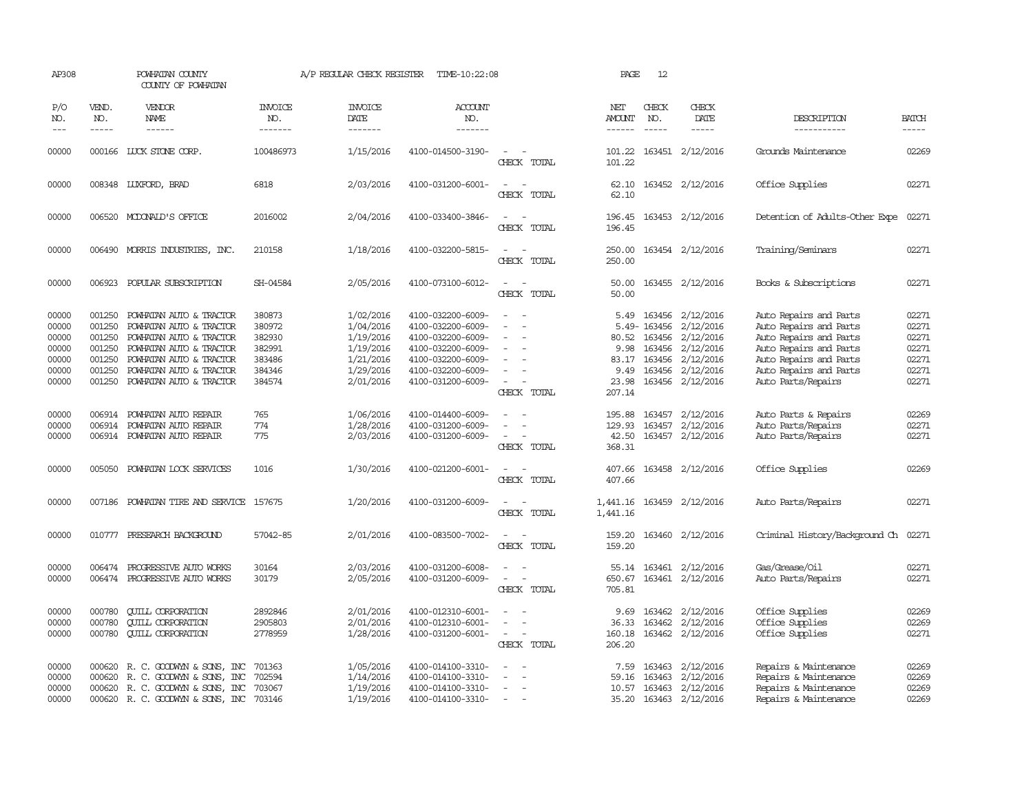| AP308                                                       |                                                                    | POWHATAN COUNTY<br>COUNTY OF POWHATAN                                                                                                                                                     |                                                                    | A/P REGULAR CHECK REGISTER                                                              | TIME-10:22:08                                                                                                                                   |                                                                     | PAGE                                                      | 12                                                            |                                                                                                |                                                                                                                                                                                |                                                             |
|-------------------------------------------------------------|--------------------------------------------------------------------|-------------------------------------------------------------------------------------------------------------------------------------------------------------------------------------------|--------------------------------------------------------------------|-----------------------------------------------------------------------------------------|-------------------------------------------------------------------------------------------------------------------------------------------------|---------------------------------------------------------------------|-----------------------------------------------------------|---------------------------------------------------------------|------------------------------------------------------------------------------------------------|--------------------------------------------------------------------------------------------------------------------------------------------------------------------------------|-------------------------------------------------------------|
| P/O<br>NO.                                                  | VEND.<br>NO.                                                       | VENDOR<br>NAME                                                                                                                                                                            | <b>INVOICE</b><br>NO.                                              | <b>INVOICE</b><br><b>DATE</b>                                                           | <b>ACCOUNT</b><br>NO.                                                                                                                           |                                                                     | NET<br>AMOUNT                                             | CHECK<br>NO.                                                  | CHECK<br>DATE                                                                                  | DESCRIPTION                                                                                                                                                                    | <b>BATCH</b>                                                |
| $\qquad \qquad - -$                                         | $- - - - -$                                                        | ------                                                                                                                                                                                    | -------                                                            | -------                                                                                 | -------                                                                                                                                         |                                                                     | ------                                                    | $\frac{1}{2}$                                                 | -----                                                                                          | -----------                                                                                                                                                                    | -----                                                       |
| 00000                                                       |                                                                    | 000166 LUCK STONE CORP.                                                                                                                                                                   | 100486973                                                          | 1/15/2016                                                                               | 4100-014500-3190-                                                                                                                               | $\equiv$<br>CHECK TOTAL                                             | 101.22<br>101.22                                          |                                                               | 163451 2/12/2016                                                                               | Grounds Maintenance                                                                                                                                                            | 02269                                                       |
| 00000                                                       |                                                                    | 008348 LUXFORD, BRAD                                                                                                                                                                      | 6818                                                               | 2/03/2016                                                                               | 4100-031200-6001-                                                                                                                               | $\sim$<br>CHECK TOTAL                                               | 62.10<br>62.10                                            |                                                               | 163452 2/12/2016                                                                               | Office Supplies                                                                                                                                                                | 02271                                                       |
| 00000                                                       |                                                                    | 006520 MCDONALD'S OFFICE                                                                                                                                                                  | 2016002                                                            | 2/04/2016                                                                               | 4100-033400-3846-                                                                                                                               | $\sim$<br>CHECK TOTAL                                               | 196.45<br>196.45                                          |                                                               | 163453 2/12/2016                                                                               | Detention of Adults-Other Expe                                                                                                                                                 | 02271                                                       |
| 00000                                                       |                                                                    | 006490 MORRIS INDUSTRIES, INC.                                                                                                                                                            | 210158                                                             | 1/18/2016                                                                               | 4100-032200-5815-                                                                                                                               | $\sim$ 100 $\mu$<br>CHECK TOTAL                                     | 250.00<br>250.00                                          |                                                               | 163454 2/12/2016                                                                               | Training/Seminars                                                                                                                                                              | 02271                                                       |
| 00000                                                       |                                                                    | 006923 POPULAR SUBSCRIPTION                                                                                                                                                               | SH-04584                                                           | 2/05/2016                                                                               | 4100-073100-6012-                                                                                                                               | $\sim$<br>$\sim$<br>CHECK TOTAL                                     | 50.00<br>50.00                                            |                                                               | 163455 2/12/2016                                                                               | Books & Subscriptions                                                                                                                                                          | 02271                                                       |
| 00000<br>00000<br>00000<br>00000<br>00000<br>00000<br>00000 | 001250<br>001250<br>001250<br>001250<br>001250<br>001250<br>001250 | POWHATAN AUTO & TRACTOR<br>POWHATAN AUTO & TRACTOR<br>POWHATAN AUTO & TRACTOR<br>POWHATAN AUTO & TRACTOR<br>POWHATAN AUTO & TRACTOR<br>POWHATAN AUTO & TRACTOR<br>POWHATAN AUTO & TRACTOR | 380873<br>380972<br>382930<br>382991<br>383486<br>384346<br>384574 | 1/02/2016<br>1/04/2016<br>1/19/2016<br>1/19/2016<br>1/21/2016<br>1/29/2016<br>2/01/2016 | 4100-032200-6009-<br>4100-032200-6009-<br>4100-032200-6009-<br>4100-032200-6009-<br>4100-032200-6009-<br>4100-032200-6009-<br>4100-031200-6009- | $\equiv$<br>$\equiv$<br>$\equiv$<br>CHECK TOTAL                     | 5.49<br>80.52<br>9.98<br>83.17<br>9.49<br>23.98<br>207.14 | 5.49-163456<br>163456<br>163456<br>163456<br>163456<br>163456 | 163456 2/12/2016<br>2/12/2016<br>2/12/2016<br>2/12/2016<br>2/12/2016<br>2/12/2016<br>2/12/2016 | Auto Repairs and Parts<br>Auto Repairs and Parts<br>Auto Repairs and Parts<br>Auto Repairs and Parts<br>Auto Repairs and Parts<br>Auto Repairs and Parts<br>Auto Parts/Repairs | 02271<br>02271<br>02271<br>02271<br>02271<br>02271<br>02271 |
| 00000<br>00000<br>00000                                     | 006914<br>006914                                                   | POWHATAN AUTO REPAIR<br>POWHATAN AUTO REPAIR<br>006914 POWHATAN AUTO REPAIR                                                                                                               | 765<br>774<br>775                                                  | 1/06/2016<br>1/28/2016<br>2/03/2016                                                     | 4100-014400-6009-<br>4100-031200-6009-<br>4100-031200-6009-                                                                                     | $\equiv$<br>$\equiv$<br>$\overline{\phantom{a}}$<br>CHECK TOTAL     | 195.88<br>129.93<br>42.50<br>368.31                       | 163457<br>163457                                              | 2/12/2016<br>2/12/2016<br>163457 2/12/2016                                                     | Auto Parts & Repairs<br>Auto Parts/Repairs<br>Auto Parts/Repairs                                                                                                               | 02269<br>02271<br>02271                                     |
| 00000                                                       | 005050                                                             | POWHATAN LOCK SERVICES                                                                                                                                                                    | 1016                                                               | 1/30/2016                                                                               | 4100-021200-6001-                                                                                                                               | $\sim$ $-$<br>$\overline{\phantom{a}}$<br>CHECK TOTAL               | 407.66<br>407.66                                          |                                                               | 163458 2/12/2016                                                                               | Office Supplies                                                                                                                                                                | 02269                                                       |
| 00000                                                       | 007186                                                             | POWHATAN TIRE AND SERVICE                                                                                                                                                                 | 157675                                                             | 1/20/2016                                                                               | 4100-031200-6009-                                                                                                                               | CHECK TOTAL                                                         | 1,441.16<br>1,441.16                                      |                                                               | 163459 2/12/2016                                                                               | Auto Parts/Repairs                                                                                                                                                             | 02271                                                       |
| 00000                                                       | 010777                                                             | PRESEARCH BACKGROUND                                                                                                                                                                      | 57042-85                                                           | 2/01/2016                                                                               | 4100-083500-7002-                                                                                                                               | $\sim$<br>CHECK TOTAL                                               | 159.20<br>159.20                                          |                                                               | 163460 2/12/2016                                                                               | Criminal History/Background Ch                                                                                                                                                 | 02271                                                       |
| 00000<br>00000                                              | 006474<br>006474                                                   | PROGRESSIVE AUTO WORKS<br>PROGRESSIVE AUTO WORKS                                                                                                                                          | 30164<br>30179                                                     | 2/03/2016<br>2/05/2016                                                                  | 4100-031200-6008-<br>4100-031200-6009-                                                                                                          | $\overline{\phantom{a}}$<br>$\overline{\phantom{a}}$<br>CHECK TOTAL | 55.14<br>650.67<br>705.81                                 | 163461                                                        | 2/12/2016<br>163461 2/12/2016                                                                  | Gas/Grease/Oil<br>Auto Parts/Repairs                                                                                                                                           | 02271<br>02271                                              |
| 00000<br>00000<br>00000                                     | 000780<br>000780<br>000780                                         | <b>QUILL CORPORATION</b><br><b>QUILL CORPORATION</b><br><b>CUILL CORPORATION</b>                                                                                                          | 2892846<br>2905803<br>2778959                                      | 2/01/2016<br>2/01/2016<br>1/28/2016                                                     | 4100-012310-6001-<br>4100-012310-6001-<br>4100-031200-6001-                                                                                     | $\overline{\phantom{a}}$<br>CHECK TOTAL                             | 9.69<br>36.33<br>160.18<br>206.20                         | 163462                                                        | 163462 2/12/2016<br>2/12/2016<br>163462 2/12/2016                                              | Office Supplies<br>Office Supplies<br>Office Supplies                                                                                                                          | 02269<br>02269<br>02271                                     |
| 00000<br>00000<br>00000<br>00000                            | 000620<br>000620                                                   | R. C. GOODWYN & SONS, INC<br>R. C. GOODWYN & SONS, INC<br>000620 R. C. GOODWYN & SONS, INC<br>000620 R. C. GOODWYN & SONS, INC                                                            | 701363<br>702594<br>703067<br>703146                               | 1/05/2016<br>1/14/2016<br>1/19/2016<br>1/19/2016                                        | 4100-014100-3310-<br>4100-014100-3310-<br>4100-014100-3310-<br>4100-014100-3310-                                                                | $\equiv$<br>$\overline{\phantom{a}}$<br>$\sim$                      | 7.59<br>59.16<br>10.57<br>35.20                           | 163463<br>163463<br>163463                                    | 2/12/2016<br>2/12/2016<br>2/12/2016<br>163463 2/12/2016                                        | Repairs & Maintenance<br>Repairs & Maintenance<br>Repairs & Maintenance<br>Repairs & Maintenance                                                                               | 02269<br>02269<br>02269<br>02269                            |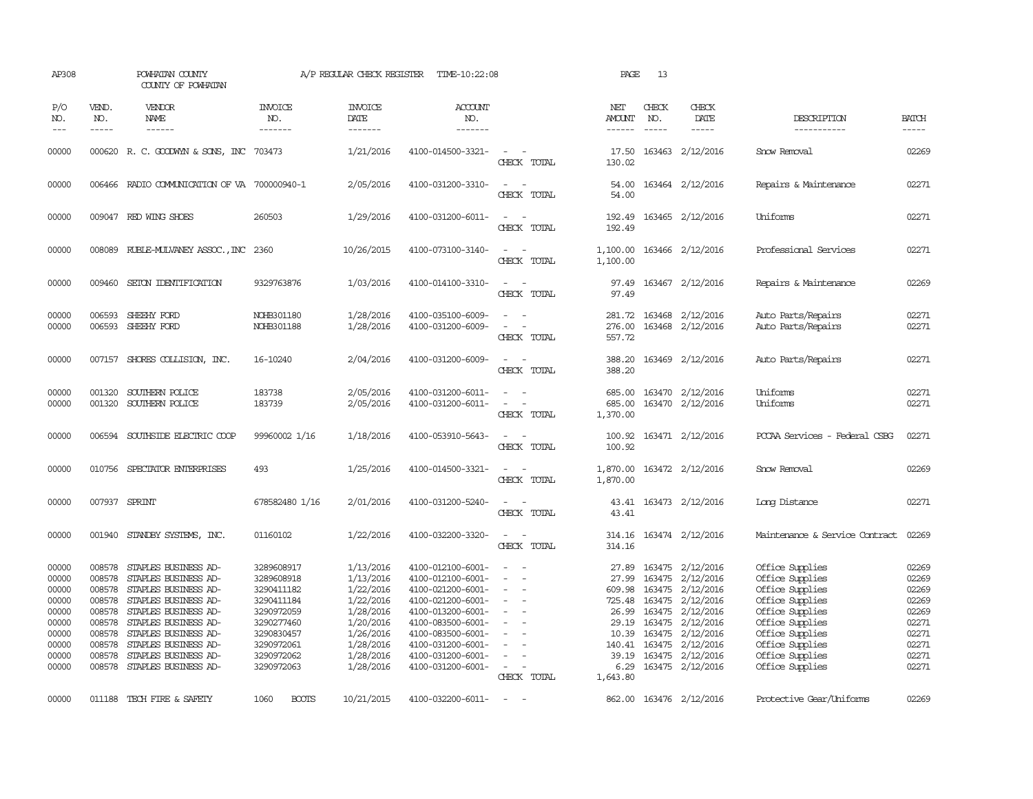| AP308                                                                                  |                                                                                                                                                                                                                                                                                                                                                                                                                                                                         | POWHATAN COUNTY<br>COUNTY OF POWHATAN                                                                                                                                                                                                               |                                                                                                                                          | A/P REGULAR CHECK REGISTER                                                                                                     | TIME-10:22:08                                                                                                                                                                                                  |                                                                                                                             | PAGE                                                                                        | 13           |                                                                                                                                                                                                     |                                                                                                                                                                                            |                                                                                        |
|----------------------------------------------------------------------------------------|-------------------------------------------------------------------------------------------------------------------------------------------------------------------------------------------------------------------------------------------------------------------------------------------------------------------------------------------------------------------------------------------------------------------------------------------------------------------------|-----------------------------------------------------------------------------------------------------------------------------------------------------------------------------------------------------------------------------------------------------|------------------------------------------------------------------------------------------------------------------------------------------|--------------------------------------------------------------------------------------------------------------------------------|----------------------------------------------------------------------------------------------------------------------------------------------------------------------------------------------------------------|-----------------------------------------------------------------------------------------------------------------------------|---------------------------------------------------------------------------------------------|--------------|-----------------------------------------------------------------------------------------------------------------------------------------------------------------------------------------------------|--------------------------------------------------------------------------------------------------------------------------------------------------------------------------------------------|----------------------------------------------------------------------------------------|
| P/O<br>NO.<br>$---$                                                                    | VEND.<br>NO.<br>$\begin{tabular}{ccccc} \multicolumn{2}{c }{\multicolumn{2}{c }{\multicolumn{2}{c }{\multicolumn{2}{c}}{\hspace{-2.2cm}}}} \multicolumn{2}{c }{\multicolumn{2}{c }{\hspace{-2.2cm}}\hline} \multicolumn{2}{c }{\hspace{-2.2cm}}\hline \multicolumn{2}{c }{\hspace{-2.2cm}}\hline \multicolumn{2}{c }{\hspace{-2.2cm}}\hline \multicolumn{2}{c }{\hspace{-2.2cm}}\hline \multicolumn{2}{c }{\hspace{-2.2cm}}\hline \multicolumn{2}{c }{\hspace{-2.2cm}}$ | VENDOR<br>NAME<br>------                                                                                                                                                                                                                            | <b>INVOICE</b><br>NO.<br>-------                                                                                                         | <b>INVOICE</b><br>DATE<br>-------                                                                                              | <b>ACCOUNT</b><br>NO.<br>-------                                                                                                                                                                               |                                                                                                                             | NET<br>AMOUNT<br>------                                                                     | CHECK<br>NO. | CHECK<br>DATE<br>$\cdots \cdots \cdots$                                                                                                                                                             | DESCRIPTION<br>-----------                                                                                                                                                                 | <b>BATCH</b><br>$- - - - -$                                                            |
| 00000                                                                                  |                                                                                                                                                                                                                                                                                                                                                                                                                                                                         | 000620 R. C. GOODWYN & SONS, INC 703473                                                                                                                                                                                                             |                                                                                                                                          | 1/21/2016                                                                                                                      | 4100-014500-3321-                                                                                                                                                                                              | $\sim$<br>CHECK TOTAL                                                                                                       | 17.50<br>130.02                                                                             |              | 163463 2/12/2016                                                                                                                                                                                    | Snow Removal                                                                                                                                                                               | 02269                                                                                  |
| 00000                                                                                  |                                                                                                                                                                                                                                                                                                                                                                                                                                                                         | 006466 RADIO COMMUNICATION OF VA 700000940-1                                                                                                                                                                                                        |                                                                                                                                          | 2/05/2016                                                                                                                      | 4100-031200-3310-                                                                                                                                                                                              | $\sim$<br>CHECK TOTAL                                                                                                       | 54.00<br>54.00                                                                              |              | 163464 2/12/2016                                                                                                                                                                                    | Repairs & Maintenance                                                                                                                                                                      | 02271                                                                                  |
| 00000                                                                                  |                                                                                                                                                                                                                                                                                                                                                                                                                                                                         | 009047 RED WING SHOES                                                                                                                                                                                                                               | 260503                                                                                                                                   | 1/29/2016                                                                                                                      | 4100-031200-6011-                                                                                                                                                                                              | $\sim$<br>CHECK TOTAL                                                                                                       | 192.49<br>192.49                                                                            |              | 163465 2/12/2016                                                                                                                                                                                    | Uniforms                                                                                                                                                                                   | 02271                                                                                  |
| 00000                                                                                  |                                                                                                                                                                                                                                                                                                                                                                                                                                                                         | 008089 RUBLE-MULVANEY ASSOC., INC 2360                                                                                                                                                                                                              |                                                                                                                                          | 10/26/2015                                                                                                                     | 4100-073100-3140-                                                                                                                                                                                              | $\sim$ $\sim$<br>CHECK TOTAL                                                                                                | 1,100.00<br>1,100.00                                                                        |              | 163466 2/12/2016                                                                                                                                                                                    | Professional Services                                                                                                                                                                      | 02271                                                                                  |
| 00000                                                                                  |                                                                                                                                                                                                                                                                                                                                                                                                                                                                         | 009460 SETON IDENTIFICATION                                                                                                                                                                                                                         | 9329763876                                                                                                                               | 1/03/2016                                                                                                                      | 4100-014100-3310-                                                                                                                                                                                              | $\sim$ $\sim$<br>CHECK TOTAL                                                                                                | 97.49<br>97.49                                                                              |              | 163467 2/12/2016                                                                                                                                                                                    | Repairs & Maintenance                                                                                                                                                                      | 02269                                                                                  |
| 00000<br>00000                                                                         | 006593<br>006593                                                                                                                                                                                                                                                                                                                                                                                                                                                        | SHEEHY FORD<br>SHEEHY FORD                                                                                                                                                                                                                          | NOHB301180<br>NOHB301188                                                                                                                 | 1/28/2016<br>1/28/2016                                                                                                         | 4100-035100-6009-<br>4100-031200-6009-                                                                                                                                                                         | $\sim$<br>$\equiv$<br>CHECK TOTAL                                                                                           | 281.72<br>276.00<br>557.72                                                                  |              | 163468 2/12/2016<br>163468 2/12/2016                                                                                                                                                                | Auto Parts/Repairs<br>Auto Parts/Repairs                                                                                                                                                   | 02271<br>02271                                                                         |
| 00000                                                                                  |                                                                                                                                                                                                                                                                                                                                                                                                                                                                         | 007157 SHORES COLLISION, INC.                                                                                                                                                                                                                       | 16-10240                                                                                                                                 | 2/04/2016                                                                                                                      | 4100-031200-6009-                                                                                                                                                                                              | $\sim$ $\sim$<br>CHECK TOTAL                                                                                                | 388.20<br>388.20                                                                            |              | 163469 2/12/2016                                                                                                                                                                                    | Auto Parts/Repairs                                                                                                                                                                         | 02271                                                                                  |
| 00000<br>00000                                                                         | 001320                                                                                                                                                                                                                                                                                                                                                                                                                                                                  | SOUTHERN POLICE<br>001320 SOUTHERN POLICE                                                                                                                                                                                                           | 183738<br>183739                                                                                                                         | 2/05/2016<br>2/05/2016                                                                                                         | 4100-031200-6011-<br>4100-031200-6011-                                                                                                                                                                         | $\equiv$<br>CHECK TOTAL                                                                                                     | 685.00<br>685.00<br>1,370.00                                                                |              | 163470 2/12/2016<br>163470 2/12/2016                                                                                                                                                                | Uniforms<br>Uniforms                                                                                                                                                                       | 02271<br>02271                                                                         |
| 00000                                                                                  |                                                                                                                                                                                                                                                                                                                                                                                                                                                                         | 006594 SOUTHSIDE ELECTRIC COOP                                                                                                                                                                                                                      | 99960002 1/16                                                                                                                            | 1/18/2016                                                                                                                      | 4100-053910-5643-                                                                                                                                                                                              | $\frac{1}{2} \left( \frac{1}{2} \right) \left( \frac{1}{2} \right) = \frac{1}{2} \left( \frac{1}{2} \right)$<br>CHECK TOTAL | 100.92<br>100.92                                                                            |              | 163471 2/12/2016                                                                                                                                                                                    | PCCAA Services - Federal CSBG                                                                                                                                                              | 02271                                                                                  |
| 00000                                                                                  |                                                                                                                                                                                                                                                                                                                                                                                                                                                                         | 010756 SPECIATOR ENTERPRISES                                                                                                                                                                                                                        | 493                                                                                                                                      | 1/25/2016                                                                                                                      | 4100-014500-3321-                                                                                                                                                                                              | $\frac{1}{2} \left( \frac{1}{2} \right) \left( \frac{1}{2} \right) = \frac{1}{2} \left( \frac{1}{2} \right)$<br>CHECK TOTAL | 1,870.00<br>1,870.00                                                                        |              | 163472 2/12/2016                                                                                                                                                                                    | Snow Removal                                                                                                                                                                               | 02269                                                                                  |
| 00000                                                                                  |                                                                                                                                                                                                                                                                                                                                                                                                                                                                         | 007937 SPRINT                                                                                                                                                                                                                                       | 678582480 1/16                                                                                                                           | 2/01/2016                                                                                                                      | 4100-031200-5240-                                                                                                                                                                                              | $ -$<br>CHECK TOTAL                                                                                                         | 43.41                                                                                       |              | 43.41 163473 2/12/2016                                                                                                                                                                              | Long Distance                                                                                                                                                                              | 02271                                                                                  |
| 00000                                                                                  |                                                                                                                                                                                                                                                                                                                                                                                                                                                                         | 001940 STANDBY SYSTEMS, INC.                                                                                                                                                                                                                        | 01160102                                                                                                                                 | 1/22/2016                                                                                                                      | 4100-032200-3320-                                                                                                                                                                                              | $\equiv$<br>CHECK TOTAL                                                                                                     | 314.16<br>314.16                                                                            |              | 163474 2/12/2016                                                                                                                                                                                    | Maintenance & Service Contract                                                                                                                                                             | 02269                                                                                  |
| 00000<br>00000<br>00000<br>00000<br>00000<br>00000<br>00000<br>00000<br>00000<br>00000 | 008578<br>008578<br>008578<br>008578<br>008578<br>008578<br>008578<br>008578<br>008578                                                                                                                                                                                                                                                                                                                                                                                  | STAPLES BUSINESS AD-<br>STAPLES BUSINESS AD-<br>STAPLES BUSINESS AD-<br>STAPLES BUSINESS AD-<br>STAPLES BUSINESS AD-<br>STAPLES BUSINESS AD-<br>STAPLES BUSINESS AD-<br>STAPLES BUSINESS AD-<br>STAPLES BUSINESS AD-<br>008578 STAPLES BUSINESS AD- | 3289608917<br>3289608918<br>3290411182<br>3290411184<br>3290972059<br>3290277460<br>3290830457<br>3290972061<br>3290972062<br>3290972063 | 1/13/2016<br>1/13/2016<br>1/22/2016<br>1/22/2016<br>1/28/2016<br>1/20/2016<br>1/26/2016<br>1/28/2016<br>1/28/2016<br>1/28/2016 | 4100-012100-6001-<br>4100-012100-6001-<br>4100-021200-6001-<br>4100-021200-6001-<br>4100-013200-6001-<br>4100-083500-6001-<br>4100-083500-6001-<br>4100-031200-6001-<br>4100-031200-6001-<br>4100-031200-6001- | $\sim$<br>$\overline{\phantom{a}}$<br>$\overline{\phantom{a}}$<br>$\equiv$<br>$\sim$<br>$\sim$<br>CHECK TOTAL               | 27.89<br>609.98<br>725.48<br>26.99<br>29.19<br>10.39<br>140.41<br>39.19<br>6.29<br>1,643.80 | 163475       | 163475 2/12/2016<br>27.99 163475 2/12/2016<br>163475 2/12/2016<br>163475 2/12/2016<br>163475 2/12/2016<br>163475 2/12/2016<br>163475 2/12/2016<br>2/12/2016<br>163475 2/12/2016<br>163475 2/12/2016 | Office Supplies<br>Office Supplies<br>Office Supplies<br>Office Supplies<br>Office Supplies<br>Office Supplies<br>Office Supplies<br>Office Supplies<br>Office Supplies<br>Office Supplies | 02269<br>02269<br>02269<br>02269<br>02269<br>02271<br>02271<br>02271<br>02271<br>02271 |
| 00000                                                                                  |                                                                                                                                                                                                                                                                                                                                                                                                                                                                         | 011188 TECH FIRE & SAFETY                                                                                                                                                                                                                           | 1060<br><b>BOOTS</b>                                                                                                                     | 10/21/2015                                                                                                                     | 4100-032200-6011-                                                                                                                                                                                              | $\sim$ $-$                                                                                                                  |                                                                                             |              | 862.00 163476 2/12/2016                                                                                                                                                                             | Protective Gear/Uniforms                                                                                                                                                                   | 02269                                                                                  |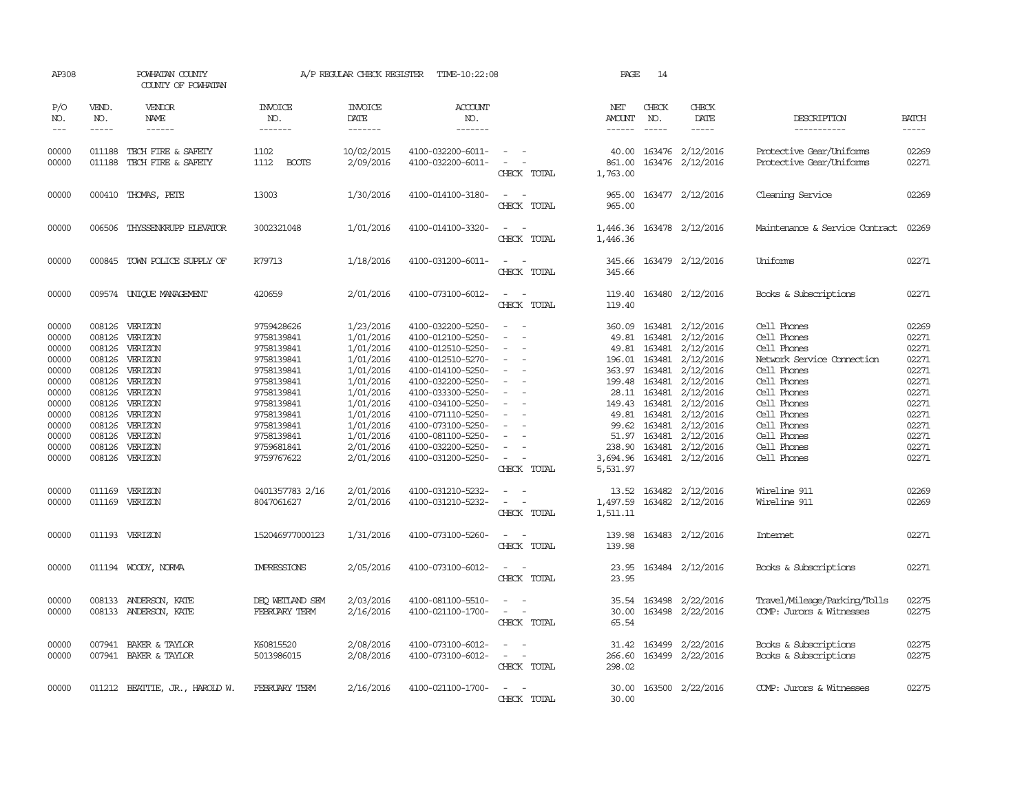| AP308                                                                                                                               |                                                                                                                                                                                                                                                                                                                                                                                                                                                                                                     | POWHATAN COUNTY<br>COUNTY OF POWHATAN                                                                                                                                                                                                                               |                                                                                                                                                                                                                     | A/P REGULAR CHECK REGISTER                                                                                                                                                                      | TIME-10:22:08                                                                                                                                                                                                                                                                                                           |                                                                                                                                                                                                  | PAGE                    | 14                            |                                                                                                                                                                                                                                                                                                                                                                                     |                                                                                                                                                                                                                                                |                                                                                                                                     |
|-------------------------------------------------------------------------------------------------------------------------------------|-----------------------------------------------------------------------------------------------------------------------------------------------------------------------------------------------------------------------------------------------------------------------------------------------------------------------------------------------------------------------------------------------------------------------------------------------------------------------------------------------------|---------------------------------------------------------------------------------------------------------------------------------------------------------------------------------------------------------------------------------------------------------------------|---------------------------------------------------------------------------------------------------------------------------------------------------------------------------------------------------------------------|-------------------------------------------------------------------------------------------------------------------------------------------------------------------------------------------------|-------------------------------------------------------------------------------------------------------------------------------------------------------------------------------------------------------------------------------------------------------------------------------------------------------------------------|--------------------------------------------------------------------------------------------------------------------------------------------------------------------------------------------------|-------------------------|-------------------------------|-------------------------------------------------------------------------------------------------------------------------------------------------------------------------------------------------------------------------------------------------------------------------------------------------------------------------------------------------------------------------------------|------------------------------------------------------------------------------------------------------------------------------------------------------------------------------------------------------------------------------------------------|-------------------------------------------------------------------------------------------------------------------------------------|
| P/O<br>NO.<br>$---$                                                                                                                 | VEND.<br>NO.<br>$\begin{tabular}{ccccc} \multicolumn{2}{c}{} & \multicolumn{2}{c}{} & \multicolumn{2}{c}{} & \multicolumn{2}{c}{} & \multicolumn{2}{c}{} & \multicolumn{2}{c}{} & \multicolumn{2}{c}{} & \multicolumn{2}{c}{} & \multicolumn{2}{c}{} & \multicolumn{2}{c}{} & \multicolumn{2}{c}{} & \multicolumn{2}{c}{} & \multicolumn{2}{c}{} & \multicolumn{2}{c}{} & \multicolumn{2}{c}{} & \multicolumn{2}{c}{} & \multicolumn{2}{c}{} & \multicolumn{2}{c}{} & \multicolumn{2}{c}{} & \mult$ | VENDOR<br>NAME                                                                                                                                                                                                                                                      | <b>INVOICE</b><br>NO.<br>-------                                                                                                                                                                                    | <b>INVOICE</b><br>DATE<br>-------                                                                                                                                                               | <b>ACCOUNT</b><br>NO.<br>-------                                                                                                                                                                                                                                                                                        |                                                                                                                                                                                                  | NET<br>AMOUNT<br>------ | CHECK<br>NO.<br>$\frac{1}{2}$ | CHECK<br>DATE<br>$- - - - -$                                                                                                                                                                                                                                                                                                                                                        | DESCRIPTION<br>-----------                                                                                                                                                                                                                     | <b>BATCH</b><br>-----                                                                                                               |
| 00000<br>00000                                                                                                                      |                                                                                                                                                                                                                                                                                                                                                                                                                                                                                                     | 011188 TECH FIRE & SAFETY<br>011188 TECH FIRE & SAFETY                                                                                                                                                                                                              | 1102<br>1112<br><b>BOOTS</b>                                                                                                                                                                                        | 10/02/2015<br>2/09/2016                                                                                                                                                                         | 4100-032200-6011-<br>4100-032200-6011-                                                                                                                                                                                                                                                                                  | $\sim$ $\sim$<br>$\omega_{\rm{max}}$ and $\omega_{\rm{max}}$<br>CHECK TOTAL                                                                                                                      | 1,763.00                |                               | 40.00 163476 2/12/2016<br>861.00 163476 2/12/2016                                                                                                                                                                                                                                                                                                                                   | Protective Gear/Uniforms<br>Protective Gear/Uniforms                                                                                                                                                                                           | 02269<br>02271                                                                                                                      |
| 00000                                                                                                                               |                                                                                                                                                                                                                                                                                                                                                                                                                                                                                                     | 000410 THOMAS, PETE                                                                                                                                                                                                                                                 | 13003                                                                                                                                                                                                               | 1/30/2016                                                                                                                                                                                       | 4100-014100-3180-                                                                                                                                                                                                                                                                                                       | $\sim$<br>$\sim$<br>CHECK TOTAL                                                                                                                                                                  | 965.00<br>965.00        |                               | 163477 2/12/2016                                                                                                                                                                                                                                                                                                                                                                    | Cleaning Service                                                                                                                                                                                                                               | 02269                                                                                                                               |
| 00000                                                                                                                               | 006506                                                                                                                                                                                                                                                                                                                                                                                                                                                                                              | THYSSENKRUPP ELEVATOR                                                                                                                                                                                                                                               | 3002321048                                                                                                                                                                                                          | 1/01/2016                                                                                                                                                                                       | 4100-014100-3320-                                                                                                                                                                                                                                                                                                       | $\overline{\phantom{a}}$<br>$\sim$<br>CHECK TOTAL                                                                                                                                                | 1,446.36<br>1,446.36    |                               | 163478 2/12/2016                                                                                                                                                                                                                                                                                                                                                                    | Maintenance & Service Contract                                                                                                                                                                                                                 | 02269                                                                                                                               |
| 00000                                                                                                                               |                                                                                                                                                                                                                                                                                                                                                                                                                                                                                                     | 000845 TOWN POLICE SUPPLY OF                                                                                                                                                                                                                                        | R79713                                                                                                                                                                                                              | 1/18/2016                                                                                                                                                                                       | 4100-031200-6011-                                                                                                                                                                                                                                                                                                       | $\overline{\phantom{a}}$<br>CHECK TOTAL                                                                                                                                                          | 345.66<br>345.66        |                               | 163479 2/12/2016                                                                                                                                                                                                                                                                                                                                                                    | Uniforms                                                                                                                                                                                                                                       | 02271                                                                                                                               |
| 00000                                                                                                                               |                                                                                                                                                                                                                                                                                                                                                                                                                                                                                                     | 009574 UNIQUE MANAGEMENT                                                                                                                                                                                                                                            | 420659                                                                                                                                                                                                              | 2/01/2016                                                                                                                                                                                       | 4100-073100-6012-                                                                                                                                                                                                                                                                                                       | $ -$<br>CHECK TOTAL                                                                                                                                                                              | 119.40<br>119.40        |                               | 163480 2/12/2016                                                                                                                                                                                                                                                                                                                                                                    | Books & Subscriptions                                                                                                                                                                                                                          | 02271                                                                                                                               |
| 00000<br>00000<br>00000<br>00000<br>00000<br>00000<br>00000<br>00000<br>00000<br>00000<br>00000<br>00000<br>00000<br>00000<br>00000 | 011169                                                                                                                                                                                                                                                                                                                                                                                                                                                                                              | 008126 VERIZON<br>008126 VERIZON<br>008126 VERIZON<br>008126 VERIZON<br>008126 VERIZON<br>008126 VERIZON<br>008126 VERIZON<br>008126 VERIZON<br>008126 VERIZON<br>008126 VERIZON<br>008126 VERIZON<br>008126 VERIZON<br>008126 VERIZON<br>VERIZON<br>011169 VERIZON | 9759428626<br>9758139841<br>9758139841<br>9758139841<br>9758139841<br>9758139841<br>9758139841<br>9758139841<br>9758139841<br>9758139841<br>9758139841<br>9759681841<br>9759767622<br>0401357783 2/16<br>8047061627 | 1/23/2016<br>1/01/2016<br>1/01/2016<br>1/01/2016<br>1/01/2016<br>1/01/2016<br>1/01/2016<br>1/01/2016<br>1/01/2016<br>1/01/2016<br>1/01/2016<br>2/01/2016<br>2/01/2016<br>2/01/2016<br>2/01/2016 | 4100-032200-5250-<br>4100-012100-5250-<br>4100-012510-5250-<br>4100-012510-5270-<br>4100-014100-5250-<br>4100-032200-5250-<br>4100-033300-5250-<br>4100-034100-5250-<br>4100-071110-5250-<br>4100-073100-5250-<br>4100-081100-5250-<br>4100-032200-5250-<br>4100-031200-5250-<br>4100-031210-5232-<br>4100-031210-5232- | $\equiv$<br>$\sim$<br>$\overline{\phantom{a}}$<br>$\overline{\phantom{a}}$<br>$\sim$<br>$\sim$<br>$\overline{\phantom{a}}$<br>$\sim$<br>CHECK TOTAL<br>$\overline{\phantom{a}}$<br>$\sim$ $\sim$ | 49.81<br>5,531.97       | 163481<br>363.97 163481       | 360.09 163481 2/12/2016<br>2/12/2016<br>49.81 163481 2/12/2016<br>196.01 163481 2/12/2016<br>2/12/2016<br>199.48 163481 2/12/2016<br>28.11 163481 2/12/2016<br>149.43 163481 2/12/2016<br>49.81 163481 2/12/2016<br>99.62 163481 2/12/2016<br>51.97 163481 2/12/2016<br>238.90 163481 2/12/2016<br>3,694.96 163481 2/12/2016<br>13.52 163482 2/12/2016<br>1,497.59 163482 2/12/2016 | Cell Phones<br>Cell Phones<br>Cell Phones<br>Network Service Connection<br>Cell Phones<br>Cell Phones<br>Cell Phones<br>Cell Phones<br>Cell Phones<br>Cell Phones<br>Cell Phones<br>Cell Phones<br>Cell Phones<br>Wireline 911<br>Wireline 911 | 02269<br>02271<br>02271<br>02271<br>02271<br>02271<br>02271<br>02271<br>02271<br>02271<br>02271<br>02271<br>02271<br>02269<br>02269 |
| 00000                                                                                                                               |                                                                                                                                                                                                                                                                                                                                                                                                                                                                                                     | 011193 VERIZON                                                                                                                                                                                                                                                      | 152046977000123                                                                                                                                                                                                     | 1/31/2016                                                                                                                                                                                       | 4100-073100-5260-                                                                                                                                                                                                                                                                                                       | CHECK TOTAL<br>$\frac{1}{2} \left( \frac{1}{2} \right) \left( \frac{1}{2} \right) = \frac{1}{2} \left( \frac{1}{2} \right)$<br>CHECK TOTAL                                                       | 1,511.11<br>139.98      |                               | 139.98 163483 2/12/2016                                                                                                                                                                                                                                                                                                                                                             | <b>Internet</b>                                                                                                                                                                                                                                | 02271                                                                                                                               |
| 00000                                                                                                                               |                                                                                                                                                                                                                                                                                                                                                                                                                                                                                                     | 011194 WOODY, NORMA                                                                                                                                                                                                                                                 | <b>IMPRESSIONS</b>                                                                                                                                                                                                  | 2/05/2016                                                                                                                                                                                       | 4100-073100-6012-                                                                                                                                                                                                                                                                                                       | $\sim$<br>CHECK TOTAL                                                                                                                                                                            | 23.95                   |                               | 23.95 163484 2/12/2016                                                                                                                                                                                                                                                                                                                                                              | Books & Subscriptions                                                                                                                                                                                                                          | 02271                                                                                                                               |
| 00000<br>00000                                                                                                                      | 008133                                                                                                                                                                                                                                                                                                                                                                                                                                                                                              | ANDERSON, KATE<br>008133 ANDERSON, KATE                                                                                                                                                                                                                             | DEO WETLAND SEM<br>FEBRUARY TERM                                                                                                                                                                                    | 2/03/2016<br>2/16/2016                                                                                                                                                                          | 4100-081100-5510-<br>4100-021100-1700-                                                                                                                                                                                                                                                                                  | CHECK TOTAL                                                                                                                                                                                      | 35.54<br>65.54          |                               | 163498 2/22/2016<br>30.00 163498 2/22/2016                                                                                                                                                                                                                                                                                                                                          | Travel/Mileage/Parking/Tolls<br>COMP: Jurors & Witnesses                                                                                                                                                                                       | 02275<br>02275                                                                                                                      |
| 00000<br>00000                                                                                                                      |                                                                                                                                                                                                                                                                                                                                                                                                                                                                                                     | 007941 BAKER & TAYLOR<br>007941 BAKER & TAYLOR                                                                                                                                                                                                                      | K60815520<br>5013986015                                                                                                                                                                                             | 2/08/2016<br>2/08/2016                                                                                                                                                                          | 4100-073100-6012-<br>4100-073100-6012-                                                                                                                                                                                                                                                                                  | $\sim$ $-$<br>$\overline{\phantom{a}}$<br>CHECK TOTAL                                                                                                                                            | 266.60<br>298.02        |                               | 31.42 163499 2/22/2016<br>163499 2/22/2016                                                                                                                                                                                                                                                                                                                                          | Books & Subscriptions<br>Books & Subscriptions                                                                                                                                                                                                 | 02275<br>02275                                                                                                                      |
| 00000                                                                                                                               |                                                                                                                                                                                                                                                                                                                                                                                                                                                                                                     | 011212 BEATTIE, JR., HAROLD W.                                                                                                                                                                                                                                      | FEBRUARY TERM                                                                                                                                                                                                       | 2/16/2016                                                                                                                                                                                       | 4100-021100-1700-                                                                                                                                                                                                                                                                                                       | $\overline{\phantom{a}}$<br>CHECK TOTAL                                                                                                                                                          | 30.00                   |                               | 30.00 163500 2/22/2016                                                                                                                                                                                                                                                                                                                                                              | COMP: Jurors & Witnesses                                                                                                                                                                                                                       | 02275                                                                                                                               |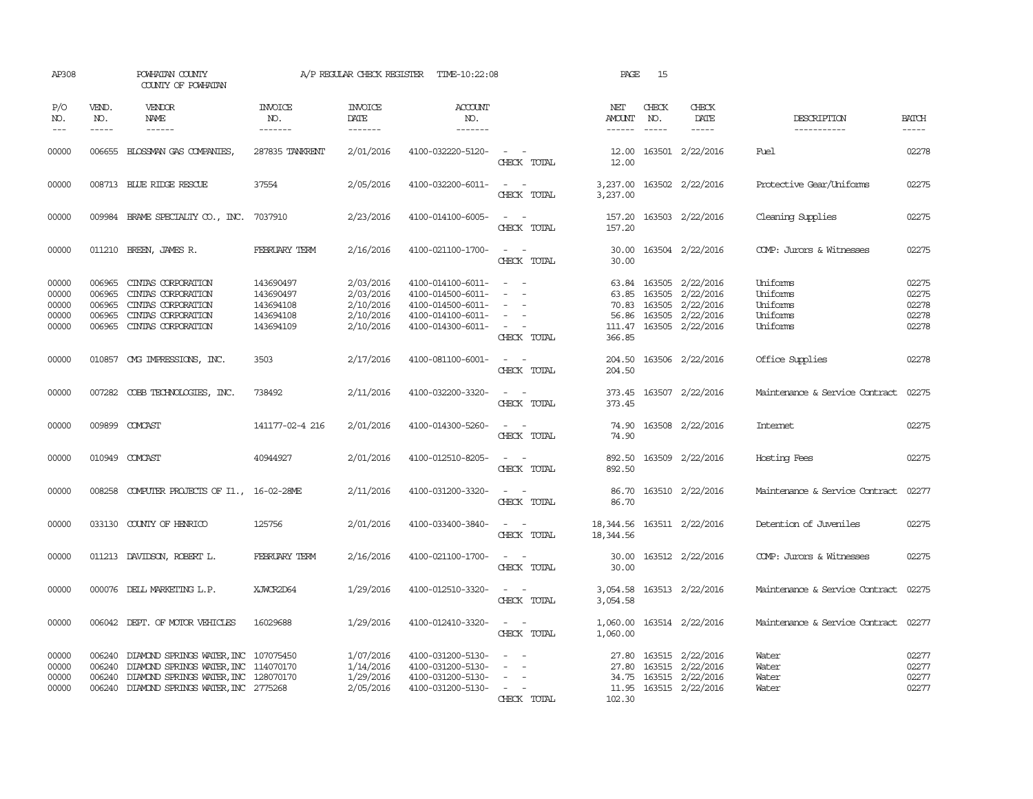| AP308                                                                                                                                                                                                                                                                                                                                                                                                      |                                                | POWHATAN COUNTY<br>COUNTY OF POWHATAN                                                                                                                             |                                                               | A/P REGULAR CHECK REGISTER                                    | TIME-10:22:08                                                                                         |                                                                         | PAGE                              | 15                            |                                                                                                                     |                                                          |                                           |
|------------------------------------------------------------------------------------------------------------------------------------------------------------------------------------------------------------------------------------------------------------------------------------------------------------------------------------------------------------------------------------------------------------|------------------------------------------------|-------------------------------------------------------------------------------------------------------------------------------------------------------------------|---------------------------------------------------------------|---------------------------------------------------------------|-------------------------------------------------------------------------------------------------------|-------------------------------------------------------------------------|-----------------------------------|-------------------------------|---------------------------------------------------------------------------------------------------------------------|----------------------------------------------------------|-------------------------------------------|
| P/O<br>NO.<br>$\frac{1}{2} \frac{1}{2} \frac{1}{2} \frac{1}{2} \frac{1}{2} \frac{1}{2} \frac{1}{2} \frac{1}{2} \frac{1}{2} \frac{1}{2} \frac{1}{2} \frac{1}{2} \frac{1}{2} \frac{1}{2} \frac{1}{2} \frac{1}{2} \frac{1}{2} \frac{1}{2} \frac{1}{2} \frac{1}{2} \frac{1}{2} \frac{1}{2} \frac{1}{2} \frac{1}{2} \frac{1}{2} \frac{1}{2} \frac{1}{2} \frac{1}{2} \frac{1}{2} \frac{1}{2} \frac{1}{2} \frac{$ | VEND.<br>NO.<br>$- - - - -$                    | <b>VENDOR</b><br>NAME<br>$- - - - - -$                                                                                                                            | INVOICE<br>NO.<br>-------                                     | <b>INVOICE</b><br>DATE<br>-------                             | ACCOUNT<br>NO.<br>-------                                                                             |                                                                         | NET<br>AMOUNT<br>$- - - - - -$    | CHECK<br>NO.<br>$\frac{1}{2}$ | CHECK<br>DATE                                                                                                       | DESCRIPTION<br>-----------                               | <b>BATCH</b><br>$- - - - -$               |
| 00000                                                                                                                                                                                                                                                                                                                                                                                                      |                                                | 006655 BLOSSMAN GAS COMPANIES,                                                                                                                                    | 287835 TANKRENT                                               | 2/01/2016                                                     | 4100-032220-5120-                                                                                     | $\sim$ $ \sim$<br>CHECK TOTAL                                           | 12.00<br>12.00                    |                               | 163501 2/22/2016                                                                                                    | Fuel                                                     | 02278                                     |
| 00000                                                                                                                                                                                                                                                                                                                                                                                                      |                                                | 008713 BLUE RIDGE RESCUE                                                                                                                                          | 37554                                                         | 2/05/2016                                                     | 4100-032200-6011-                                                                                     | $\omega_{\rm{max}}$ and $\omega_{\rm{max}}$<br>CHECK TOTAL              | 3,237.00                          |                               | 3,237.00 163502 2/22/2016                                                                                           | Protective Gear/Uniforms                                 | 02275                                     |
| 00000                                                                                                                                                                                                                                                                                                                                                                                                      |                                                | 009984 BRAME SPECIALITY CO., INC.                                                                                                                                 | 7037910                                                       | 2/23/2016                                                     | 4100-014100-6005-                                                                                     | $\sim$ $\sim$<br>CHECK TOTAL                                            | 157.20<br>157.20                  |                               | 163503 2/22/2016                                                                                                    | Cleaning Supplies                                        | 02275                                     |
| 00000                                                                                                                                                                                                                                                                                                                                                                                                      |                                                | 011210 BREEN, JAMES R.                                                                                                                                            | FEBRUARY TERM                                                 | 2/16/2016                                                     | 4100-021100-1700-                                                                                     | $\sim$ $ \sim$<br>CHECK TOTAL                                           | 30.00                             |                               | 30.00 163504 2/22/2016                                                                                              | COMP: Jurors & Witnesses                                 | 02275                                     |
| 00000<br>00000<br>00000<br>00000<br>00000                                                                                                                                                                                                                                                                                                                                                                  | 006965<br>006965<br>006965<br>006965<br>006965 | CINIAS CORPORATION<br>CINIAS CORPORATION<br>CINIAS CORPORATION<br>CINIAS CORPORATION<br>CINIAS CORPORATION                                                        | 143690497<br>143690497<br>143694108<br>143694108<br>143694109 | 2/03/2016<br>2/03/2016<br>2/10/2016<br>2/10/2016<br>2/10/2016 | 4100-014100-6011-<br>4100-014500-6011-<br>4100-014500-6011-<br>4100-014100-6011-<br>4100-014300-6011- | $\sim$<br>$\equiv$<br>$\sim$<br>$\overline{\phantom{a}}$<br>CHECK TOTAL | 63.85<br>70.83<br>366.85          |                               | 63.84 163505 2/22/2016<br>163505 2/22/2016<br>163505 2/22/2016<br>56.86 163505 2/22/2016<br>111.47 163505 2/22/2016 | Uniforms<br>Uniforms<br>Uniforms<br>Uniforms<br>Uniforms | 02275<br>02275<br>02278<br>02278<br>02278 |
| 00000                                                                                                                                                                                                                                                                                                                                                                                                      |                                                | 010857 CMG IMPRESSIONS, INC.                                                                                                                                      | 3503                                                          | 2/17/2016                                                     | 4100-081100-6001-                                                                                     | $\sim$ 10 $\,$<br>CHECK TOTAL                                           | 204.50                            |                               | 204.50 163506 2/22/2016                                                                                             | Office Supplies                                          | 02278                                     |
| 00000                                                                                                                                                                                                                                                                                                                                                                                                      |                                                | 007282 COBB TECHNOLOGIES, INC.                                                                                                                                    | 738492                                                        | 2/11/2016                                                     | 4100-032200-3320-                                                                                     | $\sim$<br>CHECK TOTAL                                                   | 373.45<br>373.45                  |                               | 163507 2/22/2016                                                                                                    | Maintenance & Service Contract                           | 02275                                     |
| 00000                                                                                                                                                                                                                                                                                                                                                                                                      |                                                | 009899 COMCAST                                                                                                                                                    | 141177-02-4 216                                               | 2/01/2016                                                     | 4100-014300-5260-                                                                                     | $\sim$<br>$\sim$<br>CHECK TOTAL                                         | 74.90<br>74.90                    |                               | 163508 2/22/2016                                                                                                    | <b>Internet</b>                                          | 02275                                     |
| 00000                                                                                                                                                                                                                                                                                                                                                                                                      |                                                | 010949 COMCAST                                                                                                                                                    | 40944927                                                      | 2/01/2016                                                     | 4100-012510-8205-                                                                                     | $\omega_{\rm{max}}$ and $\omega_{\rm{max}}$<br>CHECK TOTAL              | 892.50<br>892.50                  |                               | 163509 2/22/2016                                                                                                    | Hosting Fees                                             | 02275                                     |
| 00000                                                                                                                                                                                                                                                                                                                                                                                                      |                                                | 008258 COMPUTER PROJECTS OF I1., 16-02-28ME                                                                                                                       |                                                               | 2/11/2016                                                     | 4100-031200-3320-                                                                                     | $\sim$ $\sim$<br>CHECK TOTAL                                            | 86.70<br>86.70                    |                               | 163510 2/22/2016                                                                                                    | Maintenance & Service Contract                           | 02277                                     |
| 00000                                                                                                                                                                                                                                                                                                                                                                                                      |                                                | 033130 COUNTY OF HENRICO                                                                                                                                          | 125756                                                        | 2/01/2016                                                     | 4100-033400-3840-                                                                                     | $\omega_{\rm{max}}$ and $\omega_{\rm{max}}$<br>CHECK TOTAL              | 18, 344.56                        |                               | 18, 344.56 163511 2/22/2016                                                                                         | Detention of Juveniles                                   | 02275                                     |
| 00000                                                                                                                                                                                                                                                                                                                                                                                                      |                                                | 011213 DAVIDSON, ROBERT L.                                                                                                                                        | FEBRUARY TERM                                                 | 2/16/2016                                                     | 4100-021100-1700-                                                                                     | $\sim$ $ \sim$<br>CHECK TOTAL                                           | 30.00                             |                               | 30.00 163512 2/22/2016                                                                                              | COMP: Jurors & Witnesses                                 | 02275                                     |
| 00000                                                                                                                                                                                                                                                                                                                                                                                                      |                                                | 000076 DELL MARKETING L.P.                                                                                                                                        | XJWCR2D64                                                     | 1/29/2016                                                     | 4100-012510-3320-                                                                                     | $\sim$<br>$\sim$<br>CHECK TOTAL                                         | 3,054.58<br>3,054.58              |                               | 163513 2/22/2016                                                                                                    | Maintenance & Service Contract                           | 02275                                     |
| 00000                                                                                                                                                                                                                                                                                                                                                                                                      |                                                | 006042 DEPT. OF MOTOR VEHICLES                                                                                                                                    | 16029688                                                      | 1/29/2016                                                     | 4100-012410-3320-                                                                                     | $\sim$ $\sim$<br>CHECK TOTAL                                            | 1,060.00<br>1,060.00              |                               | 163514 2/22/2016                                                                                                    | Maintenance & Service Contract 02277                     |                                           |
| 00000<br>00000<br>00000<br>00000                                                                                                                                                                                                                                                                                                                                                                           | 006240<br>006240<br>006240                     | DIAMOND SPRINGS WATER, INC 107075450<br>DIAMOND SPRINGS WATER, INC 114070170<br>DIAMOND SPRINGS WATER, INC 128070170<br>006240 DIAMOND SPRINGS WATER, INC 2775268 |                                                               | 1/07/2016<br>1/14/2016<br>1/29/2016<br>2/05/2016              | 4100-031200-5130-<br>4100-031200-5130-<br>4100-031200-5130-<br>4100-031200-5130-                      | $\sim$ $\sim$<br>$\sim$<br>$\sim$<br>$\sim$ 100 $\mu$<br>CHECK TOTAL    | 27.80<br>34.75<br>11.95<br>102.30 |                               | 27.80 163515 2/22/2016<br>163515 2/22/2016<br>163515 2/22/2016<br>163515 2/22/2016                                  | Water<br>Water<br>Water<br>Water                         | 02277<br>02277<br>02277<br>02277          |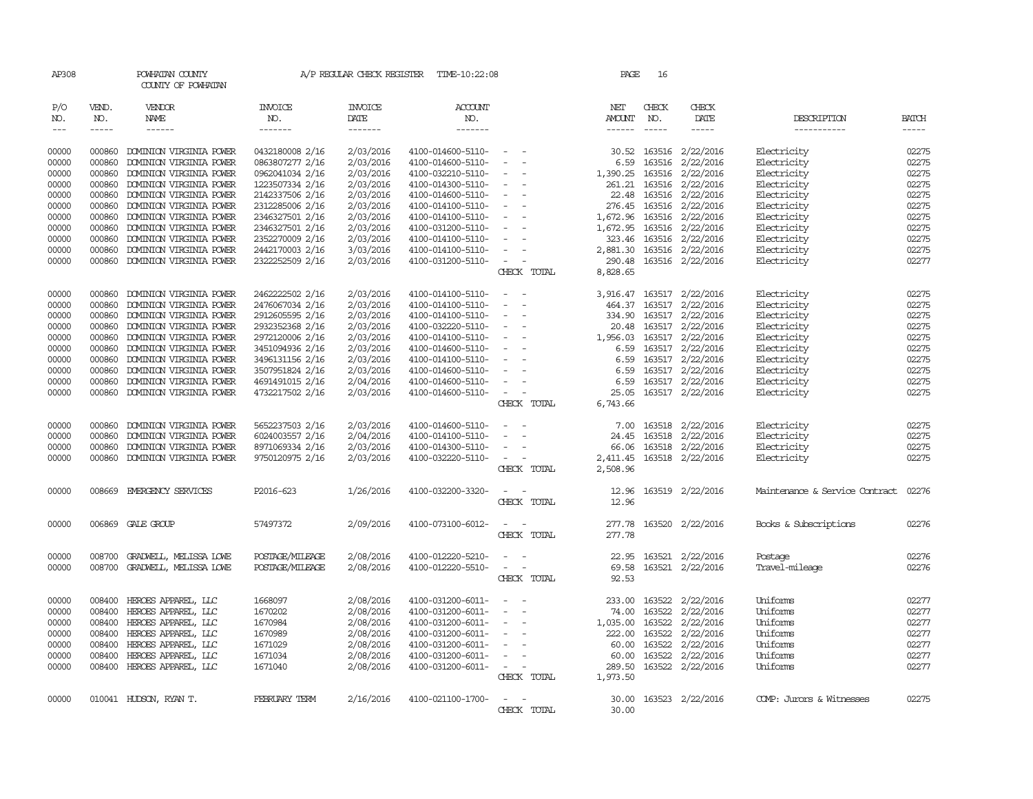| AP308                                               |                             | POWHATAN COUNTY<br>COUNTY OF POWHATAN             |                           | A/P REGULAR CHECK REGISTER                | TIME-10:22:08                            |                                                                                                              | PAGE            | 16           |                               |                                |                             |
|-----------------------------------------------------|-----------------------------|---------------------------------------------------|---------------------------|-------------------------------------------|------------------------------------------|--------------------------------------------------------------------------------------------------------------|-----------------|--------------|-------------------------------|--------------------------------|-----------------------------|
| P/O<br>NO.<br>$\!\!\!\!\!- \!\!\!\!-\!\!\!-\!\!\!-$ | VEND.<br>NO.<br>$- - - - -$ | <b>VENDOR</b><br>NAME<br>------                   | INVOICE<br>NO.<br>------- | <b>INVOICE</b><br>DATE<br>$- - - - - - -$ | <b>ACCOUNT</b><br>NO.<br>$- - - - - - -$ |                                                                                                              | NET<br>AMOUNT   | CHECK<br>NO. | CHECK<br>DATE<br>-----        | DESCRIPTION<br>-----------     | <b>BATCH</b><br>$- - - - -$ |
| 00000                                               | 000860                      | DOMINION VIRGINIA POWER                           | 0432180008 2/16           | 2/03/2016                                 | 4100-014600-5110-                        | $\sim$                                                                                                       | 30.52           | 163516       | 2/22/2016                     | Electricity                    | 02275                       |
| 00000                                               | 000860                      | DOMINION VIRGINIA POWER                           | 0863807277 2/16           | 2/03/2016                                 | 4100-014600-5110-                        | $\sim$<br>$\sim$                                                                                             | 6.59            | 163516       | 2/22/2016                     | Electricity                    | 02275                       |
| 00000                                               | 000860                      | DOMINION VIRGINIA POWER                           | 0962041034 2/16           | 2/03/2016                                 | 4100-032210-5110-                        | $\overline{\phantom{a}}$                                                                                     | 1,390.25        | 163516       | 2/22/2016                     | Electricity                    | 02275                       |
| 00000                                               | 000860                      | DOMINION VIRGINIA POWER                           | 1223507334 2/16           | 2/03/2016                                 | 4100-014300-5110-                        |                                                                                                              | 261.21          | 163516       | 2/22/2016                     | Electricity                    | 02275                       |
| 00000                                               | 000860                      | DOMINION VIRGINIA POWER                           | 2142337506 2/16           | 2/03/2016                                 | 4100-014600-5110-                        | $\sim$ $-$                                                                                                   |                 |              | 22.48 163516 2/22/2016        | Electricity                    | 02275                       |
| 00000                                               | 000860                      | DOMINION VIRGINIA POWER                           | 2312285006 2/16           | 2/03/2016                                 | 4100-014100-5110-                        | $\sim$ $-$                                                                                                   | 276.45          | 163516       | 2/22/2016                     | Electricity                    | 02275                       |
| 00000                                               | 000860                      | DOMINION VIRGINIA POWER                           | 2346327501 2/16           | 2/03/2016                                 | 4100-014100-5110-                        | $\sim$                                                                                                       | 1,672.96        | 163516       | 2/22/2016                     | Electricity                    | 02275                       |
| 00000                                               | 000860                      | DOMINION VIRGINIA POWER                           | 2346327501 2/16           | 2/03/2016                                 | 4100-031200-5110-                        | $\sim$ $\sim$                                                                                                | 1,672.95        |              | 163516 2/22/2016              | Electricity                    | 02275                       |
| 00000                                               | 000860                      | DOMINION VIRGINIA POWER                           | 2352270009 2/16           | 2/03/2016                                 | 4100-014100-5110-                        | $\sim$ $ \sim$<br>$\overline{\phantom{a}}$                                                                   |                 |              | 323.46 163516 2/22/2016       | Electricity                    | 02275                       |
| 00000                                               | 000860                      | DOMINION VIRGINIA POWER                           | 2442170003 2/16           | 3/03/2016                                 | 4100-014100-5110-                        | $\sim$                                                                                                       | 2,881.30        |              | 163516 2/22/2016              | Electricity                    | 02275                       |
| 00000                                               | 000860                      | DOMINION VIRGINIA POWER                           | 2322252509 2/16           | 2/03/2016                                 | 4100-031200-5110-                        | $\sim$ $ \sim$                                                                                               | 290.48          |              | 163516 2/22/2016              | Electricity                    | 02277                       |
|                                                     |                             |                                                   |                           |                                           |                                          | CHECK TOTAL                                                                                                  | 8,828.65        |              |                               |                                |                             |
| 00000                                               | 000860                      | DOMINION VIRGINIA POWER                           | 2462222502 2/16           | 2/03/2016                                 | 4100-014100-5110-                        | $\overline{\phantom{a}}$<br>$\overline{\phantom{a}}$                                                         | 3,916.47        |              | 163517 2/22/2016              | Electricity                    | 02275                       |
| 00000                                               | 000860                      | DOMINION VIRGINIA POWER                           | 2476067034 2/16           | 2/03/2016                                 | 4100-014100-5110-                        |                                                                                                              | 464.37          |              | 163517 2/22/2016              | Electricity                    | 02275                       |
| 00000                                               | 000860                      | DOMINION VIRGINIA POWER                           | 2912605595 2/16           | 2/03/2016                                 | 4100-014100-5110-                        | $\sim$ $-$                                                                                                   | 334.90          |              | 163517 2/22/2016              | Electricity                    | 02275                       |
| 00000                                               | 000860                      | DOMINION VIRGINIA POWER                           | 2932352368 2/16           | 2/03/2016                                 | 4100-032220-5110-                        | $\sim$ $-$                                                                                                   | 20.48           |              | 163517 2/22/2016              | Electricity                    | 02275                       |
| 00000                                               | 000860                      | DOMINION VIRGINIA POWER                           | 2972120006 2/16           | 2/03/2016                                 | 4100-014100-5110-                        | $\sim$ $-$<br>$\sim$                                                                                         | 1,956.03        |              | 163517 2/22/2016              | Electricity                    | 02275                       |
| 00000                                               | 000860                      | DOMINION VIRGINIA POWER                           | 3451094936 2/16           | 2/03/2016                                 | 4100-014600-5110-                        | $\sim$                                                                                                       | 6.59            |              | 163517 2/22/2016              | Electricity                    | 02275                       |
| 00000                                               | 000860                      | DOMINION VIRGINIA POWER                           | 3496131156 2/16           | 2/03/2016                                 | 4100-014100-5110-                        | $\sim$ $ \sim$<br>$\sim$                                                                                     | 6.59            |              | 163517 2/22/2016              | Electricity                    | 02275                       |
| 00000                                               | 000860                      | DOMINION VIRGINIA POWER                           | 3507951824 2/16           | 2/03/2016                                 | 4100-014600-5110-                        | $\sim$                                                                                                       | 6.59            |              | 163517 2/22/2016              | Electricity                    | 02275                       |
| 00000                                               | 000860                      | DOMINION VIRGINIA POWER                           | 4691491015 2/16           | 2/04/2016                                 | 4100-014600-5110-                        | $\sim$                                                                                                       |                 |              | 6.59 163517 2/22/2016         | Electricity                    | 02275                       |
| 00000                                               |                             | 000860 DOMINION VIRGINIA POWER                    | 4732217502 2/16           | 2/03/2016                                 | 4100-014600-5110-                        | $\sim$ $ \sim$                                                                                               | 25.05           |              | 163517 2/22/2016              | Electricity                    | 02275                       |
|                                                     |                             |                                                   |                           |                                           |                                          | CHECK TOTAL                                                                                                  | 6,743.66        |              |                               |                                |                             |
| 00000                                               | 000860                      | DOMINION VIRGINIA POWER                           | 5652237503 2/16           | 2/03/2016                                 | 4100-014600-5110-                        | $\overline{\phantom{a}}$                                                                                     | 7.00            |              | 163518 2/22/2016              | Electricity                    | 02275                       |
| 00000                                               | 000860                      | DOMINION VIRGINIA POWER                           | 6024003557 2/16           | 2/04/2016                                 | 4100-014100-5110-                        | $\overline{\phantom{a}}$<br>$\overline{\phantom{a}}$                                                         | 24.45           | 163518       | 2/22/2016                     | Electricity                    | 02275                       |
| 00000                                               | 000860                      | DOMINION VIRGINIA POWER                           | 8971069334 2/16           | 2/03/2016                                 | 4100-014300-5110-                        | $\overline{\phantom{a}}$                                                                                     | 66.06           |              | 163518 2/22/2016              | Electricity                    | 02275                       |
| 00000                                               | 000860                      | DOMINION VIRGINIA POWER                           | 9750120975 2/16           | 2/03/2016                                 | 4100-032220-5110-                        | $\overline{\phantom{0}}$                                                                                     | 2,411.45        |              | 163518 2/22/2016              | Electricity                    | 02275                       |
|                                                     |                             |                                                   |                           |                                           |                                          | CHECK TOTAL                                                                                                  | 2,508.96        |              |                               |                                |                             |
| 00000                                               |                             | 008669 EMERGENCY SERVICES                         | P2016-623                 | 1/26/2016                                 | 4100-032200-3320-                        |                                                                                                              | 12.96           |              | 163519 2/22/2016              | Maintenance & Service Contract | 02276                       |
|                                                     |                             |                                                   |                           |                                           |                                          | CHECK TOTAL                                                                                                  | 12.96           |              |                               |                                |                             |
| 00000                                               |                             | 006869 GALE GROUP                                 | 57497372                  | 2/09/2016                                 | 4100-073100-6012-                        | $\frac{1}{2} \left( \frac{1}{2} \right) \left( \frac{1}{2} \right) = \frac{1}{2} \left( \frac{1}{2} \right)$ |                 |              | 277.78 163520 2/22/2016       | Books & Subscriptions          | 02276                       |
|                                                     |                             |                                                   |                           |                                           |                                          | CHECK TOTAL                                                                                                  | 277.78          |              |                               |                                |                             |
|                                                     |                             |                                                   |                           |                                           |                                          |                                                                                                              |                 |              |                               |                                |                             |
| 00000                                               | 008700                      | GRADWELL, MELISSA LOWE                            | POSTAGE/MILEAGE           | 2/08/2016                                 | 4100-012220-5210-                        | $\overline{\phantom{a}}$<br>$\overline{\phantom{a}}$                                                         | 22.95           |              | 163521 2/22/2016              | Postage                        | 02276                       |
| 00000                                               |                             | 008700 GRADWELL, MELISSA LOWE                     | POSTAGE/MILEAGE           | 2/08/2016                                 | 4100-012220-5510-                        | $\overline{\phantom{a}}$<br>$\overline{\phantom{a}}$<br>CHECK TOTAL                                          | 69.58<br>92.53  |              | 163521 2/22/2016              | Travel-mileage                 | 02276                       |
|                                                     |                             |                                                   |                           |                                           |                                          |                                                                                                              |                 |              |                               |                                |                             |
| 00000                                               | 008400                      | HEROES APPAREL, LLC                               | 1668097                   | 2/08/2016                                 | 4100-031200-6011-                        | $\overline{\phantom{a}}$<br>$\overline{\phantom{a}}$                                                         | 233.00          |              | 163522 2/22/2016              | Uniforms                       | 02277                       |
| 00000                                               | 008400                      | HEROES APPAREL, LLC                               | 1670202                   | 2/08/2016                                 | 4100-031200-6011-                        | $\overline{\phantom{a}}$<br>$\overline{\phantom{a}}$                                                         | 74.00           | 163522       | 2/22/2016                     | Uniforms                       | 02277                       |
| 00000                                               | 008400                      | HEROES APPAREL, LLC                               | 1670984                   | 2/08/2016                                 | 4100-031200-6011-                        | $\sim$                                                                                                       | 1,035.00        | 163522       | 2/22/2016                     | Uniforms                       | 02277                       |
| 00000                                               | 008400                      | HEROES APPAREL, LLC                               | 1670989                   | 2/08/2016                                 | 4100-031200-6011-                        | $\overline{\phantom{a}}$                                                                                     | 222.00          | 163522       | 2/22/2016                     | Uniforms                       | 02277                       |
| 00000                                               | 008400                      | HEROES APPAREL, LLC                               | 1671029                   | 2/08/2016                                 | 4100-031200-6011-                        | $\sim$<br>$\overline{\phantom{a}}$                                                                           | 60.00           | 163522       | 2/22/2016                     | Uniforms                       | 02277                       |
| 00000<br>00000                                      | 008400                      | HEROES APPAREL, LLC<br>008400 HEROES APPAREL, LLC | 1671034<br>1671040        | 2/08/2016<br>2/08/2016                    | 4100-031200-6011-<br>4100-031200-6011-   | $\sim$<br><b><i><u>Participate</u></i></b>                                                                   | 60.00<br>289.50 | 163522       | 2/22/2016<br>163522 2/22/2016 | Uniforms<br>Uniforms           | 02277<br>02277              |
|                                                     |                             |                                                   |                           |                                           |                                          | CHECK TOTAL                                                                                                  | 1,973.50        |              |                               |                                |                             |
|                                                     |                             |                                                   |                           |                                           |                                          |                                                                                                              |                 |              |                               |                                |                             |
| 00000                                               |                             | 010041 HUDSON, RYAN T.                            | FEBRUARY TERM             | 2/16/2016                                 | 4100-021100-1700-                        |                                                                                                              | 30.00           |              | 163523 2/22/2016              | COMP: Jurors & Witnesses       | 02275                       |
|                                                     |                             |                                                   |                           |                                           |                                          | CHECK TOTAL                                                                                                  | 30.00           |              |                               |                                |                             |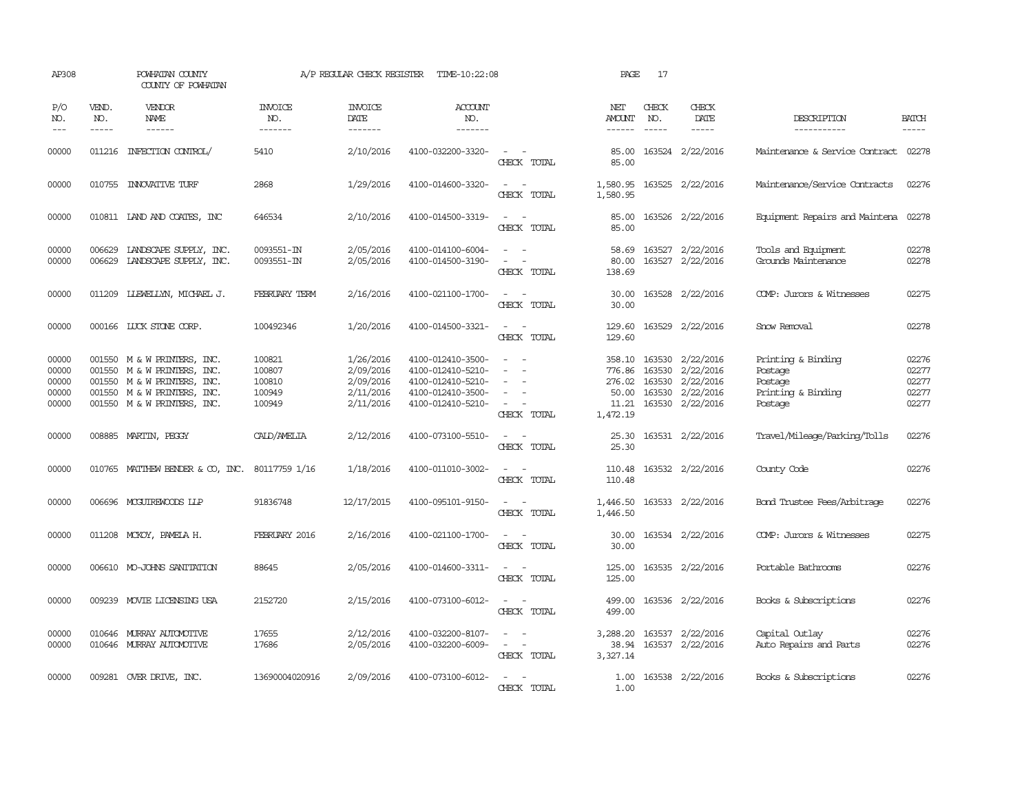| AP308                                     |                             | POWHATAN COUNTY<br>COUNTY OF POWHATAN                                                                                                                   |                                                | A/P REGULAR CHECK REGISTER                                    | TIME-10:22:08                                                                                         |                                                                                                                             | PAGE                                                     | 17                                   |                                                                      |                                                                           |                                           |
|-------------------------------------------|-----------------------------|---------------------------------------------------------------------------------------------------------------------------------------------------------|------------------------------------------------|---------------------------------------------------------------|-------------------------------------------------------------------------------------------------------|-----------------------------------------------------------------------------------------------------------------------------|----------------------------------------------------------|--------------------------------------|----------------------------------------------------------------------|---------------------------------------------------------------------------|-------------------------------------------|
| P/O<br>NO.<br>$---$                       | VEND.<br>NO.<br>$- - - - -$ | VENDOR<br><b>NAME</b><br>------                                                                                                                         | <b>INVOICE</b><br>NO.<br>-------               | <b>INVOICE</b><br>DATE<br>-------                             | <b>ACCOUNT</b><br>NO.<br>-------                                                                      |                                                                                                                             | NET<br>AMOUNT<br>$- - - - - -$                           | CHECK<br>NO.                         | CHECK<br>DATE<br>$- - - - -$                                         | DESCRIPTION<br>-----------                                                | <b>BATCH</b><br>-----                     |
| 00000                                     |                             | 011216 INFECTION CONTROL/                                                                                                                               | 5410                                           | 2/10/2016                                                     | 4100-032200-3320-                                                                                     | $\sim$<br>CHECK TOTAL                                                                                                       | 85.00<br>85.00                                           |                                      | 163524 2/22/2016                                                     | Maintenance & Service Contract 02278                                      |                                           |
| 00000                                     |                             | 010755 INNOVATIVE TURF                                                                                                                                  | 2868                                           | 1/29/2016                                                     | 4100-014600-3320-                                                                                     | $\sim$<br>CHECK TOTAL                                                                                                       | 1,580.95<br>1,580.95                                     |                                      | 163525 2/22/2016                                                     | Maintenance/Service Contracts                                             | 02276                                     |
| 00000                                     |                             | 010811 IAND AND COATES, INC                                                                                                                             | 646534                                         | 2/10/2016                                                     | 4100-014500-3319-                                                                                     | $\overline{\phantom{a}}$<br>CHECK TOTAL                                                                                     | 85.00<br>85.00                                           |                                      | 163526 2/22/2016                                                     | Equipment Repairs and Maintena 02278                                      |                                           |
| 00000<br>00000                            | 006629<br>006629            | LANDSCAPE SUPPLY, INC.<br>LANDSCAPE SUPPLY, INC.                                                                                                        | 0093551-IN<br>0093551-IN                       | 2/05/2016<br>2/05/2016                                        | 4100-014100-6004-<br>4100-014500-3190-                                                                | $\omega_{\rm{max}}$<br>$\overline{\phantom{a}}$<br>CHECK TOTAL                                                              | 58.69<br>80.00<br>138.69                                 |                                      | 163527 2/22/2016<br>163527 2/22/2016                                 | Tools and Equipment<br>Grounds Maintenance                                | 02278<br>02278                            |
| 00000                                     | 011209                      | LLEWELLYN, MICHAEL J.                                                                                                                                   | <b>FEBRUARY TERM</b>                           | 2/16/2016                                                     | 4100-021100-1700-                                                                                     | $\sim$<br>CHECK TOTAL                                                                                                       | 30.00<br>30.00                                           |                                      | 163528 2/22/2016                                                     | COMP: Jurors & Witnesses                                                  | 02275                                     |
| 00000                                     |                             | 000166 LUCK STONE CORP.                                                                                                                                 | 100492346                                      | 1/20/2016                                                     | 4100-014500-3321-                                                                                     | $\overline{\phantom{a}}$<br>- -<br>CHECK TOTAL                                                                              | 129.60<br>129.60                                         |                                      | 163529 2/22/2016                                                     | Snow Removal                                                              | 02278                                     |
| 00000<br>00000<br>00000<br>00000<br>00000 |                             | 001550 M & W PRINTERS, INC.<br>001550 M & W PRINTERS, INC.<br>001550 M & W PRINTERS, INC.<br>001550 M & W PRINTERS, INC.<br>001550 M & W PRINTERS, INC. | 100821<br>100807<br>100810<br>100949<br>100949 | 1/26/2016<br>2/09/2016<br>2/09/2016<br>2/11/2016<br>2/11/2016 | 4100-012410-3500-<br>4100-012410-5210-<br>4100-012410-5210-<br>4100-012410-3500-<br>4100-012410-5210- | $\sim$<br>$\overline{\phantom{a}}$<br>CHECK TOTAL                                                                           | 358.10<br>776.86<br>276.02<br>50.00<br>11.21<br>1,472.19 | 163530<br>163530<br>163530<br>163530 | 2/22/2016<br>2/22/2016<br>2/22/2016<br>163530 2/22/2016<br>2/22/2016 | Printing & Binding<br>Postage<br>Postage<br>Printing & Binding<br>Postage | 02276<br>02277<br>02277<br>02277<br>02277 |
| 00000                                     |                             | 008885 MARTIN, PEGGY                                                                                                                                    | CALD/AMELIA                                    | 2/12/2016                                                     | 4100-073100-5510-                                                                                     | $\sim$<br>CHECK TOTAL                                                                                                       | 25.30<br>25.30                                           |                                      | 163531 2/22/2016                                                     | Travel/Mileage/Parking/Tolls                                              | 02276                                     |
| 00000                                     |                             | 010765 MATTHEW BENDER & CO, INC.                                                                                                                        | 80117759 1/16                                  | 1/18/2016                                                     | 4100-011010-3002-                                                                                     | CHECK TOTAL                                                                                                                 | 110.48<br>110.48                                         |                                      | 163532 2/22/2016                                                     | County Code                                                               | 02276                                     |
| 00000                                     |                             | 006696 MCGUIREWOODS LLP                                                                                                                                 | 91836748                                       | 12/17/2015                                                    | 4100-095101-9150-                                                                                     | $\sim$<br>CHECK TOTAL                                                                                                       | 1,446.50<br>1,446.50                                     |                                      | 163533 2/22/2016                                                     | Bond Trustee Fees/Arbitrage                                               | 02276                                     |
| 00000                                     |                             | 011208 MCKOY, PAMELA H.                                                                                                                                 | FEBRUARY 2016                                  | 2/16/2016                                                     | 4100-021100-1700-                                                                                     | $\sim$ $\sim$<br>CHECK TOTAL                                                                                                | 30.00<br>30.00                                           |                                      | 163534 2/22/2016                                                     | COMP: Jurors & Witnesses                                                  | 02275                                     |
| 00000                                     |                             | 006610 MO-JOHNS SANITATION                                                                                                                              | 88645                                          | 2/05/2016                                                     | 4100-014600-3311-                                                                                     | $\frac{1}{2} \left( \frac{1}{2} \right) \left( \frac{1}{2} \right) = \frac{1}{2} \left( \frac{1}{2} \right)$<br>CHECK TOTAL | 125.00<br>125.00                                         |                                      | 163535 2/22/2016                                                     | Portable Bathrooms                                                        | 02276                                     |
| 00000                                     |                             | 009239 MOVIE LICENSING USA                                                                                                                              | 2152720                                        | 2/15/2016                                                     | 4100-073100-6012-                                                                                     | $\sim$ $\sim$<br>CHECK TOTAL                                                                                                | 499.00<br>499.00                                         |                                      | 163536 2/22/2016                                                     | Books & Subscriptions                                                     | 02276                                     |
| 00000<br>00000                            |                             | 010646 MURRAY AUTOMOTTVE<br>010646 MURRAY AUTOMOTTVE                                                                                                    | 17655<br>17686                                 | 2/12/2016<br>2/05/2016                                        | 4100-032200-8107-<br>4100-032200-6009-                                                                | CHECK TOTAL                                                                                                                 | 3,288.20<br>38.94<br>3,327.14                            |                                      | 163537 2/22/2016<br>163537 2/22/2016                                 | Capital Outlay<br>Auto Repairs and Parts                                  | 02276<br>02276                            |
| 00000                                     |                             | 009281 OVER DRIVE, INC.                                                                                                                                 | 13690004020916                                 | 2/09/2016                                                     | 4100-073100-6012-                                                                                     | CHECK TOTAL                                                                                                                 | 1.00<br>1.00                                             |                                      | 163538 2/22/2016                                                     | Books & Subscriptions                                                     | 02276                                     |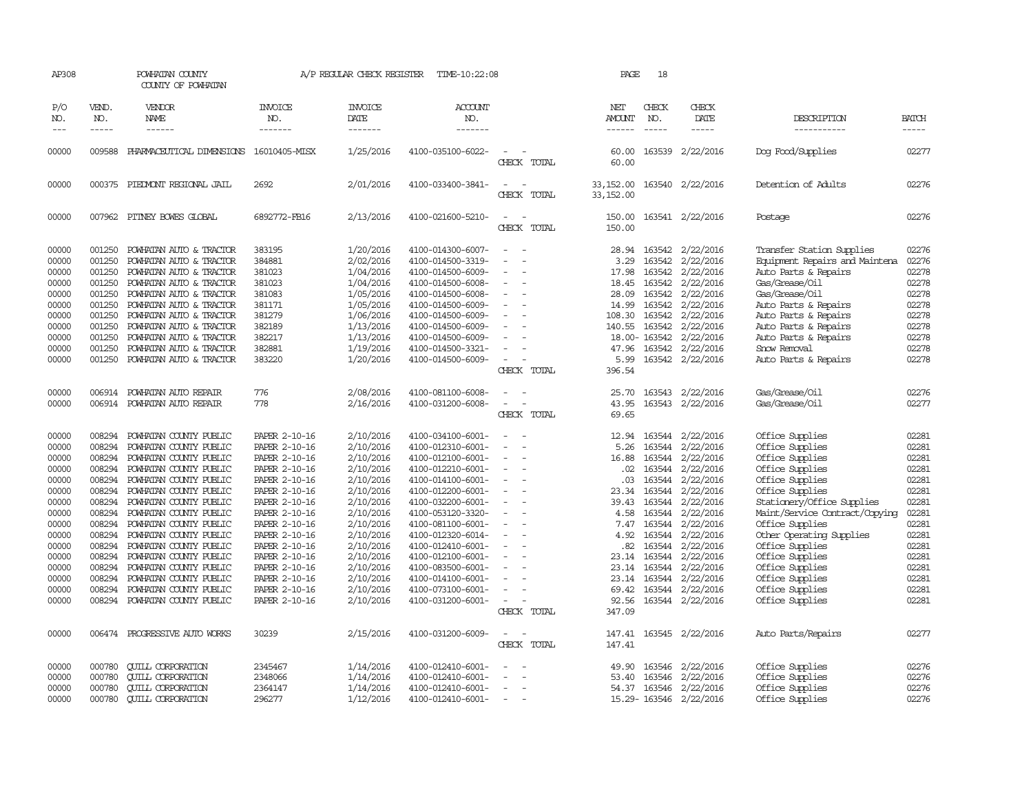| AP308                   |                             | POWHATAN COUNTY<br>COUNTY OF POWHATAN                                         |                                  | A/P REGULAR CHECK REGISTER          | TIME-10:22:08                                               |                                         | PAGE                                  | 18                               |                                                   |                                                              |                         |
|-------------------------|-----------------------------|-------------------------------------------------------------------------------|----------------------------------|-------------------------------------|-------------------------------------------------------------|-----------------------------------------|---------------------------------------|----------------------------------|---------------------------------------------------|--------------------------------------------------------------|-------------------------|
| P/O<br>NO.<br>$---$     | VEND.<br>NO.<br>$- - - - -$ | VENDOR<br><b>NAME</b><br>$- - - - - -$                                        | <b>INVOICE</b><br>NO.<br>------- | <b>INVOICE</b><br>DATE<br>-------   | <b>ACCOUNT</b><br>NO.<br>-------                            |                                         | NET<br><b>AMOUNT</b><br>$- - - - - -$ | CHECK<br>NO.<br>$- - - - -$      | CHECK<br>DATE<br>-----                            | DESCRIPTION<br>-----------                                   | <b>BATCH</b><br>-----   |
| 00000                   | 009588                      | PHARMACEUTICAL DIMENSIONS                                                     | 16010405-MISX                    | 1/25/2016                           | 4100-035100-6022-                                           | CHECK TOTAL                             | 60.00<br>60.00                        |                                  | 163539 2/22/2016                                  | Dog Food/Supplies                                            | 02277                   |
| 00000                   |                             | 000375 PIEDMONT REGIONAL JAIL                                                 | 2692                             | 2/01/2016                           | 4100-033400-3841-                                           | $\equiv$<br>CHECK TOTAL                 | 33, 152.00<br>33, 152.00              |                                  | 163540 2/22/2016                                  | Detention of Adults                                          | 02276                   |
| 00000                   |                             | 007962 PITNEY BOWES GLOBAL                                                    | 6892772-FB16                     | 2/13/2016                           | 4100-021600-5210-                                           | $\equiv$<br>CHECK TOTAL                 | 150.00<br>150.00                      |                                  | 163541 2/22/2016                                  | Postage                                                      | 02276                   |
| 00000<br>00000          | 001250<br>001250            | POWHATAN AUTO & TRACTOR<br>POWHATAN AUTO & TRACTOR                            | 383195<br>384881                 | 1/20/2016<br>2/02/2016              | 4100-014300-6007-<br>4100-014500-3319-                      | $\sim$<br>$\sim$                        | 28.94<br>3.29                         |                                  | 163542 2/22/2016<br>163542 2/22/2016              | Transfer Station Supplies<br>Equipment Repairs and Maintena  | 02276<br>02276          |
| 00000<br>00000<br>00000 | 001250<br>001250<br>001250  | POWHATAN AUTO & TRACTOR<br>POWHATAN AUTO & TRACTOR<br>POWHATAN AUTO & TRACTOR | 381023<br>381023<br>381083       | 1/04/2016<br>1/04/2016<br>1/05/2016 | 4100-014500-6009-<br>4100-014500-6008-<br>4100-014500-6008- | $\equiv$                                | 17.98<br>18.45<br>28.09               | 163542                           | 2/22/2016<br>163542 2/22/2016<br>163542 2/22/2016 | Auto Parts & Repairs<br>Gas/Grease/Oil<br>Gas/Grease/Oil     | 02278<br>02278<br>02278 |
| 00000<br>00000          | 001250<br>001250            | POWHATAN AUTO & TRACTOR<br>POWHATAN AUTO & TRACTOR                            | 381171<br>381279                 | 1/05/2016<br>1/06/2016              | 4100-014500-6009-<br>4100-014500-6009-                      |                                         | 14.99<br>108.30                       | 163542                           | 163542 2/22/2016<br>2/22/2016                     | Auto Parts & Repairs<br>Auto Parts & Repairs                 | 02278<br>02278          |
| 00000<br>00000<br>00000 | 001250<br>001250<br>001250  | POWHATAN AUTO & TRACTOR<br>POWHATAN AUTO & TRACTOR<br>POWHATAN AUTO & TRACTOR | 382189<br>382217<br>382881       | 1/13/2016<br>1/13/2016<br>1/19/2016 | 4100-014500-6009-<br>4100-014500-6009-<br>4100-014500-3321- | $\equiv$                                | 140.55<br>47.96                       | 163542<br>18.00-163542<br>163542 | 2/22/2016<br>2/22/2016<br>2/22/2016               | Auto Parts & Repairs<br>Auto Parts & Repairs<br>Snow Removal | 02278<br>02278<br>02278 |
| 00000                   | 001250                      | POWHATAN AUTO & TRACTOR                                                       | 383220                           | 1/20/2016                           | 4100-014500-6009-                                           | CHECK TOTAL                             | 5.99<br>396.54                        |                                  | 163542 2/22/2016                                  | Auto Parts & Repairs                                         | 02278                   |
| 00000<br>00000          | 006914                      | POWHATAN AUTO REPAIR<br>006914 POWHATAN AUTO REPAIR                           | 776<br>778                       | 2/08/2016<br>2/16/2016              | 4100-081100-6008-<br>4100-031200-6008-                      | $\overline{\phantom{a}}$                | 25.70<br>43.95                        |                                  | 163543 2/22/2016<br>163543 2/22/2016              | Gas/Grease/Oil<br>Gas/Grease/0il                             | 02276<br>02277          |
|                         |                             |                                                                               |                                  |                                     |                                                             | CHECK TOTAL                             | 69.65                                 |                                  |                                                   |                                                              |                         |
| 00000                   | 008294                      | POWHATAN COUNTY PUBLIC                                                        | PAPER 2-10-16                    | 2/10/2016                           | 4100-034100-6001-                                           |                                         | 12.94                                 | 163544                           | 2/22/2016                                         | Office Supplies                                              | 02281                   |
| 00000                   | 008294                      | POWHATAN COUNTY PUBLIC                                                        | PAPER 2-10-16                    | 2/10/2016                           | 4100-012310-6001-                                           | $\equiv$<br>$\sim$                      | 5.26                                  | 163544                           | 2/22/2016                                         | Office Supplies                                              | 02281                   |
| 00000                   | 008294                      | POWHATAN COUNTY PUBLIC                                                        | PAPER 2-10-16                    | 2/10/2016                           | 4100-012100-6001-                                           |                                         | 16.88                                 | 163544                           | 2/22/2016                                         | Office Supplies                                              | 02281<br>02281          |
| 00000<br>00000          | 008294<br>008294            | POWHATAN COUNTY PUBLIC<br>POWHATAN COUNTY PUBLIC                              | PAPER 2-10-16<br>PAPER 2-10-16   | 2/10/2016                           | 4100-012210-6001-<br>4100-014100-6001-                      | $\sim$                                  | .02<br>.03                            | 163544<br>163544                 | 2/22/2016                                         | Office Supplies                                              | 02281                   |
| 00000                   |                             | 008294 POWHATAN COUNTY PUBLIC                                                 | PAPER 2-10-16                    | 2/10/2016<br>2/10/2016              | 4100-012200-6001-                                           | $\overline{\phantom{a}}$                | 23.34                                 | 163544                           | 2/22/2016<br>2/22/2016                            | Office Supplies<br>Office Supplies                           | 02281                   |
| 00000                   | 008294                      | POWHATAN COUNTY PUBLIC                                                        | PAPER 2-10-16                    | 2/10/2016                           | 4100-032200-6001-                                           |                                         | 39.43                                 | 163544                           | 2/22/2016                                         | Stationery/Office Supplies                                   | 02281                   |
| 00000                   | 008294                      | POWHATAN COUNTY PUBLIC                                                        | PAPER 2-10-16                    | 2/10/2016                           | 4100-053120-3320-                                           |                                         | 4.58                                  | 163544                           | 2/22/2016                                         | Maint/Service Contract/Copying                               | 02281                   |
| 00000                   | 008294                      | POWHATAN COUNTY PUBLIC                                                        | PAPER 2-10-16                    | 2/10/2016                           | 4100-081100-6001-                                           | $\overline{\phantom{a}}$                | 7.47                                  | 163544                           | 2/22/2016                                         | Office Supplies                                              | 02281                   |
| 00000                   | 008294                      | POWHATAN COUNTY PUBLIC                                                        | PAPER 2-10-16                    | 2/10/2016                           | 4100-012320-6014-                                           |                                         | 4.92                                  | 163544                           | 2/22/2016                                         | Other Operating Supplies                                     | 02281                   |
| 00000                   | 008294                      | POWHATAN COUNTY PUBLIC                                                        | PAPER 2-10-16                    | 2/10/2016                           | 4100-012410-6001-                                           |                                         | .82                                   |                                  | 163544 2/22/2016                                  | Office Supplies                                              | 02281                   |
| 00000                   |                             | 008294 POWHATAN COUNTY PUBLIC                                                 | PAPER 2-10-16                    | 2/10/2016                           | 4100-012100-6001-                                           | $\sim$<br>$\sim$                        | 23.14                                 | 163544                           | 2/22/2016                                         | Office Supplies                                              | 02281                   |
| 00000                   | 008294                      | POWHATAN COUNTY PUBLIC                                                        | PAPER 2-10-16                    | 2/10/2016                           | 4100-083500-6001-                                           |                                         | 23.14                                 | 163544                           | 2/22/2016                                         | Office Supplies                                              | 02281                   |
| 00000                   | 008294                      | POWHATAN COUNTY PUBLIC                                                        | PAPER 2-10-16                    | 2/10/2016                           | 4100-014100-6001-                                           |                                         |                                       | 23.14 163544                     | 2/22/2016                                         | Office Supplies                                              | 02281                   |
| 00000                   | 008294                      | POWHATAN COUNTY PUBLIC                                                        | PAPER 2-10-16                    | 2/10/2016                           | 4100-073100-6001-                                           | $\equiv$                                | 69.42                                 | 163544                           | 2/22/2016                                         | Office Supplies                                              | 02281                   |
| 00000                   |                             | 008294 POWHATAN COUNTY PUBLIC                                                 | PAPER 2-10-16                    | 2/10/2016                           | 4100-031200-6001-                                           | $\overline{\phantom{a}}$<br>CHECK TOTAL | 92.56<br>347.09                       | 163544                           | 2/22/2016                                         | Office Supplies                                              | 02281                   |
| 00000                   |                             | 006474 PROGRESSIVE AUTO WORKS                                                 | 30239                            | 2/15/2016                           | 4100-031200-6009-                                           |                                         |                                       |                                  | 147.41 163545 2/22/2016                           | Auto Parts/Repairs                                           | 02277                   |
|                         |                             |                                                                               |                                  |                                     |                                                             | CHECK TOTAL                             | 147.41                                |                                  |                                                   |                                                              |                         |
| 00000                   | 000780                      | <b>QUILL CORPORATION</b>                                                      | 2345467                          | 1/14/2016                           | 4100-012410-6001-                                           |                                         | 49.90                                 | 163546                           | 2/22/2016                                         | Office Supplies                                              | 02276                   |
| 00000                   | 000780                      | <b>QUILL CORPORATION</b>                                                      | 2348066                          | 1/14/2016                           | 4100-012410-6001-                                           | $\overline{\phantom{a}}$                | 53.40                                 | 163546                           | 2/22/2016                                         | Office Supplies                                              | 02276                   |
| 00000                   | 000780                      | <b>CUILL CORPORATION</b>                                                      | 2364147                          | 1/14/2016                           | 4100-012410-6001-                                           | $\overline{\phantom{a}}$                | 54.37                                 |                                  | 163546 2/22/2016                                  | Office Supplies                                              | 02276                   |
| 00000                   | 000780                      | <b>CUILL CORPORATION</b>                                                      | 296277                           | 1/12/2016                           | 4100-012410-6001-                                           | $\sim$                                  |                                       |                                  | 15.29-163546 2/22/2016                            | Office Supplies                                              | 02276                   |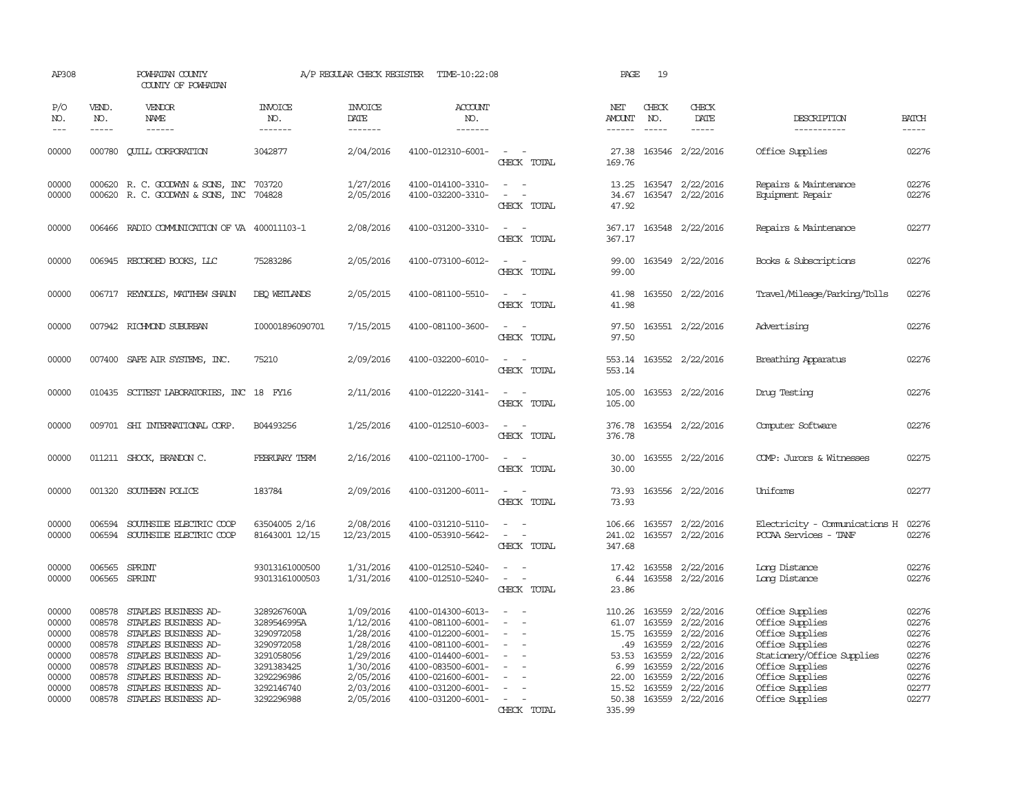| AP308                                                                |                                                          | POWHATAN COUNTY<br>COUNTY OF POWHATAN                                                                                                                                                                      |                                                                                                                | A/P REGULAR CHECK REGISTER                                                                           | TIME-10:22:08                                                                                                                                                        |                                                                                                                             | PAGE                                                                             | 19                                                       |                                                                                                      |                                                                                                                                                                 |                                                                      |
|----------------------------------------------------------------------|----------------------------------------------------------|------------------------------------------------------------------------------------------------------------------------------------------------------------------------------------------------------------|----------------------------------------------------------------------------------------------------------------|------------------------------------------------------------------------------------------------------|----------------------------------------------------------------------------------------------------------------------------------------------------------------------|-----------------------------------------------------------------------------------------------------------------------------|----------------------------------------------------------------------------------|----------------------------------------------------------|------------------------------------------------------------------------------------------------------|-----------------------------------------------------------------------------------------------------------------------------------------------------------------|----------------------------------------------------------------------|
| P/O<br>NO.<br>$---$                                                  | VEND.<br>NO.<br>$- - - - -$                              | VENDOR<br><b>NAME</b><br>$- - - - - -$                                                                                                                                                                     | <b>INVOICE</b><br>NO.<br>-------                                                                               | <b>INVOICE</b><br>DATE<br>-------                                                                    | <b>ACCOUNT</b><br>NO.<br>-------                                                                                                                                     |                                                                                                                             | NET<br><b>AMOUNT</b><br>$- - - - - -$                                            | CHECK<br>NO.<br>$- - - - -$                              | CHECK<br>DATE<br>-----                                                                               | DESCRIPTION<br>-----------                                                                                                                                      | <b>BATCH</b><br>$- - - - -$                                          |
| 00000                                                                |                                                          | 000780 CUILL CORPORATION                                                                                                                                                                                   | 3042877                                                                                                        | 2/04/2016                                                                                            | 4100-012310-6001-                                                                                                                                                    | $\sim$ $\sim$<br>CHECK TOTAL                                                                                                | 27.38<br>169.76                                                                  |                                                          | 163546 2/22/2016                                                                                     | Office Supplies                                                                                                                                                 | 02276                                                                |
| 00000<br>00000                                                       |                                                          | 000620 R. C. GOODWYN & SONS, INC<br>000620 R. C. GOODWYN & SONS, INC                                                                                                                                       | 703720<br>704828                                                                                               | 1/27/2016<br>2/05/2016                                                                               | 4100-014100-3310-<br>4100-032200-3310-                                                                                                                               | $\sim$<br>$\equiv$<br>$\sim$<br>CHECK TOTAL                                                                                 | 13.25<br>34.67<br>47.92                                                          |                                                          | 163547 2/22/2016<br>163547 2/22/2016                                                                 | Repairs & Maintenance<br>Equipment Repair                                                                                                                       | 02276<br>02276                                                       |
| 00000                                                                |                                                          | 006466 RADIO COMMUNICATION OF VA 400011103-1                                                                                                                                                               |                                                                                                                | 2/08/2016                                                                                            | 4100-031200-3310-                                                                                                                                                    | CHECK TOTAL                                                                                                                 | 367.17<br>367.17                                                                 |                                                          | 163548 2/22/2016                                                                                     | Repairs & Maintenance                                                                                                                                           | 02277                                                                |
| 00000                                                                |                                                          | 006945 RECORDED BOOKS, LLC                                                                                                                                                                                 | 75283286                                                                                                       | 2/05/2016                                                                                            | 4100-073100-6012-                                                                                                                                                    | CHECK TOTAL                                                                                                                 | 99.00<br>99.00                                                                   |                                                          | 163549 2/22/2016                                                                                     | Books & Subscriptions                                                                                                                                           | 02276                                                                |
| 00000                                                                |                                                          | 006717 REYNOLDS, MATTHEW SHAUN                                                                                                                                                                             | DEQ WETLANDS                                                                                                   | 2/05/2015                                                                                            | 4100-081100-5510-                                                                                                                                                    | CHECK TOTAL                                                                                                                 | 41.98<br>41.98                                                                   |                                                          | 163550 2/22/2016                                                                                     | Travel/Mileage/Parking/Tolls                                                                                                                                    | 02276                                                                |
| 00000                                                                |                                                          | 007942 RICHMOND SUBURBAN                                                                                                                                                                                   | I00001896090701                                                                                                | 7/15/2015                                                                                            | 4100-081100-3600-                                                                                                                                                    | CHECK TOTAL                                                                                                                 | 97.50<br>97.50                                                                   |                                                          | 163551 2/22/2016                                                                                     | Advertising                                                                                                                                                     | 02276                                                                |
| 00000                                                                |                                                          | 007400 SAFE AIR SYSTEMS, INC.                                                                                                                                                                              | 75210                                                                                                          | 2/09/2016                                                                                            | 4100-032200-6010-                                                                                                                                                    | CHECK TOTAL                                                                                                                 | 553.14<br>553.14                                                                 |                                                          | 163552 2/22/2016                                                                                     | Breathing Apparatus                                                                                                                                             | 02276                                                                |
| 00000                                                                |                                                          | 010435 SCITEST LABORATORIES, INC 18 FY16                                                                                                                                                                   |                                                                                                                | 2/11/2016                                                                                            | 4100-012220-3141-                                                                                                                                                    | - 11<br>$\sim$ $\sim$<br>CHECK TOTAL                                                                                        | 105.00<br>105.00                                                                 |                                                          | 163553 2/22/2016                                                                                     | Druq Testinq                                                                                                                                                    | 02276                                                                |
| 00000                                                                |                                                          | 009701 SHI INTERNATIONAL CORP.                                                                                                                                                                             | B04493256                                                                                                      | 1/25/2016                                                                                            | 4100-012510-6003-                                                                                                                                                    | $\equiv$<br>$\sim$<br>CHECK TOTAL                                                                                           | 376.78<br>376.78                                                                 |                                                          | 163554 2/22/2016                                                                                     | Computer Software                                                                                                                                               | 02276                                                                |
| 00000                                                                |                                                          | 011211 SHOCK, BRANDON C.                                                                                                                                                                                   | FEBRUARY TERM                                                                                                  | 2/16/2016                                                                                            | 4100-021100-1700-                                                                                                                                                    | $\sim$<br>CHECK TOTAL                                                                                                       | 30.00<br>30.00                                                                   |                                                          | 163555 2/22/2016                                                                                     | COMP: Jurors & Witnesses                                                                                                                                        | 02275                                                                |
| 00000                                                                |                                                          | 001320 SOUTHERN POLICE                                                                                                                                                                                     | 183784                                                                                                         | 2/09/2016                                                                                            | 4100-031200-6011-                                                                                                                                                    | $\sim$<br>$\overline{\phantom{a}}$<br>CHECK TOTAL                                                                           | 73.93<br>73.93                                                                   |                                                          | 163556 2/22/2016                                                                                     | Uniforms                                                                                                                                                        | 02277                                                                |
| 00000<br>00000                                                       | 006594<br>006594                                         | SOUTHSIDE ELECTRIC COOP<br>SOUTHSIDE ELECTRIC COOP                                                                                                                                                         | 63504005 2/16<br>81643001 12/15                                                                                | 2/08/2016<br>12/23/2015                                                                              | 4100-031210-5110-<br>4100-053910-5642-                                                                                                                               | CHECK TOTAL                                                                                                                 | 106.66<br>241.02<br>347.68                                                       | 163557<br>163557                                         | 2/22/2016<br>2/22/2016                                                                               | Electricity - Comunications H<br>PCCAA Services - TANF                                                                                                          | 02276<br>02276                                                       |
| 00000<br>00000                                                       | 006565                                                   | SPRINT<br>006565 SPRINT                                                                                                                                                                                    | 93013161000500<br>93013161000503                                                                               | 1/31/2016<br>1/31/2016                                                                               | 4100-012510-5240-<br>4100-012510-5240-                                                                                                                               | $\frac{1}{2} \left( \frac{1}{2} \right) \left( \frac{1}{2} \right) = \frac{1}{2} \left( \frac{1}{2} \right)$<br>CHECK TOTAL | 17.42<br>6.44<br>23.86                                                           |                                                          | 163558 2/22/2016<br>163558 2/22/2016                                                                 | Long Distance<br>Long Distance                                                                                                                                  | 02276<br>02276                                                       |
| 00000<br>00000<br>00000<br>00000<br>00000<br>00000<br>00000<br>00000 | 008578<br>008578<br>008578<br>008578<br>008578<br>008578 | 008578 STAPLES BUSINESS AD-<br>STAPLES BUSINESS AD-<br>008578 STAPLES BUSINESS AD-<br>STAPLES BUSINESS AD-<br>STAPLES BUSINESS AD-<br>STAPLES BUSINESS AD-<br>STAPLES BUSINESS AD-<br>STAPLES BUSINESS AD- | 3289267600A<br>3289546995A<br>3290972058<br>3290972058<br>3291058056<br>3291383425<br>3292296986<br>3292146740 | 1/09/2016<br>1/12/2016<br>1/28/2016<br>1/28/2016<br>1/29/2016<br>1/30/2016<br>2/05/2016<br>2/03/2016 | 4100-014300-6013-<br>4100-081100-6001-<br>4100-012200-6001-<br>4100-081100-6001-<br>4100-014400-6001-<br>4100-083500-6001-<br>4100-021600-6001-<br>4100-031200-6001- | $\equiv$                                                                                                                    | 110.26 163559<br>61.07<br>15.75 163559<br>.49<br>53.53<br>6.99<br>22.00<br>15.52 | 163559<br>163559<br>163559<br>163559<br>163559<br>163559 | 2/22/2016<br>2/22/2016<br>2/22/2016<br>2/22/2016<br>2/22/2016<br>2/22/2016<br>2/22/2016<br>2/22/2016 | Office Supplies<br>Office Supplies<br>Office Supplies<br>Office Supplies<br>Stationery/Office Supplies<br>Office Supplies<br>Office Supplies<br>Office Supplies | 02276<br>02276<br>02276<br>02276<br>02276<br>02276<br>02276<br>02277 |
| 00000                                                                |                                                          | 008578 STAPLES BUSINESS AD-                                                                                                                                                                                | 3292296988                                                                                                     | 2/05/2016                                                                                            | 4100-031200-6001-                                                                                                                                                    | CHECK TOTAL                                                                                                                 | 50.38<br>335.99                                                                  |                                                          | 163559 2/22/2016                                                                                     | Office Supplies                                                                                                                                                 | 02277                                                                |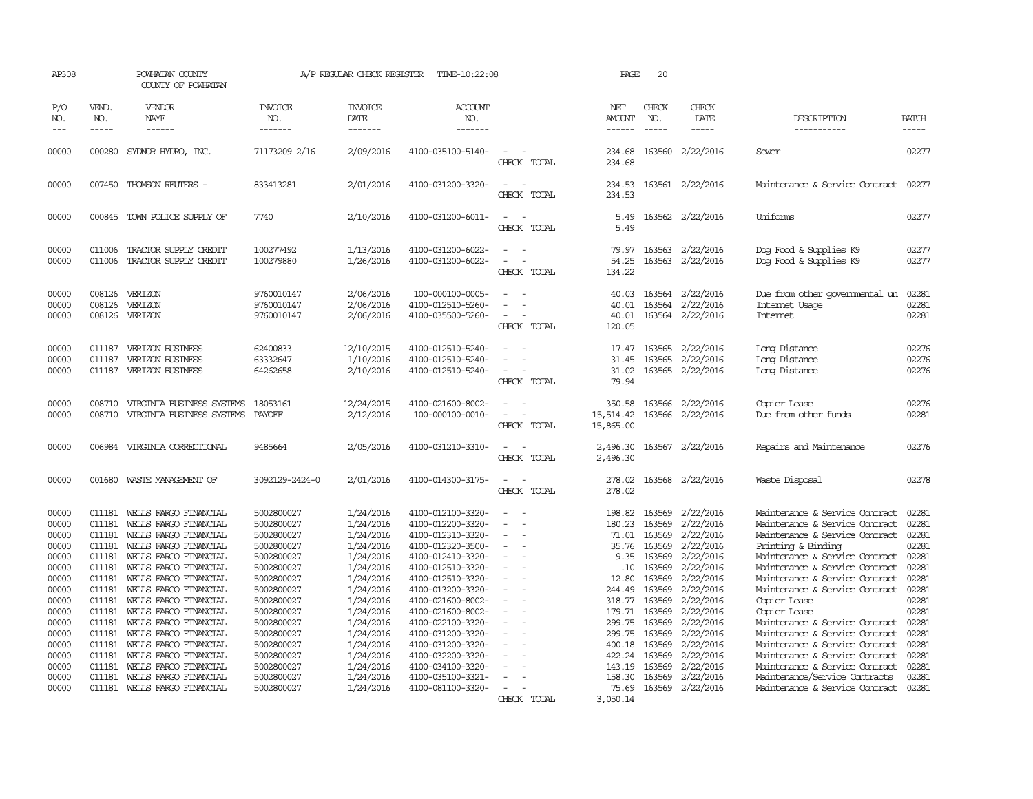| AP308               |                             | POWHATAN COUNTY<br>COUNTY OF POWHATAN          |                                  | A/P REGULAR CHECK REGISTER        | TIME-10:22:08                          |                                 | PAGE                                  | 20                            |                        |                                                                  |                             |
|---------------------|-----------------------------|------------------------------------------------|----------------------------------|-----------------------------------|----------------------------------------|---------------------------------|---------------------------------------|-------------------------------|------------------------|------------------------------------------------------------------|-----------------------------|
| P/O<br>NO.<br>$---$ | VEND.<br>NO.<br>$- - - - -$ | VENDOR<br>NAME<br>$- - - - - -$                | <b>INVOICE</b><br>NO.<br>------- | <b>INVOICE</b><br>DATE<br>------- | <b>ACCOUNT</b><br>NO.<br>-------       |                                 | NET<br><b>AMOUNT</b><br>$- - - - - -$ | CHECK<br>NO.<br>$\frac{1}{2}$ | CHECK<br>DATE<br>----- | DESCRIPTION<br>-----------                                       | <b>BATCH</b><br>$- - - - -$ |
| 00000               | 000280                      | SYDNOR HYDRO, INC.                             | 71173209 2/16                    | 2/09/2016                         | 4100-035100-5140-                      |                                 | 234.68                                | 163560                        | 2/22/2016              | Sewer                                                            | 02277                       |
|                     |                             |                                                |                                  |                                   |                                        | CHECK TOTAL                     | 234.68                                |                               |                        |                                                                  |                             |
| 00000               |                             | 007450 THOMSON REUTERS -                       | 833413281                        | 2/01/2016                         | 4100-031200-3320-                      | $\equiv$<br>CHECK TOTAL         | 234.53<br>234.53                      |                               | 163561 2/22/2016       | Maintenance & Service Contract                                   | 02277                       |
| 00000               |                             | 000845 TOWN POLICE SUPPLY OF                   | 7740                             | 2/10/2016                         | 4100-031200-6011-                      | $\equiv$<br>- 11<br>CHECK TOTAL | 5.49<br>5.49                          |                               | 163562 2/22/2016       | Uniforms                                                         | 02277                       |
| 00000               | 011006                      | TRACTOR SUPPLY CREDIT                          | 100277492                        | 1/13/2016                         | 4100-031200-6022-                      |                                 | 79.97                                 |                               | 163563 2/22/2016       | Dog Food & Supplies K9                                           | 02277                       |
| 00000               | 011006                      | TRACTOR SUPPLY CREDIT                          | 100279880                        | 1/26/2016                         | 4100-031200-6022-                      | CHECK TOTAL                     | 54.25<br>134.22                       |                               | 163563 2/22/2016       | Dog Food & Supplies K9                                           | 02277                       |
| 00000               | 008126                      | VERIZON                                        | 9760010147                       | 2/06/2016                         | 100-000100-0005-                       |                                 | 40.03                                 | 163564                        | 2/22/2016              | Due from other governmental un                                   | 02281                       |
| 00000               | 008126                      | VERIZON                                        | 9760010147                       | 2/06/2016                         | 4100-012510-5260-                      |                                 | 40.01                                 | 163564                        | 2/22/2016              | Internet Usage                                                   | 02281                       |
| 00000               |                             | 008126 VERIZON                                 | 9760010147                       | 2/06/2016                         | 4100-035500-5260-                      | CHECK TOTAL                     | 40.01<br>120.05                       |                               | 163564 2/22/2016       | <b>Internet</b>                                                  | 02281                       |
| 00000               | 011187                      | <b>VERIZON BUSINESS</b>                        | 62400833                         | 12/10/2015                        | 4100-012510-5240-                      |                                 | 17.47                                 | 163565                        | 2/22/2016              | Long Distance                                                    | 02276                       |
| 00000               | 011187                      | VERIZON BUSINESS                               | 63332647                         | 1/10/2016                         | 4100-012510-5240-                      |                                 | 31.45                                 | 163565                        | 2/22/2016              | Long Distance                                                    | 02276                       |
| 00000               | 011187                      | <b>VERIZON BUSINESS</b>                        | 64262658                         | 2/10/2016                         | 4100-012510-5240-                      | $\equiv$<br>CHECK TOTAL         | 31.02<br>79.94                        |                               | 163565 2/22/2016       | Long Distance                                                    | 02276                       |
| 00000               | 008710                      | VIRGINIA BUSINESS SYSTEMS                      | 18053161                         | 12/24/2015                        | 4100-021600-8002-                      |                                 | 350.58                                | 163566                        | 2/22/2016              | Copier Lease                                                     | 02276                       |
| 00000               | 008710                      | VIRGINIA BUSINESS SYSTEMS                      | PAYOFF                           | 2/12/2016                         | 100-000100-0010-                       | CHECK TOTAL                     | 15,514.42<br>15,865.00                |                               | 163566 2/22/2016       | Due from other funds                                             | 02281                       |
| 00000               | 006984                      | VIRGINIA CORRECTIONAL                          | 9485664                          | 2/05/2016                         | 4100-031210-3310-                      |                                 | 2,496.30                              |                               | 163567 2/22/2016       | Repairs and Maintenance                                          | 02276                       |
|                     |                             |                                                |                                  |                                   |                                        | CHECK TOTAL                     | 2,496.30                              |                               |                        |                                                                  |                             |
| 00000               | 001680                      | WASTE MANAGEMENT OF                            | 3092129-2424-0                   | 2/01/2016                         | 4100-014300-3175-                      | CHECK TOTAL                     | 278.02<br>278.02                      |                               | 163568 2/22/2016       | Waste Disposal                                                   | 02278                       |
| 00000               | 011181                      | WELLS FARGO FINANCIAL                          | 5002800027                       | 1/24/2016                         | 4100-012100-3320-                      |                                 | 198.82                                | 163569                        | 2/22/2016              | Maintenance & Service Contract                                   | 02281                       |
| 00000               | 011181                      | WELLS FARGO FINANCIAL                          | 5002800027                       | 1/24/2016                         | 4100-012200-3320-                      |                                 | 180.23                                | 163569                        | 2/22/2016              | Maintenance & Service Contract                                   | 02281                       |
| 00000               | 011181                      | WELLS FARGO FINANCIAL                          | 5002800027                       | 1/24/2016<br>1/24/2016            | 4100-012310-3320-                      |                                 | 71.01                                 | 163569                        | 2/22/2016<br>2/22/2016 | Maintenance & Service Contract                                   | 02281<br>02281              |
| 00000<br>00000      | 011181<br>011181            | WELLS FARGO FINANCIAL<br>WELLS FARGO FINANCIAL | 5002800027<br>5002800027         | 1/24/2016                         | 4100-012320-3500-<br>4100-012410-3320- |                                 | 35.76<br>9.35                         | 163569<br>163569              | 2/22/2016              | Printing & Binding<br>Maintenance & Service Contract             | 02281                       |
| 00000               | 011181                      | WEILS FARGO FINANCIAL                          | 5002800027                       | 1/24/2016                         | 4100-012510-3320-                      |                                 | .10                                   | 163569                        | 2/22/2016              | Maintenance & Service Contract                                   | 02281                       |
| 00000               | 011181                      | WELLS FARGO FINANCIAL                          | 5002800027                       | 1/24/2016                         | 4100-012510-3320-                      |                                 | 12.80                                 | 163569                        | 2/22/2016              | Maintenance & Service Contract                                   | 02281                       |
| 00000               | 011181                      | WELLS FARGO FINANCIAL                          | 5002800027                       | 1/24/2016                         | 4100-013200-3320-                      |                                 | 244.49                                | 163569                        | 2/22/2016              | Maintenance & Service Contract                                   | 02281                       |
| 00000               | 011181                      | WELLS FARGO FINANCIAL                          | 5002800027                       | 1/24/2016                         | 4100-021600-8002-                      |                                 | 318.77                                | 163569                        | 2/22/2016              | Copier Lease                                                     | 02281                       |
| 00000               | 011181                      | WELLS FARGO FINANCIAL                          | 5002800027                       | 1/24/2016                         | 4100-021600-8002-                      |                                 | 179.71                                | 163569                        | 2/22/2016              | Copier Lease                                                     | 02281                       |
| 00000               | 011181                      | WELLS FARGO FINANCIAL                          | 5002800027                       | 1/24/2016                         | 4100-022100-3320-                      |                                 | 299.75                                | 163569                        | 2/22/2016              | Maintenance & Service Contract                                   | 02281                       |
| 00000               | 011181                      | WELLS FARGO FINANCIAL                          | 5002800027                       | 1/24/2016                         | 4100-031200-3320-                      |                                 | 299.75                                | 163569                        | 2/22/2016              | Maintenance & Service Contract                                   | 02281                       |
| 00000               | 011181                      | WELLS FARGO FINANCIAL                          | 5002800027                       | 1/24/2016                         | 4100-031200-3320-                      |                                 | 400.18                                | 163569                        | 2/22/2016              | Maintenance & Service Contract                                   | 02281                       |
| 00000<br>00000      | 011181<br>011181            | WELLS FARGO FINANCIAL<br>WELLS FARGO FINANCIAL | 5002800027<br>5002800027         | 1/24/2016<br>1/24/2016            | 4100-032200-3320-<br>4100-034100-3320- |                                 | 422.24<br>143.19                      | 163569<br>163569              | 2/22/2016<br>2/22/2016 | Maintenance & Service Contract<br>Maintenance & Service Contract | 02281<br>02281              |
| 00000               | 011181                      | WELLS FARGO FINANCIAL                          | 5002800027                       | 1/24/2016                         | 4100-035100-3321-                      |                                 | 158.30                                | 163569                        | 2/22/2016              | Maintenance/Service Contracts                                    | 02281                       |
| 00000               |                             | 011181 WELLS FARGO FINANCIAL                   | 5002800027                       | 1/24/2016                         | 4100-081100-3320-                      |                                 | 75.69                                 |                               | 163569 2/22/2016       | Maintenance & Service Contract                                   | 02281                       |
|                     |                             |                                                |                                  |                                   |                                        | CHECK TOTAL                     | 3,050.14                              |                               |                        |                                                                  |                             |
|                     |                             |                                                |                                  |                                   |                                        |                                 |                                       |                               |                        |                                                                  |                             |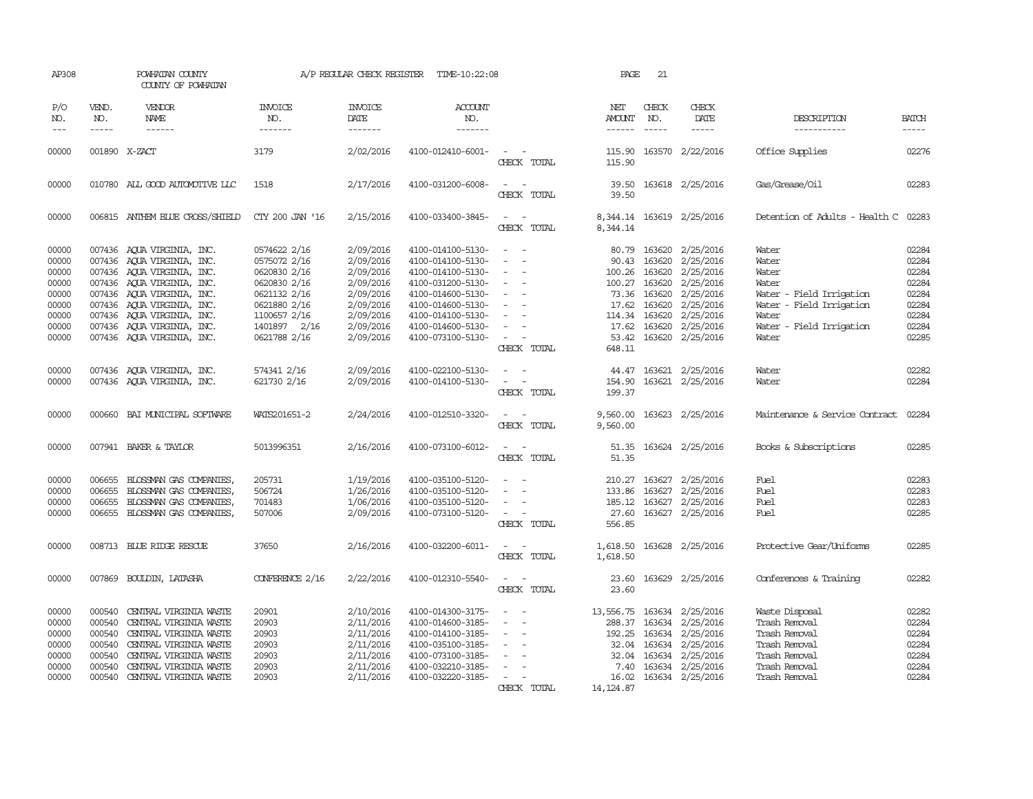| AP308                                                                         |                                                | POWHATAN COUNTY<br>COUNTY OF POWHATAN                                                                                                                                                                                                                                      |                                                                                                                                              | A/P REGULAR CHECK REGISTER                                                                                        | TIME-10:22:08                                                                                                                                                                             |                                                                                                           | PAGE                                                                 | 21                                                         |                                                                                                                                                      |                                                                                                                                        |                                                                               |
|-------------------------------------------------------------------------------|------------------------------------------------|----------------------------------------------------------------------------------------------------------------------------------------------------------------------------------------------------------------------------------------------------------------------------|----------------------------------------------------------------------------------------------------------------------------------------------|-------------------------------------------------------------------------------------------------------------------|-------------------------------------------------------------------------------------------------------------------------------------------------------------------------------------------|-----------------------------------------------------------------------------------------------------------|----------------------------------------------------------------------|------------------------------------------------------------|------------------------------------------------------------------------------------------------------------------------------------------------------|----------------------------------------------------------------------------------------------------------------------------------------|-------------------------------------------------------------------------------|
| P/O<br>NO.<br>$---$                                                           | VEND.<br>NO.<br>$- - - - -$                    | VENDOR<br>NAME<br>$- - - - - -$                                                                                                                                                                                                                                            | INVOICE<br>NO.<br>-------                                                                                                                    | <b>INVOICE</b><br>DATE<br>-------                                                                                 | ACCOUNT<br>NO.<br>$- - - - - - -$                                                                                                                                                         |                                                                                                           | NET<br>AMOUNT<br>------                                              | CHECK<br>NO.<br>$\frac{1}{2}$                              | CHECK<br>DATE<br>$- - - - -$                                                                                                                         | DESCRIPTION<br>-----------                                                                                                             | <b>BATCH</b><br>-----                                                         |
| 00000                                                                         |                                                | 001890 X-ZACT                                                                                                                                                                                                                                                              | 3179                                                                                                                                         | 2/02/2016                                                                                                         | 4100-012410-6001-                                                                                                                                                                         | CHECK TOTAL                                                                                               | 115.90<br>115.90                                                     |                                                            | 163570 2/22/2016                                                                                                                                     | Office Supplies                                                                                                                        | 02276                                                                         |
| 00000                                                                         |                                                | 010780 ALL GOOD AUTOMOTIVE LLC                                                                                                                                                                                                                                             | 1518                                                                                                                                         | 2/17/2016                                                                                                         | 4100-031200-6008-                                                                                                                                                                         | $\sim$<br>CHECK TOTAL                                                                                     | 39.50<br>39.50                                                       |                                                            | 163618 2/25/2016                                                                                                                                     | Gas/Grease/Oil                                                                                                                         | 02283                                                                         |
| 00000                                                                         |                                                | 006815 ANTHEM BLUE CROSS/SHIELD                                                                                                                                                                                                                                            | CTY 200 JAN '16                                                                                                                              | 2/15/2016                                                                                                         | 4100-033400-3845-                                                                                                                                                                         | $\sim$<br>CHECK TOTAL                                                                                     | 8,344.14                                                             |                                                            | 8,344.14 163619 2/25/2016                                                                                                                            | Detention of Adults - Health C 02283                                                                                                   |                                                                               |
| 00000<br>00000<br>00000<br>00000<br>00000<br>00000<br>00000<br>00000<br>00000 |                                                | 007436 AQUA VIRGINIA, INC.<br>007436 AQUA VIRGINIA, INC.<br>007436 AQUA VIRGINIA, INC.<br>007436 AQUA VIRGINIA, INC.<br>007436 AOUA VIRGINIA, INC.<br>007436 AQUA VIRGINIA, INC.<br>007436 AQUA VIRGINIA, INC.<br>007436 AQUA VIRGINIA, INC.<br>007436 AQUA VIRGINIA, INC. | 0574622 2/16<br>0575072 2/16<br>0620830 2/16<br>0620830 2/16<br>0621132 2/16<br>0621880 2/16<br>1100657 2/16<br>1401897 2/16<br>0621788 2/16 | 2/09/2016<br>2/09/2016<br>2/09/2016<br>2/09/2016<br>2/09/2016<br>2/09/2016<br>2/09/2016<br>2/09/2016<br>2/09/2016 | 4100-014100-5130-<br>4100-014100-5130-<br>4100-014100-5130-<br>4100-031200-5130-<br>4100-014600-5130-<br>4100-014600-5130-<br>4100-014100-5130-<br>4100-014600-5130-<br>4100-073100-5130- | $\sim$ $ \sim$<br>$\overline{\phantom{a}}$<br>$\sim$<br>$\sim$<br>$\sim$<br>$\sim$ 10 $\,$<br>CHECK TOTAL | 90.43<br>100.26<br>100.27 163620<br>17.62<br>114.34 163620<br>648.11 | 163620<br>163620<br>73.36 163620<br>163620<br>17.62 163620 | 80.79 163620 2/25/2016<br>2/25/2016<br>2/25/2016<br>2/25/2016<br>2/25/2016<br>2/25/2016<br>2/25/2016<br>2/25/2016<br>53.42 163620 2/25/2016          | Water<br>Water<br>Water<br>Water<br>Water - Field Irrigation<br>Water - Field Irrigation<br>Water<br>Water - Field Irrigation<br>Water | 02284<br>02284<br>02284<br>02284<br>02284<br>02284<br>02284<br>02284<br>02285 |
| 00000<br>00000                                                                |                                                | 007436 AQUA VIRGINIA, INC.<br>007436 AQUA VIRGINIA, INC.                                                                                                                                                                                                                   | 574341 2/16<br>621730 2/16                                                                                                                   | 2/09/2016<br>2/09/2016                                                                                            | 4100-022100-5130-<br>4100-014100-5130-                                                                                                                                                    | $\sim$ $ \sim$<br>CHECK TOTAL                                                                             | 199.37                                                               |                                                            | 44.47 163621 2/25/2016<br>154.90 163621 2/25/2016                                                                                                    | Water<br>Water                                                                                                                         | 02282<br>02284                                                                |
| 00000                                                                         |                                                | 000660 BAI MUNICIPAL SOFTWARE                                                                                                                                                                                                                                              | WATS201651-2                                                                                                                                 | 2/24/2016                                                                                                         | 4100-012510-3320-                                                                                                                                                                         | $\sim$ $ \sim$<br>CHECK TOTAL                                                                             | 9,560.00                                                             |                                                            | 9,560.00 163623 2/25/2016                                                                                                                            | Maintenance & Service Contract                                                                                                         | 02284                                                                         |
| 00000                                                                         |                                                | 007941 BAKER & TAYLOR                                                                                                                                                                                                                                                      | 5013996351                                                                                                                                   | 2/16/2016                                                                                                         | 4100-073100-6012-                                                                                                                                                                         | $\sim$ $ \sim$<br>CHECK TOTAL                                                                             | 51.35                                                                |                                                            | 51.35 163624 2/25/2016                                                                                                                               | Books & Subscriptions                                                                                                                  | 02285                                                                         |
| 00000<br>00000<br>00000<br>00000                                              | 006655<br>006655<br>006655                     | BLOSSMAN GAS COMPANIES,<br>BLOSSMAN GAS COMPANIES,<br>BLOSSMAN GAS COMPANIES,<br>006655 BLOSSMAN GAS COMPANIES,                                                                                                                                                            | 205731<br>506724<br>701483<br>507006                                                                                                         | 1/19/2016<br>1/26/2016<br>1/06/2016<br>2/09/2016                                                                  | 4100-035100-5120-<br>4100-035100-5120-<br>4100-035100-5120-<br>4100-073100-5120-                                                                                                          | $\overline{\phantom{a}}$<br>$\sim$<br>CHECK TOTAL                                                         | 133.86<br>27.60<br>556.85                                            |                                                            | 210.27 163627 2/25/2016<br>163627 2/25/2016<br>185.12 163627 2/25/2016<br>163627 2/25/2016                                                           | Fuel<br>Fuel<br>Fuel<br>Fuel                                                                                                           | 02283<br>02283<br>02283<br>02285                                              |
| 00000                                                                         |                                                | 008713 BLUE RIDGE RESCUE                                                                                                                                                                                                                                                   | 37650                                                                                                                                        | 2/16/2016                                                                                                         | 4100-032200-6011-                                                                                                                                                                         | $\sim$ $ \sim$<br>CHECK TOTAL                                                                             | 1,618.50<br>1,618.50                                                 |                                                            | 163628 2/25/2016                                                                                                                                     | Protective Gear/Uniforms                                                                                                               | 02285                                                                         |
| 00000                                                                         |                                                | 007869 BOULDIN, LATASHA                                                                                                                                                                                                                                                    | CONFERENCE 2/16                                                                                                                              | 2/22/2016                                                                                                         | 4100-012310-5540-                                                                                                                                                                         | $\overline{\phantom{a}}$<br>CHECK TOTAL                                                                   | 23.60<br>23.60                                                       |                                                            | 163629 2/25/2016                                                                                                                                     | Conferences & Training                                                                                                                 | 02282                                                                         |
| 00000<br>00000<br>00000<br>00000<br>00000<br>00000<br>00000                   | 000540<br>000540<br>000540<br>000540<br>000540 | CENTRAL VIRGINIA WASTE<br>CENTRAL VIRGINIA WASTE<br>CENTRAL VIRGINIA WASTE<br>000540 CENTRAL VIRGINIA WASTE<br>CENTRAL VIRGINIA WASTE<br>CENTRAL VIRGINIA WASTE<br>000540 CENTRAL VIRGINIA WASTE                                                                           | 20901<br>20903<br>20903<br>20903<br>20903<br>20903<br>20903                                                                                  | 2/10/2016<br>2/11/2016<br>2/11/2016<br>2/11/2016<br>2/11/2016<br>2/11/2016<br>2/11/2016                           | 4100-014300-3175-<br>4100-014600-3185-<br>4100-014100-3185-<br>4100-035100-3185-<br>4100-073100-3185-<br>4100-032210-3185-<br>4100-032220-3185-                                           | $\overline{\phantom{a}}$<br>$\sim$<br>$\overline{\phantom{a}}$<br>$\overline{\phantom{a}}$<br>CHECK TOTAL | 13,556.75<br>288.37<br>192.25<br>7.40<br>16.02<br>14, 124.87         |                                                            | 163634 2/25/2016<br>163634 2/25/2016<br>163634 2/25/2016<br>32.04 163634 2/25/2016<br>32.04 163634 2/25/2016<br>163634 2/25/2016<br>163634 2/25/2016 | Waste Disposal<br>Trash Removal<br>Trash Removal<br>Trash Removal<br>Trash Removal<br>Trash Removal<br>Trash Removal                   | 02282<br>02284<br>02284<br>02284<br>02284<br>02284<br>02284                   |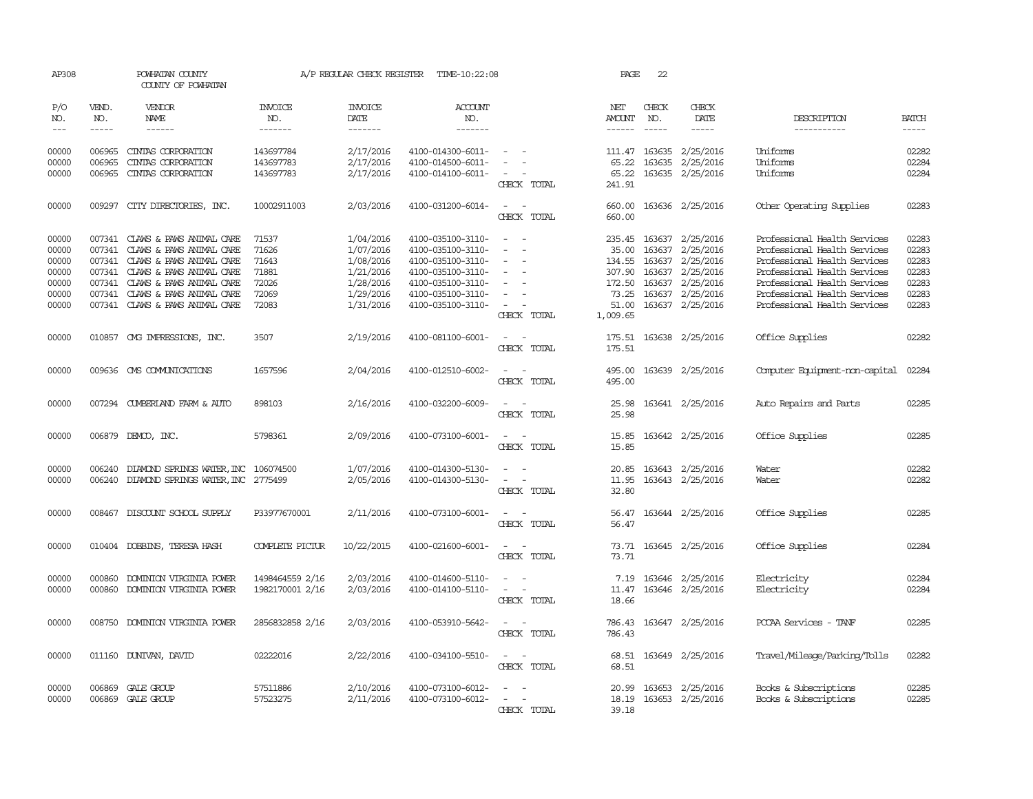| AP308                                                       |                            | POWHATAN COUNTY<br>COUNTY OF POWHATAN                                                                                                                                                                                               |                                                             | A/P REGULAR CHECK REGISTER                                                              | TIME-10:22:08                                                                                                                                   |                                                                                                                                                                     | PAGE                                                              | 22                                             |                                                                                                                                                                                                                                                                                                                                                                                                                                                                                     |                                                                                                                                                                                                                              |                                                             |
|-------------------------------------------------------------|----------------------------|-------------------------------------------------------------------------------------------------------------------------------------------------------------------------------------------------------------------------------------|-------------------------------------------------------------|-----------------------------------------------------------------------------------------|-------------------------------------------------------------------------------------------------------------------------------------------------|---------------------------------------------------------------------------------------------------------------------------------------------------------------------|-------------------------------------------------------------------|------------------------------------------------|-------------------------------------------------------------------------------------------------------------------------------------------------------------------------------------------------------------------------------------------------------------------------------------------------------------------------------------------------------------------------------------------------------------------------------------------------------------------------------------|------------------------------------------------------------------------------------------------------------------------------------------------------------------------------------------------------------------------------|-------------------------------------------------------------|
| P/O<br>NO.                                                  | VEND.<br>NO.               | VENDOR<br>NAME                                                                                                                                                                                                                      | INVOICE<br>NO.                                              | <b>INVOICE</b><br>DATE                                                                  | <b>ACCOUNT</b><br>NO.                                                                                                                           |                                                                                                                                                                     | NET<br>AMOUNT                                                     | CHECK<br>NO.                                   | CHECK<br>DATE                                                                                                                                                                                                                                                                                                                                                                                                                                                                       | DESCRIPTION                                                                                                                                                                                                                  | <b>BATCH</b>                                                |
| $\frac{1}{2}$                                               | $\frac{1}{2}$              | $- - - - - -$                                                                                                                                                                                                                       | -------                                                     | -------                                                                                 | -------                                                                                                                                         |                                                                                                                                                                     | ------                                                            | $- - - - -$                                    | $\begin{tabular}{ccccc} \multicolumn{2}{c}{} & \multicolumn{2}{c}{} & \multicolumn{2}{c}{} & \multicolumn{2}{c}{} & \multicolumn{2}{c}{} & \multicolumn{2}{c}{} & \multicolumn{2}{c}{} & \multicolumn{2}{c}{} & \multicolumn{2}{c}{} & \multicolumn{2}{c}{} & \multicolumn{2}{c}{} & \multicolumn{2}{c}{} & \multicolumn{2}{c}{} & \multicolumn{2}{c}{} & \multicolumn{2}{c}{} & \multicolumn{2}{c}{} & \multicolumn{2}{c}{} & \multicolumn{2}{c}{} & \multicolumn{2}{c}{} & \mult$ | -----------                                                                                                                                                                                                                  | $- - - - -$                                                 |
| 00000<br>00000<br>00000                                     | 006965<br>006965<br>006965 | CINIAS CORPORATION<br>CINIAS CORPORATION<br>CINIAS CORPORATION                                                                                                                                                                      | 143697784<br>143697783<br>143697783                         | 2/17/2016<br>2/17/2016<br>2/17/2016                                                     | 4100-014300-6011-<br>4100-014500-6011-<br>4100-014100-6011-                                                                                     | $\overline{\phantom{a}}$<br>$\sim$<br>CHECK TOTAL                                                                                                                   | 65.22<br>65.22<br>241.91                                          | 111.47 163635                                  | 2/25/2016<br>163635 2/25/2016<br>163635 2/25/2016                                                                                                                                                                                                                                                                                                                                                                                                                                   | Uniforms<br>Uniforms<br>Uniforms                                                                                                                                                                                             | 02282<br>02284<br>02284                                     |
| 00000                                                       | 009297                     | CITY DIRECTORIES, INC.                                                                                                                                                                                                              | 10002911003                                                 | 2/03/2016                                                                               | 4100-031200-6014-                                                                                                                               | $\overline{\phantom{a}}$<br>$\overline{\phantom{a}}$<br>CHECK TOTAL                                                                                                 | 660.00<br>660.00                                                  |                                                | 163636 2/25/2016                                                                                                                                                                                                                                                                                                                                                                                                                                                                    | Other Operating Supplies                                                                                                                                                                                                     | 02283                                                       |
| 00000<br>00000<br>00000<br>00000<br>00000<br>00000<br>00000 | 007341<br>007341           | 007341 CLAWS & PAWS ANIMAL CARE<br>CLAWS & PAWS ANIMAL CARE<br>007341 CLAWS & PAWS ANIMAL CARE<br>007341 CLAWS & PAWS ANIMAL CARE<br>007341 CLAWS & PAWS ANIMAL CARE<br>CLAWS & PAWS ANIMAL CARE<br>007341 CLAWS & PAWS ANIMAL CARE | 71537<br>71626<br>71643<br>71881<br>72026<br>72069<br>72083 | 1/04/2016<br>1/07/2016<br>1/08/2016<br>1/21/2016<br>1/28/2016<br>1/29/2016<br>1/31/2016 | 4100-035100-3110-<br>4100-035100-3110-<br>4100-035100-3110-<br>4100-035100-3110-<br>4100-035100-3110-<br>4100-035100-3110-<br>4100-035100-3110- | $\sim$<br>$\sim$<br>$\sim$<br>$\overline{\phantom{a}}$<br>$\overline{\phantom{a}}$<br>$\overline{\phantom{a}}$<br>$\sim$<br>$\overline{\phantom{a}}$<br>CHECK TOTAL | 35.00<br>134.55<br>307.90<br>172.50<br>73.25<br>51.00<br>1,009.65 | 163637<br>163637<br>163637<br>163637<br>163637 | 235.45 163637 2/25/2016<br>2/25/2016<br>2/25/2016<br>2/25/2016<br>2/25/2016<br>2/25/2016<br>163637 2/25/2016                                                                                                                                                                                                                                                                                                                                                                        | Professional Health Services<br>Professional Health Services<br>Professional Health Services<br>Professional Health Services<br>Professional Health Services<br>Professional Health Services<br>Professional Health Services | 02283<br>02283<br>02283<br>02283<br>02283<br>02283<br>02283 |
| 00000                                                       |                            | 010857 CMG IMPRESSIONS, INC.                                                                                                                                                                                                        | 3507                                                        | 2/19/2016                                                                               | 4100-081100-6001-                                                                                                                               | CHECK TOTAL                                                                                                                                                         | 175.51<br>175.51                                                  |                                                | 163638 2/25/2016                                                                                                                                                                                                                                                                                                                                                                                                                                                                    | Office Supplies                                                                                                                                                                                                              | 02282                                                       |
| 00000                                                       |                            | 009636 CMS COMMUNICATIONS                                                                                                                                                                                                           | 1657596                                                     | 2/04/2016                                                                               | 4100-012510-6002-                                                                                                                               | CHECK TOTAL                                                                                                                                                         | 495.00<br>495.00                                                  |                                                | 163639 2/25/2016                                                                                                                                                                                                                                                                                                                                                                                                                                                                    | Computer Equipment-non-capital                                                                                                                                                                                               | 02284                                                       |
| 00000                                                       |                            | 007294 CUMBERLAND FARM & AUTO                                                                                                                                                                                                       | 898103                                                      | 2/16/2016                                                                               | 4100-032200-6009-                                                                                                                               | CHECK TOTAL                                                                                                                                                         | 25.98<br>25.98                                                    |                                                | 163641 2/25/2016                                                                                                                                                                                                                                                                                                                                                                                                                                                                    | Auto Repairs and Parts                                                                                                                                                                                                       | 02285                                                       |
| 00000                                                       |                            | 006879 DEMCO, INC.                                                                                                                                                                                                                  | 5798361                                                     | 2/09/2016                                                                               | 4100-073100-6001-                                                                                                                               | $\frac{1}{2} \left( \frac{1}{2} \right) \left( \frac{1}{2} \right) = \frac{1}{2} \left( \frac{1}{2} \right)$<br>CHECK TOTAL                                         | 15.85<br>15.85                                                    |                                                | 163642 2/25/2016                                                                                                                                                                                                                                                                                                                                                                                                                                                                    | Office Supplies                                                                                                                                                                                                              | 02285                                                       |
| 00000<br>00000                                              | 006240<br>006240           | DIAMOND SPRINGS WATER, INC 106074500<br>DIAMOND SPRINGS WATER, INC 2775499                                                                                                                                                          |                                                             | 1/07/2016<br>2/05/2016                                                                  | 4100-014300-5130-<br>4100-014300-5130-                                                                                                          | $\sim$<br>$\overline{\phantom{a}}$<br>$\frac{1}{2} \left( \frac{1}{2} \right) \left( \frac{1}{2} \right) = \frac{1}{2} \left( \frac{1}{2} \right)$<br>CHECK TOTAL   | 20.85<br>11.95<br>32.80                                           |                                                | 163643 2/25/2016<br>163643 2/25/2016                                                                                                                                                                                                                                                                                                                                                                                                                                                | Water<br>Water                                                                                                                                                                                                               | 02282<br>02282                                              |
| 00000                                                       |                            | 008467 DISCOUNT SCHOOL SUPPLY                                                                                                                                                                                                       | P33977670001                                                | 2/11/2016                                                                               | 4100-073100-6001-                                                                                                                               | $\sim$ $\sim$<br>CHECK TOTAL                                                                                                                                        | 56.47<br>56.47                                                    |                                                | 163644 2/25/2016                                                                                                                                                                                                                                                                                                                                                                                                                                                                    | Office Supplies                                                                                                                                                                                                              | 02285                                                       |
| 00000                                                       |                            | 010404 DOBBINS, TERESA HASH                                                                                                                                                                                                         | COMPLETE PICTUR                                             | 10/22/2015                                                                              | 4100-021600-6001-                                                                                                                               | $\overline{\phantom{a}}$<br>$\overline{\phantom{a}}$<br>CHECK TOTAL                                                                                                 | 73.71<br>73.71                                                    |                                                | 163645 2/25/2016                                                                                                                                                                                                                                                                                                                                                                                                                                                                    | Office Supplies                                                                                                                                                                                                              | 02284                                                       |
| 00000<br>00000                                              | 000860<br>000860           | DOMINION VIRGINIA POWER<br>DOMINION VIRGINIA POWER                                                                                                                                                                                  | 1498464559 2/16<br>1982170001 2/16                          | 2/03/2016<br>2/03/2016                                                                  | 4100-014600-5110-<br>4100-014100-5110-                                                                                                          | $\overline{\phantom{a}}$<br>CHECK TOTAL                                                                                                                             | 7.19<br>11.47<br>18.66                                            | 163646<br>163646                               | 2/25/2016<br>2/25/2016                                                                                                                                                                                                                                                                                                                                                                                                                                                              | Electricity<br>Electricity                                                                                                                                                                                                   | 02284<br>02284                                              |
| 00000                                                       | 008750                     | DOMINION VIRGINIA POWER                                                                                                                                                                                                             | 2856832858 2/16                                             | 2/03/2016                                                                               | 4100-053910-5642-                                                                                                                               | CHECK TOTAL                                                                                                                                                         | 786.43<br>786.43                                                  |                                                | 163647 2/25/2016                                                                                                                                                                                                                                                                                                                                                                                                                                                                    | PCCAA Services - TANF                                                                                                                                                                                                        | 02285                                                       |
| 00000                                                       |                            | 011160 DUNIVAN, DAVID                                                                                                                                                                                                               | 02222016                                                    | 2/22/2016                                                                               | 4100-034100-5510-                                                                                                                               | $\sim$<br>$\overline{\phantom{a}}$<br>CHECK TOTAL                                                                                                                   | 68.51                                                             |                                                | 68.51 163649 2/25/2016                                                                                                                                                                                                                                                                                                                                                                                                                                                              | Travel/Mileage/Parking/Tolls                                                                                                                                                                                                 | 02282                                                       |
| 00000<br>00000                                              |                            | 006869 GALE GROUP<br>006869 GALE GROUP                                                                                                                                                                                              | 57511886<br>57523275                                        | 2/10/2016<br>2/11/2016                                                                  | 4100-073100-6012-<br>4100-073100-6012-                                                                                                          | $\overline{\phantom{a}}$<br>CHECK TOTAL                                                                                                                             | 20.99<br>18.19<br>39.18                                           |                                                | 163653 2/25/2016<br>163653 2/25/2016                                                                                                                                                                                                                                                                                                                                                                                                                                                | Books & Subscriptions<br>Books & Subscriptions                                                                                                                                                                               | 02285<br>02285                                              |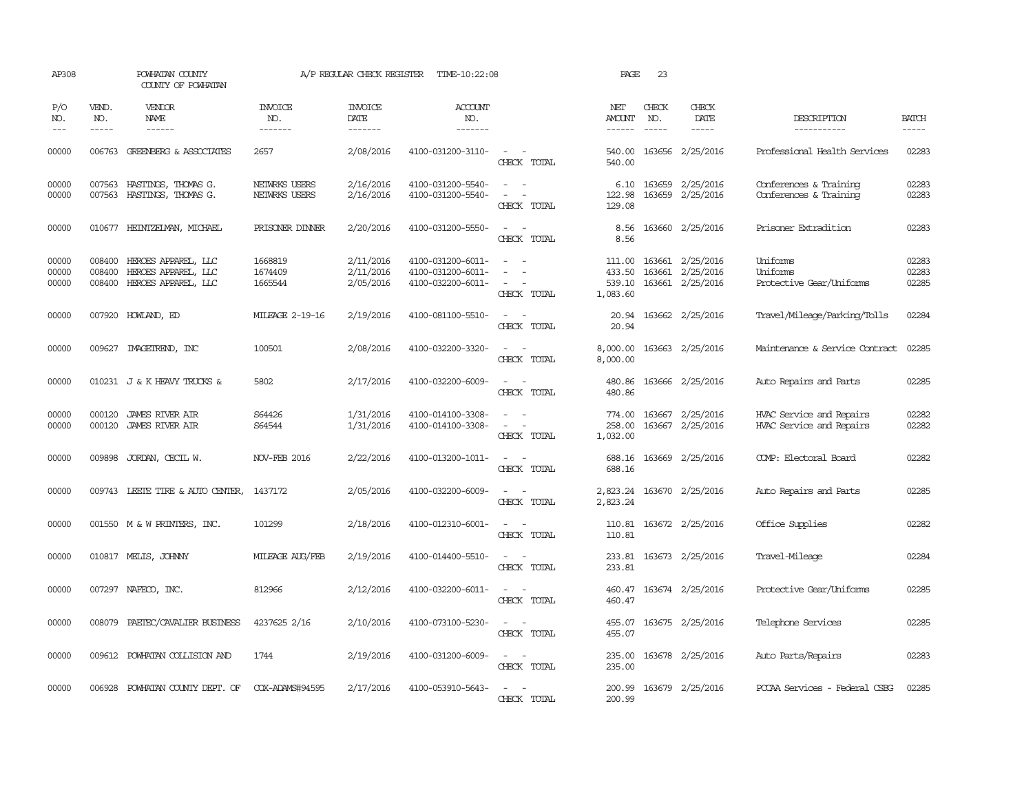| AP308                   |                             | POWHATAN COUNTY<br>COUNTY OF POWHATAN                             |                                  | A/P REGULAR CHECK REGISTER          | TIME-10:22:08                                               |                                                                     | PAGE                                   | 23                            |                                            |                                                         |                         |
|-------------------------|-----------------------------|-------------------------------------------------------------------|----------------------------------|-------------------------------------|-------------------------------------------------------------|---------------------------------------------------------------------|----------------------------------------|-------------------------------|--------------------------------------------|---------------------------------------------------------|-------------------------|
| P/O<br>NO.<br>$---$     | VEND.<br>NO.<br>$- - - - -$ | VENDOR<br>NAME<br>------                                          | <b>INVOICE</b><br>NO.<br>------- | <b>INVOICE</b><br>DATE<br>--------  | <b>ACCOUNT</b><br>NO.<br>-------                            |                                                                     | NET<br>AMOUNT<br>$- - - - - -$         | CHECK<br>NO.<br>$\frac{1}{2}$ | CHECK<br>DATE<br>-----                     | DESCRIPTION<br>-----------                              | <b>BATCH</b><br>-----   |
| 00000                   | 006763                      | <b>GREENBERG &amp; ASSOCIATES</b>                                 | 2657                             | 2/08/2016                           | 4100-031200-3110-                                           | $\sim$<br>CHECK TOTAL                                               | 540.00<br>540.00                       |                               | 163656 2/25/2016                           | Professional Health Services                            | 02283                   |
| 00000<br>00000          | 007563<br>007563            | HASTINGS, THOMAS G.<br>HASTINGS, THOMAS G.                        | NETWRKS USERS<br>NETWRKS USERS   | 2/16/2016<br>2/16/2016              | 4100-031200-5540-<br>4100-031200-5540-                      | $\sim$<br>$\sim$<br>CHECK TOTAL                                     | 122.98<br>129.08                       | 163659                        | 6.10 163659 2/25/2016<br>2/25/2016         | Conferences & Training<br>Conferences & Training        | 02283<br>02283          |
| 00000                   |                             | 010677 HEINTZEIMAN, MICHAEL                                       | PRISONER DINNER                  | 2/20/2016                           | 4100-031200-5550-                                           | CHECK TOTAL                                                         | 8.56<br>8.56                           |                               | 163660 2/25/2016                           | Prisoner Extradition                                    | 02283                   |
| 00000<br>00000<br>00000 | 008400<br>008400<br>008400  | HEROES APPAREL, LLC<br>HEROES APPAREL, LLC<br>HEROES APPAREL, LLC | 1668819<br>1674409<br>1665544    | 2/11/2016<br>2/11/2016<br>2/05/2016 | 4100-031200-6011-<br>4100-031200-6011-<br>4100-032200-6011- | CHECK TOTAL                                                         | 111.00<br>433.50<br>539.10<br>1,083.60 | 163661<br>163661              | 2/25/2016<br>2/25/2016<br>163661 2/25/2016 | <b>Iniforms</b><br>Uniforms<br>Protective Gear/Uniforms | 02283<br>02283<br>02285 |
| 00000                   |                             | 007920 HOWLAND, ED                                                | <b>MILEAGE 2-19-16</b>           | 2/19/2016                           | 4100-081100-5510-                                           | CHECK TOTAL                                                         | 20.94<br>20.94                         |                               | 163662 2/25/2016                           | Travel/Mileage/Parking/Tolls                            | 02284                   |
| 00000                   | 009627                      | IMAGEIREND, INC                                                   | 100501                           | 2/08/2016                           | 4100-032200-3320-                                           | $\sim$<br>CHECK TOTAL                                               | 8,000.00<br>8,000.00                   |                               | 163663 2/25/2016                           | Maintenance & Service Contract                          | 02285                   |
| 00000                   |                             | 010231 J & K HEAVY TRUCKS &                                       | 5802                             | 2/17/2016                           | 4100-032200-6009-                                           | $\equiv$<br>CHECK TOTAL                                             | 480.86<br>480.86                       |                               | 163666 2/25/2016                           | Auto Repairs and Parts                                  | 02285                   |
| 00000<br>00000          | 000120<br>000120            | <b>JAMES RIVER AIR</b><br><b>JAMES RIVER AIR</b>                  | S64426<br>S64544                 | 1/31/2016<br>1/31/2016              | 4100-014100-3308-<br>4100-014100-3308-                      | CHECK TOTAL                                                         | 774.00<br>258.00<br>1,032.00           |                               | 163667 2/25/2016<br>163667 2/25/2016       | HVAC Service and Repairs<br>HVAC Service and Repairs    | 02282<br>02282          |
| 00000                   | 009898                      | JORDAN, CECIL W.                                                  | <b>NOV-FEB 2016</b>              | 2/22/2016                           | 4100-013200-1011-                                           | $\overline{\phantom{a}}$<br>CHECK TOTAL                             | 688.16<br>688.16                       |                               | 163669 2/25/2016                           | COMP: Electoral Board                                   | 02282                   |
| 00000                   |                             | 009743 LEETE TIRE & AUTO CENTER,                                  | 1437172                          | 2/05/2016                           | 4100-032200-6009-                                           | CHECK TOTAL                                                         | 2,823.24<br>2,823.24                   |                               | 163670 2/25/2016                           | Auto Repairs and Parts                                  | 02285                   |
| 00000                   |                             | 001550 M & W PRINTERS, INC.                                       | 101299                           | 2/18/2016                           | 4100-012310-6001-                                           | CHECK TOTAL                                                         | 110.81<br>110.81                       |                               | 163672 2/25/2016                           | Office Supplies                                         | 02282                   |
| 00000                   |                             | 010817 MELIS, JOHNNY                                              | MILEAGE AUG/FEB                  | 2/19/2016                           | 4100-014400-5510-                                           | $\sim$<br>$\sim$<br>CHECK TOTAL                                     | 233.81<br>233.81                       |                               | 163673 2/25/2016                           | Travel-Mileage                                          | 02284                   |
| 00000                   |                             | 007297 NAFECO, INC.                                               | 812966                           | 2/12/2016                           | 4100-032200-6011-                                           | CHECK TOTAL                                                         | 460.47<br>460.47                       |                               | 163674 2/25/2016                           | Protective Gear/Uniforms                                | 02285                   |
| 00000                   | 008079                      | PAETEC/CAVALIER BUSINESS                                          | 4237625 2/16                     | 2/10/2016                           | 4100-073100-5230-                                           | $\sim$<br>$\overline{\phantom{a}}$<br>CHECK TOTAL                   | 455.07<br>455.07                       |                               | 163675 2/25/2016                           | Telephone Services                                      | 02285                   |
| 00000                   | 009612                      | POWHATAN COLLISION AND                                            | 1744                             | 2/19/2016                           | 4100-031200-6009-                                           | $\overline{\phantom{a}}$<br>$\overline{\phantom{a}}$<br>CHECK TOTAL | 235.00<br>235.00                       |                               | 163678 2/25/2016                           | Auto Parts/Repairs                                      | 02283                   |
| 00000                   | 006928                      | POWHATAN COUNTY DEPT. OF                                          | <b>COX-ADAMS#94595</b>           | 2/17/2016                           | 4100-053910-5643-                                           | CHECK TOTAL                                                         | 200.99<br>200.99                       |                               | 163679 2/25/2016                           | POCAA Services - Federal CSBG                           | 02285                   |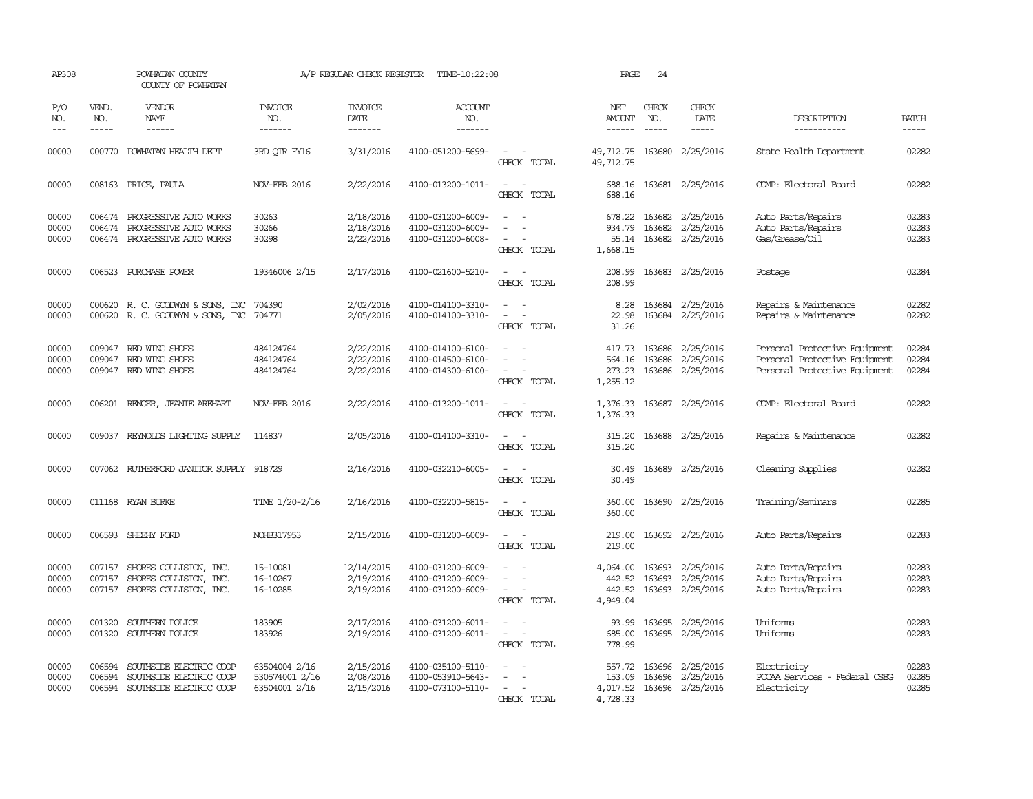| AP308               |                             | POWHATAN COUNTY<br>COUNTY OF POWHATAN   |                                  | A/P REGULAR CHECK REGISTER        | TIME-10:22:08                    |                                                                                                                             | PAGE                                  | 24                            |                              |                               |                       |
|---------------------|-----------------------------|-----------------------------------------|----------------------------------|-----------------------------------|----------------------------------|-----------------------------------------------------------------------------------------------------------------------------|---------------------------------------|-------------------------------|------------------------------|-------------------------------|-----------------------|
| P/O<br>NO.<br>$---$ | VEND.<br>NO.<br>$- - - - -$ | VENDOR<br>NAME<br>$- - - - - -$         | <b>INVOICE</b><br>NO.<br>------- | <b>INVOICE</b><br>DATE<br>------- | <b>ACCOUNT</b><br>NO.<br>------- |                                                                                                                             | NET<br><b>AMOUNT</b><br>$- - - - - -$ | CHECK<br>NO.<br>$\frac{1}{2}$ | CHECK<br>DATE<br>$- - - - -$ | DESCRIPTION<br>-----------    | <b>BATCH</b><br>----- |
|                     |                             |                                         |                                  |                                   |                                  |                                                                                                                             |                                       |                               |                              |                               |                       |
| 00000               |                             | 000770 POWHATAN HEALTH DEPT             | 3RD OTR FY16                     | 3/31/2016                         | 4100-051200-5699-                | $\overline{\phantom{a}}$<br>CHECK TOTAL                                                                                     | 49,712.75<br>49,712.75                |                               | 163680 2/25/2016             | State Health Department       | 02282                 |
| 00000               |                             | 008163 PRICE, PAULA                     | <b>NOV-FEB 2016</b>              | 2/22/2016                         | 4100-013200-1011-                | $\sim$ $\sim$<br>CHECK TOTAL                                                                                                | 688.16                                |                               | 688.16 163681 2/25/2016      | COMP: Electoral Board         | 02282                 |
| 00000               | 006474                      | PROGRESSIVE AUTO WORKS                  | 30263                            | 2/18/2016                         | 4100-031200-6009-                |                                                                                                                             | 678.22                                |                               | 163682 2/25/2016             | Auto Parts/Repairs            | 02283                 |
| 00000               | 006474                      | PROGRESSIVE AUTO WORKS                  | 30266                            | 2/18/2016                         | 4100-031200-6009-                | $\equiv$                                                                                                                    | 934.79                                |                               | 163682 2/25/2016             | Auto Parts/Repairs            | 02283                 |
| 00000               | 006474                      | PROGRESSIVE AUTO WORKS                  | 30298                            | 2/22/2016                         | 4100-031200-6008-                | $\overline{\phantom{a}}$<br>CHECK TOTAL                                                                                     | 55.14<br>1,668.15                     |                               | 163682 2/25/2016             | Gas/Grease/Oil                | 02283                 |
| 00000               |                             | 006523 PURCHASE POWER                   | 19346006 2/15                    | 2/17/2016                         | 4100-021600-5210-                | $\equiv$<br>CHECK TOTAL                                                                                                     | 208.99<br>208.99                      |                               | 163683 2/25/2016             | Postage                       | 02284                 |
| 00000               |                             | 000620 R. C. GOODWYN & SONS, INC        | 704390                           | 2/02/2016                         | 4100-014100-3310-                | $\sim$ $\sim$                                                                                                               | 8.28                                  |                               | 163684 2/25/2016             | Repairs & Maintenance         | 02282                 |
| 00000               |                             | 000620 R. C. GOODWYN & SONS, INC        | 704771                           | 2/05/2016                         | 4100-014100-3310-                | $\sim$<br>$\overline{\phantom{a}}$                                                                                          | 22.98                                 |                               | 163684 2/25/2016             | Repairs & Maintenance         | 02282                 |
|                     |                             |                                         |                                  |                                   |                                  | CHECK TOTAL                                                                                                                 | 31.26                                 |                               |                              |                               |                       |
| 00000               | 009047                      | RED WING SHOES                          | 484124764                        | 2/22/2016                         | 4100-014100-6100-                | $\equiv$                                                                                                                    | 417.73                                | 163686                        | 2/25/2016                    | Personal Protective Equipment | 02284                 |
| 00000               | 009047                      | RED WING SHOES                          | 484124764                        | 2/22/2016                         | 4100-014500-6100-                |                                                                                                                             | 564.16                                | 163686                        | 2/25/2016                    | Personal Protective Equipment | 02284                 |
| 00000               |                             | 009047 RED WING SHOES                   | 484124764                        | 2/22/2016                         | 4100-014300-6100-                | $\sim$ 100 $\mu$<br>CHECK TOTAL                                                                                             | 273.23<br>1,255.12                    |                               | 163686 2/25/2016             | Personal Protective Equipment | 02284                 |
| 00000               |                             | 006201 RENGER, JEANIE AREHART           | <b>NOV-FEB 2016</b>              | 2/22/2016                         | 4100-013200-1011-                | $\frac{1}{2} \left( \frac{1}{2} \right) \left( \frac{1}{2} \right) = \frac{1}{2} \left( \frac{1}{2} \right)$<br>CHECK TOTAL | 1,376.33                              |                               | 1,376.33 163687 2/25/2016    | COMP: Electoral Board         | 02282                 |
| 00000               | 009037                      | REYNOLDS LIGHTING SUPPLY                | 114837                           | 2/05/2016                         | 4100-014100-3310-                | $\overline{\phantom{a}}$<br>$\sim$<br>CHECK TOTAL                                                                           | 315.20<br>315.20                      |                               | 163688 2/25/2016             | Repairs & Maintenance         | 02282                 |
| 00000               |                             | 007062 RUIHERFORD JANITOR SUPPLY 918729 |                                  | 2/16/2016                         | 4100-032210-6005-                |                                                                                                                             | 30.49                                 |                               | 163689 2/25/2016             | Cleaning Supplies             | 02282                 |
|                     |                             |                                         |                                  |                                   |                                  | CHECK TOTAL                                                                                                                 | 30.49                                 |                               |                              |                               |                       |
| 00000               |                             | 011168 RYAN BURKE                       | TIME 1/20-2/16                   | 2/16/2016                         | 4100-032200-5815-                | $ -$<br>CHECK TOTAL                                                                                                         | 360.00<br>360.00                      |                               | 163690 2/25/2016             | Training/Seminars             | 02285                 |
|                     |                             |                                         |                                  |                                   |                                  |                                                                                                                             |                                       |                               |                              |                               |                       |
| 00000               |                             | 006593 SHEEHY FORD                      | NOHB317953                       | 2/15/2016                         | 4100-031200-6009-                | $\sim$ 10 $\,$<br>$\overline{\phantom{a}}$<br>CHECK TOTAL                                                                   | 219.00<br>219.00                      |                               | 163692 2/25/2016             | Auto Parts/Repairs            | 02283                 |
| 00000               | 007157                      | SHORES COLLISION, INC.                  | 15-10081                         | 12/14/2015                        | 4100-031200-6009-                |                                                                                                                             | 4,064.00                              | 163693                        | 2/25/2016                    | Auto Parts/Repairs            | 02283                 |
| 00000               | 007157                      | SHORES COLLISION, INC.                  | 16-10267                         | 2/19/2016                         | 4100-031200-6009-                | $\overline{\phantom{a}}$                                                                                                    | 442.52                                | 163693                        | 2/25/2016                    | Auto Parts/Repairs            | 02283                 |
| 00000               | 007157                      | SHORES COLLISION, INC.                  | 16-10285                         | 2/19/2016                         | 4100-031200-6009-                | $\sim$<br>CHECK TOTAL                                                                                                       | 442.52<br>4,949.04                    |                               | 163693 2/25/2016             | Auto Parts/Repairs            | 02283                 |
| 00000               | 001320                      | SOUTHERN POLICE                         | 183905                           | 2/17/2016                         | 4100-031200-6011-                | $\sim$ 100 $\mu$                                                                                                            | 93.99                                 |                               | 163695 2/25/2016             | Uniforms                      | 02283                 |
| 00000               | 001320                      | SOUTHERN POLICE                         | 183926                           | 2/19/2016                         | 4100-031200-6011-                | $\overline{\phantom{a}}$                                                                                                    | 685.00                                | 163695                        | 2/25/2016                    | Uniforms                      | 02283                 |
|                     |                             |                                         |                                  |                                   |                                  | CHECK TOTAL                                                                                                                 | 778.99                                |                               |                              |                               |                       |
| 00000               | 006594                      | SOUTHSIDE ELECTRIC COOP                 | 63504004 2/16                    | 2/15/2016                         | 4100-035100-5110-                |                                                                                                                             |                                       |                               | 557.72 163696 2/25/2016      | Electricity                   | 02283                 |
| 00000               | 006594                      | SOUTHSIDE ELECTRIC COOP                 | 530574001 2/16                   | 2/08/2016                         | 4100-053910-5643-                |                                                                                                                             | 153.09                                | 163696                        | 2/25/2016                    | PCCAA Services - Federal CSBG | 02285                 |
| 00000               |                             | 006594 SOUTHSIDE ELECTRIC COOP          | 63504001 2/16                    | 2/15/2016                         | 4100-073100-5110-                |                                                                                                                             |                                       |                               | 4,017.52 163696 2/25/2016    | Electricity                   | 02285                 |
|                     |                             |                                         |                                  |                                   |                                  | CHECK TOTAL                                                                                                                 | 4,728.33                              |                               |                              |                               |                       |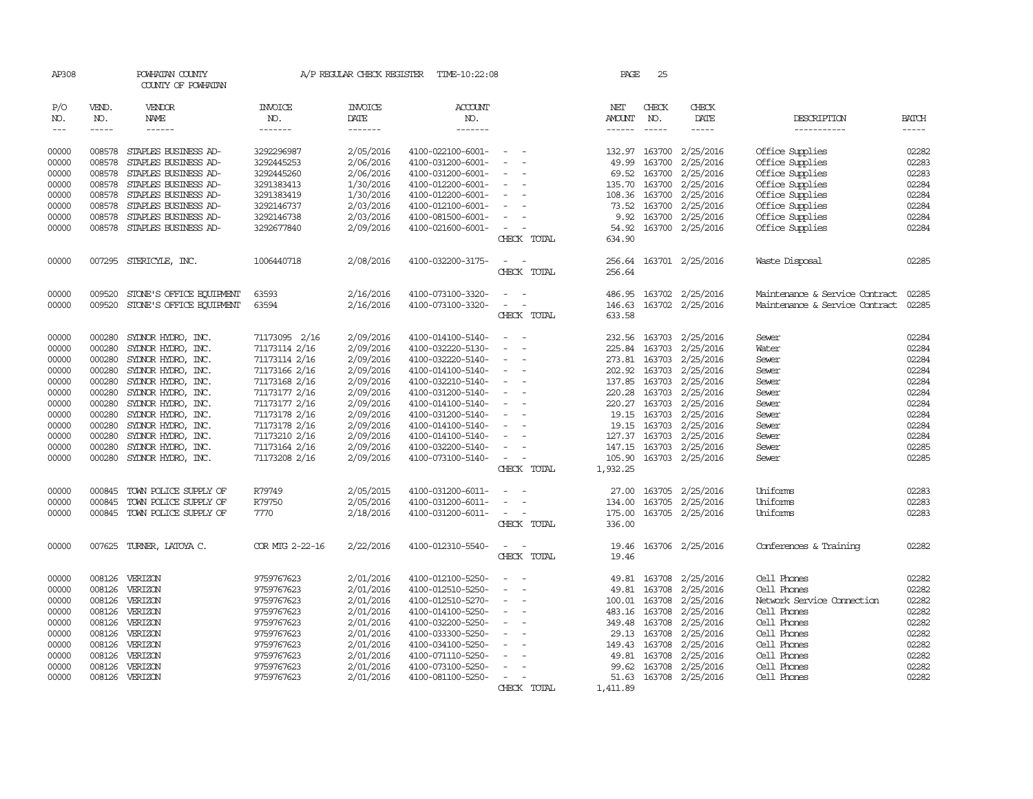| AP308                           |                             | POWHATAN COUNTY<br>COUNTY OF POWHATAN |                                  | A/P REGULAR CHECK REGISTER        | TIME-10:22:08                    |                                    | PAGE          | 25                          |                        |                                |                             |
|---------------------------------|-----------------------------|---------------------------------------|----------------------------------|-----------------------------------|----------------------------------|------------------------------------|---------------|-----------------------------|------------------------|--------------------------------|-----------------------------|
| P/O<br>NO.<br>$\qquad \qquad -$ | VEND.<br>NO.<br>$- - - - -$ | VENDOR<br>NAME<br>------              | <b>INVOICE</b><br>NO.<br>------- | <b>INVOICE</b><br>DATE<br>------- | <b>ACCOUNT</b><br>NO.<br>------- |                                    | NET<br>AMOUNT | CHECK<br>NO.<br>$- - - - -$ | CHECK<br>DATE<br>----- | DESCRIPTION<br>-----------     | <b>BATCH</b><br>$- - - - -$ |
|                                 |                             |                                       |                                  |                                   |                                  |                                    |               |                             |                        |                                |                             |
| 00000                           |                             | 008578 STAPLES BUSINESS AD-           | 3292296987                       | 2/05/2016                         | 4100-022100-6001-                | $\overline{\phantom{a}}$           | 132.97 163700 |                             | 2/25/2016              | Office Supplies                | 02282                       |
| 00000                           | 008578                      | STAPLES BUSINESS AD-                  | 3292445253                       | 2/06/2016                         | 4100-031200-6001-                |                                    | 49.99         | 163700                      | 2/25/2016              | Office Supplies                | 02283                       |
| 00000                           | 008578                      | STAPLES BUSINESS AD-                  | 3292445260                       | 2/06/2016                         | 4100-031200-6001-                | $\overline{\phantom{a}}$           | 69.52         | 163700                      | 2/25/2016              | Office Supplies                | 02283                       |
| 00000                           | 008578                      | STAPLES BUSINESS AD-                  | 3291383413                       | 1/30/2016                         | 4100-012200-6001-                | $\overline{\phantom{a}}$           | 135.70        | 163700                      | 2/25/2016              | Office Supplies                | 02284                       |
| 00000                           | 008578                      | STAPLES BUSINESS AD-                  | 3291383419                       | 1/30/2016                         | 4100-012200-6001-                | $\overline{\phantom{a}}$           | 108.36        | 163700                      | 2/25/2016              | Office Supplies                | 02284                       |
| 00000                           | 008578                      | STAPLES BUSINESS AD-                  | 3292146737                       | 2/03/2016                         | 4100-012100-6001-                | $\equiv$                           | 73.52         | 163700                      | 2/25/2016              | Office Supplies                | 02284                       |
| 00000                           | 008578                      | STAPLES BUSINESS AD-                  | 3292146738                       | 2/03/2016                         | 4100-081500-6001-                | $\sim$                             |               | 9.92 163700                 | 2/25/2016              | Office Supplies                | 02284                       |
| 00000                           | 008578                      | STAPLES BUSINESS AD-                  | 3292677840                       | 2/09/2016                         | 4100-021600-6001-                | $\sim$                             | 54.92         | 163700                      | 2/25/2016              | Office Supplies                | 02284                       |
|                                 |                             |                                       |                                  |                                   |                                  | CHECK TOTAL                        | 634.90        |                             |                        |                                |                             |
| 00000                           |                             | 007295 STERICYLE, INC.                | 1006440718                       | 2/08/2016                         | 4100-032200-3175-                | $\overline{\phantom{a}}$<br>$\sim$ | 256.64        |                             | 163701 2/25/2016       | Waste Disposal                 | 02285                       |
|                                 |                             |                                       |                                  |                                   |                                  | CHECK TOTAL                        | 256.64        |                             |                        |                                |                             |
| 00000                           | 009520                      | STONE'S OFFICE EQUIPMENT              | 63593                            | 2/16/2016                         | 4100-073100-3320-                |                                    | 486.95        |                             | 163702 2/25/2016       | Maintenance & Service Contract | 02285                       |
| 00000                           | 009520                      | STONE'S OFFICE EQUIPMENT              | 63594                            | 2/16/2016                         | 4100-073100-3320-                | $\equiv$<br>$\sim$                 | 146.63        |                             | 163702 2/25/2016       | Maintenance & Service Contract | 02285                       |
|                                 |                             |                                       |                                  |                                   |                                  | CHECK TOTAL                        | 633.58        |                             |                        |                                |                             |
| 00000                           | 000280                      | SYLNOR HYDRO, INC.                    | 71173095 2/16                    | 2/09/2016                         | 4100-014100-5140-                |                                    | 232.56 163703 |                             | 2/25/2016              | Sewer                          | 02284                       |
| 00000                           | 000280                      | SYLNOR HYDRO, INC.                    | 71173114 2/16                    | 2/09/2016                         | 4100-032220-5130-                |                                    | 225.84        | 163703                      | 2/25/2016              | Water                          | 02284                       |
| 00000                           | 000280                      | SYLNOR HYDRO, INC.                    | 71173114 2/16                    | 2/09/2016                         | 4100-032220-5140-                | $\sim$                             | 273.81 163703 |                             | 2/25/2016              | Sewer                          | 02284                       |
| 00000                           | 000280                      | SYDNOR HYDRO, INC.                    | 71173166 2/16                    | 2/09/2016                         | 4100-014100-5140-                | $\sim$                             | 202.92        | 163703                      | 2/25/2016              | Sewer                          | 02284                       |
| 00000                           | 000280                      | SYLNOR HYDRO, INC.                    | 71173168 2/16                    | 2/09/2016                         | 4100-032210-5140-                |                                    | 137.85 163703 |                             | 2/25/2016              | Sewer                          | 02284                       |
| 00000                           | 000280                      | SYDNOR HYDRO, INC.                    | 71173177 2/16                    | 2/09/2016                         | 4100-031200-5140-                | $\sim$<br>$\overline{\phantom{a}}$ | 220.28        | 163703                      | 2/25/2016              | Sewer                          | 02284                       |
| 00000                           | 000280                      | SYDNOR HYDRO, INC.                    | 71173177 2/16                    | 2/09/2016                         | 4100-014100-5140-                | $\sim$                             | 220.27 163703 |                             | 2/25/2016              | Sewer                          | 02284                       |
| 00000                           | 000280                      | SYDNOR HYDRO, INC.                    | 71173178 2/16                    | 2/09/2016                         | 4100-031200-5140-                |                                    |               | 19.15 163703                | 2/25/2016              | Sewer                          | 02284                       |
| 00000                           | 000280                      | SYLNOR HYDRO, INC.                    | 71173178 2/16                    | 2/09/2016                         | 4100-014100-5140-                | $\overline{\phantom{a}}$           | 19.15         | 163703                      | 2/25/2016              | Sewer                          | 02284                       |
| 00000                           | 000280                      | SYDNOR HYDRO, INC.                    | 71173210 2/16                    | 2/09/2016                         | 4100-014100-5140-                | $\sim$                             | 127.37 163703 |                             | 2/25/2016              | Sewer                          | 02284                       |
| 00000                           | 000280                      | SYLNOR HYDRO, INC.                    | 71173164 2/16                    | 2/09/2016                         | 4100-032200-5140-                |                                    | 147.15 163703 |                             | 2/25/2016              | Sewer                          | 02285                       |
| 00000                           | 000280                      | SYDNOR HYDRO, INC.                    | 71173208 2/16                    | 2/09/2016                         | 4100-073100-5140-                | $\sim$                             | 105.90        |                             | 163703 2/25/2016       | Sewer                          | 02285                       |
|                                 |                             |                                       |                                  |                                   |                                  | CHECK TOTAL                        | 1,932.25      |                             |                        |                                |                             |
| 00000                           | 000845                      | TOWN POLICE SUPPLY OF                 | R79749                           | 2/05/2015                         | 4100-031200-6011-                |                                    | 27.00         | 163705                      | 2/25/2016              | Uniforms                       | 02283                       |
| 00000                           | 000845                      | TOWN POLICE SUPPLY OF                 | R79750                           | 2/05/2016                         | 4100-031200-6011-                | $\sim$                             | 134.00        | 163705                      | 2/25/2016              | Uniforms                       | 02283                       |
| 00000                           | 000845                      | TOWN POLICE SUPPLY OF                 | 7770                             | 2/18/2016                         | 4100-031200-6011-                | $\sim$<br>$\overline{\phantom{a}}$ | 175.00        |                             | 163705 2/25/2016       | Uniforms                       | 02283                       |
|                                 |                             |                                       |                                  |                                   |                                  | CHECK TOTAL                        | 336.00        |                             |                        |                                |                             |
| 00000                           |                             | 007625 TURNER, LATOYA C.              | COR MTG 2-22-16                  | 2/22/2016                         | 4100-012310-5540-                |                                    | 19.46         |                             | 163706 2/25/2016       | Conferences & Training         | 02282                       |
|                                 |                             |                                       |                                  |                                   |                                  | CHECK TOTAL                        | 19.46         |                             |                        |                                |                             |
| 00000                           | 008126                      | VERIZON                               | 9759767623                       | 2/01/2016                         | 4100-012100-5250-                | $\overline{a}$                     | 49.81         | 163708                      | 2/25/2016              | Cell Phones                    | 02282                       |
| 00000                           | 008126                      | VERIZON                               | 9759767623                       | 2/01/2016                         | 4100-012510-5250-                |                                    | 49.81         | 163708                      | 2/25/2016              | Cell Phones                    | 02282                       |
| 00000                           | 008126                      | VERIZON                               | 9759767623                       | 2/01/2016                         | 4100-012510-5270-                |                                    | 100.01        | 163708                      | 2/25/2016              | Network Service Connection     | 02282                       |
| 00000                           |                             | 008126 VERIZON                        | 9759767623                       | 2/01/2016                         | 4100-014100-5250-                | $\sim$                             | 483.16 163708 |                             | 2/25/2016              | Cell Phones                    | 02282                       |
| 00000                           | 008126                      | VERIZON                               | 9759767623                       | 2/01/2016                         | 4100-032200-5250-                | $\overline{\phantom{0}}$           | 349.48        | 163708                      | 2/25/2016              | Cell Phones                    | 02282                       |
| 00000                           | 008126                      | VERIZON                               | 9759767623                       | 2/01/2016                         | 4100-033300-5250-                |                                    | 29.13         | 163708                      | 2/25/2016              | Cell Phones                    | 02282                       |
| 00000                           |                             | 008126 VERIZON                        | 9759767623                       | 2/01/2016                         | 4100-034100-5250-                | $\sim$<br>$\overline{\phantom{a}}$ | 149.43 163708 |                             | 2/25/2016              | Cell Phones                    | 02282                       |
| 00000                           | 008126                      | VERIZON                               | 9759767623                       | 2/01/2016                         | 4100-071110-5250-                |                                    | 49.81         | 163708                      | 2/25/2016              | Cell Phones                    | 02282                       |
| 00000                           | 008126                      | VERIZON                               | 9759767623                       | 2/01/2016                         | 4100-073100-5250-                |                                    | 99.62         | 163708                      | 2/25/2016              | Cell Phones                    | 02282                       |
| 00000                           |                             | 008126 VERIZON                        | 9759767623                       | 2/01/2016                         | 4100-081100-5250-                | $\equiv$                           |               |                             | 51.63 163708 2/25/2016 | Cell Phones                    | 02282                       |
|                                 |                             |                                       |                                  |                                   |                                  | CHECK TOTAL                        | 1,411.89      |                             |                        |                                |                             |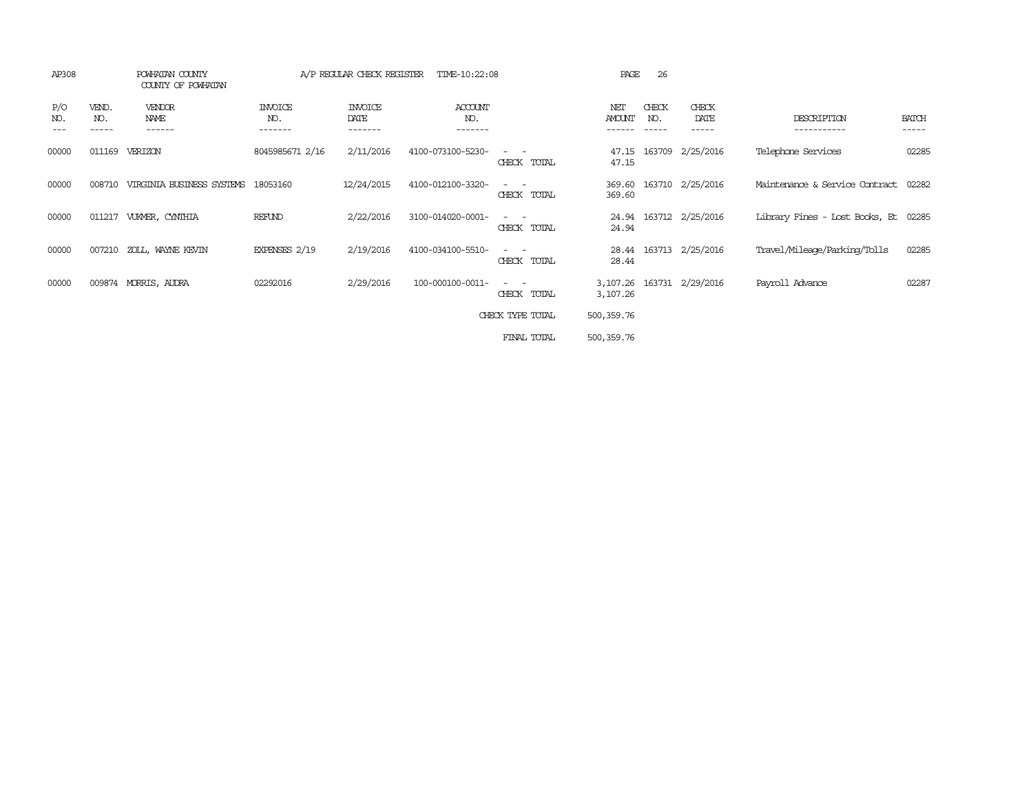| AP308             |                       | POWHATAN COUNTY<br>COUNTY OF POWHATAN |                                  | A/P REGULAR CHECK REGISTER        | TIME-10:22:08                    |                                                                                                                             | PAGE                    | 26                          |                           |                                |                       |
|-------------------|-----------------------|---------------------------------------|----------------------------------|-----------------------------------|----------------------------------|-----------------------------------------------------------------------------------------------------------------------------|-------------------------|-----------------------------|---------------------------|--------------------------------|-----------------------|
| P/O<br>NO.<br>--- | VEND.<br>NO.<br>----- | VENDOR<br>NAME<br>------              | <b>INVOICE</b><br>NO.<br>------- | <b>INVOICE</b><br>DATE<br>------- | <b>ACCOUNT</b><br>NO.<br>------- |                                                                                                                             | NET<br>AMOUNT<br>------ | CHECK<br>NO.<br>$- - - - -$ | CHECK<br>DATE<br>-----    | DESCRIPTION<br>-----------     | <b>BATCH</b><br>----- |
| 00000             | 011169                | VERIZON                               | 8045985671 2/16                  | 2/11/2016                         | 4100-073100-5230-                | CHECK TOTAL                                                                                                                 | 47.15<br>47.15          |                             | 163709 2/25/2016          | Telephone Services             | 02285                 |
| 00000             | 008710                | VIRGINIA BUSINESS SYSTEMS             | 18053160                         | 12/24/2015                        | 4100-012100-3320-                | CHECK TOTAL                                                                                                                 | 369.60                  |                             | 369.60 163710 2/25/2016   | Maintenance & Service Contract | 02282                 |
| 00000             | 011217                | VUKMER, CYNTHIA                       | REFUND                           | 2/22/2016                         | 3100-014020-0001-                | $\frac{1}{2} \left( \frac{1}{2} \right) \left( \frac{1}{2} \right) = \frac{1}{2} \left( \frac{1}{2} \right)$<br>CHECK TOTAL | 24.94                   |                             | 24.94 163712 2/25/2016    | Library Fines - Lost Books, Et | 02285                 |
| 00000             | 007210                | ZOLL, WAYNE KEVIN                     | EXPENSES 2/19                    | 2/19/2016                         | 4100-034100-5510-                | $\sim$ 100 $\mu$<br>CHECK TOTAL                                                                                             | 28.44<br>28.44          |                             | 163713 2/25/2016          | Travel/Mileage/Parking/Tolls   | 02285                 |
| 00000             |                       | 009874 MORRIS, AUDRA                  | 02292016                         | 2/29/2016                         | 100-000100-0011-                 | $\frac{1}{2} \left( \frac{1}{2} \right) \left( \frac{1}{2} \right) = \frac{1}{2} \left( \frac{1}{2} \right)$<br>CHECK TOTAL | 3,107.26                |                             | 3,107.26 163731 2/29/2016 | Payroll Advance                | 02287                 |
|                   |                       |                                       |                                  |                                   |                                  | CHECK TYPE TOTAL                                                                                                            | 500,359.76              |                             |                           |                                |                       |
|                   |                       |                                       |                                  |                                   |                                  | FINAL TOTAL                                                                                                                 | 500,359.76              |                             |                           |                                |                       |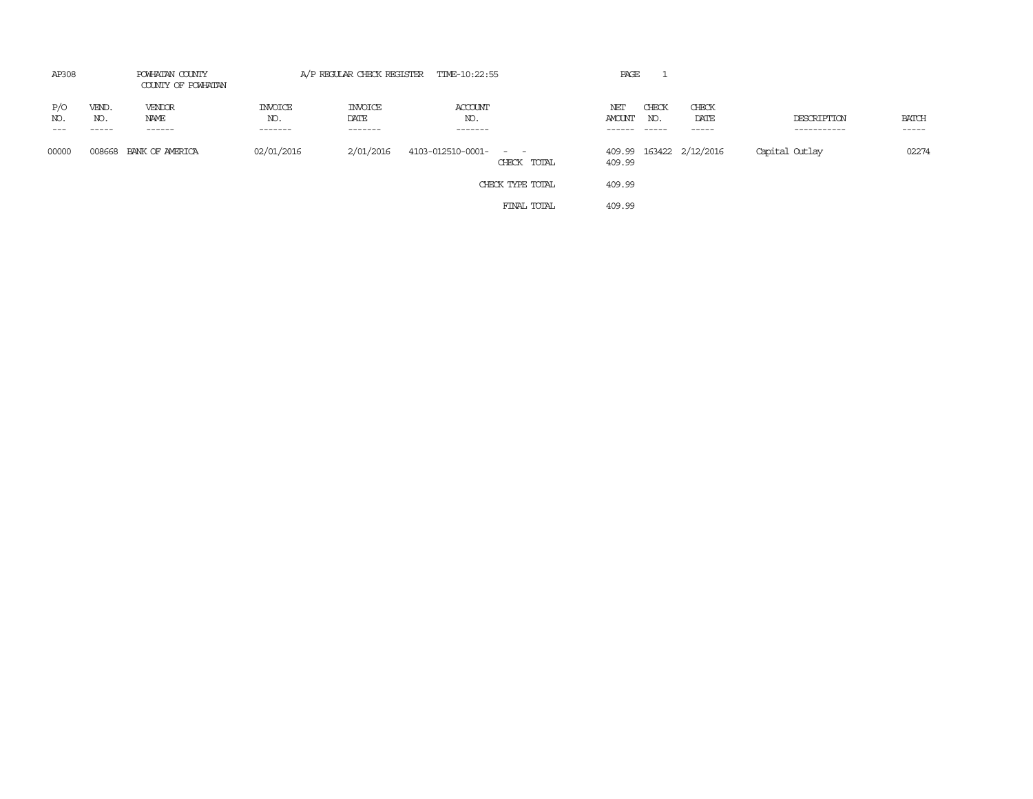| AP308               | POWHATAN COUNTY<br>COUNTY OF POWHATAN |                           | A/P REGULAR CHECK REGISTER TIME-10:22:55 |                                   |                                           |                  | PAGE                    |                          |                              |                            |                             |
|---------------------|---------------------------------------|---------------------------|------------------------------------------|-----------------------------------|-------------------------------------------|------------------|-------------------------|--------------------------|------------------------------|----------------------------|-----------------------------|
| P/O<br>NO.<br>$---$ | VEND.<br>NO.<br>$- - - - -$           | VENDOR<br>NAME<br>------- | <b>INVOICE</b><br>NO.<br>-------         | <b>INVOICE</b><br>DATE<br>------- | ACCOUNT<br>NO.<br>-------                 |                  | NET<br>AMOUNT<br>------ | CHECK<br>NO.<br>$------$ | CHECK<br>DATE<br>$- - - - -$ | DESCRIPTION<br>----------- | <b>BATCH</b><br>$- - - - -$ |
| 00000               |                                       | 008668 BANK OF AMERICA    | 02/01/2016                               | 2/01/2016                         | 4103-012510-0001-<br>and the state of the | CHECK TOTAL      | 409.99                  |                          | 409.99 163422 2/12/2016      | Capital Outlay             | 02274                       |
|                     |                                       |                           |                                          |                                   |                                           | CHECK TYPE TOTAL | 409.99                  |                          |                              |                            |                             |
|                     |                                       |                           |                                          |                                   |                                           | FINAL TOTAL      | 409.99                  |                          |                              |                            |                             |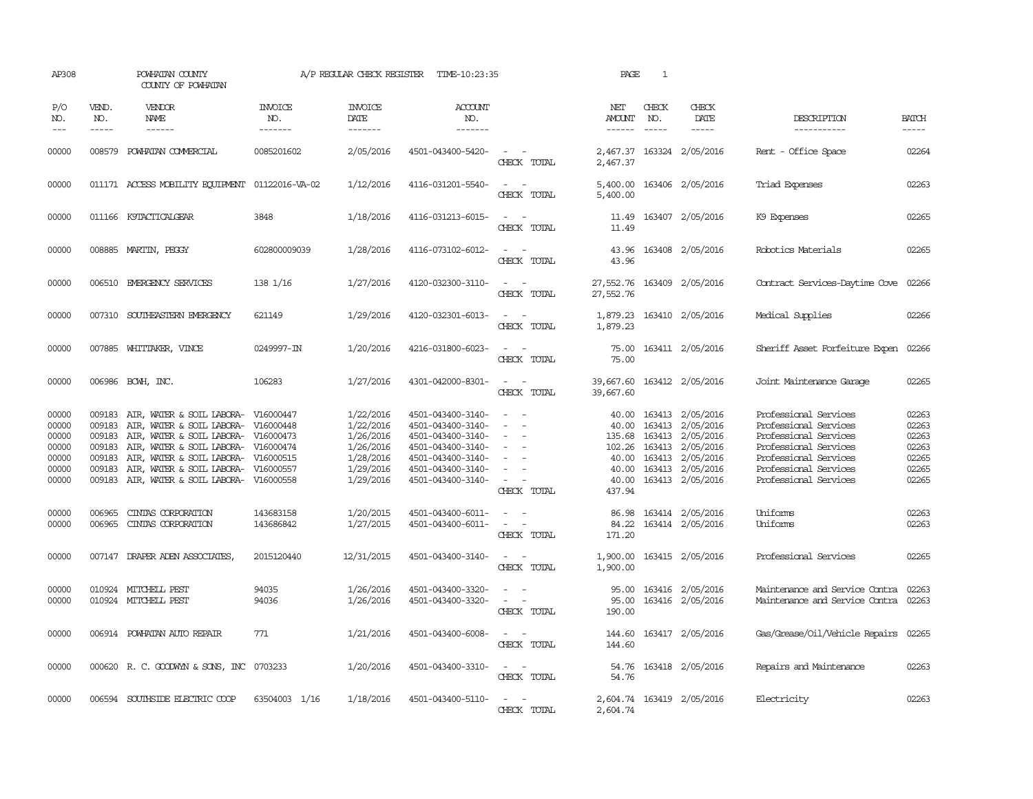| AP308                                                       |                                                          | POWHATAN COUNTY<br>COUNTY OF POWHATAN                                                                                                                                                                                                                  |                                     |                                                                                         | A/P REGULAR CHECK REGISTER TIME-10:23:35                                                                                                        |                                                                                                                                                                     | PAGE                                       | $\mathbf{1}$                  |                                                                                                                                                              |                                                                                                                                                                             |                                                             |
|-------------------------------------------------------------|----------------------------------------------------------|--------------------------------------------------------------------------------------------------------------------------------------------------------------------------------------------------------------------------------------------------------|-------------------------------------|-----------------------------------------------------------------------------------------|-------------------------------------------------------------------------------------------------------------------------------------------------|---------------------------------------------------------------------------------------------------------------------------------------------------------------------|--------------------------------------------|-------------------------------|--------------------------------------------------------------------------------------------------------------------------------------------------------------|-----------------------------------------------------------------------------------------------------------------------------------------------------------------------------|-------------------------------------------------------------|
| P/O<br>NO.<br>$---$                                         | VEND.<br>NO.<br>$- - - - -$                              | VENDOR<br>NAME<br>------                                                                                                                                                                                                                               | <b>INVOICE</b><br>NO.<br>-------    | <b>INVOICE</b><br>DATE<br>-------                                                       | <b>ACCOUNT</b><br>NO.<br>-------                                                                                                                |                                                                                                                                                                     | NET<br>AMOUNT<br>------                    | CHECK<br>NO.<br>$\frac{1}{2}$ | CHECK<br>DATE<br>$- - - - -$                                                                                                                                 | DESCRIPTION<br>-----------                                                                                                                                                  | <b>BATCH</b><br>-----                                       |
| 00000                                                       |                                                          | 008579 POWHATAN COMMERCIAL                                                                                                                                                                                                                             | 0085201602                          | 2/05/2016                                                                               | 4501-043400-5420-                                                                                                                               | $\sim$ $\sim$<br>CHECK TOTAL                                                                                                                                        | 2,467.37                                   |                               | 2,467.37 163324 2/05/2016                                                                                                                                    | Rent - Office Space                                                                                                                                                         | 02264                                                       |
| 00000                                                       |                                                          | 011171 ACCESS MOBILITY EQUIPMENT                                                                                                                                                                                                                       | 01122016-VA-02                      | 1/12/2016                                                                               | 4116-031201-5540-                                                                                                                               | $\sim$ 10 $\sim$ 10 $\sim$<br>CHECK TOTAL                                                                                                                           | 5,400.00<br>5,400.00                       |                               | 163406 2/05/2016                                                                                                                                             | Triad Expenses                                                                                                                                                              | 02263                                                       |
| 00000                                                       |                                                          | 011166 K9TACTICALGEAR                                                                                                                                                                                                                                  | 3848                                | 1/18/2016                                                                               | 4116-031213-6015-                                                                                                                               | $\frac{1}{2} \left( \frac{1}{2} \right) \left( \frac{1}{2} \right) = \frac{1}{2} \left( \frac{1}{2} \right)$<br>CHECK TOTAL                                         | 11.49                                      |                               | 11.49 163407 2/05/2016                                                                                                                                       | K9 Expenses                                                                                                                                                                 | 02265                                                       |
| 00000                                                       |                                                          | 008885 MARTIN, PEGGY                                                                                                                                                                                                                                   | 602800009039                        | 1/28/2016                                                                               | 4116-073102-6012-                                                                                                                               | $\sim$<br>CHECK TOTAL                                                                                                                                               | 43.96<br>43.96                             |                               | 163408 2/05/2016                                                                                                                                             | Robotics Materials                                                                                                                                                          | 02265                                                       |
| 00000                                                       |                                                          | 006510 EMERGENCY SERVICES                                                                                                                                                                                                                              | 138 1/16                            | 1/27/2016                                                                               | 4120-032300-3110-                                                                                                                               | $\sim$ $ \sim$<br>CHECK TOTAL                                                                                                                                       | 27,552.76 163409 2/05/2016<br>27,552.76    |                               |                                                                                                                                                              | Contract Services-Daytime Cove                                                                                                                                              | 02266                                                       |
| 00000                                                       |                                                          | 007310 SOUTHEASTERN EMERGENCY                                                                                                                                                                                                                          | 621149                              | 1/29/2016                                                                               | 4120-032301-6013-                                                                                                                               | $\sim$ 100 $\sim$<br>CHECK TOTAL                                                                                                                                    | 1,879.23<br>1,879.23                       |                               | 163410 2/05/2016                                                                                                                                             | Medical Supplies                                                                                                                                                            | 02266                                                       |
| 00000                                                       |                                                          | 007885 WHITTAKER, VINCE                                                                                                                                                                                                                                | 0249997-IN                          | 1/20/2016                                                                               | 4216-031800-6023-                                                                                                                               | $\frac{1}{2} \left( \frac{1}{2} \right) \left( \frac{1}{2} \right) = \frac{1}{2} \left( \frac{1}{2} \right)$<br>CHECK TOTAL                                         | 75.00<br>75.00                             |                               | 163411 2/05/2016                                                                                                                                             | Sheriff Asset Forfeiture Expen                                                                                                                                              | 02266                                                       |
| 00000                                                       |                                                          | 006986 BCWH, INC.                                                                                                                                                                                                                                      | 106283                              | 1/27/2016                                                                               | 4301-042000-8301-                                                                                                                               | CHECK TOTAL                                                                                                                                                         | 39,667.60<br>39,667.60                     |                               | 163412 2/05/2016                                                                                                                                             | Joint Maintenance Garage                                                                                                                                                    | 02265                                                       |
| 00000<br>00000<br>00000<br>00000<br>00000<br>00000<br>00000 | 009183<br>009183<br>009183<br>009183<br>009183<br>009183 | AIR, WATER & SOIL LABORA-<br>AIR, WATER & SOIL LABORA-<br>AIR, WATER & SOIL LABORA- V16000473<br>AIR, WATER & SOIL LABORA- V16000474<br>AIR, WATER & SOIL LABORA- V16000515<br>AIR, WATER & SOIL LABORA-<br>009183 AIR, WATER & SOIL LABORA- V16000558 | V16000447<br>V16000448<br>V16000557 | 1/22/2016<br>1/22/2016<br>1/26/2016<br>1/26/2016<br>1/28/2016<br>1/29/2016<br>1/29/2016 | 4501-043400-3140-<br>4501-043400-3140-<br>4501-043400-3140-<br>4501-043400-3140-<br>4501-043400-3140-<br>4501-043400-3140-<br>4501-043400-3140- | $\sim$ $\sim$<br>$\equiv$<br>$\sim$ 10 $\sim$ 10 $\sim$<br>CHECK TOTAL                                                                                              | 40.00<br>40.00<br>40.00<br>40.00<br>437.94 |                               | 40.00 163413 2/05/2016<br>163413 2/05/2016<br>135.68 163413 2/05/2016<br>102.26 163413 2/05/2016<br>163413 2/05/2016<br>163413 2/05/2016<br>163413 2/05/2016 | Professional Services<br>Professional Services<br>Professional Services<br>Professional Services<br>Professional Services<br>Professional Services<br>Professional Services | 02263<br>02263<br>02263<br>02263<br>02265<br>02265<br>02265 |
| 00000<br>00000                                              | 006965<br>006965                                         | CINIAS CORPORATION<br>CINIAS CORPORATION                                                                                                                                                                                                               | 143683158<br>143686842              | 1/20/2015<br>1/27/2015                                                                  | 4501-043400-6011-<br>4501-043400-6011-                                                                                                          | CHECK TOTAL                                                                                                                                                         | 84.22<br>171.20                            |                               | 86.98 163414 2/05/2016<br>163414 2/05/2016                                                                                                                   | Uniforms<br>Uniforms                                                                                                                                                        | 02263<br>02263                                              |
| 00000                                                       |                                                          | 007147 DRAPER ADEN ASSOCIATES,                                                                                                                                                                                                                         | 2015120440                          | 12/31/2015                                                                              | 4501-043400-3140-                                                                                                                               | CHECK TOTAL                                                                                                                                                         | 1,900.00                                   |                               | 1,900.00 163415 2/05/2016                                                                                                                                    | Professional Services                                                                                                                                                       | 02265                                                       |
| 00000<br>00000                                              |                                                          | 010924 MITCHELL PEST<br>010924 MITCHELL PEST                                                                                                                                                                                                           | 94035<br>94036                      | 1/26/2016<br>1/26/2016                                                                  | 4501-043400-3320-<br>4501-043400-3320-                                                                                                          | $\sim 100$ km s $^{-1}$<br>$\frac{1}{2} \left( \frac{1}{2} \right) \left( \frac{1}{2} \right) \left( \frac{1}{2} \right) \left( \frac{1}{2} \right)$<br>CHECK TOTAL | 95.00<br>95.00<br>190.00                   |                               | 163416 2/05/2016<br>163416 2/05/2016                                                                                                                         | Maintenance and Service Contra<br>Maintenance and Service Contra 02263                                                                                                      | 02263                                                       |
| 00000                                                       |                                                          | 006914 POWHATAN AUTO REPAIR                                                                                                                                                                                                                            | 771                                 | 1/21/2016                                                                               | 4501-043400-6008-                                                                                                                               | $\frac{1}{2} \left( \frac{1}{2} \right) \left( \frac{1}{2} \right) = \frac{1}{2} \left( \frac{1}{2} \right)$<br>CHECK TOTAL                                         | 144.60<br>144.60                           |                               | 163417 2/05/2016                                                                                                                                             | Gas/Grease/Oil/Vehicle Repairs 02265                                                                                                                                        |                                                             |
| 00000                                                       |                                                          | 000620 R. C. GOODWYN & SONS, INC 0703233                                                                                                                                                                                                               |                                     | 1/20/2016                                                                               | 4501-043400-3310-                                                                                                                               | $\frac{1}{2} \left( \frac{1}{2} \right) \left( \frac{1}{2} \right) = \frac{1}{2} \left( \frac{1}{2} \right)$<br>CHECK TOTAL                                         | 54.76                                      |                               | 54.76 163418 2/05/2016                                                                                                                                       | Repairs and Maintenance                                                                                                                                                     | 02263                                                       |
| 00000                                                       |                                                          | 006594 SOUTHSIDE ELECTRIC COOP                                                                                                                                                                                                                         | 63504003 1/16                       | 1/18/2016                                                                               | 4501-043400-5110-                                                                                                                               | $\sim$ 100 $\sim$ 100 $\sim$<br>CHECK TOTAL                                                                                                                         | 2,604.74                                   |                               | 2,604.74 163419 2/05/2016                                                                                                                                    | Electricity                                                                                                                                                                 | 02263                                                       |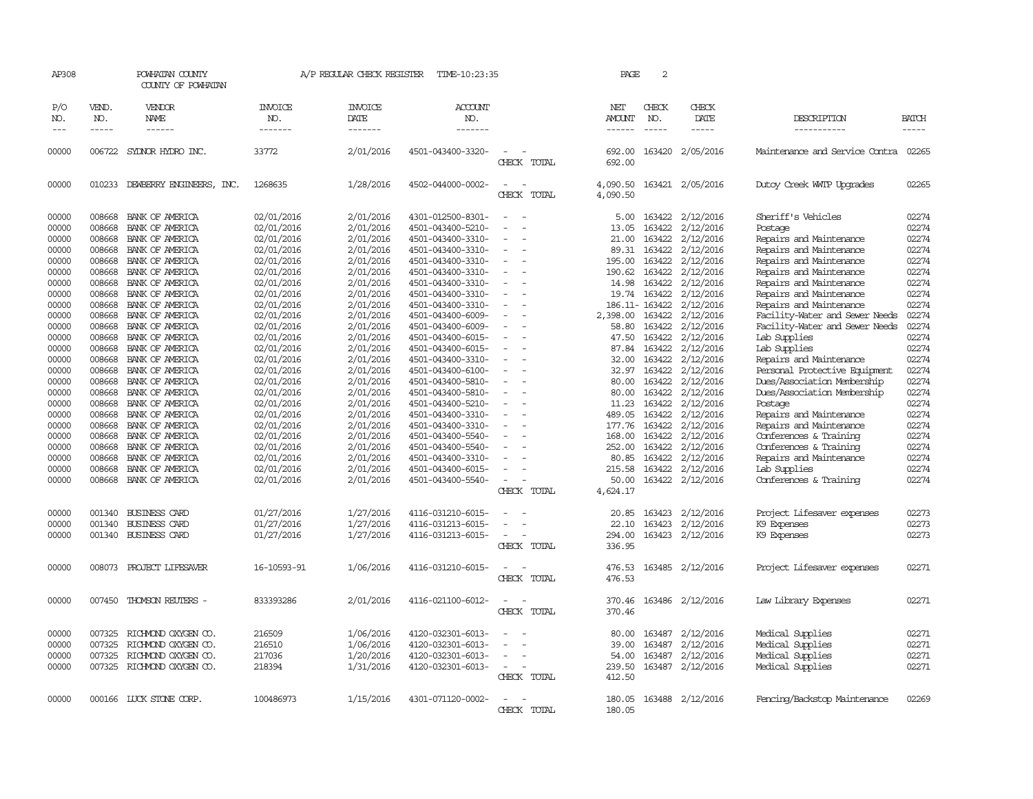| AP308        |                    | POWHATAN COUNTY<br>COUNTY OF POWHATAN |                | A/P REGULAR CHECK REGISTER | TIME-10:23:35     |                                         | PAGE                 | 2                  |                  |                                      |                             |
|--------------|--------------------|---------------------------------------|----------------|----------------------------|-------------------|-----------------------------------------|----------------------|--------------------|------------------|--------------------------------------|-----------------------------|
| P/O          | VEND.              | VENDOR                                | <b>INVOICE</b> | <b>INVOICE</b>             | <b>ACCOUNT</b>    |                                         | NET                  | CHECK              | CHECK            |                                      |                             |
| NO.<br>$---$ | NO.<br>$- - - - -$ | NAME<br>$- - - - - -$                 | NO.<br>------- | DATE<br>-------            | NO.<br>-------    |                                         | AMOUNT               | NO.<br>$- - - - -$ | DATE<br>-----    | DESCRIPTION<br>-----------           | <b>BATCH</b><br>$- - - - -$ |
|              |                    |                                       |                |                            |                   |                                         |                      |                    |                  |                                      |                             |
| 00000        |                    | 006722 SYDNOR HYDRO INC.              | 33772          | 2/01/2016                  | 4501-043400-3320- | CHECK TOTAL                             | 692.00<br>692.00     |                    | 163420 2/05/2016 | Maintenance and Service Contra 02265 |                             |
|              |                    |                                       |                |                            |                   |                                         |                      |                    |                  |                                      |                             |
| 00000        | 010233             | DEWBERRY ENGINEERS, INC.              | 1268635        | 1/28/2016                  | 4502-044000-0002- | $\overline{\phantom{a}}$<br>CHECK TOTAL | 4,090.50<br>4,090.50 |                    | 163421 2/05/2016 | Dutoy Creek WITP Upgrades            | 02265                       |
| 00000        | 008668             | BANK OF AMERICA                       | 02/01/2016     | 2/01/2016                  | 4301-012500-8301- |                                         | 5.00                 | 163422             | 2/12/2016        | Sheriff's Vehicles                   | 02274                       |
| 00000        | 008668             | BANK OF AMERICA                       | 02/01/2016     | 2/01/2016                  | 4501-043400-5210- |                                         | 13.05                | 163422             | 2/12/2016        | Postage                              | 02274                       |
| 00000        | 008668             | BANK OF AMERICA                       | 02/01/2016     | 2/01/2016                  | 4501-043400-3310- |                                         | 21.00                | 163422             | 2/12/2016        | Repairs and Maintenance              | 02274                       |
| 00000        | 008668             | BANK OF AMERICA                       | 02/01/2016     | 2/01/2016                  | 4501-043400-3310- |                                         | 89.31                | 163422             | 2/12/2016        | Repairs and Maintenance              | 02274                       |
| 00000        | 008668             | BANK OF AMERICA                       | 02/01/2016     | 2/01/2016                  | 4501-043400-3310- |                                         | 195.00               | 163422             | 2/12/2016        | Repairs and Maintenance              | 02274                       |
| 00000        | 008668             | BANK OF AMERICA                       | 02/01/2016     | 2/01/2016                  | 4501-043400-3310- |                                         | 190.62               | 163422             | 2/12/2016        | Repairs and Maintenance              | 02274                       |
| 00000        | 008668             | BANK OF AMERICA                       | 02/01/2016     | 2/01/2016                  | 4501-043400-3310- | $\sim$                                  | 14.98                | 163422             | 2/12/2016        | Repairs and Maintenance              | 02274                       |
| 00000        | 008668             | BANK OF AMERICA                       | 02/01/2016     | 2/01/2016                  | 4501-043400-3310- |                                         | 19.74                | 163422             | 2/12/2016        | Repairs and Maintenance              | 02274                       |
| 00000        | 008668             | BANK OF AMERICA                       | 02/01/2016     | 2/01/2016                  | 4501-043400-3310- |                                         |                      | 186.11-163422      | 2/12/2016        | Repairs and Maintenance              | 02274                       |
| 00000        | 008668             | BANK OF AMERICA                       | 02/01/2016     | 2/01/2016                  | 4501-043400-6009- |                                         | 2,398.00             | 163422             | 2/12/2016        | Facility-Water and Sewer Needs       | 02274                       |
| 00000        | 008668             | BANK OF AMERICA                       | 02/01/2016     | 2/01/2016                  | 4501-043400-6009- |                                         | 58.80                | 163422             | 2/12/2016        | Facility-Water and Sewer Needs       | 02274                       |
| 00000        | 008668             | BANK OF AMERICA                       | 02/01/2016     | 2/01/2016                  | 4501-043400-6015- |                                         | 47.50                | 163422             | 2/12/2016        | Lab Supplies                         | 02274                       |
| 00000        | 008668             | BANK OF AMERICA                       | 02/01/2016     | 2/01/2016                  | 4501-043400-6015- |                                         | 87.84                | 163422             | 2/12/2016        | Lab Supplies                         | 02274                       |
| 00000        | 008668             | BANK OF AMERICA                       | 02/01/2016     | 2/01/2016                  | 4501-043400-3310- |                                         | 32.00                | 163422             | 2/12/2016        | Repairs and Maintenance              | 02274                       |
| 00000        | 008668             | BANK OF AMERICA                       | 02/01/2016     | 2/01/2016                  | 4501-043400-6100- |                                         | 32.97                | 163422             | 2/12/2016        | Personal Protective Equipment        | 02274                       |
| 00000        | 008668             | BANK OF AMERICA                       | 02/01/2016     | 2/01/2016                  | 4501-043400-5810- |                                         | 80.00                | 163422             | 2/12/2016        | Dues/Association Membership          | 02274                       |
| 00000        | 008668             | BANK OF AMERICA                       | 02/01/2016     | 2/01/2016                  | 4501-043400-5810- |                                         | 80.00                | 163422             | 2/12/2016        | Dues/Association Membership          | 02274                       |
| 00000        | 008668             | BANK OF AMERICA                       | 02/01/2016     | 2/01/2016                  | 4501-043400-5210- |                                         | 11.23                | 163422             | 2/12/2016        | Postage                              | 02274                       |
| 00000        | 008668             | BANK OF AMERICA                       | 02/01/2016     | 2/01/2016                  | 4501-043400-3310- |                                         | 489.05               | 163422             | 2/12/2016        | Repairs and Maintenance              | 02274                       |
| 00000        | 008668             | BANK OF AMERICA                       | 02/01/2016     | 2/01/2016                  | 4501-043400-3310- |                                         | 177.76               | 163422             | 2/12/2016        | Repairs and Maintenance              | 02274                       |
| 00000        | 008668             | BANK OF AMERICA                       | 02/01/2016     | 2/01/2016                  | 4501-043400-5540- |                                         | 168.00               |                    | 163422 2/12/2016 | Conferences & Training               | 02274                       |
| 00000        | 008668             | BANK OF AMERICA                       | 02/01/2016     | 2/01/2016                  | 4501-043400-5540- |                                         | 252.00               | 163422             | 2/12/2016        | Conferences & Training               | 02274                       |
| 00000        | 008668             | BANK OF AMERICA                       | 02/01/2016     | 2/01/2016                  | 4501-043400-3310- |                                         | 80.85                | 163422             | 2/12/2016        | Repairs and Maintenance              | 02274                       |
| 00000        | 008668             | BANK OF AMERICA                       | 02/01/2016     | 2/01/2016                  | 4501-043400-6015- |                                         | 215.58               | 163422             | 2/12/2016        | Lab Supplies                         | 02274                       |
| 00000        |                    | 008668 BANK OF AMERICA                | 02/01/2016     | 2/01/2016                  | 4501-043400-5540- |                                         | 50.00                |                    | 163422 2/12/2016 | Conferences & Training               | 02274                       |
|              |                    |                                       |                |                            |                   | CHECK TOTAL                             | 4,624.17             |                    |                  |                                      |                             |
|              |                    |                                       |                |                            |                   |                                         |                      |                    |                  |                                      |                             |
| 00000        | 001340             | <b>BUSINESS CARD</b>                  | 01/27/2016     | 1/27/2016                  | 4116-031210-6015- |                                         | 20.85                | 163423             | 2/12/2016        | Project Lifesaver expenses           | 02273                       |
| 00000        | 001340             | <b>BUSINESS CARD</b>                  | 01/27/2016     | 1/27/2016                  | 4116-031213-6015- |                                         | 22.10                | 163423             | 2/12/2016        | K9 Expenses                          | 02273                       |
| 00000        |                    | 001340 BUSINESS CARD                  | 01/27/2016     | 1/27/2016                  | 4116-031213-6015- |                                         | 294.00               |                    | 163423 2/12/2016 | K9 Expenses                          | 02273                       |
|              |                    |                                       |                |                            |                   | CHECK TOTAL                             | 336.95               |                    |                  |                                      |                             |
| 00000        |                    | 008073 PROJECT LIFESAVER              | 16-10593-91    | 1/06/2016                  | 4116-031210-6015- | $\sim$                                  | 476.53               |                    | 163485 2/12/2016 | Project Lifesaver expenses           | 02271                       |
|              |                    |                                       |                |                            |                   | CHECK TOTAL                             | 476.53               |                    |                  |                                      |                             |
| 00000        | 007450             | THOMSON REUTERS -                     | 833393286      | 2/01/2016                  | 4116-021100-6012- |                                         | 370.46               |                    | 163486 2/12/2016 | Law Library Expenses                 | 02271                       |
|              |                    |                                       |                |                            |                   | CHECK TOTAL                             | 370.46               |                    |                  |                                      |                             |
| 00000        | 007325             | RICHMOND OXYGEN CO.                   | 216509         | 1/06/2016                  | 4120-032301-6013- |                                         | 80.00                | 163487             | 2/12/2016        | Medical Supplies                     | 02271                       |
| 00000        | 007325             | RICHMOND OXYGEN CO.                   | 216510         | 1/06/2016                  | 4120-032301-6013- |                                         | 39.00                | 163487             | 2/12/2016        | Medical Supplies                     | 02271                       |
| 00000        | 007325             | RICHMOND OXYGEN CO.                   | 217036         | 1/20/2016                  | 4120-032301-6013- |                                         | 54.00                | 163487             | 2/12/2016        | Medical Supplies                     | 02271                       |
| 00000        |                    | 007325 RICHMOND OXYGEN CO.            | 218394         | 1/31/2016                  | 4120-032301-6013- |                                         | 239.50               | 163487             | 2/12/2016        | Medical Supplies                     | 02271                       |
|              |                    |                                       |                |                            |                   | CHECK TOTAL                             | 412.50               |                    |                  |                                      |                             |
|              |                    |                                       |                |                            |                   |                                         |                      |                    |                  |                                      | 02269                       |
| 00000        |                    | 000166 LUCK STONE CORP.               | 100486973      | 1/15/2016                  | 4301-071120-0002- |                                         | 180.05               |                    | 163488 2/12/2016 | Fencing/Backstop Maintenance         |                             |
|              |                    |                                       |                |                            |                   | CHECK TOTAL                             | 180.05               |                    |                  |                                      |                             |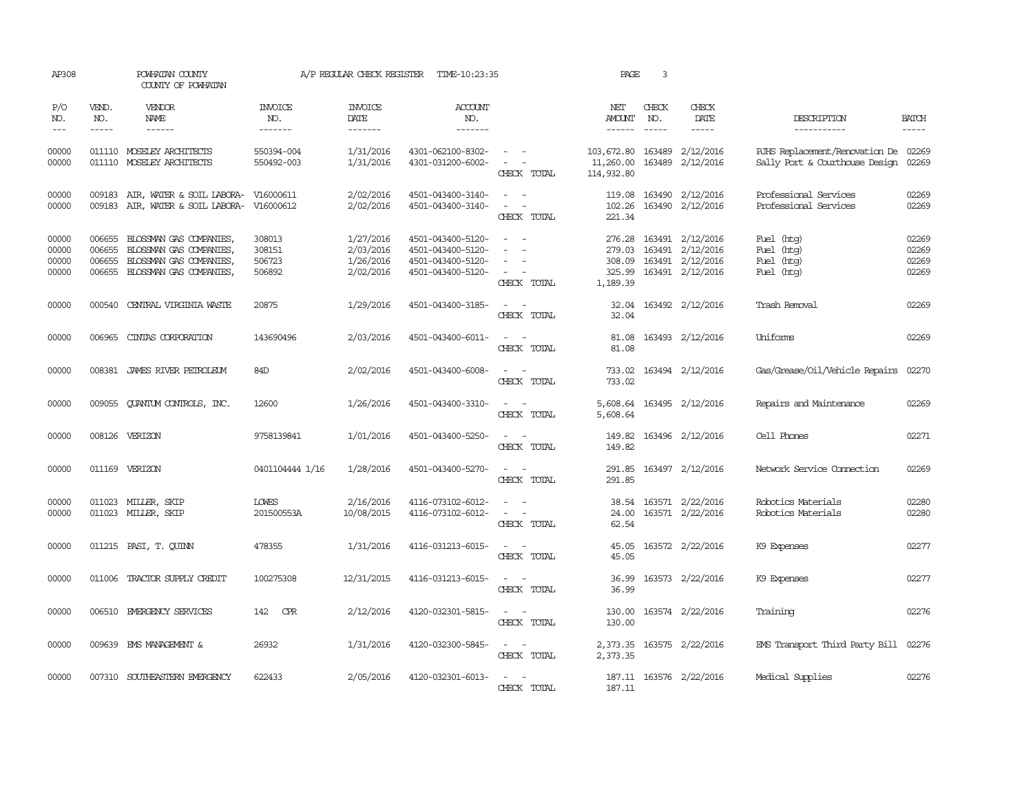| AP308                            |                                                                                                                                                                                                                                                                                                                                                                                                                                                                                                     | POWHATAN COUNTY<br>COUNTY OF POWHATAN                                                                                                                                                                                                                                                                                                                                                                                                                                     |                                      | A/P REGULAR CHECK REGISTER                       | TIME-10:23:35                                                                    |                                                                                                                             | PAGE                                  | 3                             |                                                                                                   |                                                                              |                                  |
|----------------------------------|-----------------------------------------------------------------------------------------------------------------------------------------------------------------------------------------------------------------------------------------------------------------------------------------------------------------------------------------------------------------------------------------------------------------------------------------------------------------------------------------------------|---------------------------------------------------------------------------------------------------------------------------------------------------------------------------------------------------------------------------------------------------------------------------------------------------------------------------------------------------------------------------------------------------------------------------------------------------------------------------|--------------------------------------|--------------------------------------------------|----------------------------------------------------------------------------------|-----------------------------------------------------------------------------------------------------------------------------|---------------------------------------|-------------------------------|---------------------------------------------------------------------------------------------------|------------------------------------------------------------------------------|----------------------------------|
| P/O<br>NO.<br>$---$              | VEND.<br>NO.<br>$\begin{tabular}{ccccc} \multicolumn{2}{c}{} & \multicolumn{2}{c}{} & \multicolumn{2}{c}{} & \multicolumn{2}{c}{} & \multicolumn{2}{c}{} & \multicolumn{2}{c}{} & \multicolumn{2}{c}{} & \multicolumn{2}{c}{} & \multicolumn{2}{c}{} & \multicolumn{2}{c}{} & \multicolumn{2}{c}{} & \multicolumn{2}{c}{} & \multicolumn{2}{c}{} & \multicolumn{2}{c}{} & \multicolumn{2}{c}{} & \multicolumn{2}{c}{} & \multicolumn{2}{c}{} & \multicolumn{2}{c}{} & \multicolumn{2}{c}{} & \mult$ | VENDOR<br>NAME<br>$\begin{tabular}{ccccc} \multicolumn{2}{c }{\multicolumn{2}{c }{\multicolumn{2}{c }{\multicolumn{2}{c}}{\hspace{-2.2cm}}}} \multicolumn{2}{c }{\multicolumn{2}{c }{\hspace{-2.2cm}}\hline} \multicolumn{2}{c }{\hspace{-2.2cm}}\hline \multicolumn{2}{c }{\hspace{-2.2cm}}\hline \multicolumn{2}{c }{\hspace{-2.2cm}}\hline \multicolumn{2}{c }{\hspace{-2.2cm}}\hline \multicolumn{2}{c }{\hspace{-2.2cm}}\hline \multicolumn{2}{c }{\hspace{-2.2cm}}$ | <b>INVOICE</b><br>NO.<br>-------     | <b>INVOICE</b><br>DATE<br>-------                | <b>ACCOUNT</b><br>NO.<br>-------                                                 |                                                                                                                             | NET<br>AMOUNT<br>------               | CHECK<br>NO.<br>$\frac{1}{2}$ | CHECK<br>DATE<br>$\cdots \cdots \cdots$                                                           | DESCRIPTION<br>-----------                                                   | <b>BATCH</b><br>-----            |
| 00000<br>00000                   |                                                                                                                                                                                                                                                                                                                                                                                                                                                                                                     | 011110 MOSELEY ARCHITECTS<br>011110 MOSELEY ARCHITECTS                                                                                                                                                                                                                                                                                                                                                                                                                    | 550394-004<br>550492-003             | 1/31/2016<br>1/31/2016                           | 4301-062100-8302-<br>4301-031200-6002-                                           | $\sim$ $ -$<br>$\omega_{\rm{max}}$ and $\omega_{\rm{max}}$<br>CHECK TOTAL                                                   | 103,672.80<br>11,260.00<br>114,932.80 |                               | 163489 2/12/2016<br>163489 2/12/2016                                                              | RJHS Replacement/Renovation De 02269<br>Sally Port & Courthouse Design 02269 |                                  |
| 00000<br>00000                   |                                                                                                                                                                                                                                                                                                                                                                                                                                                                                                     | 009183 AIR, WATER & SOIL LABORA-<br>009183 AIR, WATER & SOIL LABORA- V16000612                                                                                                                                                                                                                                                                                                                                                                                            | V16000611                            | 2/02/2016<br>2/02/2016                           | 4501-043400-3140-<br>4501-043400-3140-                                           | $\overline{a}$<br>$\overline{\phantom{a}}$<br>CHECK TOTAL                                                                   | 221.34                                |                               | 119.08 163490 2/12/2016<br>102.26 163490 2/12/2016                                                | Professional Services<br>Professional Services                               | 02269<br>02269                   |
| 00000<br>00000<br>00000<br>00000 | 006655<br>006655<br>006655                                                                                                                                                                                                                                                                                                                                                                                                                                                                          | BLOSSMAN GAS COMPANIES<br>BLOSSMAN GAS COMPANIES,<br>BLOSSMAN GAS COMPANIES,<br>006655 BLOSSMAN GAS COMPANIES,                                                                                                                                                                                                                                                                                                                                                            | 308013<br>308151<br>506723<br>506892 | 1/27/2016<br>2/03/2016<br>1/26/2016<br>2/02/2016 | 4501-043400-5120-<br>4501-043400-5120-<br>4501-043400-5120-<br>4501-043400-5120- | $\sim$<br>CHECK TOTAL                                                                                                       | 276.28<br>1,189.39                    |                               | 163491 2/12/2016<br>279.03 163491 2/12/2016<br>308.09 163491 2/12/2016<br>325.99 163491 2/12/2016 | Fuel (htg)<br>Fuel (htg)<br>Fuel (htg)<br>Fuel (htg)                         | 02269<br>02269<br>02269<br>02269 |
| 00000                            | 000540                                                                                                                                                                                                                                                                                                                                                                                                                                                                                              | CENTRAL VIRGINIA WASTE                                                                                                                                                                                                                                                                                                                                                                                                                                                    | 20875                                | 1/29/2016                                        | 4501-043400-3185-                                                                | $\frac{1}{2} \left( \frac{1}{2} \right) \left( \frac{1}{2} \right) = \frac{1}{2} \left( \frac{1}{2} \right)$<br>CHECK TOTAL | 32.04<br>32.04                        |                               | 163492 2/12/2016                                                                                  | Trash Removal                                                                | 02269                            |
| 00000                            | 006965                                                                                                                                                                                                                                                                                                                                                                                                                                                                                              | CINIAS CORPORATION                                                                                                                                                                                                                                                                                                                                                                                                                                                        | 143690496                            | 2/03/2016                                        | 4501-043400-6011-                                                                | $\frac{1}{2} \left( \frac{1}{2} \right) \left( \frac{1}{2} \right) = \frac{1}{2} \left( \frac{1}{2} \right)$<br>CHECK TOTAL | 81.08<br>81.08                        |                               | 163493 2/12/2016                                                                                  | Uniforms                                                                     | 02269                            |
| 00000                            |                                                                                                                                                                                                                                                                                                                                                                                                                                                                                                     | 008381 JAMES RIVER PEIROLEUM                                                                                                                                                                                                                                                                                                                                                                                                                                              | 84D                                  | 2/02/2016                                        | 4501-043400-6008-                                                                | $ -$<br>CHECK TOTAL                                                                                                         | 733.02                                |                               | 733.02 163494 2/12/2016                                                                           | Gas/Grease/Oil/Vehicle Repairs                                               | 02270                            |
| 00000                            |                                                                                                                                                                                                                                                                                                                                                                                                                                                                                                     | 009055 QUANTUM CONTROLS, INC.                                                                                                                                                                                                                                                                                                                                                                                                                                             | 12600                                | 1/26/2016                                        | 4501-043400-3310-                                                                | $\sim$ 100 $\sim$<br>CHECK TOTAL                                                                                            | 5,608.64                              |                               | 5,608.64 163495 2/12/2016                                                                         | Repairs and Maintenance                                                      | 02269                            |
| 00000                            |                                                                                                                                                                                                                                                                                                                                                                                                                                                                                                     | 008126 VERIZON                                                                                                                                                                                                                                                                                                                                                                                                                                                            | 9758139841                           | 1/01/2016                                        | 4501-043400-5250-                                                                | CHECK TOTAL                                                                                                                 | 149.82                                |                               | 149.82 163496 2/12/2016                                                                           | Cell Phones                                                                  | 02271                            |
| 00000                            |                                                                                                                                                                                                                                                                                                                                                                                                                                                                                                     | 011169 VERIZON                                                                                                                                                                                                                                                                                                                                                                                                                                                            | 0401104444 1/16                      | 1/28/2016                                        | 4501-043400-5270-                                                                | $\frac{1}{2} \left( \frac{1}{2} \right) \left( \frac{1}{2} \right) = \frac{1}{2} \left( \frac{1}{2} \right)$<br>CHECK TOTAL | 291.85<br>291.85                      |                               | 163497 2/12/2016                                                                                  | Network Service Cornection                                                   | 02269                            |
| 00000<br>00000                   |                                                                                                                                                                                                                                                                                                                                                                                                                                                                                                     | 011023 MILLER, SKIP<br>011023 MILLER, SKIP                                                                                                                                                                                                                                                                                                                                                                                                                                | <b>LOWES</b><br>201500553A           | 2/16/2016<br>10/08/2015                          | 4116-073102-6012-<br>4116-073102-6012-                                           | $\omega_{\rm{max}}$ and $\omega_{\rm{max}}$<br>$\sim$ 100 $\sim$<br>CHECK TOTAL                                             | 62.54                                 |                               | 38.54 163571 2/22/2016<br>24.00 163571 2/22/2016                                                  | Robotics Materials<br>Robotics Materials                                     | 02280<br>02280                   |
| 00000                            |                                                                                                                                                                                                                                                                                                                                                                                                                                                                                                     | 011215 PASI, T. CUINN                                                                                                                                                                                                                                                                                                                                                                                                                                                     | 478355                               | 1/31/2016                                        | 4116-031213-6015-                                                                | $\sim$ $ -$<br>CHECK TOTAL                                                                                                  | 45.05                                 |                               | 45.05 163572 2/22/2016                                                                            | K9 Expenses                                                                  | 02277                            |
| 00000                            |                                                                                                                                                                                                                                                                                                                                                                                                                                                                                                     | 011006 TRACTOR SUPPLY CREDIT                                                                                                                                                                                                                                                                                                                                                                                                                                              | 100275308                            | 12/31/2015                                       | 4116-031213-6015-                                                                | $\frac{1}{2} \left( \frac{1}{2} \right) \left( \frac{1}{2} \right) = \frac{1}{2} \left( \frac{1}{2} \right)$<br>CHECK TOTAL | 36.99<br>36.99                        |                               | 163573 2/22/2016                                                                                  | K9 Expenses                                                                  | 02277                            |
| 00000                            |                                                                                                                                                                                                                                                                                                                                                                                                                                                                                                     | 006510 EMERGENCY SERVICES                                                                                                                                                                                                                                                                                                                                                                                                                                                 | 142<br><b>CPR</b>                    | 2/12/2016                                        | 4120-032301-5815-                                                                | $\sim$ $-$<br>$\overline{\phantom{a}}$<br>CHECK TOTAL                                                                       | 130.00<br>130.00                      |                               | 163574 2/22/2016                                                                                  | Training                                                                     | 02276                            |
| 00000                            |                                                                                                                                                                                                                                                                                                                                                                                                                                                                                                     | 009639 EMS MANAGEMENT &                                                                                                                                                                                                                                                                                                                                                                                                                                                   | 26932                                | 1/31/2016                                        | 4120-032300-5845-                                                                | $\frac{1}{2} \left( \frac{1}{2} \right) \left( \frac{1}{2} \right) = \frac{1}{2} \left( \frac{1}{2} \right)$<br>CHECK TOTAL | 2,373.35<br>2,373.35                  |                               | 163575 2/22/2016                                                                                  | EMS Transport Third Party Bill 02276                                         |                                  |
| 00000                            |                                                                                                                                                                                                                                                                                                                                                                                                                                                                                                     | 007310 SOUTHEASTERN EMERGENCY                                                                                                                                                                                                                                                                                                                                                                                                                                             | 622433                               | 2/05/2016                                        | 4120-032301-6013-                                                                | $\frac{1}{2} \left( \frac{1}{2} \right) \left( \frac{1}{2} \right) = \frac{1}{2} \left( \frac{1}{2} \right)$<br>CHECK TOTAL | 187.11                                |                               | 187.11 163576 2/22/2016                                                                           | Medical Supplies                                                             | 02276                            |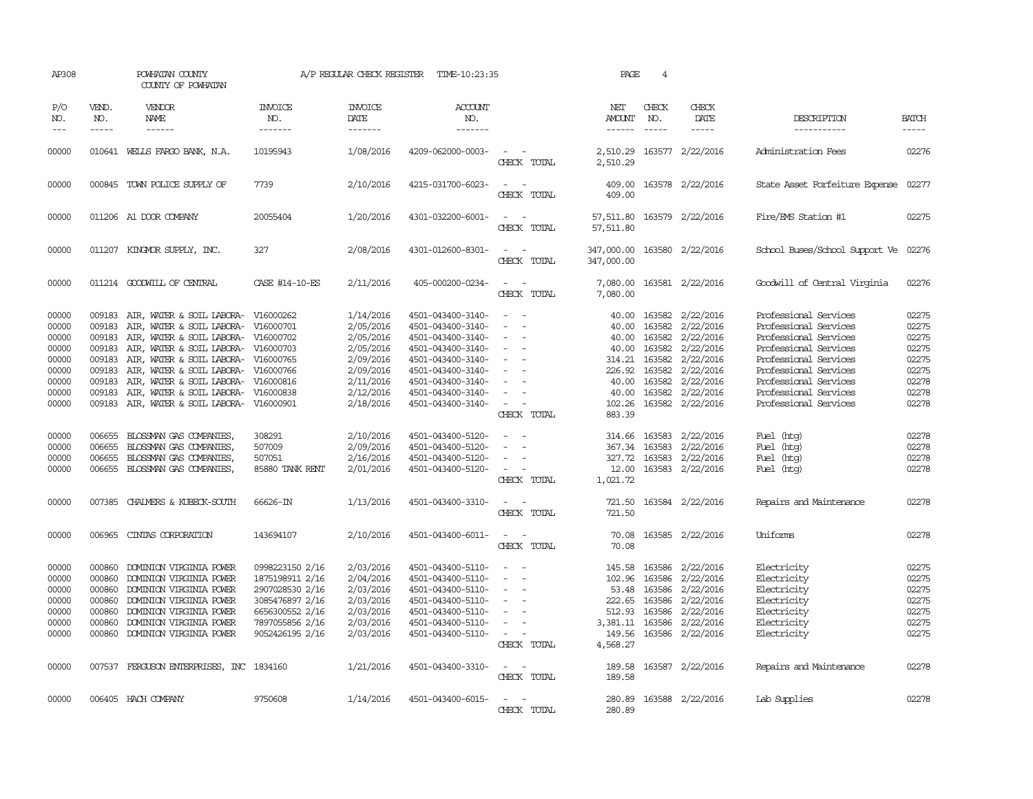| AP308                                                                         |                                                                              | POWHATAN COUNTY<br>COUNTY OF POWHATAN                                                                                                                                                                                                                                              |                                                                                                                                   | A/P REGULAR CHECK REGISTER                                                                                        | TIME-10:23:35                                                                                                                                                                             |                                                                                                                                               | PAGE                                                                              | $\overline{4}$                                                                     |                                                                                                                          |                                                                                                                                                                                                                               |                                                                               |
|-------------------------------------------------------------------------------|------------------------------------------------------------------------------|------------------------------------------------------------------------------------------------------------------------------------------------------------------------------------------------------------------------------------------------------------------------------------|-----------------------------------------------------------------------------------------------------------------------------------|-------------------------------------------------------------------------------------------------------------------|-------------------------------------------------------------------------------------------------------------------------------------------------------------------------------------------|-----------------------------------------------------------------------------------------------------------------------------------------------|-----------------------------------------------------------------------------------|------------------------------------------------------------------------------------|--------------------------------------------------------------------------------------------------------------------------|-------------------------------------------------------------------------------------------------------------------------------------------------------------------------------------------------------------------------------|-------------------------------------------------------------------------------|
| P/O<br>NO.<br>$---$                                                           | VEND.<br>NO.<br>$- - - - -$                                                  | VENDOR<br>NAME<br>------                                                                                                                                                                                                                                                           | <b>INVOICE</b><br>NO.<br>-------                                                                                                  | <b>INVOICE</b><br>DATE<br>-------                                                                                 | ACCOUNT<br>NO.<br>-------                                                                                                                                                                 |                                                                                                                                               | NET<br>AMOUNT<br>$- - - - - -$                                                    | CHECK<br>NO.<br>$\frac{1}{2}$                                                      | CHECK<br>DATE<br>$- - - - -$                                                                                             | DESCRIPTION<br>-----------                                                                                                                                                                                                    | <b>BATCH</b><br>$- - - - -$                                                   |
| 00000                                                                         |                                                                              | 010641 WELLS FARGO BANK, N.A.                                                                                                                                                                                                                                                      | 10195943                                                                                                                          | 1/08/2016                                                                                                         | 4209-062000-0003-                                                                                                                                                                         | $\overline{\phantom{a}}$<br>CHECK TOTAL                                                                                                       | 2,510.29                                                                          |                                                                                    | 2,510.29 163577 2/22/2016                                                                                                | Administration Fees                                                                                                                                                                                                           | 02276                                                                         |
| 00000                                                                         |                                                                              | 000845 TOWN POLICE SUPPLY OF                                                                                                                                                                                                                                                       | 7739                                                                                                                              | 2/10/2016                                                                                                         | 4215-031700-6023-                                                                                                                                                                         | $\equiv$<br>$\sim$<br>CHECK TOTAL                                                                                                             | 409.00<br>409.00                                                                  |                                                                                    | 163578 2/22/2016                                                                                                         | State Asset Forfeiture Expense                                                                                                                                                                                                | 02277                                                                         |
| 00000                                                                         |                                                                              | 011206 A1 DOOR COMPANY                                                                                                                                                                                                                                                             | 20055404                                                                                                                          | 1/20/2016                                                                                                         | 4301-032200-6001-                                                                                                                                                                         | $\frac{1}{2} \left( \frac{1}{2} \right) \left( \frac{1}{2} \right) = \frac{1}{2} \left( \frac{1}{2} \right)$<br>CHECK TOTAL                   | 57,511.80                                                                         |                                                                                    | 57,511.80 163579 2/22/2016                                                                                               | Fire/EMS Station #1                                                                                                                                                                                                           | 02275                                                                         |
| 00000                                                                         |                                                                              | 011207 KINGMOR SUPPLY, INC.                                                                                                                                                                                                                                                        | 327                                                                                                                               | 2/08/2016                                                                                                         | 4301-012600-8301-                                                                                                                                                                         | $\overline{\phantom{a}}$<br>CHECK TOTAL                                                                                                       | 347,000.00<br>347,000.00                                                          |                                                                                    | 163580 2/22/2016                                                                                                         | School Buses/School Support Ve                                                                                                                                                                                                | 02276                                                                         |
| 00000                                                                         |                                                                              | 011214 GOODWILL OF CENTRAL                                                                                                                                                                                                                                                         | CASE #14-10-ES                                                                                                                    | 2/11/2016                                                                                                         | 405-000200-0234-                                                                                                                                                                          | $\equiv$<br>CHECK TOTAL                                                                                                                       | 7,080.00<br>7,080.00                                                              |                                                                                    | 163581 2/22/2016                                                                                                         | Goodwill of Central Virginia                                                                                                                                                                                                  | 02276                                                                         |
| 00000<br>00000<br>00000<br>00000<br>00000<br>00000<br>00000<br>00000<br>00000 | 009183<br>009183<br>009183<br>009183<br>009183<br>009183<br>009183<br>009183 | AIR, WATER & SOIL LABORA-<br>AIR, WATER & SOIL LABORA-<br>AIR, WATER & SOIL LABORA-<br>AIR, WATER & SOIL LABORA-<br>AIR, WATER & SOIL LABORA- V16000765<br>AIR, WATER & SOIL LABORA-<br>AIR, WATER & SOIL LABORA-<br>AIR, WATER & SOIL LABORA-<br>009183 AIR, WATER & SOIL LABORA- | V16000262<br>V16000701<br>V16000702<br>V16000703<br>V16000766<br>V16000816<br>V16000838<br>V16000901                              | 1/14/2016<br>2/05/2016<br>2/05/2016<br>2/05/2016<br>2/09/2016<br>2/09/2016<br>2/11/2016<br>2/12/2016<br>2/18/2016 | 4501-043400-3140-<br>4501-043400-3140-<br>4501-043400-3140-<br>4501-043400-3140-<br>4501-043400-3140-<br>4501-043400-3140-<br>4501-043400-3140-<br>4501-043400-3140-<br>4501-043400-3140- | $\sim$<br>$\equiv$<br>$\sim$<br>$\overline{\phantom{a}}$<br>$\overline{\phantom{a}}$<br>$\equiv$<br>$\equiv$<br>CHECK TOTAL                   | 40.00<br>40.00<br>40.00<br>40.00<br>314.21<br>226.92<br>40.00<br>102.26<br>883.39 | 163582<br>163582<br>163582<br>163582<br>163582<br>163582<br>40.00 163582<br>163582 | 2/22/2016<br>2/22/2016<br>2/22/2016<br>2/22/2016<br>2/22/2016<br>2/22/2016<br>2/22/2016<br>2/22/2016<br>163582 2/22/2016 | Professional Services<br>Professional Services<br>Professional Services<br>Professional Services<br>Professional Services<br>Professional Services<br>Professional Services<br>Professional Services<br>Professional Services | 02275<br>02275<br>02275<br>02275<br>02275<br>02275<br>02278<br>02278<br>02278 |
| 00000<br>00000<br>00000<br>00000                                              | 006655<br>006655<br>006655<br>006655                                         | BLOSSMAN GAS COMPANIES,<br>BLOSSMAN GAS COMPANIES,<br>BLOSSMAN GAS COMPANIES,<br>BLOSSMAN GAS COMPANIES,                                                                                                                                                                           | 308291<br>507009<br>507051<br>85880 TANK RENT                                                                                     | 2/10/2016<br>2/09/2016<br>2/16/2016<br>2/01/2016                                                                  | 4501-043400-5120-<br>4501-043400-5120-<br>4501-043400-5120-<br>4501-043400-5120-                                                                                                          | $\equiv$<br>CHECK TOTAL                                                                                                                       | 314.66<br>367.34<br>327.72<br>12.00<br>1,021.72                                   | 163583<br>163583<br>163583                                                         | 2/22/2016<br>2/22/2016<br>2/22/2016<br>163583 2/22/2016                                                                  | Fuel (htg)<br>Fuel (htg)<br>Fuel (htg)<br>Fuel (htg)                                                                                                                                                                          | 02278<br>02278<br>02278<br>02278                                              |
| 00000                                                                         | 007385                                                                       | CHALMERS & KUBECK-SOUTH                                                                                                                                                                                                                                                            | 66626-IN                                                                                                                          | 1/13/2016                                                                                                         | 4501-043400-3310-                                                                                                                                                                         | $\sim$<br>CHECK TOTAL                                                                                                                         | 721.50<br>721.50                                                                  |                                                                                    | 163584 2/22/2016                                                                                                         | Repairs and Maintenance                                                                                                                                                                                                       | 02278                                                                         |
| 00000                                                                         | 006965                                                                       | CINIAS CORPORATION                                                                                                                                                                                                                                                                 | 143694107                                                                                                                         | 2/10/2016                                                                                                         | 4501-043400-6011-                                                                                                                                                                         | $\overline{\phantom{a}}$<br>CHECK TOTAL                                                                                                       | 70.08<br>70.08                                                                    |                                                                                    | 163585 2/22/2016                                                                                                         | Uniforms                                                                                                                                                                                                                      | 02278                                                                         |
| 00000<br>00000<br>00000<br>00000<br>00000<br>00000<br>00000                   | 000860<br>000860<br>000860<br>000860<br>000860<br>000860                     | DOMINION VIRGINIA POWER<br>DOMINION VIRGINIA POWER<br>DOMINION VIRGINIA POWER<br>DOMINION VIRGINIA POWER<br>DOMINION VIRGINIA POWER<br>DOMINION VIRGINIA POWER<br>000860 DOMINION VIRGINIA POWER                                                                                   | 0998223150 2/16<br>1875198911 2/16<br>2907028530 2/16<br>3085476897 2/16<br>6656300552 2/16<br>7897055856 2/16<br>9052426195 2/16 | 2/03/2016<br>2/04/2016<br>2/03/2016<br>2/03/2016<br>2/03/2016<br>2/03/2016<br>2/03/2016                           | 4501-043400-5110-<br>4501-043400-5110-<br>4501-043400-5110-<br>4501-043400-5110-<br>4501-043400-5110-<br>4501-043400-5110-<br>4501-043400-5110-                                           | $\sim$<br>$\overline{\phantom{a}}$<br>$\sim$<br>$\equiv$<br>$\overline{\phantom{a}}$<br>$\sim$ $-$<br>$\overline{\phantom{a}}$<br>CHECK TOTAL | 145.58<br>102.96<br>222.65<br>512.93<br>3,381.11<br>149.56<br>4,568.27            | 163586<br>163586<br>53.48 163586<br>163586<br>163586<br>163586                     | 2/22/2016<br>2/22/2016<br>2/22/2016<br>2/22/2016<br>2/22/2016<br>2/22/2016<br>163586 2/22/2016                           | Electricity<br>Electricity<br>Electricity<br>Electricity<br>Electricity<br>Electricity<br>Electricity                                                                                                                         | 02275<br>02275<br>02275<br>02275<br>02275<br>02275<br>02275                   |
| 00000                                                                         |                                                                              | 007537 FERGUSON ENTERPRISES, INC 1834160                                                                                                                                                                                                                                           |                                                                                                                                   | 1/21/2016                                                                                                         | 4501-043400-3310-                                                                                                                                                                         | $\overline{\phantom{a}}$<br>CHECK TOTAL                                                                                                       | 189.58<br>189.58                                                                  |                                                                                    | 163587 2/22/2016                                                                                                         | Repairs and Maintenance                                                                                                                                                                                                       | 02278                                                                         |
| 00000                                                                         |                                                                              | 006405 HACH COMPANY                                                                                                                                                                                                                                                                | 9750608                                                                                                                           | 1/14/2016                                                                                                         | 4501-043400-6015-                                                                                                                                                                         | $\overline{\phantom{a}}$<br>CHECK TOTAL                                                                                                       | 280.89<br>280.89                                                                  |                                                                                    | 163588 2/22/2016                                                                                                         | Lab Supplies                                                                                                                                                                                                                  | 02278                                                                         |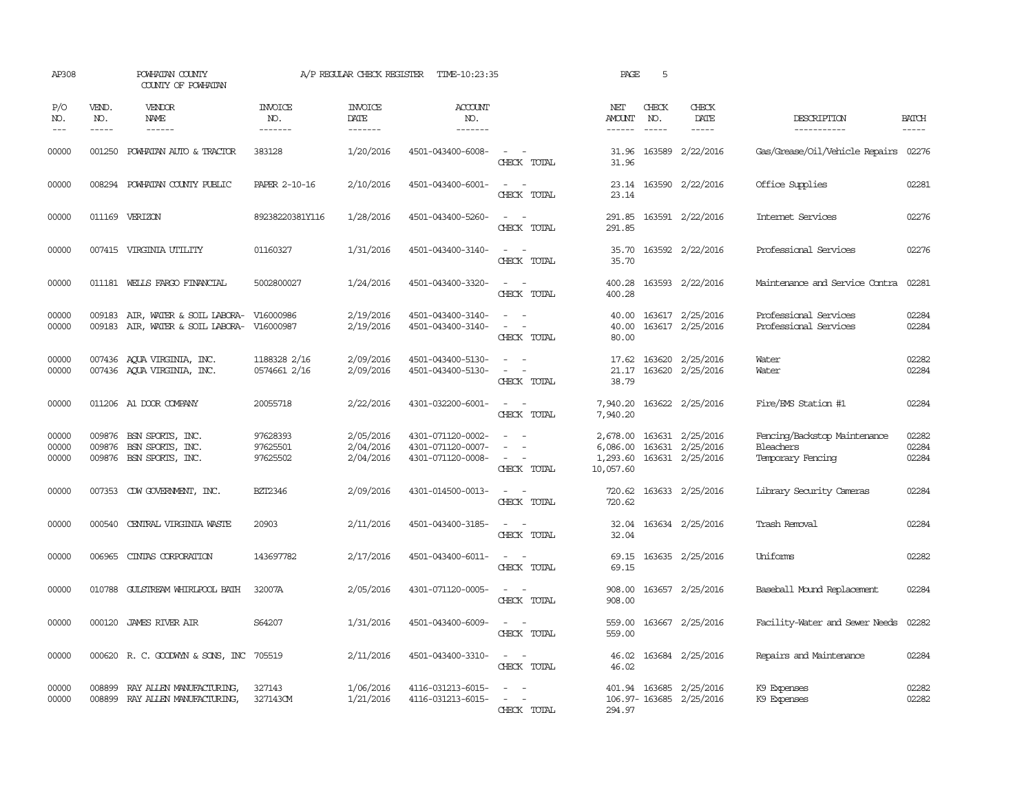| AP308                   |                               | POWHATAN COUNTY<br>COUNTY OF POWHATAN                                         |                                   | A/P REGULAR CHECK REGISTER          | TIME-10:23:35                                               |                                                                                                                             | PAGE                                          | 5                             |                                                          |                                                                       |                             |
|-------------------------|-------------------------------|-------------------------------------------------------------------------------|-----------------------------------|-------------------------------------|-------------------------------------------------------------|-----------------------------------------------------------------------------------------------------------------------------|-----------------------------------------------|-------------------------------|----------------------------------------------------------|-----------------------------------------------------------------------|-----------------------------|
| P/O<br>NO.<br>$---$     | VEND.<br>NO.<br>$\frac{1}{2}$ | <b>VENDOR</b><br>NAME<br>$- - - - - -$                                        | <b>INVOICE</b><br>NO.<br>-------- | <b>INVOICE</b><br>DATE<br>-------   | ACCOUNT<br>NO.<br>-------                                   |                                                                                                                             | NET<br>AMOUNT<br>------                       | CHECK<br>NO.<br>$\frac{1}{2}$ | CHECK<br>DATE<br>$- - - - -$                             | DESCRIPTION<br>-----------                                            | <b>BATCH</b><br>$- - - - -$ |
| 00000                   |                               | 001250 POWHATAN AUTO & TRACTOR                                                | 383128                            | 1/20/2016                           | 4501-043400-6008-                                           | $\frac{1}{2} \left( \frac{1}{2} \right) \left( \frac{1}{2} \right) = \frac{1}{2} \left( \frac{1}{2} \right)$<br>CHECK TOTAL | 31.96<br>31.96                                |                               | 163589 2/22/2016                                         | Gas/Grease/Oil/Vehicle Repairs 02276                                  |                             |
| 00000                   |                               | 008294 POWHATAN COUNTY PUBLIC                                                 | <b>PAPER 2-10-16</b>              | 2/10/2016                           | 4501-043400-6001-                                           | $\overline{\phantom{a}}$<br>$\sim$<br>CHECK TOTAL                                                                           | 23.14                                         |                               | 23.14 163590 2/22/2016                                   | Office Supplies                                                       | 02281                       |
| 00000                   |                               | 011169 VERIZON                                                                | 89238220381Y116                   | 1/28/2016                           | 4501-043400-5260-                                           | CHECK TOTAL                                                                                                                 | 291.85<br>291.85                              |                               | 163591 2/22/2016                                         | Internet Services                                                     | 02276                       |
| 00000                   |                               | 007415 VIRGINIA UTILITY                                                       | 01160327                          | 1/31/2016                           | 4501-043400-3140-                                           | $\sim$ $\sim$<br>CHECK TOTAL                                                                                                | 35.70<br>35.70                                |                               | 163592 2/22/2016                                         | Professional Services                                                 | 02276                       |
| 00000                   |                               | 011181 WELLS FARGO FINANCIAL                                                  | 5002800027                        | 1/24/2016                           | 4501-043400-3320-                                           | $\sim$<br>CHECK TOTAL                                                                                                       | 400.28<br>400.28                              |                               | 163593 2/22/2016                                         | Maintenance and Service Contra                                        | 02281                       |
| 00000<br>00000          | 009183<br>009183              | AIR, WATER & SOIL LABORA-<br>AIR, WATER & SOIL LABORA-                        | V16000986<br>V16000987            | 2/19/2016<br>2/19/2016              | 4501-043400-3140-<br>4501-043400-3140-                      | CHECK TOTAL                                                                                                                 | 40.00<br>40.00<br>80.00                       |                               | 163617 2/25/2016<br>163617 2/25/2016                     | Professional Services<br>Professional Services                        | 02284<br>02284              |
| 00000<br>00000          |                               | 007436 AQUA VIRGINIA, INC.<br>007436 AQUA VIRGINIA, INC.                      | 1188328 2/16<br>0574661 2/16      | 2/09/2016<br>2/09/2016              | 4501-043400-5130-<br>4501-043400-5130-                      | $\sim$ 10 $\sim$ 10 $\sim$<br>$\sim$ 100 $\mu$<br>$\overline{\phantom{a}}$<br>CHECK TOTAL                                   | 17.62<br>21.17<br>38.79                       |                               | 163620 2/25/2016<br>163620 2/25/2016                     | Water<br>Water                                                        | 02282<br>02284              |
| 00000                   |                               | 011206 A1 DOOR COMPANY                                                        | 20055718                          | 2/22/2016                           | 4301-032200-6001-                                           | $\sim$<br>CHECK TOTAL                                                                                                       | 7,940.20<br>7,940.20                          |                               | 163622 2/25/2016                                         | Fire/EMS Station #1                                                   | 02284                       |
| 00000<br>00000<br>00000 |                               | 009876 BSN SPORTS, INC.<br>009876 BSN SPORTS, INC.<br>009876 BSN SPORTS, INC. | 97628393<br>97625501<br>97625502  | 2/05/2016<br>2/04/2016<br>2/04/2016 | 4301-071120-0002-<br>4301-071120-0007-<br>4301-071120-0008- | $\sim$<br>$\equiv$<br>CHECK TOTAL                                                                                           | 2,678.00<br>6,086.00<br>1,293.60<br>10,057.60 |                               | 163631 2/25/2016<br>163631 2/25/2016<br>163631 2/25/2016 | Fencing/Backstop Maintenance<br><b>Bleachers</b><br>Temporary Fencing | 02282<br>02284<br>02284     |
| 00000                   |                               | 007353 CDW GOVERNMENT, INC.                                                   | BZT2346                           | 2/09/2016                           | 4301-014500-0013-                                           | $\sim$ 100 $\sim$<br>CHECK TOTAL                                                                                            | 720.62                                        |                               | 720.62 163633 2/25/2016                                  | Library Security Cameras                                              | 02284                       |
| 00000                   | 000540                        | CENTRAL VIRGINIA WASTE                                                        | 20903                             | 2/11/2016                           | 4501-043400-3185-                                           | $\overline{\phantom{a}}$<br>CHECK TOTAL                                                                                     | 32.04<br>32.04                                |                               | 163634 2/25/2016                                         | Trash Removal                                                         | 02284                       |
| 00000                   | 006965                        | CINIAS CORPORATION                                                            | 143697782                         | 2/17/2016                           | 4501-043400-6011-                                           | $\sim$<br>CHECK TOTAL                                                                                                       | 69.15<br>69.15                                |                               | 163635 2/25/2016                                         | Uniforms                                                              | 02282                       |
| 00000                   |                               | 010788 GULSTREAM WHIRLPOOL BATH                                               | 32007A                            | 2/05/2016                           | 4301-071120-0005-                                           | $\sim$<br>$\sim$<br>CHECK TOTAL                                                                                             | 908.00<br>908.00                              |                               | 163657 2/25/2016                                         | Baseball Mound Replacement                                            | 02284                       |
| 00000                   |                               | 000120 JAMES RIVER AIR                                                        | S64207                            | 1/31/2016                           | 4501-043400-6009-                                           | $\sim$<br>$\sim$<br>CHECK TOTAL                                                                                             | 559.00<br>559.00                              |                               | 163667 2/25/2016                                         | Facility-Water and Sewer Needs                                        | 02282                       |
| 00000                   |                               | 000620 R. C. GOODWYN & SONS, INC 705519                                       |                                   | 2/11/2016                           | 4501-043400-3310-                                           | $\sim$ $\sim$<br>CHECK TOTAL                                                                                                | 46.02<br>46.02                                |                               | 163684 2/25/2016                                         | Repairs and Maintenance                                               | 02284                       |
| 00000<br>00000          | 008899                        | RAY ALLEN MANUFACTURING,<br>008899 RAY ALLEN MANUFACTURING,                   | 327143<br>327143CM                | 1/06/2016<br>1/21/2016              | 4116-031213-6015-<br>4116-031213-6015-                      | $\sim$ $\sim$<br>CHRCK TOTAL                                                                                                | 294.97                                        |                               | 401.94 163685 2/25/2016<br>106.97-163685 2/25/2016       | K9 Expenses<br>K9 Expenses                                            | 02282<br>02282              |